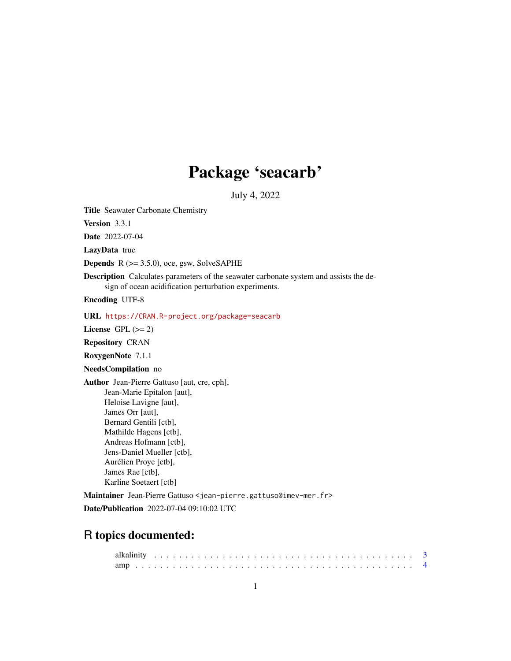# Package 'seacarb'

July 4, 2022

<span id="page-0-0"></span>Title Seawater Carbonate Chemistry

Version 3.3.1

Date 2022-07-04

LazyData true

**Depends**  $R$  ( $>= 3.5.0$ ), oce, gsw, SolveSAPHE

Description Calculates parameters of the seawater carbonate system and assists the design of ocean acidification perturbation experiments.

Encoding UTF-8

### URL <https://CRAN.R-project.org/package=seacarb>

License GPL  $(>= 2)$ 

Repository CRAN

RoxygenNote 7.1.1

NeedsCompilation no

Author Jean-Pierre Gattuso [aut, cre, cph], Jean-Marie Epitalon [aut], Heloise Lavigne [aut], James Orr [aut], Bernard Gentili [ctb], Mathilde Hagens [ctb], Andreas Hofmann [ctb], Jens-Daniel Mueller [ctb], Aurélien Proye [ctb], James Rae [ctb], Karline Soetaert [ctb]

Maintainer Jean-Pierre Gattuso <jean-pierre.gattuso@imev-mer.fr> Date/Publication 2022-07-04 09:10:02 UTC

# R topics documented: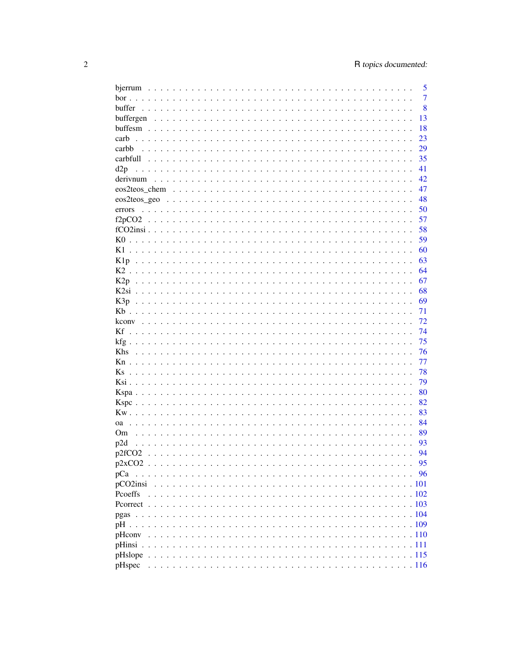|                    | 5              |
|--------------------|----------------|
|                    | $\overline{7}$ |
| buffer             | 8              |
|                    | 13             |
|                    | 18             |
| carb               | 23             |
| carbb              | 29             |
|                    | 35             |
| d2p                | 41             |
| derivnum           | 42             |
|                    | 47             |
|                    | 48             |
|                    | 50             |
| errors             |                |
|                    | 57             |
|                    | 58             |
|                    | 59             |
| K1                 | 60             |
|                    | 63             |
|                    | 64             |
|                    | 67             |
|                    | 68             |
|                    | 69             |
|                    | 71             |
|                    | 72             |
|                    | 74             |
|                    | 75             |
| <b>Khs</b>         | 76             |
|                    | 77             |
| <b>Ks</b>          | 78             |
|                    | 79             |
|                    | 80             |
|                    |                |
|                    | 82             |
|                    | 83             |
|                    | 84             |
| Om.                | 89             |
| p2d                | 93             |
| p2fCO <sub>2</sub> | 94             |
|                    | 95             |
| pCa                | 96             |
|                    |                |
| Pcoeffs            |                |
|                    |                |
|                    |                |
|                    |                |
| pHcony             |                |
|                    |                |
|                    |                |
|                    |                |
| pHspec             |                |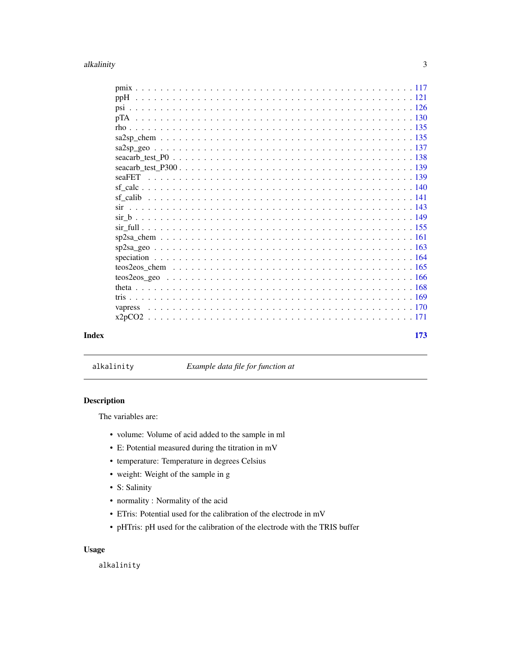#### <span id="page-2-0"></span>alkalinity 3

|       | $\mathrm{sf\_calc}\dots\dots\dots\dots\dots\dots\dots\dots\dots\dots\dots\dots\dots\dots\dots\dots\dots\dots\dots$ |     |
|-------|--------------------------------------------------------------------------------------------------------------------|-----|
|       |                                                                                                                    |     |
|       |                                                                                                                    |     |
|       |                                                                                                                    |     |
|       |                                                                                                                    |     |
|       |                                                                                                                    |     |
|       |                                                                                                                    |     |
|       |                                                                                                                    |     |
|       |                                                                                                                    |     |
|       |                                                                                                                    |     |
|       |                                                                                                                    |     |
|       |                                                                                                                    |     |
|       |                                                                                                                    |     |
|       |                                                                                                                    |     |
|       |                                                                                                                    |     |
| Index |                                                                                                                    | 173 |
|       |                                                                                                                    |     |

alkalinity *Example data file for function at*

#### Description

The variables are:

- volume: Volume of acid added to the sample in ml
- E: Potential measured during the titration in mV
- temperature: Temperature in degrees Celsius
- weight: Weight of the sample in g
- S: Salinity
- normality : Normality of the acid
- ETris: Potential used for the calibration of the electrode in mV
- pHTris: pH used for the calibration of the electrode with the TRIS buffer

# Usage

alkalinity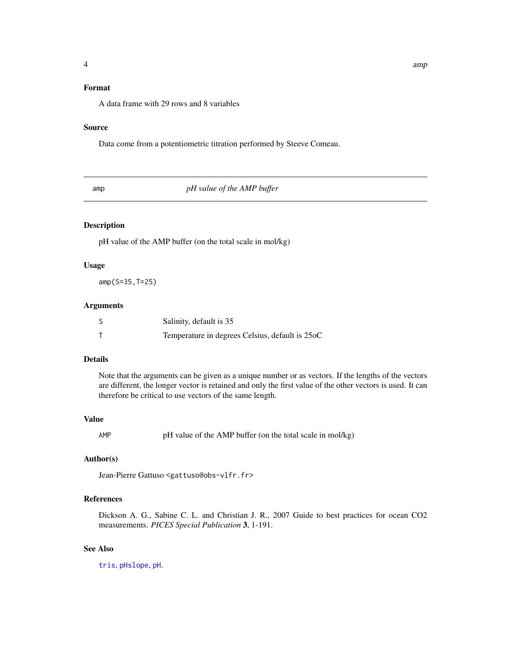# <span id="page-3-0"></span>Format

A data frame with 29 rows and 8 variables

#### Source

Data come from a potentiometric titration performed by Steeve Comeau.

amp *pH value of the AMP buffer*

# Description

pH value of the AMP buffer (on the total scale in mol/kg)

#### Usage

amp(S=35,T=25)

#### Arguments

| Salinity, default is 35                         |
|-------------------------------------------------|
| Temperature in degrees Celsius, default is 25oC |

#### Details

Note that the arguments can be given as a unique number or as vectors. If the lengths of the vectors are different, the longer vector is retained and only the first value of the other vectors is used. It can therefore be critical to use vectors of the same length.

#### Value

AMP pH value of the AMP buffer (on the total scale in mol/kg)

# Author(s)

Jean-Pierre Gattuso <gattuso@obs-vlfr.fr>

# References

Dickson A. G., Sabine C. L. and Christian J. R., 2007 Guide to best practices for ocean CO2 measurements. *PICES Special Publication* 3, 1-191.

#### See Also

[tris](#page-168-1), [pHslope](#page-114-1), [pH](#page-108-1).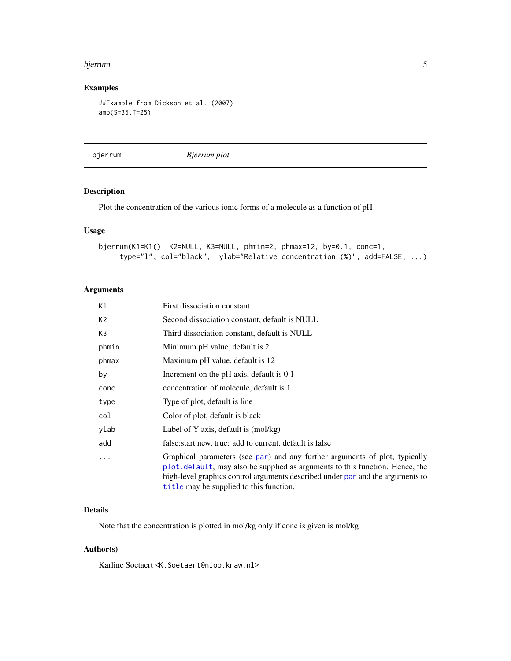#### <span id="page-4-0"></span>bjerrum 5

# Examples

```
##Example from Dickson et al. (2007)
amp(S=35,T=25)
```
bjerrum *Bjerrum plot*

#### Description

Plot the concentration of the various ionic forms of a molecule as a function of pH

#### Usage

```
bjerrum(K1=K1(), K2=NULL, K3=NULL, phmin=2, phmax=12, by=0.1, conc=1,
     type="l", col="black", ylab="Relative concentration (%)", add=FALSE, ...)
```
# Arguments

| К1             | First dissociation constant                                                                                                                                                                                                                                                              |
|----------------|------------------------------------------------------------------------------------------------------------------------------------------------------------------------------------------------------------------------------------------------------------------------------------------|
| K <sub>2</sub> | Second dissociation constant, default is NULL                                                                                                                                                                                                                                            |
| K3             | Third dissociation constant, default is NULL                                                                                                                                                                                                                                             |
| phmin          | Minimum pH value, default is 2                                                                                                                                                                                                                                                           |
| phmax          | Maximum pH value, default is 12                                                                                                                                                                                                                                                          |
| by             | Increment on the pH axis, default is 0.1                                                                                                                                                                                                                                                 |
| conc           | concentration of molecule, default is 1                                                                                                                                                                                                                                                  |
| type           | Type of plot, default is line                                                                                                                                                                                                                                                            |
| col            | Color of plot, default is black                                                                                                                                                                                                                                                          |
| ylab           | Label of Y axis, default is $(mol/kg)$                                                                                                                                                                                                                                                   |
| add            | false: start new, true: add to current, default is false                                                                                                                                                                                                                                 |
| .              | Graphical parameters (see par) and any further arguments of plot, typically<br>plot default, may also be supplied as arguments to this function. Hence, the<br>high-level graphics control arguments described under par and the arguments to<br>title may be supplied to this function. |

# Details

Note that the concentration is plotted in mol/kg only if conc is given is mol/kg

# Author(s)

Karline Soetaert <K.Soetaert@nioo.knaw.nl>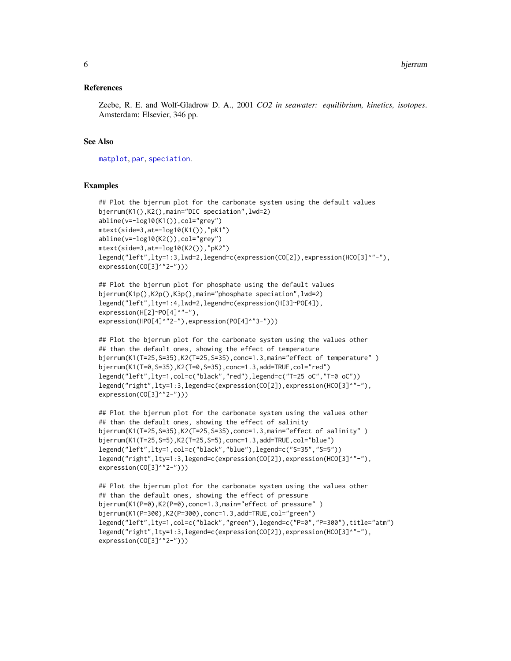#### References

Zeebe, R. E. and Wolf-Gladrow D. A., 2001 *CO2 in seawater: equilibrium, kinetics, isotopes*. Amsterdam: Elsevier, 346 pp.

# See Also

[matplot](#page-0-0), [par](#page-0-0), [speciation](#page-163-1).

#### Examples

```
## Plot the bjerrum plot for the carbonate system using the default values
bjerrum(K1(),K2(),main="DIC speciation",lwd=2)
abline(v=-log10(K1()),col="grey")
mtext(side=3,at=-log10(K1()),"pK1")
abline(v=-log10(K2()),col="grey")
mtext(side=3,at=-log10(K2()),"pK2")
legend("left",lty=1:3,lwd=2,legend=c(expression(CO[2]),expression(HCO[3]^"-"),
expression(CO[3]^"2-")))
```

```
## Plot the bjerrum plot for phosphate using the default values
bjerrum(K1p(),K2p(),K3p(),main="phosphate speciation",lwd=2)
legend("left",lty=1:4,lwd=2,legend=c(expression(H[3]~PO[4]),
expression(H[2]~PO[4]^"-"),
expression(HPO[4]^"2-"),expression(PO[4]^"3-")))
```

```
## Plot the bjerrum plot for the carbonate system using the values other
## than the default ones, showing the effect of temperature
bjerrum(K1(T=25,S=35),K2(T=25,S=35),conc=1.3,main="effect of temperature" )
bjerrum(K1(T=0,S=35),K2(T=0,S=35),conc=1.3,add=TRUE,col="red")
legend("left",lty=1,col=c("black","red"),legend=c("T=25 oC","T=0 oC"))
legend("right",lty=1:3,legend=c(expression(CO[2]),expression(HCO[3]^"-"),
expression(CO[3]^"2-")))
```

```
## Plot the bjerrum plot for the carbonate system using the values other
## than the default ones, showing the effect of salinity
bjerrum(K1(T=25,S=35),K2(T=25,S=35),conc=1.3,main="effect of salinity" )
bjerrum(K1(T=25,S=5),K2(T=25,S=5),conc=1.3,add=TRUE,col="blue")
legend("left",lty=1,col=c("black","blue"),legend=c("S=35","S=5"))
legend("right",lty=1:3,legend=c(expression(CO[2]),expression(HCO[3]^"-"),
expression(CO[3]^"2-")))
```

```
## Plot the bjerrum plot for the carbonate system using the values other
## than the default ones, showing the effect of pressure
bjerrum(K1(P=0),K2(P=0),conc=1.3,main="effect of pressure" )
bjerrum(K1(P=300),K2(P=300),conc=1.3,add=TRUE,col="green")
legend("left",lty=1,col=c("black","green"),legend=c("P=0","P=300"),title="atm")
legend("right",lty=1:3,legend=c(expression(CO[2]),expression(HCO[3]^"-"),
expression(CO[3]^"2-")))
```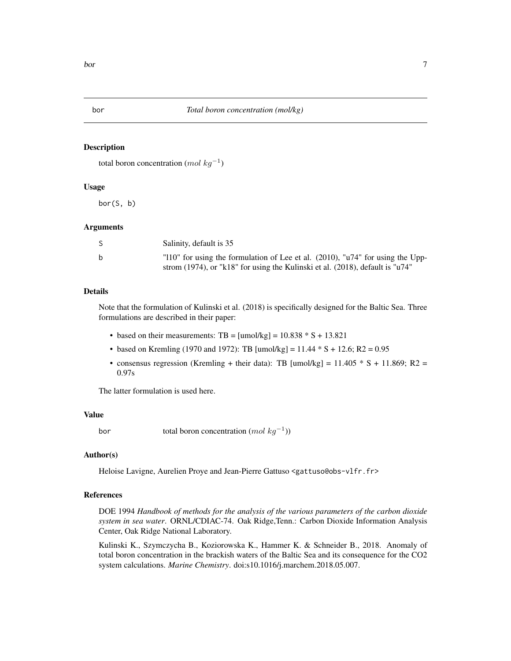<span id="page-6-0"></span>

#### Description

```
total boron concentration (mol kg^{-1})
```
#### Usage

bor(S, b)

#### Arguments

|   | Salinity, default is 35                                                           |
|---|-----------------------------------------------------------------------------------|
| b | "110" for using the formulation of Lee et al. $(2010)$ , "u74" for using the Upp- |
|   | strom (1974), or "k18" for using the Kulinski et al. (2018), default is "u74"     |

### Details

Note that the formulation of Kulinski et al. (2018) is specifically designed for the Baltic Sea. Three formulations are described in their paper:

- based on their measurements: TB =  $[$ umol/kg $]$  = 10.838  $*$  S + 13.821
- based on Kremling (1970 and 1972): TB [umol/kg] =  $11.44 * S + 12.6$ ; R2 = 0.95
- consensus regression (Kremling + their data): TB [umol/kg] =  $11.405 * S + 11.869$ ; R2 = 0.97s

The latter formulation is used here.

#### Value

bor total boron concentration  $(mol kg^{-1})$ 

#### Author(s)

Heloise Lavigne, Aurelien Proye and Jean-Pierre Gattuso <gattuso@obs-vlfr.fr>

# References

DOE 1994 *Handbook of methods for the analysis of the various parameters of the carbon dioxide system in sea water*. ORNL/CDIAC-74. Oak Ridge,Tenn.: Carbon Dioxide Information Analysis Center, Oak Ridge National Laboratory.

Kulinski K., Szymczycha B., Koziorowska K., Hammer K. & Schneider B., 2018. Anomaly of total boron concentration in the brackish waters of the Baltic Sea and its consequence for the CO2 system calculations. *Marine Chemistry*. doi:s10.1016/j.marchem.2018.05.007.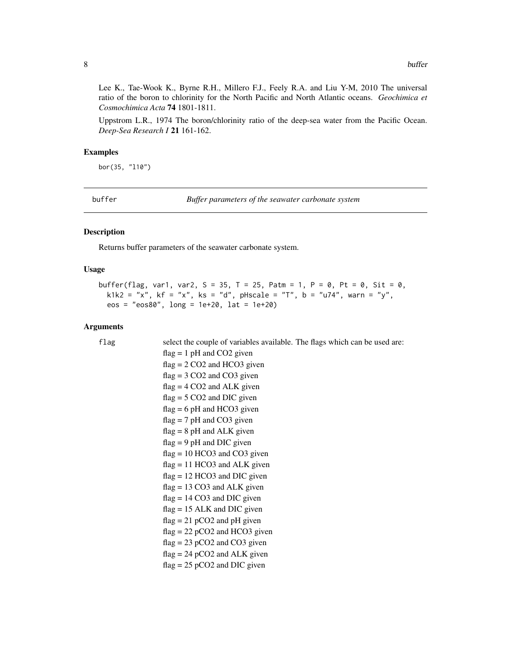<span id="page-7-0"></span>Lee K., Tae-Wook K., Byrne R.H., Millero F.J., Feely R.A. and Liu Y-M, 2010 The universal ratio of the boron to chlorinity for the North Pacific and North Atlantic oceans. *Geochimica et Cosmochimica Acta* 74 1801-1811.

Uppstrom L.R., 1974 The boron/chlorinity ratio of the deep-sea water from the Pacific Ocean. *Deep-Sea Research I* 21 161-162.

#### Examples

bor(35, "l10")

buffer *Buffer parameters of the seawater carbonate system*

#### Description

Returns buffer parameters of the seawater carbonate system.

#### Usage

```
buffer(flag, var1, var2, S = 35, T = 25, Patm = 1, P = 0, Pt = 0, Sit = 0,
 k1k2 = "x", kf = "x", ks = "d", pHscale = "T", b = "u74", warn = "y",
  eos = "eos80", long = 1e+20, lat = 1e+20)
```
#### Arguments

```
flag select the couple of variables available. The flags which can be used are:
                 flag = 1 pH and CO2 given
                 flag = 2 CO2 and HCO3 given
                 flag = 3 CO2 and CO3 given
                 flag = 4 CO2 and ALK given
                 flag = 5 CO2 and DIC given
                 flag = 6 pH and HCO3 given
                 flag = 7 pH and CO3 given
                 flag = 8 pH and ALK given
                 flag = 9 pH and DIC given
                 flag = 10 HCO3 and CO3 given
                 flag = 11 HCO3 and ALK given
                 flag = 12 HCO3 and DIC given
                 flag = 13 CO3 and ALK given
                 flag = 14 CO3 and DIC given
                 flag = 15 ALK and DIC given
                 flag = 21 pCO2 and pH given
                 flag = 22 pCO2 and HCO3 given
                 flag = 23 pCO2 and CO3 given
                 flag = 24 pCO2 and ALK given
```
 $flag = 25 pCO2$  and DIC given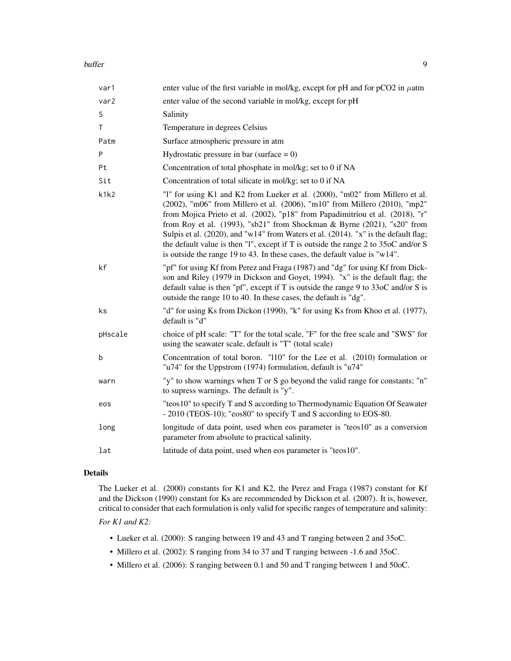#### buffer the contract of the contract of the contract of the contract of the contract of the contract of the contract of the contract of the contract of the contract of the contract of the contract of the contract of the con

| var1    | enter value of the first variable in mol/kg, except for pH and for $pCO2$ in $\mu$ atm                                                                                                                                                                                                                                                                                                                                                                                                                                                                                            |
|---------|-----------------------------------------------------------------------------------------------------------------------------------------------------------------------------------------------------------------------------------------------------------------------------------------------------------------------------------------------------------------------------------------------------------------------------------------------------------------------------------------------------------------------------------------------------------------------------------|
| var2    | enter value of the second variable in mol/kg, except for pH                                                                                                                                                                                                                                                                                                                                                                                                                                                                                                                       |
| S       | Salinity                                                                                                                                                                                                                                                                                                                                                                                                                                                                                                                                                                          |
| T       | Temperature in degrees Celsius                                                                                                                                                                                                                                                                                                                                                                                                                                                                                                                                                    |
| Patm    | Surface atmospheric pressure in atm                                                                                                                                                                                                                                                                                                                                                                                                                                                                                                                                               |
| Ρ       | Hydrostatic pressure in bar (surface $= 0$ )                                                                                                                                                                                                                                                                                                                                                                                                                                                                                                                                      |
| Pt      | Concentration of total phosphate in mol/kg; set to 0 if NA                                                                                                                                                                                                                                                                                                                                                                                                                                                                                                                        |
| Sit     | Concentration of total silicate in mol/kg; set to 0 if NA                                                                                                                                                                                                                                                                                                                                                                                                                                                                                                                         |
| k1k2    | "1" for using K1 and K2 from Lueker et al. (2000), "m02" from Millero et al.<br>(2002), "m06" from Millero et al. (2006), "m10" from Millero (2010), "mp2"<br>from Mojica Prieto et al. (2002), "p18" from Papadimitriou et al. (2018), "r"<br>from Roy et al. (1993), "sb21" from Shockman & Byrne (2021), "s20" from<br>Sulpis et al. (2020), and "w14" from Waters et al. (2014). "x" is the default flag;<br>the default value is then "1", except if T is outside the range 2 to 35oC and/or S<br>is outside the range 19 to 43. In these cases, the default value is "w14". |
| kf      | "pf" for using Kf from Perez and Fraga (1987) and "dg" for using Kf from Dick-<br>son and Riley (1979 in Dickson and Goyet, 1994). "x" is the default flag; the<br>default value is then "pf", except if T is outside the range $9$ to $33$ oC and/or S is<br>outside the range 10 to 40. In these cases, the default is "dg".                                                                                                                                                                                                                                                    |
| ks      | "d" for using Ks from Dickon (1990), "k" for using Ks from Khoo et al. (1977),<br>default is "d"                                                                                                                                                                                                                                                                                                                                                                                                                                                                                  |
| pHscale | choice of pH scale: "T" for the total scale, "F" for the free scale and "SWS" for<br>using the seawater scale, default is "T" (total scale)                                                                                                                                                                                                                                                                                                                                                                                                                                       |
| b       | Concentration of total boron. "110" for the Lee et al. (2010) formulation or<br>"u74" for the Uppstrom (1974) formulation, default is "u74"                                                                                                                                                                                                                                                                                                                                                                                                                                       |
| warn    | "y" to show warnings when T or S go beyond the valid range for constants; "n"<br>to supress warnings. The default is "y".                                                                                                                                                                                                                                                                                                                                                                                                                                                         |
| eos     | "teos10" to specify T and S according to Thermodynamic Equation Of Seawater<br>- 2010 (TEOS-10); "eos80" to specify T and S according to EOS-80.                                                                                                                                                                                                                                                                                                                                                                                                                                  |
| long    | longitude of data point, used when eos parameter is "teos10" as a conversion<br>parameter from absolute to practical salinity.                                                                                                                                                                                                                                                                                                                                                                                                                                                    |
| lat     | latitude of data point, used when eos parameter is "teos10".                                                                                                                                                                                                                                                                                                                                                                                                                                                                                                                      |

# Details

The Lueker et al. (2000) constants for K1 and K2, the Perez and Fraga (1987) constant for Kf and the Dickson (1990) constant for Ks are recommended by Dickson et al. (2007). It is, however, critical to consider that each formulation is only valid for specific ranges of temperature and salinity:

### *For K1 and K2:*

- Lueker et al. (2000): S ranging between 19 and 43 and T ranging between 2 and 35oC.
- Millero et al. (2002): S ranging from 34 to 37 and T ranging between -1.6 and 35oC.
- Millero et al. (2006): S ranging between 0.1 and 50 and T ranging between 1 and 50oC.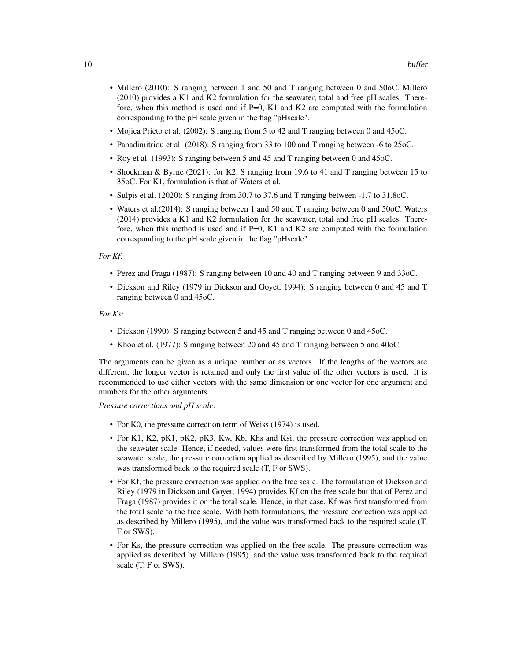- Millero (2010): S ranging between 1 and 50 and T ranging between 0 and 50oC. Millero (2010) provides a K1 and K2 formulation for the seawater, total and free pH scales. Therefore, when this method is used and if  $P=0$ , K1 and K2 are computed with the formulation corresponding to the pH scale given in the flag "pHscale".
- Mojica Prieto et al. (2002): S ranging from 5 to 42 and T ranging between 0 and 45oC.
- Papadimitriou et al. (2018): S ranging from 33 to 100 and T ranging between -6 to 25oC.
- Roy et al. (1993): S ranging between 5 and 45 and T ranging between 0 and 45oC.
- Shockman & Byrne (2021): for K2, S ranging from 19.6 to 41 and T ranging between 15 to 35oC. For K1, formulation is that of Waters et al.
- Sulpis et al. (2020): S ranging from 30.7 to 37.6 and T ranging between -1.7 to 31.8oC.
- Waters et al.(2014): S ranging between 1 and 50 and T ranging between 0 and 50oC. Waters (2014) provides a K1 and K2 formulation for the seawater, total and free pH scales. Therefore, when this method is used and if  $P=0$ , K1 and K2 are computed with the formulation corresponding to the pH scale given in the flag "pHscale".

#### *For Kf:*

- Perez and Fraga (1987): S ranging between 10 and 40 and T ranging between 9 and 33oC.
- Dickson and Riley (1979 in Dickson and Goyet, 1994): S ranging between 0 and 45 and T ranging between 0 and 45oC.

#### *For Ks:*

- Dickson (1990): S ranging between 5 and 45 and T ranging between 0 and 45oC.
- Khoo et al. (1977): S ranging between 20 and 45 and T ranging between 5 and 40oC.

The arguments can be given as a unique number or as vectors. If the lengths of the vectors are different, the longer vector is retained and only the first value of the other vectors is used. It is recommended to use either vectors with the same dimension or one vector for one argument and numbers for the other arguments.

*Pressure corrections and pH scale:*

- For K0, the pressure correction term of Weiss (1974) is used.
- For K1, K2, pK1, pK2, pK3, Kw, Kb, Khs and Ksi, the pressure correction was applied on the seawater scale. Hence, if needed, values were first transformed from the total scale to the seawater scale, the pressure correction applied as described by Millero (1995), and the value was transformed back to the required scale (T, F or SWS).
- For Kf, the pressure correction was applied on the free scale. The formulation of Dickson and Riley (1979 in Dickson and Goyet, 1994) provides Kf on the free scale but that of Perez and Fraga (1987) provides it on the total scale. Hence, in that case, Kf was first transformed from the total scale to the free scale. With both formulations, the pressure correction was applied as described by Millero (1995), and the value was transformed back to the required scale (T, F or SWS).
- For Ks, the pressure correction was applied on the free scale. The pressure correction was applied as described by Millero (1995), and the value was transformed back to the required scale (T, F or SWS).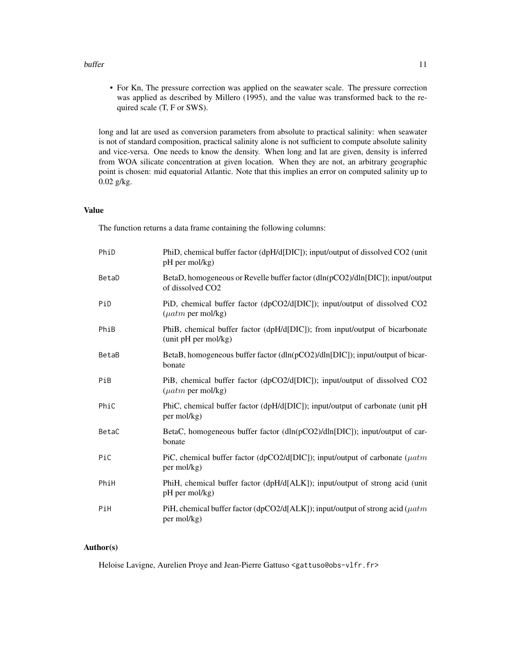#### buffer that the contract of the contract of the contract of the contract of the contract of the contract of the contract of the contract of the contract of the contract of the contract of the contract of the contract of th

• For Kn, The pressure correction was applied on the seawater scale. The pressure correction was applied as described by Millero (1995), and the value was transformed back to the required scale (T, F or SWS).

long and lat are used as conversion parameters from absolute to practical salinity: when seawater is not of standard composition, practical salinity alone is not sufficient to compute absolute salinity and vice-versa. One needs to know the density. When long and lat are given, density is inferred from WOA silicate concentration at given location. When they are not, an arbitrary geographic point is chosen: mid equatorial Atlantic. Note that this implies an error on computed salinity up to 0.02 g/kg.

# Value

The function returns a data frame containing the following columns:

| PhiD  | PhiD, chemical buffer factor (dpH/d[DIC]); input/output of dissolved CO2 (unit<br>pH per mol/kg)               |
|-------|----------------------------------------------------------------------------------------------------------------|
| BetaD | BetaD, homogeneous or Revelle buffer factor (dln(pCO2)/dln[DIC]); input/output<br>of dissolved CO <sub>2</sub> |
| PiD   | PiD, chemical buffer factor (dpCO2/d[DIC]); input/output of dissolved CO2<br>$(\mu atm \text{ per mol/kg})$    |
| PhiB  | PhiB, chemical buffer factor (dpH/d[DIC]); from input/output of bicarbonate<br>(unit pH per mol/kg)            |
| BetaB | BetaB, homogeneous buffer factor (dln(pCO2)/dln[DIC]); input/output of bicar-<br>bonate                        |
| PiB   | PiB, chemical buffer factor (dpCO2/d[DIC]); input/output of dissolved CO2<br>$(\mu atm \text{ per mol/kg})$    |
| PhiC  | PhiC, chemical buffer factor (dpH/d[DIC]); input/output of carbonate (unit pH<br>per mol/kg)                   |
| BetaC | BetaC, homogeneous buffer factor (dln(pCO2)/dln[DIC]); input/output of car-<br>bonate                          |
| PiC   | PiC, chemical buffer factor (dpCO2/d[DIC]); input/output of carbonate ( $\mu atm$<br>per mol/kg)               |
| PhiH  | PhiH, chemical buffer factor (dpH/d[ALK]); input/output of strong acid (unit<br>pH per mol/kg)                 |
| PiH   | PiH, chemical buffer factor (dpCO2/d[ALK]); input/output of strong acid ( $\mu atm$<br>per mol/kg)             |

# Author(s)

Heloise Lavigne, Aurelien Proye and Jean-Pierre Gattuso <gattuso@obs-vlfr.fr>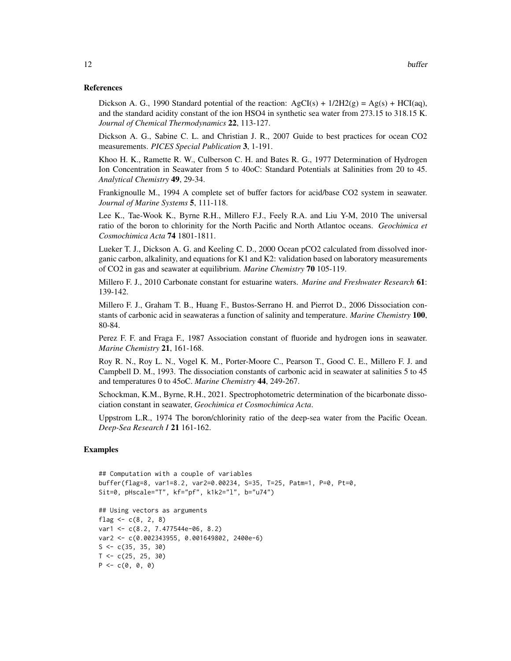#### References

Dickson A. G., 1990 Standard potential of the reaction:  $AgCI(s) + 1/2H2(g) = Ag(s) + HCI(aq)$ , and the standard acidity constant of the ion HSO4 in synthetic sea water from 273.15 to 318.15 K. *Journal of Chemical Thermodynamics* 22, 113-127.

Dickson A. G., Sabine C. L. and Christian J. R., 2007 Guide to best practices for ocean CO2 measurements. *PICES Special Publication* 3, 1-191.

Khoo H. K., Ramette R. W., Culberson C. H. and Bates R. G., 1977 Determination of Hydrogen Ion Concentration in Seawater from 5 to 40oC: Standard Potentials at Salinities from 20 to 45. *Analytical Chemistry* 49, 29-34.

Frankignoulle M., 1994 A complete set of buffer factors for acid/base CO2 system in seawater. *Journal of Marine Systems* 5, 111-118.

Lee K., Tae-Wook K., Byrne R.H., Millero F.J., Feely R.A. and Liu Y-M, 2010 The universal ratio of the boron to chlorinity for the North Pacific and North Atlantoc oceans. *Geochimica et Cosmochimica Acta* 74 1801-1811.

Lueker T. J., Dickson A. G. and Keeling C. D., 2000 Ocean pCO2 calculated from dissolved inorganic carbon, alkalinity, and equations for K1 and K2: validation based on laboratory measurements of CO2 in gas and seawater at equilibrium. *Marine Chemistry* 70 105-119.

Millero F. J., 2010 Carbonate constant for estuarine waters. *Marine and Freshwater Research* 61: 139-142.

Millero F. J., Graham T. B., Huang F., Bustos-Serrano H. and Pierrot D., 2006 Dissociation constants of carbonic acid in seawateras a function of salinity and temperature. *Marine Chemistry* 100, 80-84.

Perez F. F. and Fraga F., 1987 Association constant of fluoride and hydrogen ions in seawater. *Marine Chemistry* 21, 161-168.

Roy R. N., Roy L. N., Vogel K. M., Porter-Moore C., Pearson T., Good C. E., Millero F. J. and Campbell D. M., 1993. The dissociation constants of carbonic acid in seawater at salinities 5 to 45 and temperatures 0 to 45oC. *Marine Chemistry* 44, 249-267.

Schockman, K.M., Byrne, R.H., 2021. Spectrophotometric determination of the bicarbonate dissociation constant in seawater, *Geochimica et Cosmochimica Acta*.

Uppstrom L.R., 1974 The boron/chlorinity ratio of the deep-sea water from the Pacific Ocean. *Deep-Sea Research I* 21 161-162.

### Examples

```
## Computation with a couple of variables
buffer(flag=8, var1=8.2, var2=0.00234, S=35, T=25, Patm=1, P=0, Pt=0,
Sit=0, pHscale="T", kf="pf", k1k2="l", b="u74")
## Using vectors as arguments
flag <-c(8, 2, 8)var1 <- c(8.2, 7.477544e-06, 8.2)
var2 <- c(0.002343955, 0.001649802, 2400e-6)
S \leftarrow c(35, 35, 30)T < -c(25, 25, 30)P \leftarrow c(0, 0, 0)
```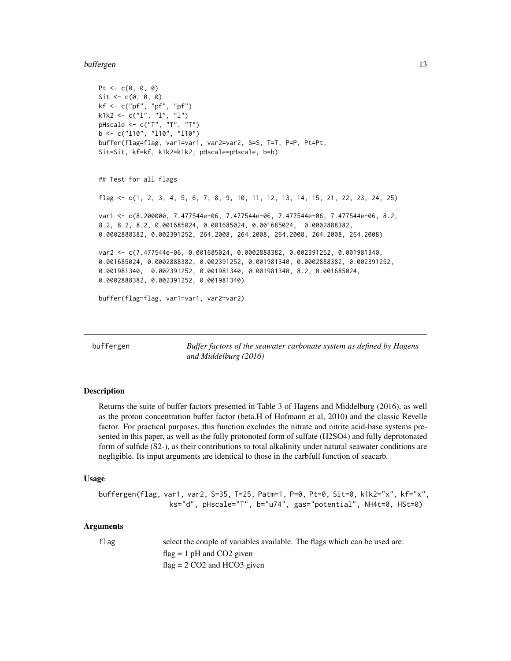<span id="page-12-0"></span>buffergen 13

```
Pt <-c(0, 0, 0)Sit \leftarrow c(0, 0, 0)kf <- c("pf", "pf", "pf")
k1k2 <- c("l", "l", "l")
pHscale <- c("T", "T", "T")
b \leq c("110", "110", "110")buffer(flag=flag, var1=var1, var2=var2, S=S, T=T, P=P, Pt=Pt,
Sit=Sit, kf=kf, k1k2=k1k2, pHscale=pHscale, b=b)
## Test for all flags
flag <- c(1, 2, 3, 4, 5, 6, 7, 8, 9, 10, 11, 12, 13, 14, 15, 21, 22, 23, 24, 25)
var1 <- c(8.200000, 7.477544e-06, 7.477544e-06, 7.477544e-06, 7.477544e-06, 8.2,
8.2, 8.2, 8.2, 0.001685024, 0.001685024, 0.001685024, 0.0002888382,
0.0002888382, 0.002391252, 264.2008, 264.2008, 264.2008, 264.2008, 264.2008)
var2 <- c(7.477544e-06, 0.001685024, 0.0002888382, 0.002391252, 0.001981340,
0.001685024, 0.0002888382, 0.002391252, 0.001981340, 0.0002888382, 0.002391252,
0.001981340, 0.002391252, 0.001981340, 0.001981340, 8.2, 0.001685024,
0.0002888382, 0.002391252, 0.001981340)
buffer(flag=flag, var1=var1, var2=var2)
```
buffergen *Buffer factors of the seawater carbonate system as defined by Hagens and Middelburg (2016)*

#### **Description**

Returns the suite of buffer factors presented in Table 3 of Hagens and Middelburg (2016), as well as the proton concentration buffer factor (beta.H of Hofmann et al, 2010) and the classic Revelle factor. For practical purposes, this function excludes the nitrate and nitrite acid-base systems presented in this paper, as well as the fully protonoted form of sulfate (H2SO4) and fully deprotonated form of sulfide (S2-), as their contributions to total alkalinity under natural seawater conditions are negligible. Its input arguments are identical to those in the carbfull function of seacarb.

#### Usage

```
buffergen(flag, var1, var2, S=35, T=25, Patm=1, P=0, Pt=0, Sit=0, k1k2="x", kf="x",
                 ks="d", pHscale="T", b="u74", gas="potential", NH4t=0, HSt=0)
```
#### Arguments

flag select the couple of variables available. The flags which can be used are:  $flag = 1 pH$  and CO2 given  $flag = 2 CO2$  and HCO3 given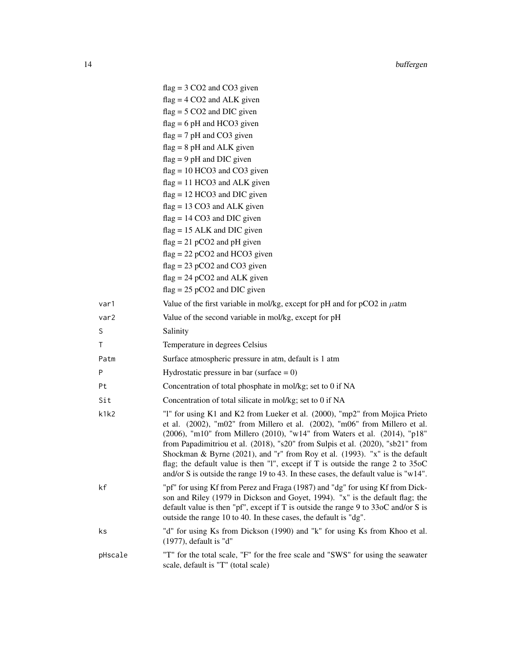|         | $flag = 3 CO2$ and $CO3$ given                                                                                                                                                                                                                                                                                                                                                                                                                                                                                                                                                      |
|---------|-------------------------------------------------------------------------------------------------------------------------------------------------------------------------------------------------------------------------------------------------------------------------------------------------------------------------------------------------------------------------------------------------------------------------------------------------------------------------------------------------------------------------------------------------------------------------------------|
|         | $flag = 4 CO2$ and ALK given                                                                                                                                                                                                                                                                                                                                                                                                                                                                                                                                                        |
|         | $flag = 5 CO2$ and DIC given                                                                                                                                                                                                                                                                                                                                                                                                                                                                                                                                                        |
|         | $flag = 6 pH$ and HCO3 given                                                                                                                                                                                                                                                                                                                                                                                                                                                                                                                                                        |
|         | $flag = 7 pH$ and CO3 given                                                                                                                                                                                                                                                                                                                                                                                                                                                                                                                                                         |
|         | $flag = 8 pH$ and ALK given                                                                                                                                                                                                                                                                                                                                                                                                                                                                                                                                                         |
|         | $flag = 9 pH$ and DIC given                                                                                                                                                                                                                                                                                                                                                                                                                                                                                                                                                         |
|         | $flag = 10 HCO3$ and $CO3$ given                                                                                                                                                                                                                                                                                                                                                                                                                                                                                                                                                    |
|         | $flag = 11 HCO3$ and ALK given                                                                                                                                                                                                                                                                                                                                                                                                                                                                                                                                                      |
|         | $flag = 12 HCO3$ and DIC given                                                                                                                                                                                                                                                                                                                                                                                                                                                                                                                                                      |
|         | $flag = 13 CO3$ and ALK given                                                                                                                                                                                                                                                                                                                                                                                                                                                                                                                                                       |
|         | $flag = 14 CO3$ and DIC given                                                                                                                                                                                                                                                                                                                                                                                                                                                                                                                                                       |
|         | $flag = 15$ ALK and DIC given                                                                                                                                                                                                                                                                                                                                                                                                                                                                                                                                                       |
|         | $flag = 21 pCO2$ and pH given                                                                                                                                                                                                                                                                                                                                                                                                                                                                                                                                                       |
|         | $flag = 22 pCO2$ and HCO3 given<br>$flag = 23 pCO2$ and $CO3$ given                                                                                                                                                                                                                                                                                                                                                                                                                                                                                                                 |
|         | $flag = 24 pCO2$ and ALK given                                                                                                                                                                                                                                                                                                                                                                                                                                                                                                                                                      |
|         | $flag = 25 pCO2$ and DIC given                                                                                                                                                                                                                                                                                                                                                                                                                                                                                                                                                      |
| var1    | Value of the first variable in mol/kg, except for pH and for $pCO2$ in $\mu$ atm                                                                                                                                                                                                                                                                                                                                                                                                                                                                                                    |
| var2    | Value of the second variable in mol/kg, except for pH                                                                                                                                                                                                                                                                                                                                                                                                                                                                                                                               |
| S       | Salinity                                                                                                                                                                                                                                                                                                                                                                                                                                                                                                                                                                            |
| Τ       | Temperature in degrees Celsius                                                                                                                                                                                                                                                                                                                                                                                                                                                                                                                                                      |
| Patm    | Surface atmospheric pressure in atm, default is 1 atm                                                                                                                                                                                                                                                                                                                                                                                                                                                                                                                               |
| P       | Hydrostatic pressure in bar (surface $= 0$ )                                                                                                                                                                                                                                                                                                                                                                                                                                                                                                                                        |
| Pt      | Concentration of total phosphate in mol/kg; set to 0 if NA                                                                                                                                                                                                                                                                                                                                                                                                                                                                                                                          |
| Sit     | Concentration of total silicate in mol/kg; set to 0 if NA                                                                                                                                                                                                                                                                                                                                                                                                                                                                                                                           |
| k1k2    | "I" for using K1 and K2 from Lueker et al. (2000), "mp2" from Mojica Prieto<br>et al. (2002), "m02" from Millero et al. (2002), "m06" from Millero et al.<br>(2006), "m10" from Millero (2010), "w14" from Waters et al. (2014), "p18"<br>from Papadimitriou et al. (2018), "s20" from Sulpis et al. (2020), "sb21" from<br>Shockman & Byrne (2021), and "r" from Roy et al. (1993). "x" is the default<br>flag; the default value is then "I", except if $T$ is outside the range 2 to 35oC<br>and/or S is outside the range 19 to 43. In these cases, the default value is "w14". |
| kf      | "pf" for using Kf from Perez and Fraga (1987) and "dg" for using Kf from Dick-<br>son and Riley (1979 in Dickson and Goyet, 1994). "x" is the default flag; the<br>default value is then "pf", except if T is outside the range 9 to $33\text{oC}$ and/or S is<br>outside the range 10 to 40. In these cases, the default is "dg".                                                                                                                                                                                                                                                  |
| ks      | "d" for using Ks from Dickson (1990) and "k" for using Ks from Khoo et al.<br>$(1977)$ , default is "d"                                                                                                                                                                                                                                                                                                                                                                                                                                                                             |
| pHscale | "T" for the total scale, "F" for the free scale and "SWS" for using the seawater<br>scale, default is "T" (total scale)                                                                                                                                                                                                                                                                                                                                                                                                                                                             |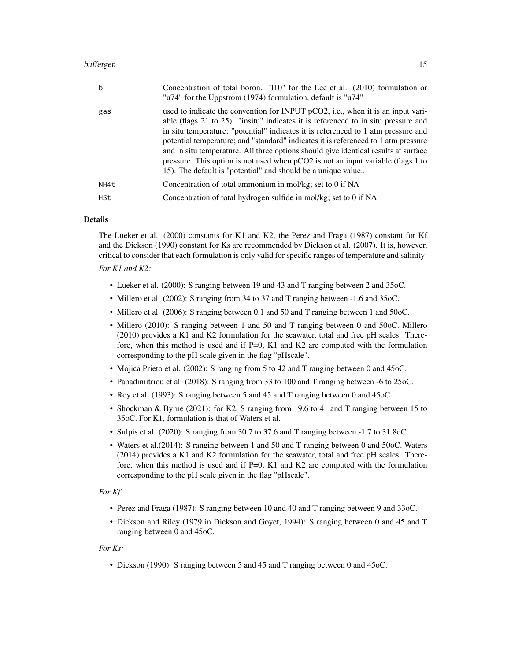#### buffergen 15 besteht in de eerste kommen van de besteld in de steld in de steld in de steld in de steld in de

| b    | Concentration of total boron. "110" for the Lee et al. (2010) formulation or<br>"u74" for the Uppstrom (1974) formulation, default is "u74"                                                                                                                                                                                                                                                                                                                                                                                                                                                   |
|------|-----------------------------------------------------------------------------------------------------------------------------------------------------------------------------------------------------------------------------------------------------------------------------------------------------------------------------------------------------------------------------------------------------------------------------------------------------------------------------------------------------------------------------------------------------------------------------------------------|
| gas  | used to indicate the convention for INPUT pCO2, i.e., when it is an input vari-<br>able (flags 21 to 25): "insitu" indicates it is referenced to in situ pressure and<br>in situ temperature; "potential" indicates it is referenced to 1 atm pressure and<br>potential temperature; and "standard" indicates it is referenced to 1 atm pressure<br>and in situ temperature. All three options should give identical results at surface<br>pressure. This option is not used when $pCO2$ is not an input variable (flags 1 to<br>15). The default is "potential" and should be a unique value |
| NH4t | Concentration of total ammonium in mol/kg; set to 0 if NA                                                                                                                                                                                                                                                                                                                                                                                                                                                                                                                                     |
| HSt  | Concentration of total hydrogen sulfide in mol/kg; set to 0 if NA                                                                                                                                                                                                                                                                                                                                                                                                                                                                                                                             |

### Details

The Lueker et al. (2000) constants for K1 and K2, the Perez and Fraga (1987) constant for Kf and the Dickson (1990) constant for Ks are recommended by Dickson et al. (2007). It is, however, critical to consider that each formulation is only valid for specific ranges of temperature and salinity:

# *For K1 and K2:*

- Lueker et al. (2000): S ranging between 19 and 43 and T ranging between 2 and 35oC.
- Millero et al. (2002): S ranging from 34 to 37 and T ranging between -1.6 and 35oC.
- Millero et al. (2006): S ranging between 0.1 and 50 and T ranging between 1 and 50oC.
- Millero (2010): S ranging between 1 and 50 and T ranging between 0 and 50oC. Millero (2010) provides a K1 and K2 formulation for the seawater, total and free pH scales. Therefore, when this method is used and if  $P=0$ , K1 and K2 are computed with the formulation corresponding to the pH scale given in the flag "pHscale".
- Mojica Prieto et al. (2002): S ranging from 5 to 42 and T ranging between 0 and 45oC.
- Papadimitriou et al. (2018): S ranging from 33 to 100 and T ranging between -6 to 25oC.
- Roy et al. (1993): S ranging between 5 and 45 and T ranging between 0 and 45oC.
- Shockman & Byrne (2021): for K2, S ranging from 19.6 to 41 and T ranging between 15 to 35oC. For K1, formulation is that of Waters et al.
- Sulpis et al. (2020): S ranging from 30.7 to 37.6 and T ranging between -1.7 to 31.8oC.
- Waters et al.(2014): S ranging between 1 and 50 and T ranging between 0 and 50oC. Waters (2014) provides a K1 and K2 formulation for the seawater, total and free pH scales. Therefore, when this method is used and if  $P=0$ , K1 and K2 are computed with the formulation corresponding to the pH scale given in the flag "pHscale".

# *For Kf:*

- Perez and Fraga (1987): S ranging between 10 and 40 and T ranging between 9 and 33oC.
- Dickson and Riley (1979 in Dickson and Goyet, 1994): S ranging between 0 and 45 and T ranging between 0 and 45oC.

#### *For Ks:*

• Dickson (1990): S ranging between 5 and 45 and T ranging between 0 and 45oC.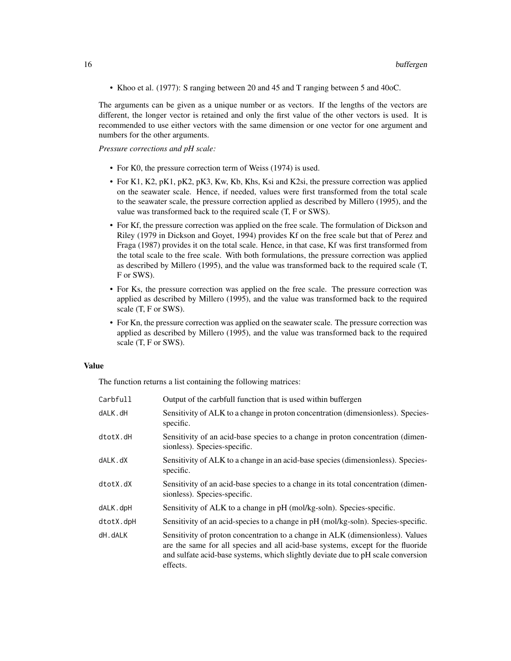• Khoo et al. (1977): S ranging between 20 and 45 and T ranging between 5 and 40oC.

The arguments can be given as a unique number or as vectors. If the lengths of the vectors are different, the longer vector is retained and only the first value of the other vectors is used. It is recommended to use either vectors with the same dimension or one vector for one argument and numbers for the other arguments.

*Pressure corrections and pH scale:*

- For K0, the pressure correction term of Weiss (1974) is used.
- For K1, K2, pK1, pK2, pK3, Kw, Kb, Khs, Ksi and K2si, the pressure correction was applied on the seawater scale. Hence, if needed, values were first transformed from the total scale to the seawater scale, the pressure correction applied as described by Millero (1995), and the value was transformed back to the required scale (T, F or SWS).
- For Kf, the pressure correction was applied on the free scale. The formulation of Dickson and Riley (1979 in Dickson and Goyet, 1994) provides Kf on the free scale but that of Perez and Fraga (1987) provides it on the total scale. Hence, in that case, Kf was first transformed from the total scale to the free scale. With both formulations, the pressure correction was applied as described by Millero (1995), and the value was transformed back to the required scale (T, F or SWS).
- For Ks, the pressure correction was applied on the free scale. The pressure correction was applied as described by Millero (1995), and the value was transformed back to the required scale (T, F or SWS).
- For Kn, the pressure correction was applied on the seawater scale. The pressure correction was applied as described by Millero (1995), and the value was transformed back to the required scale (T, F or SWS).

#### Value

The function returns a list containing the following matrices:

| Carbfull  | Output of the carbfull function that is used within buffergen                                                                                                                                                                                                     |
|-----------|-------------------------------------------------------------------------------------------------------------------------------------------------------------------------------------------------------------------------------------------------------------------|
| dALK.dH   | Sensitivity of ALK to a change in proton concentration (dimensionless). Species-<br>specific.                                                                                                                                                                     |
| dtotX.dH  | Sensitivity of an acid-base species to a change in proton concentration (dimen-<br>sionless). Species-specific.                                                                                                                                                   |
| dALK.dX   | Sensitivity of ALK to a change in an acid-base species (dimensionless). Species-<br>specific.                                                                                                                                                                     |
| dtotX.dX  | Sensitivity of an acid-base species to a change in its total concentration (dimen-<br>sionless). Species-specific.                                                                                                                                                |
| dALK.dpH  | Sensitivity of ALK to a change in pH (mol/kg-soln). Species-specific.                                                                                                                                                                                             |
| dtotX.dpH | Sensitivity of an acid-species to a change in pH (mol/kg-soln). Species-specific.                                                                                                                                                                                 |
| dH.dALK   | Sensitivity of proton concentration to a change in ALK (dimensionless). Values<br>are the same for all species and all acid-base systems, except for the fluoride<br>and sulfate acid-base systems, which slightly deviate due to pH scale conversion<br>effects. |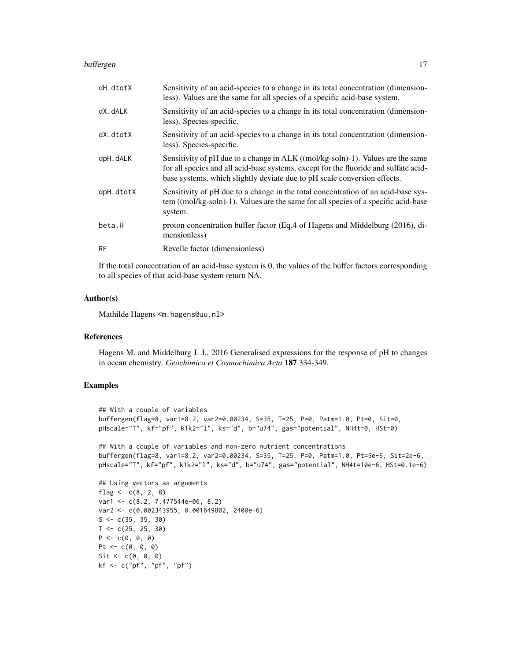#### buffergen til 17. mars 18. mars 17. mars 17. mars 17. mars 17. mars 17. mars 17. mars 17. mars 17. mars 17. ma

| dH.dtotX  | Sensitivity of an acid-species to a change in its total concentration (dimension-<br>less). Values are the same for all species of a specific acid-base system.                                                                                     |
|-----------|-----------------------------------------------------------------------------------------------------------------------------------------------------------------------------------------------------------------------------------------------------|
| dX.dALK   | Sensitivity of an acid-species to a change in its total concentration (dimension-<br>less). Species-specific.                                                                                                                                       |
| dX.dtotX  | Sensitivity of an acid-species to a change in its total concentration (dimension-<br>less). Species-specific.                                                                                                                                       |
| dpH.dALK  | Sensitivity of pH due to a change in ALK ((mol/kg-soln)-1). Values are the same<br>for all species and all acid-base systems, except for the fluoride and sulfate acid-<br>base systems, which slightly deviate due to pH scale conversion effects. |
| dpH.dtotX | Sensitivity of pH due to a change in the total concentration of an acid-base sys-<br>tem ((mol/kg-soln)-1). Values are the same for all species of a specific acid-base<br>system.                                                                  |
| beta.H    | proton concentration buffer factor (Eq.4 of Hagens and Middelburg (2016), di-<br>mensionless)                                                                                                                                                       |
| <b>RF</b> | Revelle factor (dimensionless)                                                                                                                                                                                                                      |

If the total concentration of an acid-base system is 0, the values of the buffer factors corresponding to all species of that acid-base system return NA.

# Author(s)

Mathilde Hagens <m.hagens@uu.nl>

#### References

Hagens M. and Middelburg J. J., 2016 Generalised expressions for the response of pH to changes in ocean chemistry. *Geochimica et Cosmochimica Acta* 187 334-349.

# Examples

```
## With a couple of variables
buffergen(flag=8, var1=8.2, var2=0.00234, S=35, T=25, P=0, Patm=1.0, Pt=0, Sit=0,
pHscale="T", kf="pf", k1k2="l", ks="d", b="u74", gas="potential", NH4t=0, HSt=0)
```

```
## With a couple of variables and non-zero nutrient concentrations
buffergen(flag=8, var1=8.2, var2=0.00234, S=35, T=25, P=0, Patm=1.0, Pt=5e-6, Sit=2e-6,
pHscale="T", kf="pf", k1k2="l", ks="d", b="u74", gas="potential", NH4t=10e-6, HSt=0.1e-6)
```

```
## Using vectors as arguments
flag <-c(8, 2, 8)var1 <- c(8.2, 7.477544e-06, 8.2)
var2 <- c(0.002343955, 0.001649802, 2400e-6)
S \leftarrow c(35, 35, 30)T < -c(25, 25, 30)P \leftarrow c(0, 0, 0)Pt <- c(0, 0, 0)Sit \leftarrow c(\emptyset, \emptyset, \emptyset)kf <- c("pf", "pf", "pf")
```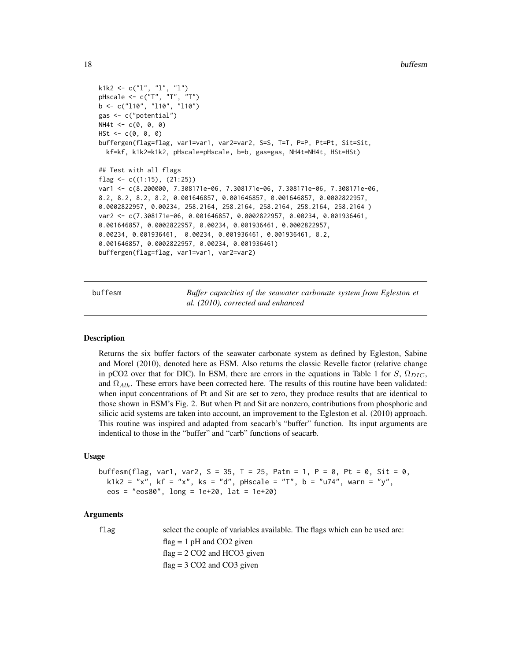```
k1k2 <- c("l", "l", "l")
pHscale <- c("T", "T", "T")
b <- c("l10", "l10", "l10")
gas <- c("potential")
NH4t < -c(0, 0, 0)HSt \leftarrow c(0, 0, 0)
buffergen(flag=flag, var1=var1, var2=var2, S=S, T=T, P=P, Pt=Pt, Sit=Sit,
  kf=kf, k1k2=k1k2, pHscale=pHscale, b=b, gas=gas, NH4t=NH4t, HSt=HSt)
## Test with all flags
flag <- c((1:15), (21:25))
var1 <- c(8.200000, 7.308171e-06, 7.308171e-06, 7.308171e-06, 7.308171e-06,
8.2, 8.2, 8.2, 8.2, 0.001646857, 0.001646857, 0.001646857, 0.0002822957,
0.0002822957, 0.00234, 258.2164, 258.2164, 258.2164, 258.2164, 258.2164 )
var2 <- c(7.308171e-06, 0.001646857, 0.0002822957, 0.00234, 0.001936461,
0.001646857, 0.0002822957, 0.00234, 0.001936461, 0.0002822957,
0.00234, 0.001936461, 0.00234, 0.001936461, 0.001936461, 8.2,
0.001646857, 0.0002822957, 0.00234, 0.001936461)
buffergen(flag=flag, var1=var1, var2=var2)
```
buffesm *Buffer capacities of the seawater carbonate system from Egleston et al. (2010), corrected and enhanced*

#### Description

Returns the six buffer factors of the seawater carbonate system as defined by Egleston, Sabine and Morel (2010), denoted here as ESM. Also returns the classic Revelle factor (relative change in pCO2 over that for DIC). In ESM, there are errors in the equations in Table 1 for S,  $\Omega_{DIC}$ , and  $\Omega_{Alk}$ . These errors have been corrected here. The results of this routine have been validated: when input concentrations of Pt and Sit are set to zero, they produce results that are identical to those shown in ESM's Fig. 2. But when Pt and Sit are nonzero, contributions from phosphoric and silicic acid systems are taken into account, an improvement to the Egleston et al. (2010) approach. This routine was inspired and adapted from seacarb's "buffer" function. Its input arguments are indentical to those in the "buffer" and "carb" functions of seacarb.

#### Usage

buffesm(flag, var1, var2, S = 35, T = 25, Patm = 1, P = 0, Pt = 0, Sit = 0,  $k1k2 = "x", kf = "x", ks = "d", pHscale = "T", b = "u74", warn = "y",$ eos = "eos80", long = 1e+20, lat = 1e+20)

#### Arguments

flag select the couple of variables available. The flags which can be used are:  $flag = 1 pH$  and CO2 given  $flag = 2 CO2$  and HCO3 given  $flag = 3 CO2$  and  $CO3$  given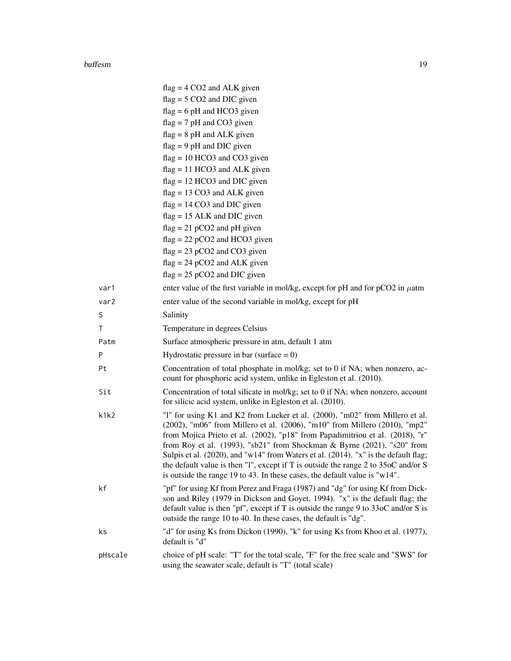#### buffesm and the contract of the contract of the contract of the contract of the contract of the contract of the contract of the contract of the contract of the contract of the contract of the contract of the contract of th

|         | $flag = 4 CO2$ and ALK given                                                                                                                                                                                                                                                                                                                                                                                                                                                                                                                                                          |
|---------|---------------------------------------------------------------------------------------------------------------------------------------------------------------------------------------------------------------------------------------------------------------------------------------------------------------------------------------------------------------------------------------------------------------------------------------------------------------------------------------------------------------------------------------------------------------------------------------|
|         | $flag = 5 CO2$ and DIC given                                                                                                                                                                                                                                                                                                                                                                                                                                                                                                                                                          |
|         | $flag = 6 pH$ and HCO3 given                                                                                                                                                                                                                                                                                                                                                                                                                                                                                                                                                          |
|         | $flag = 7 pH$ and CO3 given                                                                                                                                                                                                                                                                                                                                                                                                                                                                                                                                                           |
|         | $flag = 8 pH$ and ALK given                                                                                                                                                                                                                                                                                                                                                                                                                                                                                                                                                           |
|         | $flag = 9 pH$ and DIC given                                                                                                                                                                                                                                                                                                                                                                                                                                                                                                                                                           |
|         | $flag = 10 HCO3$ and $CO3$ given                                                                                                                                                                                                                                                                                                                                                                                                                                                                                                                                                      |
|         | $flag = 11 HCO3$ and ALK given                                                                                                                                                                                                                                                                                                                                                                                                                                                                                                                                                        |
|         | $flag = 12 HCO3$ and DIC given                                                                                                                                                                                                                                                                                                                                                                                                                                                                                                                                                        |
|         | $flag = 13 CO3$ and ALK given                                                                                                                                                                                                                                                                                                                                                                                                                                                                                                                                                         |
|         | $flag = 14 CO3$ and DIC given                                                                                                                                                                                                                                                                                                                                                                                                                                                                                                                                                         |
|         | $flag = 15$ ALK and DIC given                                                                                                                                                                                                                                                                                                                                                                                                                                                                                                                                                         |
|         | $flag = 21 pCO2$ and pH given                                                                                                                                                                                                                                                                                                                                                                                                                                                                                                                                                         |
|         | $flag = 22 pCO2$ and HCO3 given                                                                                                                                                                                                                                                                                                                                                                                                                                                                                                                                                       |
|         | $flag = 23 pCO2$ and $CO3$ given                                                                                                                                                                                                                                                                                                                                                                                                                                                                                                                                                      |
|         | $flag = 24 pCO2$ and ALK given                                                                                                                                                                                                                                                                                                                                                                                                                                                                                                                                                        |
|         | $flag = 25 pCO2$ and DIC given                                                                                                                                                                                                                                                                                                                                                                                                                                                                                                                                                        |
| var1    | enter value of the first variable in mol/kg, except for pH and for $pCO2$ in $\mu$ atm                                                                                                                                                                                                                                                                                                                                                                                                                                                                                                |
| var2    | enter value of the second variable in mol/kg, except for pH                                                                                                                                                                                                                                                                                                                                                                                                                                                                                                                           |
| S       | Salinity                                                                                                                                                                                                                                                                                                                                                                                                                                                                                                                                                                              |
| T       | Temperature in degrees Celsius                                                                                                                                                                                                                                                                                                                                                                                                                                                                                                                                                        |
| Patm    | Surface atmospheric pressure in atm, default 1 atm                                                                                                                                                                                                                                                                                                                                                                                                                                                                                                                                    |
| P       | Hydrostatic pressure in bar (surface $= 0$ )                                                                                                                                                                                                                                                                                                                                                                                                                                                                                                                                          |
| Pt      | Concentration of total phosphate in mol/kg; set to 0 if NA; when nonzero, ac-<br>count for phosphoric acid system, unlike in Egleston et al. (2010).                                                                                                                                                                                                                                                                                                                                                                                                                                  |
| Sit     | Concentration of total silicate in mol/kg; set to 0 if NA; when nonzero, account<br>for silicic acid system, unlike in Egleston et al. (2010).                                                                                                                                                                                                                                                                                                                                                                                                                                        |
| k1k2    | "1" for using K1 and K2 from Lueker et al. (2000), "m02" from Millero et al.<br>(2002), "m06" from Millero et al. (2006), "m10" from Millero (2010), "mp2"<br>from Mojica Prieto et al. (2002), "p18" from Papadimitriou et al. (2018), "r"<br>from Roy et al. (1993), "sb21" from Shockman & Byrne (2021), "s20" from<br>Sulpis et al. (2020), and "w14" from Waters et al. (2014). "x" is the default flag;<br>the default value is then "1", except if T is outside the range 2 to 35oC and/or S<br>is outside the range 19 to 43. In these cases, the default value is " $w14$ ". |
| kf      | "pf" for using Kf from Perez and Fraga (1987) and "dg" for using Kf from Dick-<br>son and Riley (1979 in Dickson and Goyet, 1994). "x" is the default flag; the<br>default value is then "pf", except if T is outside the range $9$ to $33$ oC and/or S is<br>outside the range 10 to 40. In these cases, the default is "dg".                                                                                                                                                                                                                                                        |
| ks      | "d" for using Ks from Dickon (1990), "k" for using Ks from Khoo et al. (1977),<br>default is "d"                                                                                                                                                                                                                                                                                                                                                                                                                                                                                      |
| pHscale | choice of pH scale: "T" for the total scale, "F" for the free scale and "SWS" for<br>using the seawater scale, default is "T" (total scale)                                                                                                                                                                                                                                                                                                                                                                                                                                           |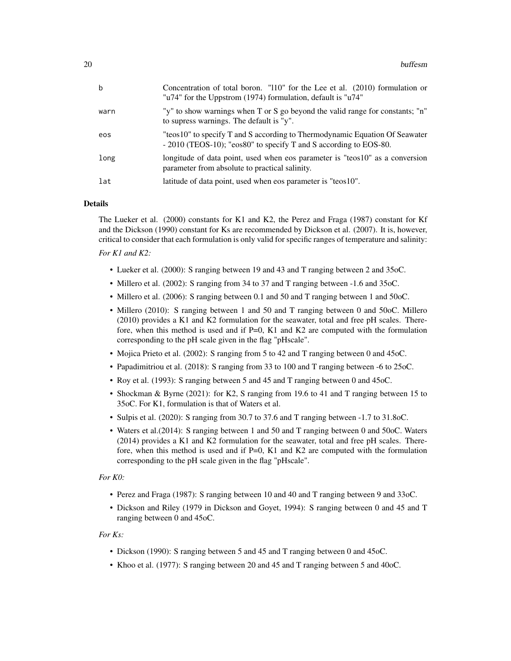| $\mathbf b$ | Concentration of total boron. "110" for the Lee et al. (2010) formulation or<br>"u74" for the Uppstrom (1974) formulation, default is "u74"      |
|-------------|--------------------------------------------------------------------------------------------------------------------------------------------------|
| warn        | "y" to show warnings when T or S go beyond the valid range for constants; "n"<br>to supress warnings. The default is "y".                        |
| eos         | "teos10" to specify T and S according to Thermodynamic Equation Of Seawater<br>- 2010 (TEOS-10); "eos80" to specify T and S according to EOS-80. |
| long        | longitude of data point, used when eos parameter is "teos10" as a conversion<br>parameter from absolute to practical salinity.                   |
| lat         | latitude of data point, used when eos parameter is "teos10".                                                                                     |

#### Details

The Lueker et al. (2000) constants for K1 and K2, the Perez and Fraga (1987) constant for Kf and the Dickson (1990) constant for Ks are recommended by Dickson et al. (2007). It is, however, critical to consider that each formulation is only valid for specific ranges of temperature and salinity:

# *For K1 and K2:*

- Lueker et al. (2000): S ranging between 19 and 43 and T ranging between 2 and 35oC.
- Millero et al. (2002): S ranging from 34 to 37 and T ranging between -1.6 and 35oC.
- Millero et al. (2006): S ranging between 0.1 and 50 and T ranging between 1 and 50oC.
- Millero (2010): S ranging between 1 and 50 and T ranging between 0 and 50oC. Millero (2010) provides a K1 and K2 formulation for the seawater, total and free pH scales. Therefore, when this method is used and if  $P=0$ , K1 and K2 are computed with the formulation corresponding to the pH scale given in the flag "pHscale".
- Mojica Prieto et al. (2002): S ranging from 5 to 42 and T ranging between 0 and 45oC.
- Papadimitriou et al. (2018): S ranging from 33 to 100 and T ranging between -6 to 25oC.
- Roy et al. (1993): S ranging between 5 and 45 and T ranging between 0 and 45oC.
- Shockman & Byrne (2021): for K2, S ranging from 19.6 to 41 and T ranging between 15 to 35oC. For K1, formulation is that of Waters et al.
- Sulpis et al. (2020): S ranging from 30.7 to 37.6 and T ranging between -1.7 to 31.8oC.
- Waters et al.(2014): S ranging between 1 and 50 and T ranging between 0 and 50oC. Waters (2014) provides a K1 and K2 formulation for the seawater, total and free pH scales. Therefore, when this method is used and if P=0, K1 and K2 are computed with the formulation corresponding to the pH scale given in the flag "pHscale".

#### *For K0:*

- Perez and Fraga (1987): S ranging between 10 and 40 and T ranging between 9 and 33oC.
- Dickson and Riley (1979 in Dickson and Goyet, 1994): S ranging between 0 and 45 and T ranging between 0 and 45oC.

#### *For Ks:*

- Dickson (1990): S ranging between 5 and 45 and T ranging between 0 and 45oC.
- Khoo et al. (1977): S ranging between 20 and 45 and T ranging between 5 and 40oC.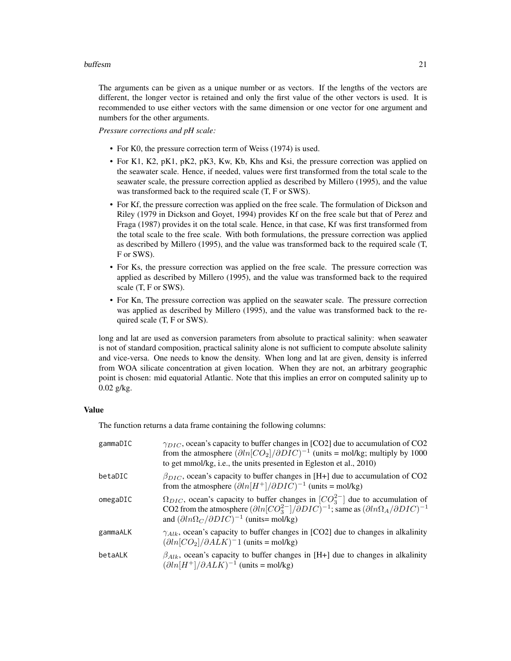#### buffesm 21

The arguments can be given as a unique number or as vectors. If the lengths of the vectors are different, the longer vector is retained and only the first value of the other vectors is used. It is recommended to use either vectors with the same dimension or one vector for one argument and numbers for the other arguments.

*Pressure corrections and pH scale:*

- For K0, the pressure correction term of Weiss (1974) is used.
- For K1, K2, pK1, pK2, pK3, Kw, Kb, Khs and Ksi, the pressure correction was applied on the seawater scale. Hence, if needed, values were first transformed from the total scale to the seawater scale, the pressure correction applied as described by Millero (1995), and the value was transformed back to the required scale (T, F or SWS).
- For Kf, the pressure correction was applied on the free scale. The formulation of Dickson and Riley (1979 in Dickson and Goyet, 1994) provides Kf on the free scale but that of Perez and Fraga (1987) provides it on the total scale. Hence, in that case, Kf was first transformed from the total scale to the free scale. With both formulations, the pressure correction was applied as described by Millero (1995), and the value was transformed back to the required scale (T, F or SWS).
- For Ks, the pressure correction was applied on the free scale. The pressure correction was applied as described by Millero (1995), and the value was transformed back to the required scale (T, F or SWS).
- For Kn, The pressure correction was applied on the seawater scale. The pressure correction was applied as described by Millero (1995), and the value was transformed back to the required scale (T, F or SWS).

long and lat are used as conversion parameters from absolute to practical salinity: when seawater is not of standard composition, practical salinity alone is not sufficient to compute absolute salinity and vice-versa. One needs to know the density. When long and lat are given, density is inferred from WOA silicate concentration at given location. When they are not, an arbitrary geographic point is chosen: mid equatorial Atlantic. Note that this implies an error on computed salinity up to 0.02 g/kg.

#### Value

The function returns a data frame containing the following columns:

| gammaDIC | $\gamma_{DIC}$ , ocean's capacity to buffer changes in [CO2] due to accumulation of CO2<br>from the atmosphere $(\partial ln[CO_2]/\partial DIC)^{-1}$ (units = mol/kg; multiply by 1000<br>to get mmol/kg, i.e., the units presented in Egleston et al., 2010)                             |
|----------|---------------------------------------------------------------------------------------------------------------------------------------------------------------------------------------------------------------------------------------------------------------------------------------------|
| betaDIC  | $\beta_{DIC}$ , ocean's capacity to buffer changes in [H+] due to accumulation of CO2<br>from the atmosphere $(\partial ln[H^+]/\partial DIC)^{-1}$ (units = mol/kg)                                                                                                                        |
| omegaDIC | $\Omega_{DIC}$ , ocean's capacity to buffer changes in $[CO_3^{2-}]$ due to accumulation of<br>CO2 from the atmosphere $(\partial ln[CO_3^{2-}]/\partial DIC)^{-1}$ ; same as $(\partial ln\Omega_A/\partial DIC)^{-1}$<br>and $(\partial ln \Omega_C / \partial DIC)^{-1}$ (units= mol/kg) |
| gammaALK | $\gamma_{Alk}$ , ocean's capacity to buffer changes in [CO2] due to changes in alkalinity<br>$(\partial ln[CO_2]/\partial ALK)^{-1}$ (units = mol/kg)                                                                                                                                       |
| betaALK  | $\beta_{Alk}$ , ocean's capacity to buffer changes in [H+] due to changes in alkalinity<br>$(\partial ln[H^+]/\partial ALK)^{-1}$ (units = mol/kg)                                                                                                                                          |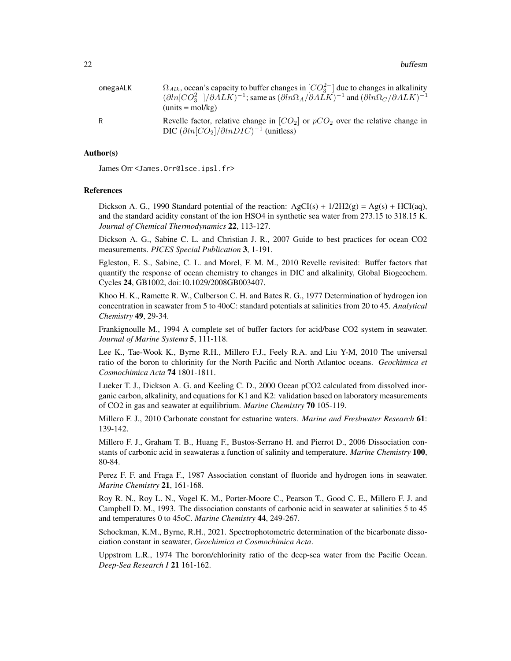| omegaALK | $\Omega_{Alk}$ , ocean's capacity to buffer changes in $[CO_3^{2-}]$ due to changes in alkalinity<br>$(\partial ln[CO_3^{2-}]/\partial ALK)^{-1}$ ; same as $(\partial ln\Omega_A/\partial ALK)^{-1}$ and $(\partial ln\Omega_C/\partial ALK)^{-1}$<br>$(units = mol/kg)$ |
|----------|---------------------------------------------------------------------------------------------------------------------------------------------------------------------------------------------------------------------------------------------------------------------------|
| R        | Revelle factor, relative change in $[CO_2]$ or $pCO_2$ over the relative change in<br>DIC $(\partial ln[CO_2]/\partial lnDIC)^{-1}$ (unitless)                                                                                                                            |

#### Author(s)

James Orr <James.Orr@lsce.ipsl.fr>

#### References

Dickson A. G., 1990 Standard potential of the reaction:  $AgCI(s) + 1/2H2(g) = Ag(s) + HCI(aq)$ , and the standard acidity constant of the ion HSO4 in synthetic sea water from 273.15 to 318.15 K. *Journal of Chemical Thermodynamics* 22, 113-127.

Dickson A. G., Sabine C. L. and Christian J. R., 2007 Guide to best practices for ocean CO2 measurements. *PICES Special Publication* 3, 1-191.

Egleston, E. S., Sabine, C. L. and Morel, F. M. M., 2010 Revelle revisited: Buffer factors that quantify the response of ocean chemistry to changes in DIC and alkalinity, Global Biogeochem. Cycles 24, GB1002, doi:10.1029/2008GB003407.

Khoo H. K., Ramette R. W., Culberson C. H. and Bates R. G., 1977 Determination of hydrogen ion concentration in seawater from 5 to 40oC: standard potentials at salinities from 20 to 45. *Analytical Chemistry* 49, 29-34.

Frankignoulle M., 1994 A complete set of buffer factors for acid/base CO2 system in seawater. *Journal of Marine Systems* 5, 111-118.

Lee K., Tae-Wook K., Byrne R.H., Millero F.J., Feely R.A. and Liu Y-M, 2010 The universal ratio of the boron to chlorinity for the North Pacific and North Atlantoc oceans. *Geochimica et Cosmochimica Acta* 74 1801-1811.

Lueker T. J., Dickson A. G. and Keeling C. D., 2000 Ocean pCO2 calculated from dissolved inorganic carbon, alkalinity, and equations for K1 and K2: validation based on laboratory measurements of CO2 in gas and seawater at equilibrium. *Marine Chemistry* 70 105-119.

Millero F. J., 2010 Carbonate constant for estuarine waters. *Marine and Freshwater Research* 61: 139-142.

Millero F. J., Graham T. B., Huang F., Bustos-Serrano H. and Pierrot D., 2006 Dissociation constants of carbonic acid in seawateras a function of salinity and temperature. *Marine Chemistry* 100, 80-84.

Perez F. F. and Fraga F., 1987 Association constant of fluoride and hydrogen ions in seawater. *Marine Chemistry* 21, 161-168.

Roy R. N., Roy L. N., Vogel K. M., Porter-Moore C., Pearson T., Good C. E., Millero F. J. and Campbell D. M., 1993. The dissociation constants of carbonic acid in seawater at salinities 5 to 45 and temperatures 0 to 45oC. *Marine Chemistry* 44, 249-267.

Schockman, K.M., Byrne, R.H., 2021. Spectrophotometric determination of the bicarbonate dissociation constant in seawater, *Geochimica et Cosmochimica Acta*.

Uppstrom L.R., 1974 The boron/chlorinity ratio of the deep-sea water from the Pacific Ocean. *Deep-Sea Research I* 21 161-162.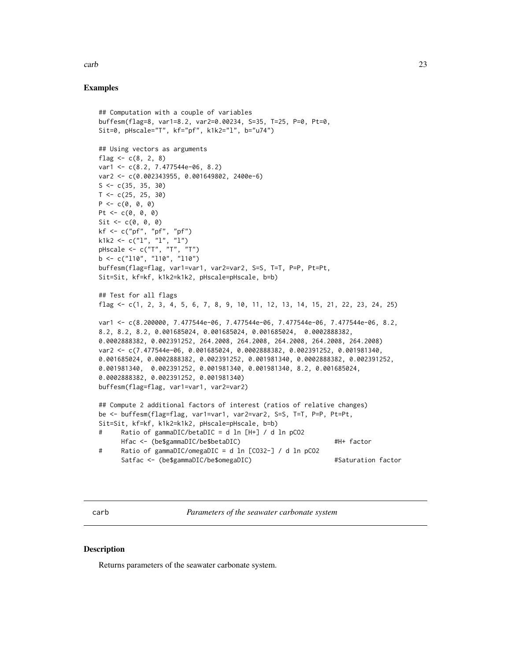#### <span id="page-22-0"></span>carb 23

#### Examples

```
## Computation with a couple of variables
buffesm(flag=8, var1=8.2, var2=0.00234, S=35, T=25, P=0, Pt=0,
Sit=0, pHscale="T", kf="pf", k1k2="l", b="u74")
## Using vectors as arguments
flag <-c(8, 2, 8)var1 <- c(8.2, 7.477544e-06, 8.2)
var2 <- c(0.002343955, 0.001649802, 2400e-6)
S \leftarrow c(35, 35, 30)T < -c(25, 25, 30)P \leftarrow c(0, 0, 0)Pt \leq -c(0, 0, 0)Sit \leftarrow c(0, 0, 0)kf <- c("pf", "pf", "pf")
k1k2 <- c("1", "1", "1")
pHscale <- c("T", "T", "T")
b \leq c("110", "110", "110")buffesm(flag=flag, var1=var1, var2=var2, S=S, T=T, P=P, Pt=Pt,
Sit=Sit, kf=kf, k1k2=k1k2, pHscale=pHscale, b=b)
## Test for all flags
flag <- c(1, 2, 3, 4, 5, 6, 7, 8, 9, 10, 11, 12, 13, 14, 15, 21, 22, 23, 24, 25)
var1 <- c(8.200000, 7.477544e-06, 7.477544e-06, 7.477544e-06, 7.477544e-06, 8.2,
8.2, 8.2, 8.2, 0.001685024, 0.001685024, 0.001685024, 0.0002888382,
0.0002888382, 0.002391252, 264.2008, 264.2008, 264.2008, 264.2008, 264.2008)
var2 <- c(7.477544e-06, 0.001685024, 0.0002888382, 0.002391252, 0.001981340,
0.001685024, 0.0002888382, 0.002391252, 0.001981340, 0.0002888382, 0.002391252,
0.001981340, 0.002391252, 0.001981340, 0.001981340, 8.2, 0.001685024,
0.0002888382, 0.002391252, 0.001981340)
buffesm(flag=flag, var1=var1, var2=var2)
## Compute 2 additional factors of interest (ratios of relative changes)
be <- buffesm(flag=flag, var1=var1, var2=var2, S=S, T=T, P=P, Pt=Pt,
Sit=Sit, kf=kf, k1k2=k1k2, pHscale=pHscale, b=b)
# Ratio of gammaDIC/betaDIC = d ln [H+] / d ln pCO2
     Hfac <- (be$gammaDIC/be$betaDIC) #H+ factor
# Ratio of gammaDIC/omegaDIC = d ln [CO32-] / d ln pCO2
     Satfac <- (be$gammaDIC/be$omegaDIC) #Saturation factor
```
carb *Parameters of the seawater carbonate system*

#### **Description**

Returns parameters of the seawater carbonate system.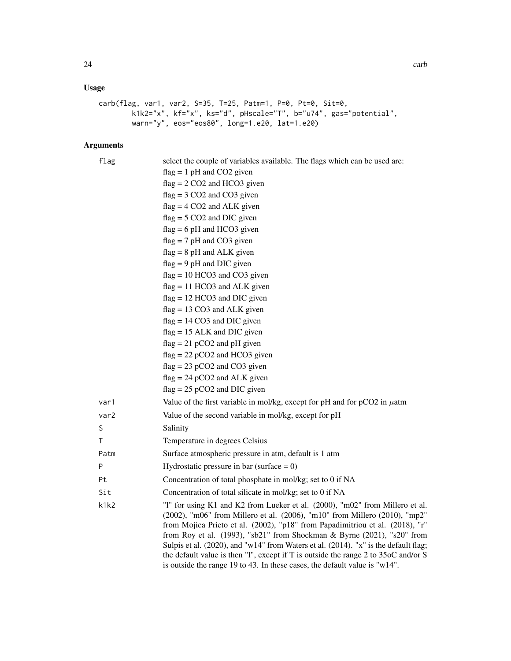# Usage

```
carb(flag, var1, var2, S=35, T=25, Patm=1, P=0, Pt=0, Sit=0,
        k1k2="x", kf="x", ks="d", pHscale="T", b="u74", gas="potential",
        warn="y", eos="eos80", long=1.e20, lat=1.e20)
```
# Arguments

| flag | select the couple of variables available. The flags which can be used are:                                                                                                                                                                                                                                             |
|------|------------------------------------------------------------------------------------------------------------------------------------------------------------------------------------------------------------------------------------------------------------------------------------------------------------------------|
|      | $flag = 1 pH$ and CO2 given                                                                                                                                                                                                                                                                                            |
|      | $flag = 2 CO2$ and HCO3 given                                                                                                                                                                                                                                                                                          |
|      | $flag = 3 CO2$ and $CO3$ given                                                                                                                                                                                                                                                                                         |
|      | $flag = 4 CO2$ and ALK given                                                                                                                                                                                                                                                                                           |
|      | $flag = 5 CO2$ and DIC given                                                                                                                                                                                                                                                                                           |
|      | $flag = 6 pH$ and HCO3 given                                                                                                                                                                                                                                                                                           |
|      | $flag = 7 pH$ and CO3 given                                                                                                                                                                                                                                                                                            |
|      | $flag = 8 pH$ and ALK given                                                                                                                                                                                                                                                                                            |
|      | $flag = 9 pH$ and DIC given                                                                                                                                                                                                                                                                                            |
|      | $flag = 10 HCO3$ and CO3 given                                                                                                                                                                                                                                                                                         |
|      | $flag = 11 HCO3$ and ALK given                                                                                                                                                                                                                                                                                         |
|      | $flag = 12 HCO3$ and DIC given                                                                                                                                                                                                                                                                                         |
|      | $flag = 13 CO3$ and ALK given                                                                                                                                                                                                                                                                                          |
|      | $flag = 14 CO3$ and DIC given                                                                                                                                                                                                                                                                                          |
|      | $flag = 15$ ALK and DIC given                                                                                                                                                                                                                                                                                          |
|      | $flag = 21 pCO2$ and pH given                                                                                                                                                                                                                                                                                          |
|      | $flag = 22 pCO2$ and HCO3 given                                                                                                                                                                                                                                                                                        |
|      | $flag = 23 pCO2$ and $CO3$ given                                                                                                                                                                                                                                                                                       |
|      | $flag = 24 pCO2$ and ALK given                                                                                                                                                                                                                                                                                         |
|      | $flag = 25 pCO2$ and DIC given                                                                                                                                                                                                                                                                                         |
| var1 | Value of the first variable in mol/kg, except for pH and for $pCO2$ in $\mu$ atm                                                                                                                                                                                                                                       |
| var2 | Value of the second variable in mol/kg, except for pH                                                                                                                                                                                                                                                                  |
| S    | Salinity                                                                                                                                                                                                                                                                                                               |
| T    | Temperature in degrees Celsius                                                                                                                                                                                                                                                                                         |
| Patm | Surface atmospheric pressure in atm, default is 1 atm                                                                                                                                                                                                                                                                  |
| P    | Hydrostatic pressure in bar (surface $= 0$ )                                                                                                                                                                                                                                                                           |
| Pt   | Concentration of total phosphate in mol/kg; set to 0 if NA                                                                                                                                                                                                                                                             |
| Sit  | Concentration of total silicate in mol/kg; set to 0 if NA                                                                                                                                                                                                                                                              |
| k1k2 | "1" for using K1 and K2 from Lueker et al. (2000), "m02" from Millero et al.<br>(2002), "m06" from Millero et al. (2006), "m10" from Millero (2010), "mp2"<br>from Mojica Prieto et al. (2002), "p18" from Papadimitriou et al. (2018), "r"<br>from Roy et al. (1993), "sb21" from Shockman & Byrne (2021), "s20" from |
|      | Sulpis et al. (2020), and "w14" from Waters et al. (2014). "x" is the default flag;<br>the default value is then "1", except if T is outside the range 2 to 35oC and/or S<br>is outside the range 19 to 43. In these cases, the default value is "w14".                                                                |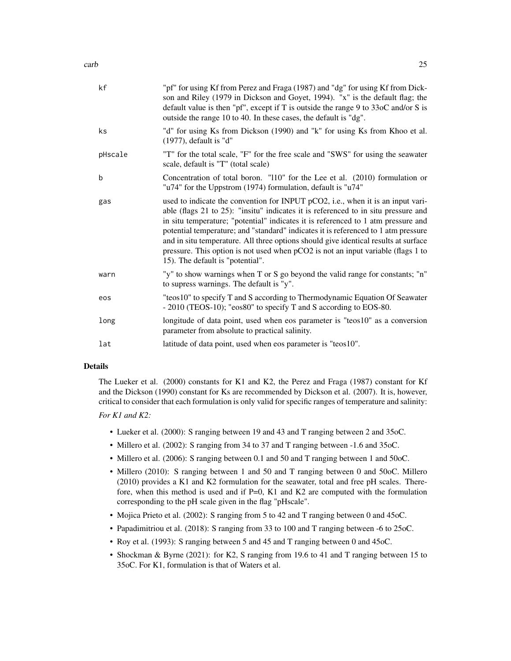| kf      | "pf" for using Kf from Perez and Fraga (1987) and "dg" for using Kf from Dick-<br>son and Riley (1979 in Dickson and Goyet, 1994). "x" is the default flag; the<br>default value is then "pf", except if T is outside the range 9 to $330C$ and/or S is<br>outside the range 10 to 40. In these cases, the default is "dg".                                                                                                                                                                                                                                     |
|---------|-----------------------------------------------------------------------------------------------------------------------------------------------------------------------------------------------------------------------------------------------------------------------------------------------------------------------------------------------------------------------------------------------------------------------------------------------------------------------------------------------------------------------------------------------------------------|
| ks      | "d" for using Ks from Dickson (1990) and "k" for using Ks from Khoo et al.<br>(1977), default is "d"                                                                                                                                                                                                                                                                                                                                                                                                                                                            |
| pHscale | "T" for the total scale, "F" for the free scale and "SWS" for using the seawater<br>scale, default is "T" (total scale)                                                                                                                                                                                                                                                                                                                                                                                                                                         |
| b       | Concentration of total boron. "110" for the Lee et al. (2010) formulation or<br>"u74" for the Uppstrom (1974) formulation, default is "u74"                                                                                                                                                                                                                                                                                                                                                                                                                     |
| gas     | used to indicate the convention for INPUT pCO2, i.e., when it is an input vari-<br>able (flags 21 to 25): "insitu" indicates it is referenced to in situ pressure and<br>in situ temperature; "potential" indicates it is referenced to 1 atm pressure and<br>potential temperature; and "standard" indicates it is referenced to 1 atm pressure<br>and in situ temperature. All three options should give identical results at surface<br>pressure. This option is not used when pCO2 is not an input variable (flags 1 to<br>15). The default is "potential". |
| warn    | "y" to show warnings when T or S go beyond the valid range for constants; "n"<br>to supress warnings. The default is "y".                                                                                                                                                                                                                                                                                                                                                                                                                                       |
| eos     | "teos10" to specify T and S according to Thermodynamic Equation Of Seawater<br>- 2010 (TEOS-10); "eos80" to specify T and S according to EOS-80.                                                                                                                                                                                                                                                                                                                                                                                                                |
| long    | longitude of data point, used when eos parameter is "teos10" as a conversion<br>parameter from absolute to practical salinity.                                                                                                                                                                                                                                                                                                                                                                                                                                  |
| lat     | latitude of data point, used when eos parameter is "teos10".                                                                                                                                                                                                                                                                                                                                                                                                                                                                                                    |

#### Details

The Lueker et al. (2000) constants for K1 and K2, the Perez and Fraga (1987) constant for Kf and the Dickson (1990) constant for Ks are recommended by Dickson et al. (2007). It is, however, critical to consider that each formulation is only valid for specific ranges of temperature and salinity:

#### *For K1 and K2:*

- Lueker et al. (2000): S ranging between 19 and 43 and T ranging between 2 and 35oC.
- Millero et al. (2002): S ranging from 34 to 37 and T ranging between -1.6 and 35oC.
- Millero et al. (2006): S ranging between 0.1 and 50 and T ranging between 1 and 50oC.
- Millero (2010): S ranging between 1 and 50 and T ranging between 0 and 50oC. Millero (2010) provides a K1 and K2 formulation for the seawater, total and free pH scales. Therefore, when this method is used and if P=0, K1 and K2 are computed with the formulation corresponding to the pH scale given in the flag "pHscale".
- Mojica Prieto et al. (2002): S ranging from 5 to 42 and T ranging between 0 and 45oC.
- Papadimitriou et al. (2018): S ranging from 33 to 100 and T ranging between -6 to 25oC.
- Roy et al. (1993): S ranging between 5 and 45 and T ranging between 0 and 45oC.
- Shockman & Byrne (2021): for K2, S ranging from 19.6 to 41 and T ranging between 15 to 35oC. For K1, formulation is that of Waters et al.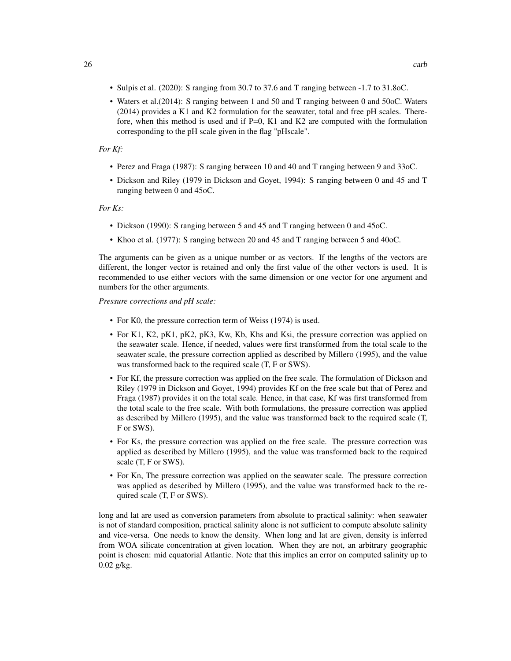- Sulpis et al. (2020): S ranging from 30.7 to 37.6 and T ranging between -1.7 to 31.8oC.
- Waters et al.(2014): S ranging between 1 and 50 and T ranging between 0 and 50oC. Waters (2014) provides a K1 and K2 formulation for the seawater, total and free pH scales. Therefore, when this method is used and if  $P=0$ , K1 and K2 are computed with the formulation corresponding to the pH scale given in the flag "pHscale".

#### *For Kf:*

- Perez and Fraga (1987): S ranging between 10 and 40 and T ranging between 9 and 33oC.
- Dickson and Riley (1979 in Dickson and Goyet, 1994): S ranging between 0 and 45 and T ranging between 0 and 45oC.

#### *For Ks:*

- Dickson (1990): S ranging between 5 and 45 and T ranging between 0 and 45oC.
- Khoo et al. (1977): S ranging between 20 and 45 and T ranging between 5 and 40oC.

The arguments can be given as a unique number or as vectors. If the lengths of the vectors are different, the longer vector is retained and only the first value of the other vectors is used. It is recommended to use either vectors with the same dimension or one vector for one argument and numbers for the other arguments.

*Pressure corrections and pH scale:*

- For K0, the pressure correction term of Weiss (1974) is used.
- For K1, K2, pK1, pK2, pK3, Kw, Kb, Khs and Ksi, the pressure correction was applied on the seawater scale. Hence, if needed, values were first transformed from the total scale to the seawater scale, the pressure correction applied as described by Millero (1995), and the value was transformed back to the required scale (T, F or SWS).
- For Kf, the pressure correction was applied on the free scale. The formulation of Dickson and Riley (1979 in Dickson and Goyet, 1994) provides Kf on the free scale but that of Perez and Fraga (1987) provides it on the total scale. Hence, in that case, Kf was first transformed from the total scale to the free scale. With both formulations, the pressure correction was applied as described by Millero (1995), and the value was transformed back to the required scale (T, F or SWS).
- For Ks, the pressure correction was applied on the free scale. The pressure correction was applied as described by Millero (1995), and the value was transformed back to the required scale (T, F or SWS).
- For Kn, The pressure correction was applied on the seawater scale. The pressure correction was applied as described by Millero (1995), and the value was transformed back to the required scale (T, F or SWS).

long and lat are used as conversion parameters from absolute to practical salinity: when seawater is not of standard composition, practical salinity alone is not sufficient to compute absolute salinity and vice-versa. One needs to know the density. When long and lat are given, density is inferred from WOA silicate concentration at given location. When they are not, an arbitrary geographic point is chosen: mid equatorial Atlantic. Note that this implies an error on computed salinity up to 0.02 g/kg.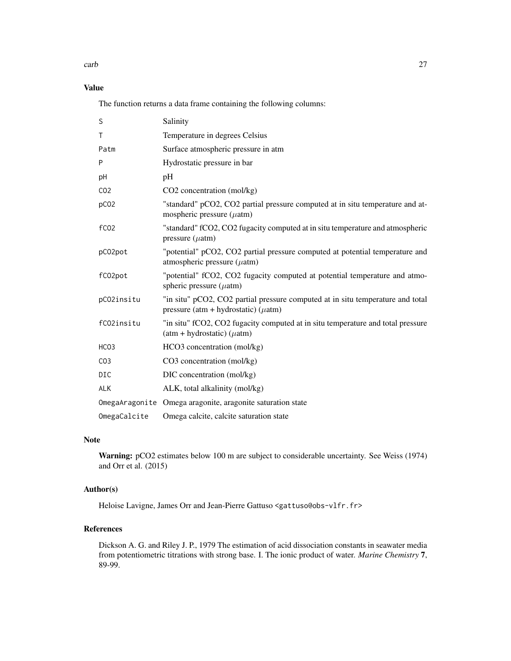#### carb 27

# Value

The function returns a data frame containing the following columns:

| S                | Salinity                                                                                                                    |
|------------------|-----------------------------------------------------------------------------------------------------------------------------|
| T                | Temperature in degrees Celsius                                                                                              |
| Patm             | Surface atmospheric pressure in atm                                                                                         |
| P                | Hydrostatic pressure in bar                                                                                                 |
| рH               | pH                                                                                                                          |
| CO <sub>2</sub>  | CO <sub>2</sub> concentration (mol/kg)                                                                                      |
| pCO <sub>2</sub> | "standard" pCO2, CO2 partial pressure computed at in situ temperature and at-<br>mospheric pressure $(\mu atm)$             |
| f <sub>CO2</sub> | "standard" fCO2, CO2 fugacity computed at in situ temperature and atmospheric<br>pressure $(\mu atm)$                       |
| pC02pot          | "potential" pCO2, CO2 partial pressure computed at potential temperature and<br>atmospheric pressure $(\mu$ atm)            |
| fC02pot          | "potential" fCO2, CO2 fugacity computed at potential temperature and atmo-<br>spheric pressure $(\mu atm)$                  |
| pC02insitu       | "in situ" pCO2, CO2 partial pressure computed at in situ temperature and total<br>pressure (atm + hydrostatic) ( $\mu$ atm) |
| fC02insitu       | "in situ" fCO2, CO2 fugacity computed at in situ temperature and total pressure<br>$(atm + hydrostatic) (\mu atm)$          |
| HCO <sub>3</sub> | HCO3 concentration (mol/kg)                                                                                                 |
| CO <sub>3</sub>  | CO3 concentration (mol/kg)                                                                                                  |
| DIC              | DIC concentration (mol/kg)                                                                                                  |
| <b>ALK</b>       | ALK, total alkalinity (mol/kg)                                                                                              |
|                  | OmegaAragonite Omega aragonite, aragonite saturation state                                                                  |
| OmegaCalcite     | Omega calcite, calcite saturation state                                                                                     |

# Note

Warning: pCO2 estimates below 100 m are subject to considerable uncertainty. See Weiss (1974) and Orr et al. (2015)

#### Author(s)

Heloise Lavigne, James Orr and Jean-Pierre Gattuso <gattuso@obs-vlfr.fr>

# References

Dickson A. G. and Riley J. P., 1979 The estimation of acid dissociation constants in seawater media from potentiometric titrations with strong base. I. The ionic product of water. *Marine Chemistry* 7, 89-99.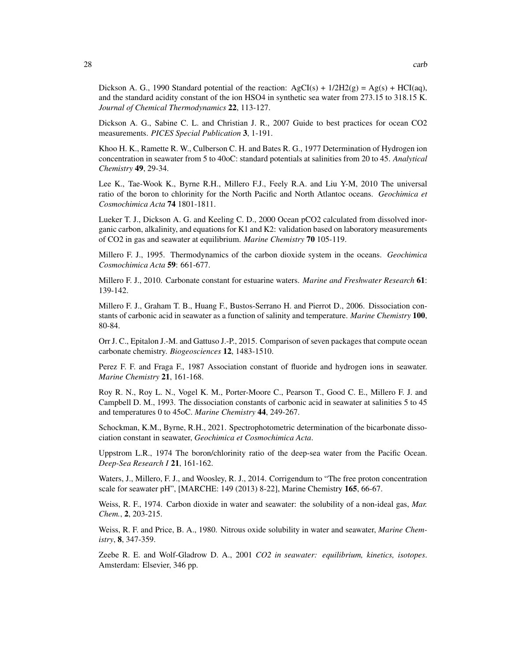Dickson A. G., 1990 Standard potential of the reaction:  $AgCI(s) + 1/2H2(g) = Ag(s) + HCI(aq)$ , and the standard acidity constant of the ion HSO4 in synthetic sea water from 273.15 to 318.15 K. *Journal of Chemical Thermodynamics* 22, 113-127.

Dickson A. G., Sabine C. L. and Christian J. R., 2007 Guide to best practices for ocean CO2 measurements. *PICES Special Publication* 3, 1-191.

Khoo H. K., Ramette R. W., Culberson C. H. and Bates R. G., 1977 Determination of Hydrogen ion concentration in seawater from 5 to 40oC: standard potentials at salinities from 20 to 45. *Analytical Chemistry* 49, 29-34.

Lee K., Tae-Wook K., Byrne R.H., Millero F.J., Feely R.A. and Liu Y-M, 2010 The universal ratio of the boron to chlorinity for the North Pacific and North Atlantoc oceans. *Geochimica et Cosmochimica Acta* 74 1801-1811.

Lueker T. J., Dickson A. G. and Keeling C. D., 2000 Ocean pCO2 calculated from dissolved inorganic carbon, alkalinity, and equations for K1 and K2: validation based on laboratory measurements of CO2 in gas and seawater at equilibrium. *Marine Chemistry* 70 105-119.

Millero F. J., 1995. Thermodynamics of the carbon dioxide system in the oceans. *Geochimica Cosmochimica Acta* 59: 661-677.

Millero F. J., 2010. Carbonate constant for estuarine waters. *Marine and Freshwater Research* 61: 139-142.

Millero F. J., Graham T. B., Huang F., Bustos-Serrano H. and Pierrot D., 2006. Dissociation constants of carbonic acid in seawater as a function of salinity and temperature. *Marine Chemistry* 100, 80-84.

Orr J. C., Epitalon J.-M. and Gattuso J.-P., 2015. Comparison of seven packages that compute ocean carbonate chemistry. *Biogeosciences* 12, 1483-1510.

Perez F. F. and Fraga F., 1987 Association constant of fluoride and hydrogen ions in seawater. *Marine Chemistry* 21, 161-168.

Roy R. N., Roy L. N., Vogel K. M., Porter-Moore C., Pearson T., Good C. E., Millero F. J. and Campbell D. M., 1993. The dissociation constants of carbonic acid in seawater at salinities 5 to 45 and temperatures 0 to 45oC. *Marine Chemistry* 44, 249-267.

Schockman, K.M., Byrne, R.H., 2021. Spectrophotometric determination of the bicarbonate dissociation constant in seawater, *Geochimica et Cosmochimica Acta*.

Uppstrom L.R., 1974 The boron/chlorinity ratio of the deep-sea water from the Pacific Ocean. *Deep-Sea Research I* 21, 161-162.

Waters, J., Millero, F. J., and Woosley, R. J., 2014. Corrigendum to "The free proton concentration scale for seawater pH", [MARCHE: 149 (2013) 8-22], Marine Chemistry 165, 66-67.

Weiss, R. F., 1974. Carbon dioxide in water and seawater: the solubility of a non-ideal gas, *Mar. Chem.*, 2, 203-215.

Weiss, R. F. and Price, B. A., 1980. Nitrous oxide solubility in water and seawater, *Marine Chemistry*, 8, 347-359.

Zeebe R. E. and Wolf-Gladrow D. A., 2001 *CO2 in seawater: equilibrium, kinetics, isotopes*. Amsterdam: Elsevier, 346 pp.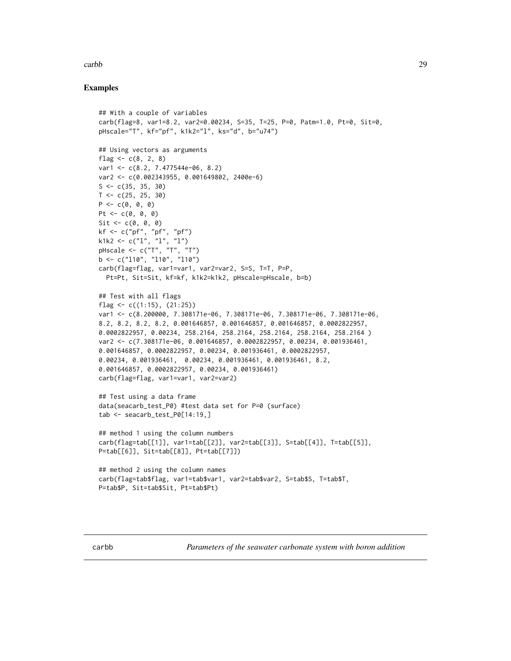#### <span id="page-28-0"></span>carbb 29

### Examples

```
## With a couple of variables
carb(flag=8, var1=8.2, var2=0.00234, S=35, T=25, P=0, Patm=1.0, Pt=0, Sit=0,
pHscale="T", kf="pf", k1k2="l", ks="d", b="u74")
## Using vectors as arguments
flag <-c(8, 2, 8)var1 <- c(8.2, 7.477544e-06, 8.2)
var2 <- c(0.002343955, 0.001649802, 2400e-6)
S \leftarrow c(35, 35, 30)T < -c(25, 25, 30)P \leq C(0, 0, 0)Pt \leq -c(0, 0, 0)Sit \leftarrow c(0, 0, 0)kf <- c("pf", "pf", "pf")
k1k2 <- c("l", "l", "l")
pHscale <- c("T", "T", "T")
b \leq c("110", "110", "110")carb(flag=flag, var1=var1, var2=var2, S=S, T=T, P=P,
  Pt=Pt, Sit=Sit, kf=kf, k1k2=k1k2, pHscale=pHscale, b=b)
## Test with all flags
flag \leq c((1:15), (21:25))var1 <- c(8.200000, 7.308171e-06, 7.308171e-06, 7.308171e-06, 7.308171e-06,
8.2, 8.2, 8.2, 8.2, 0.001646857, 0.001646857, 0.001646857, 0.0002822957,
0.0002822957, 0.00234, 258.2164, 258.2164, 258.2164, 258.2164, 258.2164 )
var2 <- c(7.308171e-06, 0.001646857, 0.0002822957, 0.00234, 0.001936461,
0.001646857, 0.0002822957, 0.00234, 0.001936461, 0.0002822957,
0.00234, 0.001936461, 0.00234, 0.001936461, 0.001936461, 8.2,
0.001646857, 0.0002822957, 0.00234, 0.001936461)
carb(flag=flag, var1=var1, var2=var2)
## Test using a data frame
data(seacarb_test_P0) #test data set for P=0 (surface)
tab <- seacarb_test_P0[14:19,]
## method 1 using the column numbers
carb(flag=tab[[1]], var1=tab[[2]], var2=tab[[3]], S=tab[[4]], T=tab[[5]],
P=tab[[6]], Sit=tab[[8]], Pt=tab[[7]])
## method 2 using the column names
carb(flag=tab$flag, var1=tab$var1, var2=tab$var2, S=tab$S, T=tab$T,
P=tab$P, Sit=tab$Sit, Pt=tab$Pt)
```
carbb *Parameters of the seawater carbonate system with boron addition*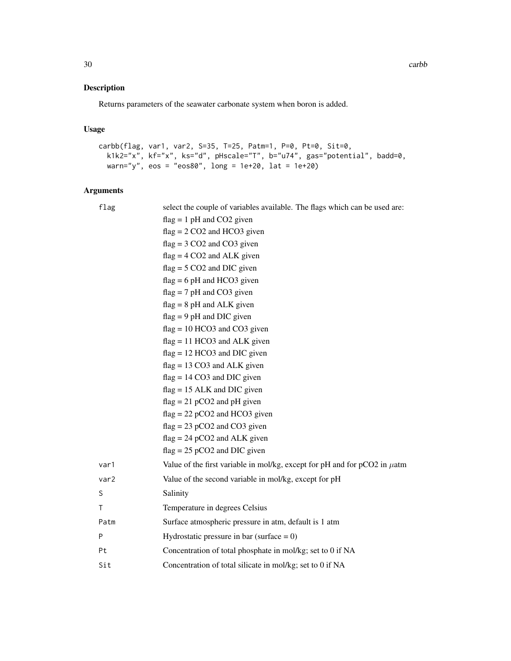#### Description

Returns parameters of the seawater carbonate system when boron is added.

#### Usage

```
carbb(flag, var1, var2, S=35, T=25, Patm=1, P=0, Pt=0, Sit=0,
 k1k2="x", kf="x", ks="d", pHscale="T", b="u74", gas="potential", badd=0,
 warn="y", eos = "eos80", long = 1e+20, lat = 1e+20)
```
#### Arguments

flag select the couple of variables available. The flags which can be used are:  $flag = 1 pH$  and  $CO2$  given  $flag = 2 CO2$  and HCO3 given  $flag = 3 CO2$  and  $CO3$  given  $flag = 4 CO2$  and  $ALK$  given  $flag = 5 CO2$  and DIC given  $flag = 6 pH$  and HCO3 given  $flag = 7 pH$  and CO3 given  $flag = 8 pH$  and ALK given  $flag = 9 pH$  and DIC given flag = 10 HCO3 and CO3 given  $flag = 11 HCO3$  and ALK given flag = 12 HCO3 and DIC given flag = 13 CO3 and ALK given  $flag = 14 CO3$  and DIC given flag = 15 ALK and DIC given  $flag = 21 pCO2$  and  $pH$  given  $flag = 22 pCO2$  and HCO3 given  $flag = 23 pCO2$  and  $CO3$  given  $flag = 24 pCO2$  and ALK given  $flag = 25 pCO2$  and DIC given var1 Value of the first variable in mol/kg, except for pH and for  $pCO2$  in  $\mu$ atm var2 Value of the second variable in mol/kg, except for pH S Salinity T Temperature in degrees Celsius Patm Surface atmospheric pressure in atm, default is 1 atm  $P$  Hydrostatic pressure in bar (surface = 0) Pt Concentration of total phosphate in mol/kg; set to 0 if NA Sit Concentration of total silicate in mol/kg; set to 0 if NA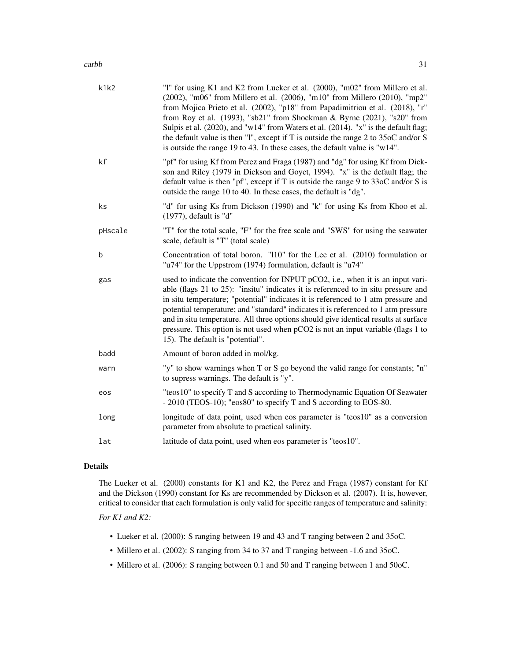#### carbb 31

| k1k2    | "1" for using K1 and K2 from Lueker et al. (2000), "m02" from Millero et al.<br>(2002), "m06" from Millero et al. (2006), "m10" from Millero (2010), "mp2"<br>from Mojica Prieto et al. (2002), "p18" from Papadimitriou et al. (2018), "r"<br>from Roy et al. (1993), "sb21" from Shockman & Byrne (2021), "s20" from<br>Sulpis et al. (2020), and "w14" from Waters et al. (2014). "x" is the default flag;<br>the default value is then "1", except if T is outside the range $2$ to $35$ oC and/or S<br>is outside the range 19 to 43. In these cases, the default value is "w14". |
|---------|----------------------------------------------------------------------------------------------------------------------------------------------------------------------------------------------------------------------------------------------------------------------------------------------------------------------------------------------------------------------------------------------------------------------------------------------------------------------------------------------------------------------------------------------------------------------------------------|
| kf      | "pf" for using Kf from Perez and Fraga (1987) and "dg" for using Kf from Dick-<br>son and Riley (1979 in Dickson and Goyet, 1994). "x" is the default flag; the<br>default value is then "pf", except if T is outside the range $9$ to $33$ oC and/or S is<br>outside the range 10 to 40. In these cases, the default is "dg".                                                                                                                                                                                                                                                         |
| ks      | "d" for using Ks from Dickson (1990) and "k" for using Ks from Khoo et al.<br>$(1977)$ , default is "d"                                                                                                                                                                                                                                                                                                                                                                                                                                                                                |
| pHscale | "T" for the total scale, "F" for the free scale and "SWS" for using the seawater<br>scale, default is "T" (total scale)                                                                                                                                                                                                                                                                                                                                                                                                                                                                |
| b       | Concentration of total boron. "110" for the Lee et al. (2010) formulation or<br>"u74" for the Uppstrom (1974) formulation, default is "u74"                                                                                                                                                                                                                                                                                                                                                                                                                                            |
| gas     | used to indicate the convention for INPUT pCO2, i.e., when it is an input vari-<br>able (flags 21 to 25): "insitu" indicates it is referenced to in situ pressure and<br>in situ temperature; "potential" indicates it is referenced to 1 atm pressure and<br>potential temperature; and "standard" indicates it is referenced to 1 atm pressure<br>and in situ temperature. All three options should give identical results at surface<br>pressure. This option is not used when pCO2 is not an input variable (flags 1 to<br>15). The default is "potential".                        |
| badd    | Amount of boron added in mol/kg.                                                                                                                                                                                                                                                                                                                                                                                                                                                                                                                                                       |
| warn    | "y" to show warnings when T or S go beyond the valid range for constants; "n"<br>to supress warnings. The default is "y".                                                                                                                                                                                                                                                                                                                                                                                                                                                              |

| eos | "teos10" to specify T and S according to Thermodynamic Equation Of Seawater |
|-----|-----------------------------------------------------------------------------|
|     | $-2010$ (TEOS-10); "eos80" to specify T and S according to EOS-80.          |
|     |                                                                             |

long longitude of data point, used when eos parameter is "teos10" as a conversion parameter from absolute to practical salinity.

lat latitude of data point, used when eos parameter is "teos10".

#### Details

The Lueker et al. (2000) constants for K1 and K2, the Perez and Fraga (1987) constant for Kf and the Dickson (1990) constant for Ks are recommended by Dickson et al. (2007). It is, however, critical to consider that each formulation is only valid for specific ranges of temperature and salinity:

# *For K1 and K2:*

- Lueker et al. (2000): S ranging between 19 and 43 and T ranging between 2 and 35oC.
- Millero et al. (2002): S ranging from 34 to 37 and T ranging between -1.6 and 35oC.
- Millero et al. (2006): S ranging between 0.1 and 50 and T ranging between 1 and 50oC.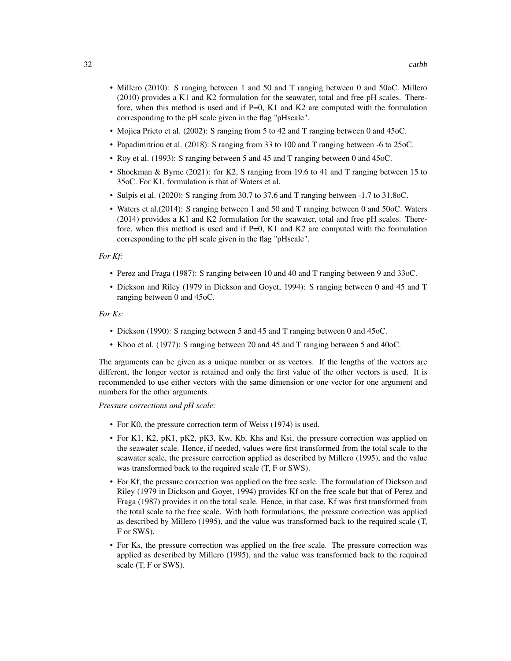- Millero (2010): S ranging between 1 and 50 and T ranging between 0 and 50oC. Millero (2010) provides a K1 and K2 formulation for the seawater, total and free pH scales. Therefore, when this method is used and if  $P=0$ , K1 and K2 are computed with the formulation corresponding to the pH scale given in the flag "pHscale".
- Mojica Prieto et al. (2002): S ranging from 5 to 42 and T ranging between 0 and 45oC.
- Papadimitriou et al. (2018): S ranging from 33 to 100 and T ranging between -6 to 25oC.
- Roy et al. (1993): S ranging between 5 and 45 and T ranging between 0 and 45oC.
- Shockman & Byrne (2021): for K2, S ranging from 19.6 to 41 and T ranging between 15 to 35oC. For K1, formulation is that of Waters et al.
- Sulpis et al. (2020): S ranging from 30.7 to 37.6 and T ranging between -1.7 to 31.8oC.
- Waters et al.(2014): S ranging between 1 and 50 and T ranging between 0 and 50oC. Waters (2014) provides a K1 and K2 formulation for the seawater, total and free pH scales. Therefore, when this method is used and if  $P=0$ , K1 and K2 are computed with the formulation corresponding to the pH scale given in the flag "pHscale".

#### *For Kf:*

- Perez and Fraga (1987): S ranging between 10 and 40 and T ranging between 9 and 33oC.
- Dickson and Riley (1979 in Dickson and Goyet, 1994): S ranging between 0 and 45 and T ranging between 0 and 45oC.

#### *For Ks:*

- Dickson (1990): S ranging between 5 and 45 and T ranging between 0 and 45oC.
- Khoo et al. (1977): S ranging between 20 and 45 and T ranging between 5 and 40oC.

The arguments can be given as a unique number or as vectors. If the lengths of the vectors are different, the longer vector is retained and only the first value of the other vectors is used. It is recommended to use either vectors with the same dimension or one vector for one argument and numbers for the other arguments.

*Pressure corrections and pH scale:*

- For K0, the pressure correction term of Weiss (1974) is used.
- For K1, K2, pK1, pK2, pK3, Kw, Kb, Khs and Ksi, the pressure correction was applied on the seawater scale. Hence, if needed, values were first transformed from the total scale to the seawater scale, the pressure correction applied as described by Millero (1995), and the value was transformed back to the required scale (T, F or SWS).
- For Kf, the pressure correction was applied on the free scale. The formulation of Dickson and Riley (1979 in Dickson and Goyet, 1994) provides Kf on the free scale but that of Perez and Fraga (1987) provides it on the total scale. Hence, in that case, Kf was first transformed from the total scale to the free scale. With both formulations, the pressure correction was applied as described by Millero (1995), and the value was transformed back to the required scale (T, F or SWS).
- For Ks, the pressure correction was applied on the free scale. The pressure correction was applied as described by Millero (1995), and the value was transformed back to the required scale (T, F or SWS).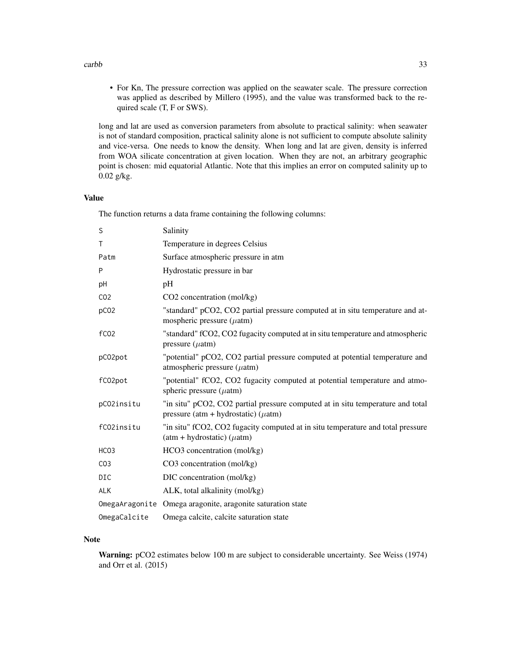#### carbb 33

• For Kn, The pressure correction was applied on the seawater scale. The pressure correction was applied as described by Millero (1995), and the value was transformed back to the required scale (T, F or SWS).

long and lat are used as conversion parameters from absolute to practical salinity: when seawater is not of standard composition, practical salinity alone is not sufficient to compute absolute salinity and vice-versa. One needs to know the density. When long and lat are given, density is inferred from WOA silicate concentration at given location. When they are not, an arbitrary geographic point is chosen: mid equatorial Atlantic. Note that this implies an error on computed salinity up to 0.02 g/kg.

#### Value

The function returns a data frame containing the following columns:

| S                | Salinity                                                                                                                    |
|------------------|-----------------------------------------------------------------------------------------------------------------------------|
| T                | Temperature in degrees Celsius                                                                                              |
| Patm             | Surface atmospheric pressure in atm                                                                                         |
| P                | Hydrostatic pressure in bar                                                                                                 |
| pH               | pH                                                                                                                          |
| CO <sub>2</sub>  | CO2 concentration (mol/kg)                                                                                                  |
| pCO <sub>2</sub> | "standard" pCO2, CO2 partial pressure computed at in situ temperature and at-<br>mospheric pressure $(\mu$ atm)             |
| fC <sub>02</sub> | "standard" fCO2, CO2 fugacity computed at in situ temperature and atmospheric<br>pressure $(\mu atm)$                       |
| pC02pot          | "potential" pCO2, CO2 partial pressure computed at potential temperature and<br>atmospheric pressure $(\mu$ atm)            |
| fC02pot          | "potential" fCO2, CO2 fugacity computed at potential temperature and atmo-<br>spheric pressure $(\mu atm)$                  |
| pC02insitu       | "in situ" pCO2, CO2 partial pressure computed at in situ temperature and total<br>pressure (atm + hydrostatic) ( $\mu$ atm) |
| fC02insitu       | "in situ" fCO2, CO2 fugacity computed at in situ temperature and total pressure<br>$(atm + hydrostatic) (\mu atm)$          |
| HCO <sub>3</sub> | HCO3 concentration (mol/kg)                                                                                                 |
| CO <sub>3</sub>  | CO3 concentration (mol/kg)                                                                                                  |
| <b>DIC</b>       | DIC concentration (mol/kg)                                                                                                  |
| <b>ALK</b>       | ALK, total alkalinity (mol/kg)                                                                                              |
|                  | OmegaAragonite Omega aragonite, aragonite saturation state                                                                  |
| OmegaCalcite     | Omega calcite, calcite saturation state                                                                                     |

#### Note

Warning: pCO2 estimates below 100 m are subject to considerable uncertainty. See Weiss (1974) and Orr et al. (2015)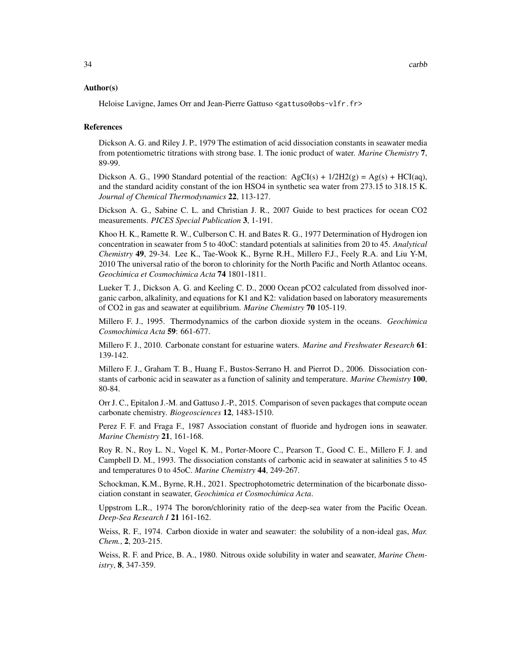#### Author(s)

Heloise Lavigne, James Orr and Jean-Pierre Gattuso <gattuso@obs-vlfr.fr>

#### References

Dickson A. G. and Riley J. P., 1979 The estimation of acid dissociation constants in seawater media from potentiometric titrations with strong base. I. The ionic product of water. *Marine Chemistry* 7, 89-99.

Dickson A. G., 1990 Standard potential of the reaction:  $AgCI(s) + 1/2H2(g) = Ag(s) + HCI(aq)$ , and the standard acidity constant of the ion HSO4 in synthetic sea water from 273.15 to 318.15 K. *Journal of Chemical Thermodynamics* 22, 113-127.

Dickson A. G., Sabine C. L. and Christian J. R., 2007 Guide to best practices for ocean CO2 measurements. *PICES Special Publication* 3, 1-191.

Khoo H. K., Ramette R. W., Culberson C. H. and Bates R. G., 1977 Determination of Hydrogen ion concentration in seawater from 5 to 40oC: standard potentials at salinities from 20 to 45. *Analytical Chemistry* 49, 29-34. Lee K., Tae-Wook K., Byrne R.H., Millero F.J., Feely R.A. and Liu Y-M, 2010 The universal ratio of the boron to chlorinity for the North Pacific and North Atlantoc oceans. *Geochimica et Cosmochimica Acta* 74 1801-1811.

Lueker T. J., Dickson A. G. and Keeling C. D., 2000 Ocean pCO2 calculated from dissolved inorganic carbon, alkalinity, and equations for K1 and K2: validation based on laboratory measurements of CO2 in gas and seawater at equilibrium. *Marine Chemistry* 70 105-119.

Millero F. J., 1995. Thermodynamics of the carbon dioxide system in the oceans. *Geochimica Cosmochimica Acta* 59: 661-677.

Millero F. J., 2010. Carbonate constant for estuarine waters. *Marine and Freshwater Research* 61: 139-142.

Millero F. J., Graham T. B., Huang F., Bustos-Serrano H. and Pierrot D., 2006. Dissociation constants of carbonic acid in seawater as a function of salinity and temperature. *Marine Chemistry* 100, 80-84.

Orr J. C., Epitalon J.-M. and Gattuso J.-P., 2015. Comparison of seven packages that compute ocean carbonate chemistry. *Biogeosciences* 12, 1483-1510.

Perez F. F. and Fraga F., 1987 Association constant of fluoride and hydrogen ions in seawater. *Marine Chemistry* 21, 161-168.

Roy R. N., Roy L. N., Vogel K. M., Porter-Moore C., Pearson T., Good C. E., Millero F. J. and Campbell D. M., 1993. The dissociation constants of carbonic acid in seawater at salinities 5 to 45 and temperatures 0 to 45oC. *Marine Chemistry* 44, 249-267.

Schockman, K.M., Byrne, R.H., 2021. Spectrophotometric determination of the bicarbonate dissociation constant in seawater, *Geochimica et Cosmochimica Acta*.

Uppstrom L.R., 1974 The boron/chlorinity ratio of the deep-sea water from the Pacific Ocean. *Deep-Sea Research I* 21 161-162.

Weiss, R. F., 1974. Carbon dioxide in water and seawater: the solubility of a non-ideal gas, *Mar. Chem.*, 2, 203-215.

Weiss, R. F. and Price, B. A., 1980. Nitrous oxide solubility in water and seawater, *Marine Chemistry*, 8, 347-359.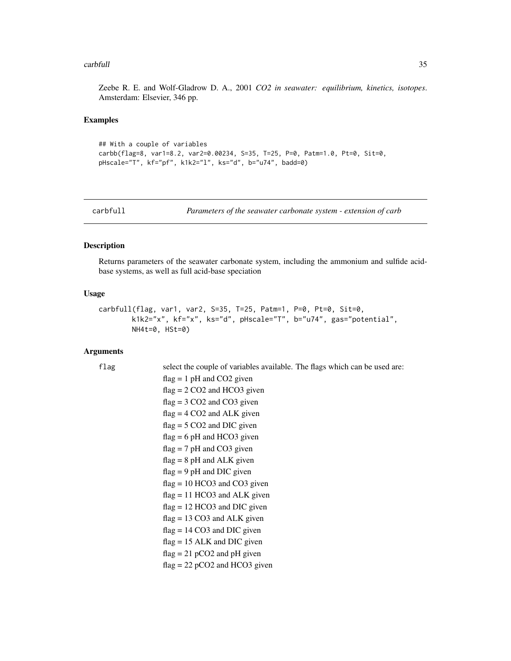#### <span id="page-34-0"></span>carbfull 35

Zeebe R. E. and Wolf-Gladrow D. A., 2001 *CO2 in seawater: equilibrium, kinetics, isotopes*. Amsterdam: Elsevier, 346 pp.

#### Examples

```
## With a couple of variables
carbb(flag=8, var1=8.2, var2=0.00234, S=35, T=25, P=0, Patm=1.0, Pt=0, Sit=0,
pHscale="T", kf="pf", k1k2="l", ks="d", b="u74", badd=0)
```

| carbfull |  |  |
|----------|--|--|
|          |  |  |

Parameters of the seawater carbonate system - extension of carb

#### Description

Returns parameters of the seawater carbonate system, including the ammonium and sulfide acidbase systems, as well as full acid-base speciation

#### Usage

```
carbfull(flag, var1, var2, S=35, T=25, Patm=1, P=0, Pt=0, Sit=0,
       k1k2="x", kf="x", ks="d", pHscale="T", b="u74", gas="potential",
       NH4t=0, HSt=0)
```
#### Arguments

```
flag select the couple of variables available. The flags which can be used are:
                 flag = 1 pH and CO2 given
                 flag = 2 CO2 and HCO3 given
                 flag = 3 CO2 and CO3 given
                 flag = 4 CO2 and ALK given
                 flag = 5 CO2 and DIC given
                 flag = 6 pH and HCO3 given
                 flag = 7 pH and CO3 given
                 flag = 8 pH and ALK given
                 flag = 9 pH and DIC given
                 flag = 10 HCO3 and CO3 given
                 flag = 11 HCO3 and ALK given
                 flag = 12 HCO3 and DIC given
                 flag = 13 CO3 and ALK given
                 flag = 14 CO3 and DIC given
                 flag = 15 ALK and DIC given
                 flag = 21 pCO2 and pH given
```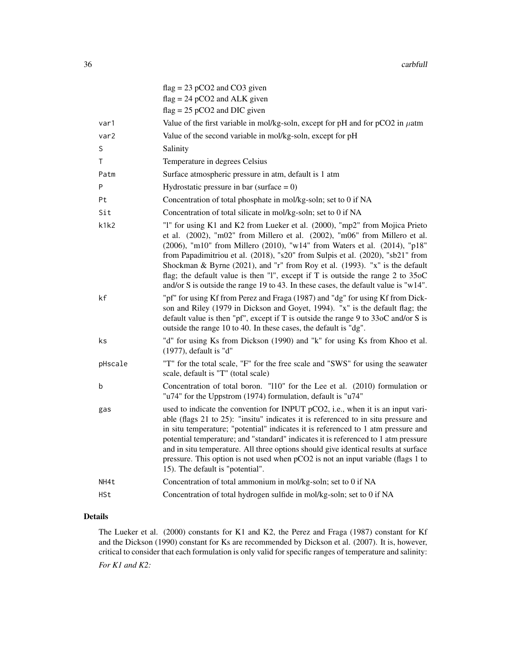|   |            | $flag = 23 pCO2$ and $CO3$ given                                                                                                                                                                                                                                                                                                                                                                                                                                                                                                                                                  |
|---|------------|-----------------------------------------------------------------------------------------------------------------------------------------------------------------------------------------------------------------------------------------------------------------------------------------------------------------------------------------------------------------------------------------------------------------------------------------------------------------------------------------------------------------------------------------------------------------------------------|
|   |            | $flag = 24 pCO2$ and ALK given                                                                                                                                                                                                                                                                                                                                                                                                                                                                                                                                                    |
|   |            | $flag = 25 pCO2$ and DIC given                                                                                                                                                                                                                                                                                                                                                                                                                                                                                                                                                    |
|   | var1       | Value of the first variable in mol/kg-soln, except for pH and for pCO2 in $\mu$ atm                                                                                                                                                                                                                                                                                                                                                                                                                                                                                               |
|   | var2       | Value of the second variable in mol/kg-soln, except for pH                                                                                                                                                                                                                                                                                                                                                                                                                                                                                                                        |
| S |            | Salinity                                                                                                                                                                                                                                                                                                                                                                                                                                                                                                                                                                          |
| Τ |            | Temperature in degrees Celsius                                                                                                                                                                                                                                                                                                                                                                                                                                                                                                                                                    |
|   | Patm       | Surface atmospheric pressure in atm, default is 1 atm                                                                                                                                                                                                                                                                                                                                                                                                                                                                                                                             |
| P |            | Hydrostatic pressure in bar (surface $= 0$ )                                                                                                                                                                                                                                                                                                                                                                                                                                                                                                                                      |
|   | Pt         | Concentration of total phosphate in mol/kg-soln; set to 0 if NA                                                                                                                                                                                                                                                                                                                                                                                                                                                                                                                   |
|   | Sit        | Concentration of total silicate in mol/kg-soln; set to 0 if NA                                                                                                                                                                                                                                                                                                                                                                                                                                                                                                                    |
|   | k1k2       | "I" for using K1 and K2 from Lueker et al. (2000), "mp2" from Mojica Prieto<br>et al. (2002), "m02" from Millero et al. (2002), "m06" from Millero et al.<br>(2006), "m10" from Millero (2010), "w14" from Waters et al. (2014), "p18"<br>from Papadimitriou et al. (2018), "s20" from Sulpis et al. (2020), "sb21" from<br>Shockman & Byrne (2021), and "r" from Roy et al. (1993). "x" is the default<br>flag; the default value is then "1", except if T is outside the range 2 to 35oC<br>and/or S is outside the range 19 to 43. In these cases, the default value is "w14". |
|   | kf         | "pf" for using Kf from Perez and Fraga (1987) and "dg" for using Kf from Dick-<br>son and Riley (1979 in Dickson and Goyet, 1994). "x" is the default flag; the<br>default value is then "pf", except if T is outside the range 9 to 33oC and/or S is<br>outside the range 10 to 40. In these cases, the default is "dg".                                                                                                                                                                                                                                                         |
|   | ks         | "d" for using Ks from Dickson (1990) and "k" for using Ks from Khoo et al.<br>$(1977)$ , default is "d"                                                                                                                                                                                                                                                                                                                                                                                                                                                                           |
|   | pHscale    | "T" for the total scale, "F" for the free scale and "SWS" for using the seawater<br>scale, default is "T" (total scale)                                                                                                                                                                                                                                                                                                                                                                                                                                                           |
| b |            | Concentration of total boron. "110" for the Lee et al. (2010) formulation or<br>"u74" for the Uppstrom (1974) formulation, default is "u74"                                                                                                                                                                                                                                                                                                                                                                                                                                       |
|   | gas        | used to indicate the convention for INPUT pCO2, i.e., when it is an input vari-<br>able (flags 21 to 25): "insitu" indicates it is referenced to in situ pressure and<br>in situ temperature; "potential" indicates it is referenced to 1 atm pressure and<br>potential temperature; and "standard" indicates it is referenced to 1 atm pressure<br>and in situ temperature. All three options should give identical results at surface<br>pressure. This option is not used when pCO2 is not an input variable (flags 1 to<br>15). The default is "potential".                   |
|   | NH4t       | Concentration of total ammonium in mol/kg-soln; set to 0 if NA                                                                                                                                                                                                                                                                                                                                                                                                                                                                                                                    |
|   | <b>HSt</b> | Concentration of total hydrogen sulfide in mol/kg-soln; set to 0 if NA                                                                                                                                                                                                                                                                                                                                                                                                                                                                                                            |

# Details

The Lueker et al. (2000) constants for K1 and K2, the Perez and Fraga (1987) constant for Kf and the Dickson (1990) constant for Ks are recommended by Dickson et al. (2007). It is, however, critical to consider that each formulation is only valid for specific ranges of temperature and salinity: *For K1 and K2:*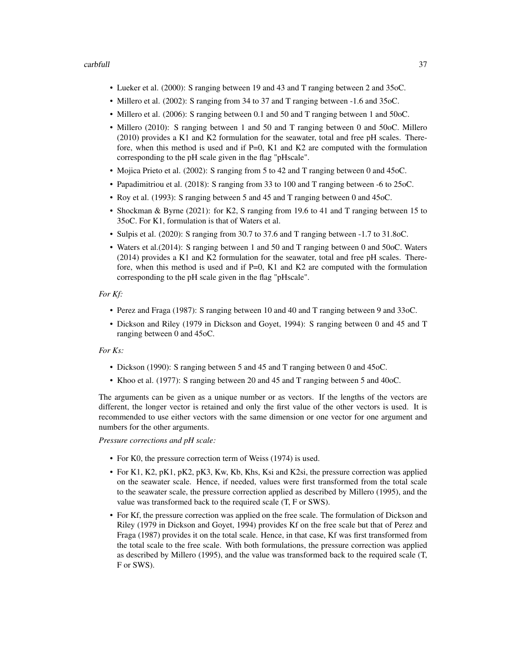### carbfull 37

- Lueker et al. (2000): S ranging between 19 and 43 and T ranging between 2 and 35oC.
- Millero et al. (2002): S ranging from 34 to 37 and T ranging between -1.6 and 35oC.
- Millero et al. (2006): S ranging between 0.1 and 50 and T ranging between 1 and 50oC.
- Millero (2010): S ranging between 1 and 50 and T ranging between 0 and 50oC. Millero (2010) provides a K1 and K2 formulation for the seawater, total and free pH scales. Therefore, when this method is used and if  $P=0$ , K1 and K2 are computed with the formulation corresponding to the pH scale given in the flag "pHscale".
- Mojica Prieto et al. (2002): S ranging from 5 to 42 and T ranging between 0 and 45oC.
- Papadimitriou et al. (2018): S ranging from 33 to 100 and T ranging between -6 to 25oC.
- Roy et al. (1993): S ranging between 5 and 45 and T ranging between 0 and 45oC.
- Shockman & Byrne (2021): for K2, S ranging from 19.6 to 41 and T ranging between 15 to 35oC. For K1, formulation is that of Waters et al.
- Sulpis et al. (2020): S ranging from 30.7 to 37.6 and T ranging between -1.7 to 31.8oC.
- Waters et al.(2014): S ranging between 1 and 50 and T ranging between 0 and 50oC. Waters (2014) provides a K1 and K2 formulation for the seawater, total and free pH scales. Therefore, when this method is used and if  $P=0$ , K1 and K2 are computed with the formulation corresponding to the pH scale given in the flag "pHscale".

#### *For Kf:*

- Perez and Fraga (1987): S ranging between 10 and 40 and T ranging between 9 and 33oC.
- Dickson and Riley (1979 in Dickson and Goyet, 1994): S ranging between 0 and 45 and T ranging between 0 and 45oC.

### *For Ks:*

- Dickson (1990): S ranging between 5 and 45 and T ranging between 0 and 45oC.
- Khoo et al. (1977): S ranging between 20 and 45 and T ranging between 5 and 40oC.

The arguments can be given as a unique number or as vectors. If the lengths of the vectors are different, the longer vector is retained and only the first value of the other vectors is used. It is recommended to use either vectors with the same dimension or one vector for one argument and numbers for the other arguments.

*Pressure corrections and pH scale:*

- For K0, the pressure correction term of Weiss (1974) is used.
- For K1, K2, pK1, pK2, pK3, Kw, Kb, Khs, Ksi and K2si, the pressure correction was applied on the seawater scale. Hence, if needed, values were first transformed from the total scale to the seawater scale, the pressure correction applied as described by Millero (1995), and the value was transformed back to the required scale (T, F or SWS).
- For Kf, the pressure correction was applied on the free scale. The formulation of Dickson and Riley (1979 in Dickson and Goyet, 1994) provides Kf on the free scale but that of Perez and Fraga (1987) provides it on the total scale. Hence, in that case, Kf was first transformed from the total scale to the free scale. With both formulations, the pressure correction was applied as described by Millero (1995), and the value was transformed back to the required scale (T, F or SWS).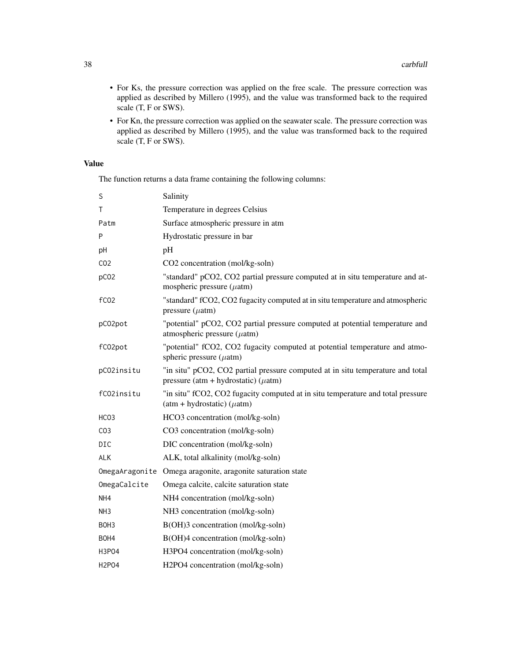- For Ks, the pressure correction was applied on the free scale. The pressure correction was applied as described by Millero (1995), and the value was transformed back to the required scale (T, F or SWS).
- For Kn, the pressure correction was applied on the seawater scale. The pressure correction was applied as described by Millero (1995), and the value was transformed back to the required scale (T, F or SWS).

# Value

The function returns a data frame containing the following columns:

| S                | Salinity                                                                                                                    |
|------------------|-----------------------------------------------------------------------------------------------------------------------------|
| Τ                | Temperature in degrees Celsius                                                                                              |
| Patm             | Surface atmospheric pressure in atm                                                                                         |
| P                | Hydrostatic pressure in bar                                                                                                 |
| рH               | pH                                                                                                                          |
| CO <sub>2</sub>  | CO2 concentration (mol/kg-soln)                                                                                             |
| pC <sub>02</sub> | "standard" pCO2, CO2 partial pressure computed at in situ temperature and at-<br>mospheric pressure $(\mu$ atm)             |
| fC <sub>02</sub> | "standard" fCO2, CO2 fugacity computed at in situ temperature and atmospheric<br>pressure $(\mu atm)$                       |
| pC02pot          | "potential" pCO2, CO2 partial pressure computed at potential temperature and<br>atmospheric pressure $(\mu atm)$            |
| fC02pot          | "potential" fCO2, CO2 fugacity computed at potential temperature and atmo-<br>spheric pressure $(\mu$ atm)                  |
| pCO2insitu       | "in situ" pCO2, CO2 partial pressure computed at in situ temperature and total<br>pressure (atm + hydrostatic) ( $\mu$ atm) |
| fC02insitu       | "in situ" fCO2, CO2 fugacity computed at in situ temperature and total pressure<br>$(atm + hydrostatic) (\mu atm)$          |
| HCO3             | HCO3 concentration (mol/kg-soln)                                                                                            |
| CO <sub>3</sub>  | CO3 concentration (mol/kg-soln)                                                                                             |
| <b>DIC</b>       | DIC concentration (mol/kg-soln)                                                                                             |
| <b>ALK</b>       | ALK, total alkalinity (mol/kg-soln)                                                                                         |
|                  | OmegaAragonite Omega aragonite, aragonite saturation state                                                                  |
| OmegaCalcite     | Omega calcite, calcite saturation state                                                                                     |
| NH4              | NH4 concentration (mol/kg-soln)                                                                                             |
| NH3              | NH3 concentration (mol/kg-soln)                                                                                             |
| BOH3             | B(OH)3 concentration (mol/kg-soln)                                                                                          |
| BOH4             | B(OH)4 concentration (mol/kg-soln)                                                                                          |
| H3P04            | H3PO4 concentration (mol/kg-soln)                                                                                           |
| <b>H2P04</b>     | H2PO4 concentration (mol/kg-soln)                                                                                           |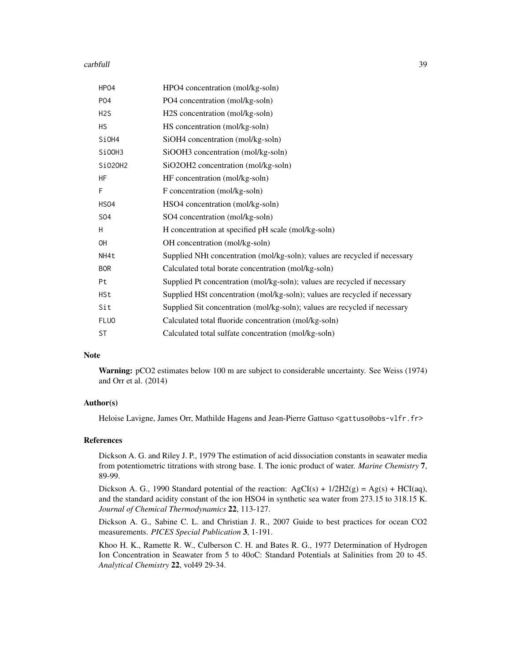#### carbfull 39

| HP04             | HPO4 concentration (mol/kg-soln)                                           |
|------------------|----------------------------------------------------------------------------|
| <b>PO4</b>       | PO4 concentration (mol/kg-soln)                                            |
| H <sub>2</sub> S | H2S concentration (mol/kg-soln)                                            |
| <b>HS</b>        | HS concentration (mol/kg-soln)                                             |
| SiOH4            | SiOH4 concentration (mol/kg-soln)                                          |
| SiOOH3           | SiOOH3 concentration (mol/kg-soln)                                         |
| Si020H2          | SiO2OH2 concentration (mol/kg-soln)                                        |
| <b>HF</b>        | HF concentration (mol/kg-soln)                                             |
| F                | F concentration (mol/kg-soln)                                              |
| HSO4             | HSO4 concentration (mol/kg-soln)                                           |
| S04              | SO4 concentration (mol/kg-soln)                                            |
| H                | H concentration at specified pH scale (mol/kg-soln)                        |
| <b>OH</b>        | OH concentration (mol/kg-soln)                                             |
| NH4t             | Supplied NHt concentration (mol/kg-soln); values are recycled if necessary |
| <b>BOR</b>       | Calculated total borate concentration (mol/kg-soln)                        |
| Pt               | Supplied Pt concentration (mol/kg-soln); values are recycled if necessary  |
| <b>HSt</b>       | Supplied HSt concentration (mol/kg-soln); values are recycled if necessary |
| Sit              | Supplied Sit concentration (mol/kg-soln); values are recycled if necessary |
| <b>FLUO</b>      | Calculated total fluoride concentration (mol/kg-soln)                      |
| <b>ST</b>        | Calculated total sulfate concentration (mol/kg-soln)                       |

#### Note

Warning: pCO2 estimates below 100 m are subject to considerable uncertainty. See Weiss (1974) and Orr et al. (2014)

# Author(s)

Heloise Lavigne, James Orr, Mathilde Hagens and Jean-Pierre Gattuso <gattuso@obs-vlfr.fr>

### References

Dickson A. G. and Riley J. P., 1979 The estimation of acid dissociation constants in seawater media from potentiometric titrations with strong base. I. The ionic product of water. *Marine Chemistry* 7, 89-99.

Dickson A. G., 1990 Standard potential of the reaction:  $AgCI(s) + 1/2H2(g) = Ag(s) + HCI(aq)$ , and the standard acidity constant of the ion HSO4 in synthetic sea water from 273.15 to 318.15 K. *Journal of Chemical Thermodynamics* 22, 113-127.

Dickson A. G., Sabine C. L. and Christian J. R., 2007 Guide to best practices for ocean CO2 measurements. *PICES Special Publication* 3, 1-191.

Khoo H. K., Ramette R. W., Culberson C. H. and Bates R. G., 1977 Determination of Hydrogen Ion Concentration in Seawater from 5 to 40oC: Standard Potentials at Salinities from 20 to 45. *Analytical Chemistry* 22, vol49 29-34.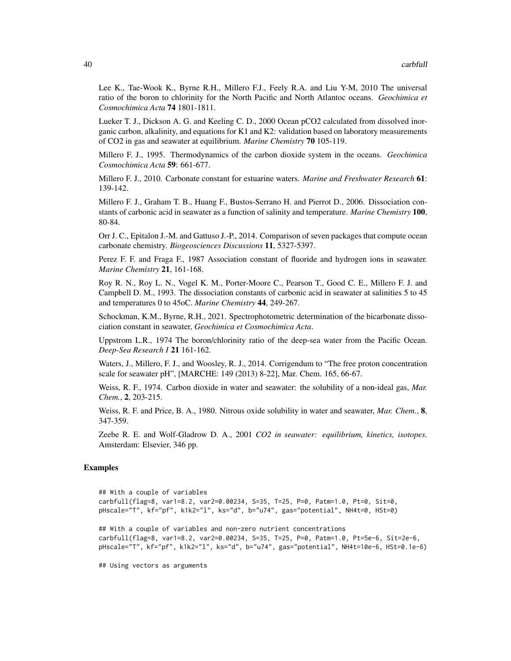Lee K., Tae-Wook K., Byrne R.H., Millero F.J., Feely R.A. and Liu Y-M, 2010 The universal ratio of the boron to chlorinity for the North Pacific and North Atlantoc oceans. *Geochimica et Cosmochimica Acta* 74 1801-1811.

Lueker T. J., Dickson A. G. and Keeling C. D., 2000 Ocean pCO2 calculated from dissolved inorganic carbon, alkalinity, and equations for K1 and K2: validation based on laboratory measurements of CO2 in gas and seawater at equilibrium. *Marine Chemistry* 70 105-119.

Millero F. J., 1995. Thermodynamics of the carbon dioxide system in the oceans. *Geochimica Cosmochimica Acta* 59: 661-677.

Millero F. J., 2010. Carbonate constant for estuarine waters. *Marine and Freshwater Research* 61: 139-142.

Millero F. J., Graham T. B., Huang F., Bustos-Serrano H. and Pierrot D., 2006. Dissociation constants of carbonic acid in seawater as a function of salinity and temperature. *Marine Chemistry* 100, 80-84.

Orr J. C., Epitalon J.-M. and Gattuso J.-P., 2014. Comparison of seven packages that compute ocean carbonate chemistry. *Biogeosciences Discussions* 11, 5327-5397.

Perez F. F. and Fraga F., 1987 Association constant of fluoride and hydrogen ions in seawater. *Marine Chemistry* 21, 161-168.

Roy R. N., Roy L. N., Vogel K. M., Porter-Moore C., Pearson T., Good C. E., Millero F. J. and Campbell D. M., 1993. The dissociation constants of carbonic acid in seawater at salinities 5 to 45 and temperatures 0 to 45oC. *Marine Chemistry* 44, 249-267.

Schockman, K.M., Byrne, R.H., 2021. Spectrophotometric determination of the bicarbonate dissociation constant in seawater, *Geochimica et Cosmochimica Acta*.

Uppstrom L.R., 1974 The boron/chlorinity ratio of the deep-sea water from the Pacific Ocean. *Deep-Sea Research I* 21 161-162.

Waters, J., Millero, F. J., and Woosley, R. J., 2014. Corrigendum to "The free proton concentration scale for seawater pH", [MARCHE: 149 (2013) 8-22], Mar. Chem. 165, 66-67.

Weiss, R. F., 1974. Carbon dioxide in water and seawater: the solubility of a non-ideal gas, *Mar. Chem.*, 2, 203-215.

Weiss, R. F. and Price, B. A., 1980. Nitrous oxide solubility in water and seawater, *Mar. Chem.*, 8, 347-359.

Zeebe R. E. and Wolf-Gladrow D. A., 2001 *CO2 in seawater: equilibrium, kinetics, isotopes*. Amsterdam: Elsevier, 346 pp.

### Examples

```
## With a couple of variables
carbfull(flag=8, var1=8.2, var2=0.00234, S=35, T=25, P=0, Patm=1.0, Pt=0, Sit=0,
pHscale="T", kf="pf", k1k2="l", ks="d", b="u74", gas="potential", NH4t=0, HSt=0)
## With a couple of variables and non-zero nutrient concentrations
carbfull(flag=8, var1=8.2, var2=0.00234, S=35, T=25, P=0, Patm=1.0, Pt=5e-6, Sit=2e-6,
pHscale="T", kf="pf", k1k2="l", ks="d", b="u74", gas="potential", NH4t=10e-6, HSt=0.1e-6)
```
## Using vectors as arguments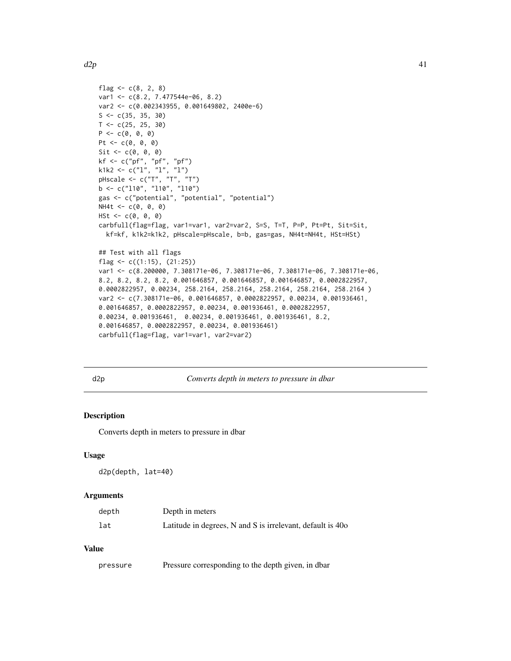```
flag <-c(8, 2, 8)var1 <- c(8.2, 7.477544e-06, 8.2)
var2 <- c(0.002343955, 0.001649802, 2400e-6)
S \leftarrow c(35, 35, 30)T < -c(25, 25, 30)P \leftarrow c(\emptyset, \emptyset, \emptyset)Pt <- c(0, 0, 0)Sit \leftarrow c(\emptyset, \emptyset, \emptyset)kf <- c("pf", "pf", "pf")
k1k2 <- c("l", "l", "l")
pHscale <- c("T", "T", "T")
b \leq c("110", "110", "110")gas <- c("potential", "potential", "potential")
NH4t < -c(0, 0, 0)HSt < -c(0, 0, 0)carbfull(flag=flag, var1=var1, var2=var2, S=S, T=T, P=P, Pt=Pt, Sit=Sit,
  kf=kf, k1k2=k1k2, pHscale=pHscale, b=b, gas=gas, NH4t=NH4t, HSt=HSt)
## Test with all flags
flag \leq c((1:15), (21:25))var1 <- c(8.200000, 7.308171e-06, 7.308171e-06, 7.308171e-06, 7.308171e-06,
8.2, 8.2, 8.2, 8.2, 0.001646857, 0.001646857, 0.001646857, 0.0002822957,
0.0002822957, 0.00234, 258.2164, 258.2164, 258.2164, 258.2164, 258.2164 )
var2 <- c(7.308171e-06, 0.001646857, 0.0002822957, 0.00234, 0.001936461,
0.001646857, 0.0002822957, 0.00234, 0.001936461, 0.0002822957,
0.00234, 0.001936461, 0.00234, 0.001936461, 0.001936461, 8.2,
0.001646857, 0.0002822957, 0.00234, 0.001936461)
carbfull(flag=flag, var1=var1, var2=var2)
```
d2p *Converts depth in meters to pressure in dbar*

#### **Description**

Converts depth in meters to pressure in dbar

#### Usage

d2p(depth, lat=40)

### Arguments

| depth | Depth in meters                                            |
|-------|------------------------------------------------------------|
| lat   | Latitude in degrees, N and S is irrelevant, default is 40o |

# Value

|  | pressure | Pressure corresponding to the depth given, in dbar |  |  |  |  |
|--|----------|----------------------------------------------------|--|--|--|--|
|--|----------|----------------------------------------------------|--|--|--|--|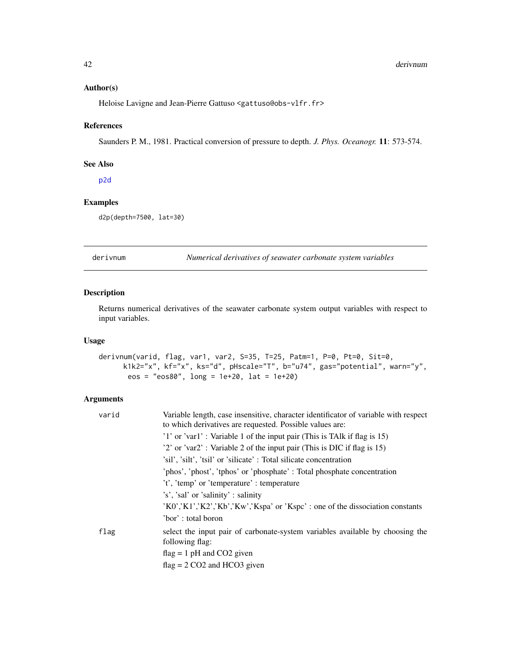### Author(s)

Heloise Lavigne and Jean-Pierre Gattuso <gattuso@obs-vlfr.fr>

### References

Saunders P. M., 1981. Practical conversion of pressure to depth. *J. Phys. Oceanogr.* 11: 573-574.

# See Also

[p2d](#page-92-0)

# Examples

```
d2p(depth=7500, lat=30)
```
derivnum *Numerical derivatives of seawater carbonate system variables*

### Description

Returns numerical derivatives of the seawater carbonate system output variables with respect to input variables.

# Usage

```
derivnum(varid, flag, var1, var2, S=35, T=25, Patm=1, P=0, Pt=0, Sit=0,
     k1k2="x", kf="x", ks="d", pHscale="T", b="u74", gas="potential", warn="y",
      eos = "eos80", long = 1e+20, lat = 1e+20)
```

| varid | Variable length, case insensitive, character identificator of variable with respect<br>to which derivatives are requested. Possible values are: |  |  |
|-------|-------------------------------------------------------------------------------------------------------------------------------------------------|--|--|
|       | '1' or 'var1': Variable 1 of the input pair (This is TAIk if flag is 15)                                                                        |  |  |
|       | '2' or 'var2': Variable 2 of the input pair (This is DIC if flag is 15)                                                                         |  |  |
|       | 'sil', 'silt', 'tsil' or 'silicate': Total silicate concentration                                                                               |  |  |
|       | 'phos', 'phost', 'tphos' or 'phosphate': Total phosphate concentration                                                                          |  |  |
|       | 't', 'temp' or 'temperature' : temperature'                                                                                                     |  |  |
|       | 's', 'sal' or 'salinity' : salinity'                                                                                                            |  |  |
|       | $'K0','K1','K2','Kb','Kw','Kspa'$ or 'Kspc' : one of the dissociation constants                                                                 |  |  |
|       | 'bor': total boron                                                                                                                              |  |  |
| flag  | select the input pair of carbonate-system variables available by choosing the<br>following flag:                                                |  |  |
|       | $flag = 1 pH$ and CO2 given                                                                                                                     |  |  |
|       | $flag = 2 CO2$ and HCO3 given                                                                                                                   |  |  |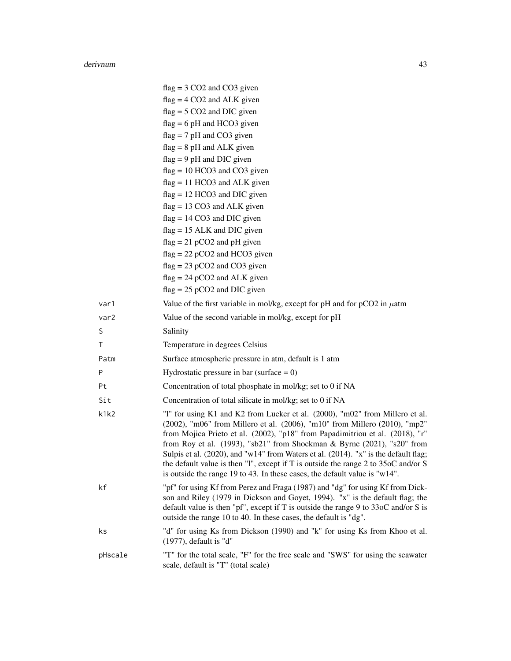#### derivnum 43

|                  | $flag = 3 CO2$ and $CO3$ given                                                                                                                                                                                                                                                                                                                                                                                                                                                                                                                                                               |
|------------------|----------------------------------------------------------------------------------------------------------------------------------------------------------------------------------------------------------------------------------------------------------------------------------------------------------------------------------------------------------------------------------------------------------------------------------------------------------------------------------------------------------------------------------------------------------------------------------------------|
|                  | $flag = 4 CO2$ and ALK given                                                                                                                                                                                                                                                                                                                                                                                                                                                                                                                                                                 |
|                  | $flag = 5 CO2$ and DIC given                                                                                                                                                                                                                                                                                                                                                                                                                                                                                                                                                                 |
|                  | $flag = 6 pH$ and HCO3 given                                                                                                                                                                                                                                                                                                                                                                                                                                                                                                                                                                 |
|                  | $flag = 7 pH$ and CO3 given                                                                                                                                                                                                                                                                                                                                                                                                                                                                                                                                                                  |
|                  | $flag = 8 pH$ and ALK given                                                                                                                                                                                                                                                                                                                                                                                                                                                                                                                                                                  |
|                  | $flag = 9 pH$ and DIC given                                                                                                                                                                                                                                                                                                                                                                                                                                                                                                                                                                  |
|                  | $flag = 10 HCO3$ and $CO3$ given                                                                                                                                                                                                                                                                                                                                                                                                                                                                                                                                                             |
|                  | $flag = 11 HCO3$ and ALK given                                                                                                                                                                                                                                                                                                                                                                                                                                                                                                                                                               |
|                  | $flag = 12 HCO3$ and DIC given                                                                                                                                                                                                                                                                                                                                                                                                                                                                                                                                                               |
|                  | $flag = 13 CO3$ and ALK given                                                                                                                                                                                                                                                                                                                                                                                                                                                                                                                                                                |
|                  | $flag = 14 CO3$ and DIC given                                                                                                                                                                                                                                                                                                                                                                                                                                                                                                                                                                |
|                  | $flag = 15$ ALK and DIC given                                                                                                                                                                                                                                                                                                                                                                                                                                                                                                                                                                |
|                  | $flag = 21 pCO2$ and pH given<br>$flag = 22 pCO2$ and HCO3 given                                                                                                                                                                                                                                                                                                                                                                                                                                                                                                                             |
|                  | $flag = 23 pCO2$ and $CO3$ given                                                                                                                                                                                                                                                                                                                                                                                                                                                                                                                                                             |
|                  | $flag = 24 pCO2$ and ALK given                                                                                                                                                                                                                                                                                                                                                                                                                                                                                                                                                               |
|                  | $flag = 25 pCO2$ and DIC given                                                                                                                                                                                                                                                                                                                                                                                                                                                                                                                                                               |
| var1             | Value of the first variable in mol/kg, except for pH and for $pCO2$ in $\mu$ atm                                                                                                                                                                                                                                                                                                                                                                                                                                                                                                             |
| var <sub>2</sub> | Value of the second variable in mol/kg, except for pH                                                                                                                                                                                                                                                                                                                                                                                                                                                                                                                                        |
| S                | Salinity                                                                                                                                                                                                                                                                                                                                                                                                                                                                                                                                                                                     |
| Τ                | Temperature in degrees Celsius                                                                                                                                                                                                                                                                                                                                                                                                                                                                                                                                                               |
| Patm             | Surface atmospheric pressure in atm, default is 1 atm                                                                                                                                                                                                                                                                                                                                                                                                                                                                                                                                        |
| P                | Hydrostatic pressure in bar (surface $= 0$ )                                                                                                                                                                                                                                                                                                                                                                                                                                                                                                                                                 |
| Pt               | Concentration of total phosphate in mol/kg; set to 0 if NA                                                                                                                                                                                                                                                                                                                                                                                                                                                                                                                                   |
| Sit              | Concentration of total silicate in mol/kg; set to 0 if NA                                                                                                                                                                                                                                                                                                                                                                                                                                                                                                                                    |
| k1k2             | "1" for using K1 and K2 from Lueker et al. (2000), "m02" from Millero et al.<br>(2002), "m06" from Millero et al. (2006), "m10" from Millero (2010), "mp2"<br>from Mojica Prieto et al. (2002), "p18" from Papadimitriou et al. (2018), "r"<br>from Roy et al. (1993), "sb21" from Shockman & Byrne (2021), "s20" from<br>Sulpis et al. (2020), and "w14" from Waters et al. (2014). "x" is the default flag;<br>the default value is then "1", except if T is outside the range $2$ to $35\text{oC}$ and/or S<br>is outside the range 19 to 43. In these cases, the default value is "w14". |
| kf               | "pf" for using Kf from Perez and Fraga (1987) and "dg" for using Kf from Dick-<br>son and Riley (1979 in Dickson and Goyet, 1994). "x" is the default flag; the<br>default value is then "pf", except if T is outside the range 9 to $33\text{oC}$ and/or S is<br>outside the range 10 to 40. In these cases, the default is "dg".                                                                                                                                                                                                                                                           |
| ks               | "d" for using Ks from Dickson (1990) and "k" for using Ks from Khoo et al.<br>$(1977)$ , default is "d"                                                                                                                                                                                                                                                                                                                                                                                                                                                                                      |
| pHscale          | "T" for the total scale, "F" for the free scale and "SWS" for using the seawater<br>scale, default is "T" (total scale)                                                                                                                                                                                                                                                                                                                                                                                                                                                                      |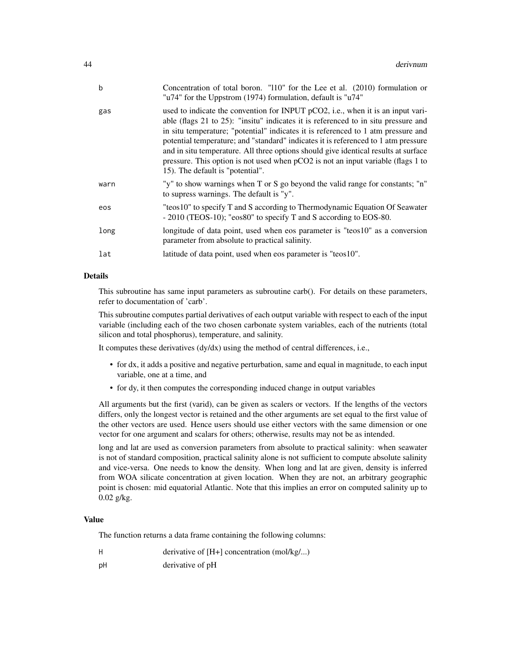| b    | Concentration of total boron. "110" for the Lee et al. (2010) formulation or<br>"u74" for the Uppstrom (1974) formulation, default is "u74"                                                                                                                                                                                                                                                                                                                                                                                                                     |
|------|-----------------------------------------------------------------------------------------------------------------------------------------------------------------------------------------------------------------------------------------------------------------------------------------------------------------------------------------------------------------------------------------------------------------------------------------------------------------------------------------------------------------------------------------------------------------|
| gas  | used to indicate the convention for INPUT pCO2, i.e., when it is an input vari-<br>able (flags 21 to 25): "insitu" indicates it is referenced to in situ pressure and<br>in situ temperature; "potential" indicates it is referenced to 1 atm pressure and<br>potential temperature; and "standard" indicates it is referenced to 1 atm pressure<br>and in situ temperature. All three options should give identical results at surface<br>pressure. This option is not used when pCO2 is not an input variable (flags 1 to<br>15). The default is "potential". |
| warn | "y" to show warnings when T or S go beyond the valid range for constants; "n"<br>to supress warnings. The default is "y".                                                                                                                                                                                                                                                                                                                                                                                                                                       |
| eos  | "teos10" to specify T and S according to Thermodynamic Equation Of Seawater<br>- 2010 (TEOS-10); "eos80" to specify T and S according to EOS-80.                                                                                                                                                                                                                                                                                                                                                                                                                |
| long | longitude of data point, used when eos parameter is "teos10" as a conversion<br>parameter from absolute to practical salinity.                                                                                                                                                                                                                                                                                                                                                                                                                                  |
| lat  | latitude of data point, used when eos parameter is "teos10".                                                                                                                                                                                                                                                                                                                                                                                                                                                                                                    |

# Details

This subroutine has same input parameters as subroutine carb(). For details on these parameters, refer to documentation of 'carb'.

This subroutine computes partial derivatives of each output variable with respect to each of the input variable (including each of the two chosen carbonate system variables, each of the nutrients (total silicon and total phosphorus), temperature, and salinity.

It computes these derivatives (dy/dx) using the method of central differences, i.e.,

- for dx, it adds a positive and negative perturbation, same and equal in magnitude, to each input variable, one at a time, and
- for dy, it then computes the corresponding induced change in output variables

All arguments but the first (varid), can be given as scalers or vectors. If the lengths of the vectors differs, only the longest vector is retained and the other arguments are set equal to the first value of the other vectors are used. Hence users should use either vectors with the same dimension or one vector for one argument and scalars for others; otherwise, results may not be as intended.

long and lat are used as conversion parameters from absolute to practical salinity: when seawater is not of standard composition, practical salinity alone is not sufficient to compute absolute salinity and vice-versa. One needs to know the density. When long and lat are given, density is inferred from WOA silicate concentration at given location. When they are not, an arbitrary geographic point is chosen: mid equatorial Atlantic. Note that this implies an error on computed salinity up to 0.02 g/kg.

#### Value

The function returns a data frame containing the following columns:

- H derivative of [H+] concentration (mol/kg/...)
- pH derivative of pH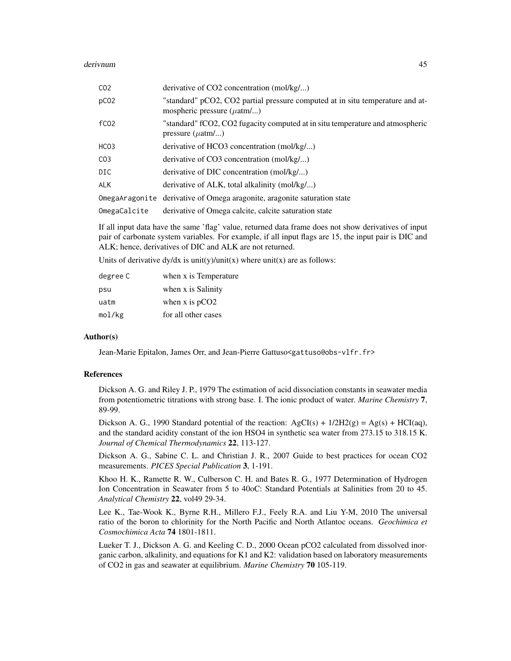| CO <sub>2</sub>  | derivative of $CO2$ concentration (mol/kg/)                                                                             |
|------------------|-------------------------------------------------------------------------------------------------------------------------|
| pCO <sub>2</sub> | "standard" pCO2, CO2 partial pressure computed at in situ temperature and at-<br>mospheric pressure $(\mu \text{atm}/)$ |
| fC <sub>02</sub> | "standard" fCO2, CO2 fugacity computed at in situ temperature and atmospheric<br>pressure $(\mu \text{atm}/)$           |
| HCO3             | derivative of HCO3 concentration (mol/kg/)                                                                              |
| CO <sub>3</sub>  | derivative of $CO3$ concentration (mol/kg/)                                                                             |
| <b>DIC</b>       | derivative of DIC concentration (mol/kg/)                                                                               |
| <b>ALK</b>       | derivative of ALK, total alkalinity (mol/kg/)                                                                           |
|                  | OmegaAragonite derivative of Omega aragonite, aragonite saturation state                                                |
| OmegaCalcite     | derivative of Omega calcite, calcite saturation state                                                                   |

If all input data have the same 'flag' value, returned data frame does not show derivatives of input pair of carbonate system variables. For example, if all input flags are 15, the input pair is DIC and ALK; hence, derivatives of DIC and ALK are not returned.

Units of derivative dy/dx is unit(y)/unit(x) where unit(x) are as follows:

| degree C | when x is Temperature |
|----------|-----------------------|
| psu      | when x is Salinity    |
| uatm     | when x is $pCO2$      |
| mol/kg   | for all other cases   |

#### Author(s)

Jean-Marie Epitalon, James Orr, and Jean-Pierre Gattuso<gattuso@obs-vlfr.fr>

#### **References**

Dickson A. G. and Riley J. P., 1979 The estimation of acid dissociation constants in seawater media from potentiometric titrations with strong base. I. The ionic product of water. *Marine Chemistry* 7, 89-99.

Dickson A. G., 1990 Standard potential of the reaction:  $AgCI(s) + 1/2H2(g) = Ag(s) + HCI(aq)$ , and the standard acidity constant of the ion HSO4 in synthetic sea water from 273.15 to 318.15 K. *Journal of Chemical Thermodynamics* 22, 113-127.

Dickson A. G., Sabine C. L. and Christian J. R., 2007 Guide to best practices for ocean CO2 measurements. *PICES Special Publication* 3, 1-191.

Khoo H. K., Ramette R. W., Culberson C. H. and Bates R. G., 1977 Determination of Hydrogen Ion Concentration in Seawater from 5 to 40oC: Standard Potentials at Salinities from 20 to 45. *Analytical Chemistry* 22, vol49 29-34.

Lee K., Tae-Wook K., Byrne R.H., Millero F.J., Feely R.A. and Liu Y-M, 2010 The universal ratio of the boron to chlorinity for the North Pacific and North Atlantoc oceans. *Geochimica et Cosmochimica Acta* 74 1801-1811.

Lueker T. J., Dickson A. G. and Keeling C. D., 2000 Ocean pCO2 calculated from dissolved inorganic carbon, alkalinity, and equations for K1 and K2: validation based on laboratory measurements of CO2 in gas and seawater at equilibrium. *Marine Chemistry* 70 105-119.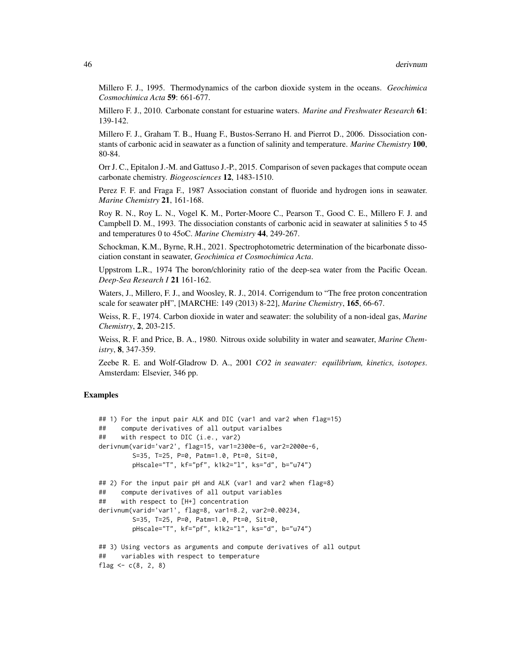Millero F. J., 1995. Thermodynamics of the carbon dioxide system in the oceans. *Geochimica Cosmochimica Acta* 59: 661-677.

Millero F. J., 2010. Carbonate constant for estuarine waters. *Marine and Freshwater Research* 61: 139-142.

Millero F. J., Graham T. B., Huang F., Bustos-Serrano H. and Pierrot D., 2006. Dissociation constants of carbonic acid in seawater as a function of salinity and temperature. *Marine Chemistry* 100, 80-84.

Orr J. C., Epitalon J.-M. and Gattuso J.-P., 2015. Comparison of seven packages that compute ocean carbonate chemistry. *Biogeosciences* 12, 1483-1510.

Perez F. F. and Fraga F., 1987 Association constant of fluoride and hydrogen ions in seawater. *Marine Chemistry* 21, 161-168.

Roy R. N., Roy L. N., Vogel K. M., Porter-Moore C., Pearson T., Good C. E., Millero F. J. and Campbell D. M., 1993. The dissociation constants of carbonic acid in seawater at salinities 5 to 45 and temperatures 0 to 45oC. *Marine Chemistry* 44, 249-267.

Schockman, K.M., Byrne, R.H., 2021. Spectrophotometric determination of the bicarbonate dissociation constant in seawater, *Geochimica et Cosmochimica Acta*.

Uppstrom L.R., 1974 The boron/chlorinity ratio of the deep-sea water from the Pacific Ocean. *Deep-Sea Research I* 21 161-162.

Waters, J., Millero, F. J., and Woosley, R. J., 2014. Corrigendum to "The free proton concentration scale for seawater pH", [MARCHE: 149 (2013) 8-22], *Marine Chemistry*, 165, 66-67.

Weiss, R. F., 1974. Carbon dioxide in water and seawater: the solubility of a non-ideal gas, *Marine Chemistry*, 2, 203-215.

Weiss, R. F. and Price, B. A., 1980. Nitrous oxide solubility in water and seawater, *Marine Chemistry*, 8, 347-359.

Zeebe R. E. and Wolf-Gladrow D. A., 2001 *CO2 in seawater: equilibrium, kinetics, isotopes*. Amsterdam: Elsevier, 346 pp.

# Examples

```
## 1) For the input pair ALK and DIC (var1 and var2 when flag=15)
## compute derivatives of all output varialbes
## with respect to DIC (i.e., var2)
derivnum(varid='var2', flag=15, var1=2300e-6, var2=2000e-6,
        S=35, T=25, P=0, Patm=1.0, Pt=0, Sit=0,
        pHscale="T", kf="pf", k1k2="l", ks="d", b="u74")
## 2) For the input pair pH and ALK (var1 and var2 when flag=8)
## compute derivatives of all output variables
## with respect to [H+] concentration
derivnum(varid='var1', flag=8, var1=8.2, var2=0.00234,
        S=35, T=25, P=0, Patm=1.0, Pt=0, Sit=0,
        pHscale="T", kf="pf", k1k2="l", ks="d", b="u74")
## 3) Using vectors as arguments and compute derivatives of all output
## variables with respect to temperature
flag <-c(8, 2, 8)
```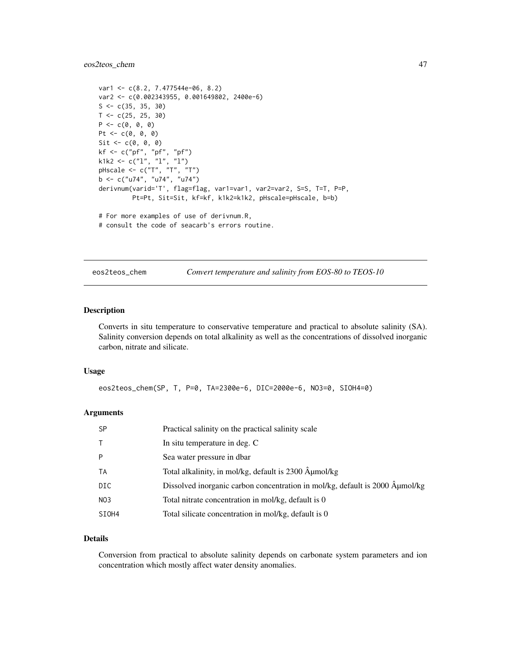# eos2teos\_chem 47

```
var1 <- c(8.2, 7.477544e-06, 8.2)
var2 <- c(0.002343955, 0.001649802, 2400e-6)
S \leftarrow c(35, 35, 30)T < -c(25, 25, 30)P \leftarrow c(0, 0, 0)Pt <- c(0, 0, 0)Sit \leftarrow c(0, 0, 0)kf <- c("pf", "pf", "pf")
k1k2 <- c("l", "l", "l")
pHscale <- c("T", "T", "T")
b <- c("u74", "u74", "u74")
derivnum(varid='T', flag=flag, var1=var1, var2=var2, S=S, T=T, P=P,
         Pt=Pt, Sit=Sit, kf=kf, k1k2=k1k2, pHscale=pHscale, b=b)
# For more examples of use of derivnum.R,
```

```
# consult the code of seacarb's errors routine.
```
eos2teos\_chem *Convert temperature and salinity from EOS-80 to TEOS-10*

### Description

Converts in situ temperature to conservative temperature and practical to absolute salinity (SA). Salinity conversion depends on total alkalinity as well as the concentrations of dissolved inorganic carbon, nitrate and silicate.

#### Usage

eos2teos\_chem(SP, T, P=0, TA=2300e-6, DIC=2000e-6, NO3=0, SIOH4=0)

# Arguments

| <b>SP</b>       | Practical salinity on the practical salinity scale                           |
|-----------------|------------------------------------------------------------------------------|
| $\top$          | In situ temperature in deg. C                                                |
| P               | Sea water pressure in dbar                                                   |
| TA              | Total alkalinity, in mol/kg, default is 2300 µmol/kg                         |
| DIC             | Dissolved inorganic carbon concentration in mol/kg, default is 2000 Âumol/kg |
| NO <sub>3</sub> | Total nitrate concentration in mol/kg, default is 0                          |
| SIOH4           | Total silicate concentration in mol/kg, default is 0                         |

# Details

Conversion from practical to absolute salinity depends on carbonate system parameters and ion concentration which mostly affect water density anomalies.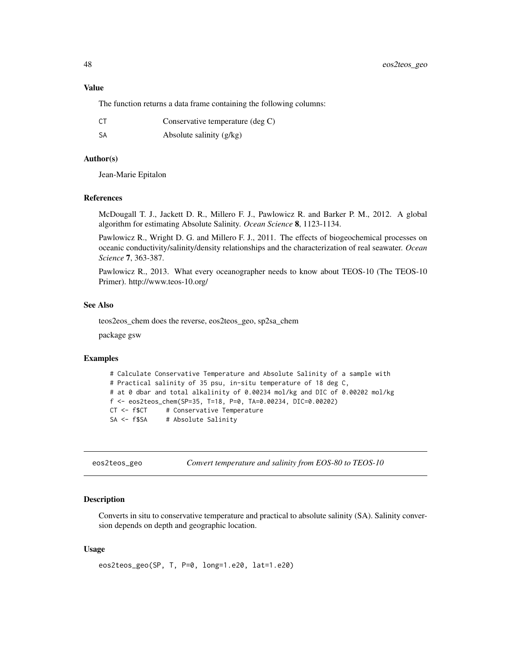# Value

The function returns a data frame containing the following columns:

| CT. | Conservative temperature $(\deg C)$ |
|-----|-------------------------------------|
| -SA | Absolute salinity $(g/kg)$          |

### Author(s)

Jean-Marie Epitalon

# References

McDougall T. J., Jackett D. R., Millero F. J., Pawlowicz R. and Barker P. M., 2012. A global algorithm for estimating Absolute Salinity. *Ocean Science* 8, 1123-1134.

Pawlowicz R., Wright D. G. and Millero F. J., 2011. The effects of biogeochemical processes on oceanic conductivity/salinity/density relationships and the characterization of real seawater. *Ocean Science* 7, 363-387.

Pawlowicz R., 2013. What every oceanographer needs to know about TEOS-10 (The TEOS-10 Primer). http://www.teos-10.org/

# See Also

teos2eos\_chem does the reverse, eos2teos\_geo, sp2sa\_chem

package gsw

### Examples

```
# Calculate Conservative Temperature and Absolute Salinity of a sample with
# Practical salinity of 35 psu, in-situ temperature of 18 deg C,
# at 0 dbar and total alkalinity of 0.00234 mol/kg and DIC of 0.00202 mol/kg
f <- eos2teos_chem(SP=35, T=18, P=0, TA=0.00234, DIC=0.00202)
CT <- f$CT # Conservative Temperature
SA <- f$SA # Absolute Salinity
```
eos2teos\_geo *Convert temperature and salinity from EOS-80 to TEOS-10*

### Description

Converts in situ to conservative temperature and practical to absolute salinity (SA). Salinity conversion depends on depth and geographic location.

### Usage

```
eos2teos_geo(SP, T, P=0, long=1.e20, lat=1.e20)
```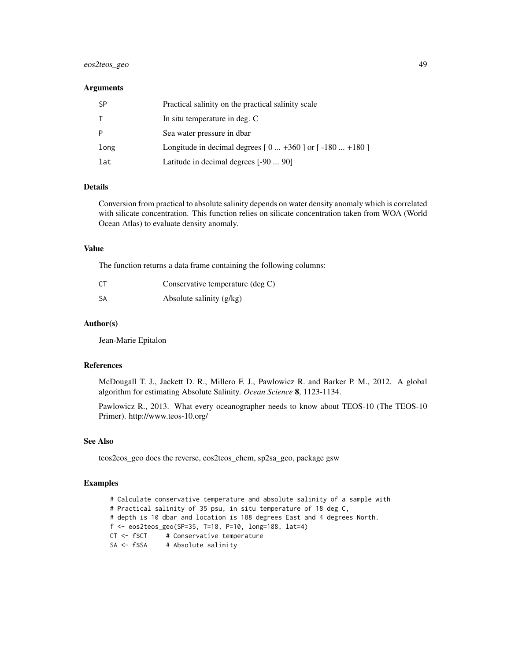# eos2teos\_geo 49

### **Arguments**

| <b>SP</b> | Practical salinity on the practical salinity scale     |
|-----------|--------------------------------------------------------|
| T.        | In situ temperature in deg. C                          |
| P         | Sea water pressure in dbar                             |
| long      | Longitude in decimal degrees $[0+360]$ or $[-180+180]$ |
| lat       | Latitude in decimal degrees [-90  90]                  |

### Details

Conversion from practical to absolute salinity depends on water density anomaly which is correlated with silicate concentration. This function relies on silicate concentration taken from WOA (World Ocean Atlas) to evaluate density anomaly.

#### Value

The function returns a data frame containing the following columns:

| CT. | Conservative temperature (deg C) |
|-----|----------------------------------|
| -SA | Absolute salinity $(g/kg)$       |

### Author(s)

Jean-Marie Epitalon

### References

McDougall T. J., Jackett D. R., Millero F. J., Pawlowicz R. and Barker P. M., 2012. A global algorithm for estimating Absolute Salinity. *Ocean Science* 8, 1123-1134.

Pawlowicz R., 2013. What every oceanographer needs to know about TEOS-10 (The TEOS-10 Primer). http://www.teos-10.org/

# See Also

teos2eos\_geo does the reverse, eos2teos\_chem, sp2sa\_geo, package gsw

# Examples

# Calculate conservative temperature and absolute salinity of a sample with # Practical salinity of 35 psu, in situ temperature of 18 deg C, # depth is 10 dbar and location is 188 degrees East and 4 degrees North. f <- eos2teos\_geo(SP=35, T=18, P=10, long=188, lat=4) CT <- f\$CT # Conservative temperature SA <- f\$SA # Absolute salinity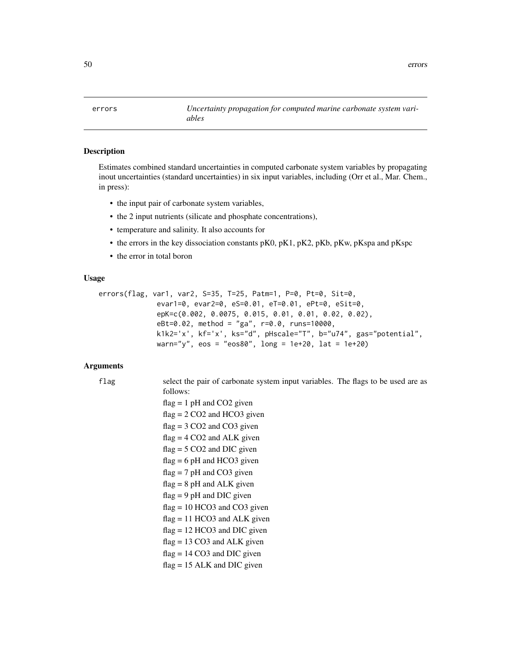50 errors

errors *Uncertainty propagation for computed marine carbonate system variables*

# Description

Estimates combined standard uncertainties in computed carbonate system variables by propagating inout uncertainties (standard uncertainties) in six input variables, including (Orr et al., Mar. Chem., in press):

- the input pair of carbonate system variables,
- the 2 input nutrients (silicate and phosphate concentrations),
- temperature and salinity. It also accounts for
- the errors in the key dissociation constants pK0, pK1, pK2, pKb, pKw, pKspa and pKspc
- the error in total boron

# Usage

```
errors(flag, var1, var2, S=35, T=25, Patm=1, P=0, Pt=0, Sit=0,
              evar1=0, evar2=0, eS=0.01, eT=0.01, ePt=0, eSit=0,
              epK=c(0.002, 0.0075, 0.015, 0.01, 0.01, 0.02, 0.02),
              eBt=0.02, method = "ga", r=0.0, runs=10000,
              k1k2='x', kf='x', ks="d", pHscale="T", b="u74", gas="potential",
              warn="y", eos = "eos80", long = 1e+20, lat = 1e+20)
```

```
flag select the pair of carbonate system input variables. The flags to be used are as
                 follows:
                 flag = 1 pH and CO2 given
                 flag = 2 CO2 and HCO3 given
                 flag = 3 CO2 and CO3 given
                 flag = 4 CO2 and ALK given
                 flag = 5 CO2 and DIC given
                 flag = 6 pH and HCO3 given
                 flag = 7 pH and CO3 given
                 flag = 8 pH and ALK given
                 flag = 9 pH and DIC given
                 flag = 10 HCO3 and CO3 given
                 flag = 11 HCO3 and ALK given
                 flag = 12 HCO3 and DIC given
                 flag = 13 CO3 and ALK given
                 flag = 14 CO3 and DIC given
                 flag = 15 ALK and DIC given
```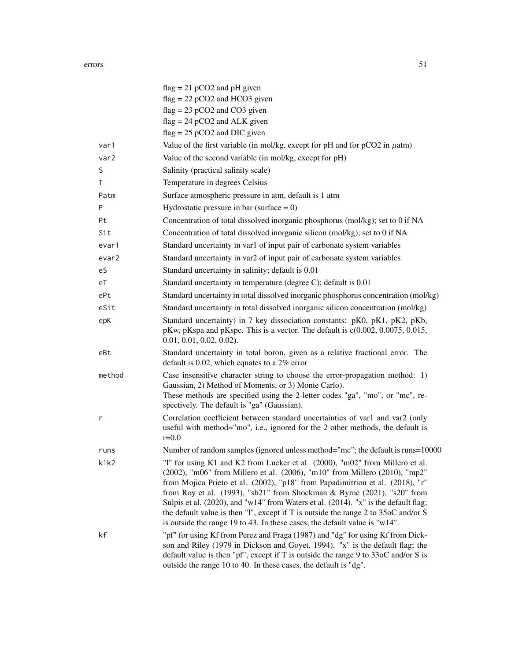|        | $flag = 21 pCO2$ and pH given                                                                                                                                                                                                                                                                                                                                                                                                                                                                                                                                                          |
|--------|----------------------------------------------------------------------------------------------------------------------------------------------------------------------------------------------------------------------------------------------------------------------------------------------------------------------------------------------------------------------------------------------------------------------------------------------------------------------------------------------------------------------------------------------------------------------------------------|
|        | $flag = 22 pCO2$ and HCO3 given                                                                                                                                                                                                                                                                                                                                                                                                                                                                                                                                                        |
|        | $flag = 23 pCO2$ and $CO3$ given                                                                                                                                                                                                                                                                                                                                                                                                                                                                                                                                                       |
|        | $flag = 24 pCO2$ and ALK given<br>$flag = 25 pCO2$ and DIC given                                                                                                                                                                                                                                                                                                                                                                                                                                                                                                                       |
|        |                                                                                                                                                                                                                                                                                                                                                                                                                                                                                                                                                                                        |
| var1   | Value of the first variable (in mol/kg, except for pH and for $pCO2$ in $\mu$ atm)                                                                                                                                                                                                                                                                                                                                                                                                                                                                                                     |
| var2   | Value of the second variable (in mol/kg, except for pH)                                                                                                                                                                                                                                                                                                                                                                                                                                                                                                                                |
| S      | Salinity (practical salinity scale)                                                                                                                                                                                                                                                                                                                                                                                                                                                                                                                                                    |
| Τ      | Temperature in degrees Celsius                                                                                                                                                                                                                                                                                                                                                                                                                                                                                                                                                         |
| Patm   | Surface atmospheric pressure in atm, default is 1 atm                                                                                                                                                                                                                                                                                                                                                                                                                                                                                                                                  |
| P      | Hydrostatic pressure in bar (surface $= 0$ )                                                                                                                                                                                                                                                                                                                                                                                                                                                                                                                                           |
| Pt     | Concentration of total dissolved inorganic phosphorus (mol/kg); set to 0 if NA                                                                                                                                                                                                                                                                                                                                                                                                                                                                                                         |
| Sit    | Concentration of total dissolved inorganic silicon (mol/kg); set to 0 if NA                                                                                                                                                                                                                                                                                                                                                                                                                                                                                                            |
| evar1  | Standard uncertainty in var1 of input pair of carbonate system variables                                                                                                                                                                                                                                                                                                                                                                                                                                                                                                               |
| evar2  | Standard uncertainty in var2 of input pair of carbonate system variables                                                                                                                                                                                                                                                                                                                                                                                                                                                                                                               |
| eS     | Standard uncertainty in salinity; default is 0.01                                                                                                                                                                                                                                                                                                                                                                                                                                                                                                                                      |
| еT     | Standard uncertainty in temperature (degree C); default is 0.01                                                                                                                                                                                                                                                                                                                                                                                                                                                                                                                        |
| ePt    | Standard uncertainty in total dissolved inorganic phosphorus concentration (mol/kg)                                                                                                                                                                                                                                                                                                                                                                                                                                                                                                    |
| eSit   | Standard uncertainty in total dissolved inorganic silicon concentration (mol/kg)                                                                                                                                                                                                                                                                                                                                                                                                                                                                                                       |
| epK    | Standard uncertainty) in 7 key dissociation constants: pK0, pK1, pK2, pKb,<br>pKw, pKspa and pKspc. This is a vector. The default is $c(0.002, 0.0075, 0.015, 0.015)$<br>$0.01, 0.01, 0.02, 0.02$ ).                                                                                                                                                                                                                                                                                                                                                                                   |
| eBt    | Standard uncertainty in total boron, given as a relative fractional error. The<br>default is 0.02, which equates to a $2\%$ error                                                                                                                                                                                                                                                                                                                                                                                                                                                      |
| method | Case insensitive character string to choose the error-propagation method: 1)<br>Gaussian, 2) Method of Moments, or 3) Monte Carlo).<br>These methods are specified using the 2-letter codes "ga", "mo", or "mc", re-<br>spectively. The default is "ga" (Gaussian).                                                                                                                                                                                                                                                                                                                    |
| r      | Correlation coefficient between standard uncertainties of var1 and var2 (only<br>useful with method="mo", i.e., ignored for the 2 other methods, the default is<br>$r = 0.0$                                                                                                                                                                                                                                                                                                                                                                                                           |
| runs   | Number of random samples (ignored unless method="mc"; the default is runs=10000                                                                                                                                                                                                                                                                                                                                                                                                                                                                                                        |
| k1k2   | "1" for using K1 and K2 from Lueker et al. (2000), "m02" from Millero et al.<br>(2002), "m06" from Millero et al. (2006), "m10" from Millero (2010), "mp2"<br>from Mojica Prieto et al. (2002), "p18" from Papadimitriou et al. (2018), "r"<br>from Roy et al. (1993), "sb21" from Shockman & Byrne (2021), "s20" from<br>Sulpis et al. (2020), and "w14" from Waters et al. (2014). "x" is the default flag;<br>the default value is then "1", except if T is outside the range $2$ to $35$ oC and/or S<br>is outside the range 19 to 43. In these cases, the default value is "w14". |
| kf     | "pf" for using Kf from Perez and Fraga (1987) and "dg" for using Kf from Dick-<br>son and Riley (1979 in Dickson and Goyet, 1994). "x" is the default flag; the<br>default value is then "pf", except if T is outside the range 9 to 33oC and/or S is<br>outside the range 10 to 40. In these cases, the default is "dg".                                                                                                                                                                                                                                                              |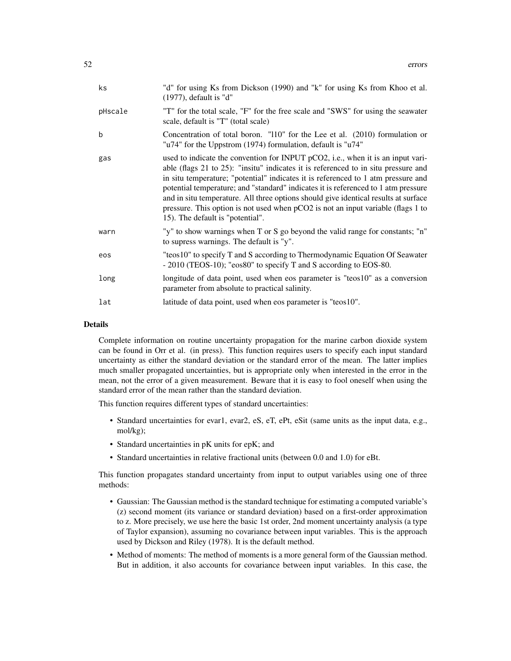| ks      | "d" for using Ks from Dickson (1990) and "k" for using Ks from Khoo et al.<br>$(1977)$ , default is "d"                                                                                                                                                                                                                                                                                                                                                                                                                                                         |
|---------|-----------------------------------------------------------------------------------------------------------------------------------------------------------------------------------------------------------------------------------------------------------------------------------------------------------------------------------------------------------------------------------------------------------------------------------------------------------------------------------------------------------------------------------------------------------------|
| pHscale | "T" for the total scale, "F" for the free scale and "SWS" for using the seawater<br>scale, default is "T" (total scale)                                                                                                                                                                                                                                                                                                                                                                                                                                         |
| b       | Concentration of total boron. "110" for the Lee et al. $(2010)$ formulation or<br>"u74" for the Uppstrom (1974) formulation, default is "u74"                                                                                                                                                                                                                                                                                                                                                                                                                   |
| gas     | used to indicate the convention for INPUT pCO2, i.e., when it is an input vari-<br>able (flags 21 to 25): "insitu" indicates it is referenced to in situ pressure and<br>in situ temperature; "potential" indicates it is referenced to 1 atm pressure and<br>potential temperature; and "standard" indicates it is referenced to 1 atm pressure<br>and in situ temperature. All three options should give identical results at surface<br>pressure. This option is not used when pCO2 is not an input variable (flags 1 to<br>15). The default is "potential". |
| warn    | "y" to show warnings when T or S go beyond the valid range for constants; "n"<br>to supress warnings. The default is "y".                                                                                                                                                                                                                                                                                                                                                                                                                                       |
| eos     | "teos10" to specify T and S according to Thermodynamic Equation Of Seawater<br>- 2010 (TEOS-10); "eos80" to specify T and S according to EOS-80.                                                                                                                                                                                                                                                                                                                                                                                                                |
| long    | longitude of data point, used when eos parameter is "teos10" as a conversion<br>parameter from absolute to practical salinity.                                                                                                                                                                                                                                                                                                                                                                                                                                  |
| lat     | latitude of data point, used when eos parameter is "teos10".                                                                                                                                                                                                                                                                                                                                                                                                                                                                                                    |

### Details

Complete information on routine uncertainty propagation for the marine carbon dioxide system can be found in Orr et al. (in press). This function requires users to specify each input standard uncertainty as either the standard deviation or the standard error of the mean. The latter implies much smaller propagated uncertainties, but is appropriate only when interested in the error in the mean, not the error of a given measurement. Beware that it is easy to fool oneself when using the standard error of the mean rather than the standard deviation.

This function requires different types of standard uncertainties:

- Standard uncertainties for evar1, evar2, eS, eT, ePt, eSit (same units as the input data, e.g., mol/kg);
- Standard uncertainties in pK units for epK; and
- Standard uncertainties in relative fractional units (between 0.0 and 1.0) for eBt.

This function propagates standard uncertainty from input to output variables using one of three methods:

- Gaussian: The Gaussian method is the standard technique for estimating a computed variable's (z) second moment (its variance or standard deviation) based on a first-order approximation to z. More precisely, we use here the basic 1st order, 2nd moment uncertainty analysis (a type of Taylor expansion), assuming no covariance between input variables. This is the approach used by Dickson and Riley (1978). It is the default method.
- Method of moments: The method of moments is a more general form of the Gaussian method. But in addition, it also accounts for covariance between input variables. In this case, the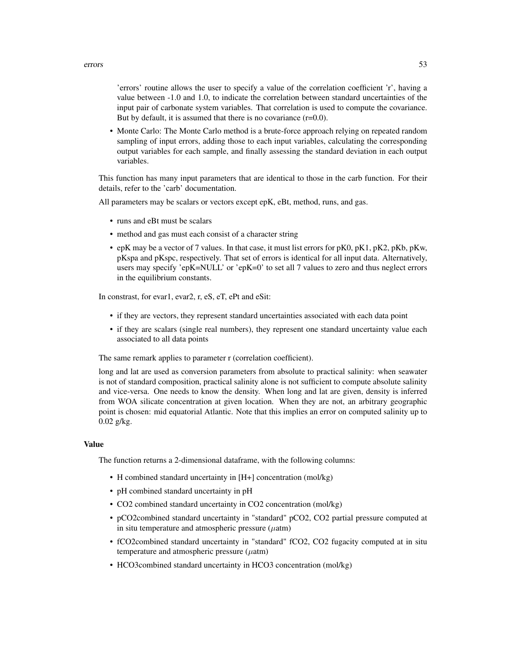'errors' routine allows the user to specify a value of the correlation coefficient 'r', having a value between -1.0 and 1.0, to indicate the correlation between standard uncertainties of the input pair of carbonate system variables. That correlation is used to compute the covariance. But by default, it is assumed that there is no covariance  $(r=0.0)$ .

• Monte Carlo: The Monte Carlo method is a brute-force approach relying on repeated random sampling of input errors, adding those to each input variables, calculating the corresponding output variables for each sample, and finally assessing the standard deviation in each output variables.

This function has many input parameters that are identical to those in the carb function. For their details, refer to the 'carb' documentation.

All parameters may be scalars or vectors except epK, eBt, method, runs, and gas.

- runs and eBt must be scalars
- method and gas must each consist of a character string
- epK may be a vector of 7 values. In that case, it must list errors for pK0, pK1, pK2, pKb, pKw, pKspa and pKspc, respectively. That set of errors is identical for all input data. Alternatively, users may specify 'epK=NULL' or 'epK=0' to set all 7 values to zero and thus neglect errors in the equilibrium constants.

In constrast, for evar1, evar2, r, eS, eT, ePt and eSit:

- if they are vectors, they represent standard uncertainties associated with each data point
- if they are scalars (single real numbers), they represent one standard uncertainty value each associated to all data points

The same remark applies to parameter r (correlation coefficient).

long and lat are used as conversion parameters from absolute to practical salinity: when seawater is not of standard composition, practical salinity alone is not sufficient to compute absolute salinity and vice-versa. One needs to know the density. When long and lat are given, density is inferred from WOA silicate concentration at given location. When they are not, an arbitrary geographic point is chosen: mid equatorial Atlantic. Note that this implies an error on computed salinity up to 0.02 g/kg.

### Value

The function returns a 2-dimensional dataframe, with the following columns:

- H combined standard uncertainty in [H+] concentration (mol/kg)
- pH combined standard uncertainty in pH
- CO2 combined standard uncertainty in CO2 concentration (mol/kg)
- pCO2combined standard uncertainty in "standard" pCO2, CO2 partial pressure computed at in situ temperature and atmospheric pressure  $(\mu$ atm)
- fCO2combined standard uncertainty in "standard" fCO2, CO2 fugacity computed at in situ temperature and atmospheric pressure  $(\mu$ atm)
- HCO3combined standard uncertainty in HCO3 concentration (mol/kg)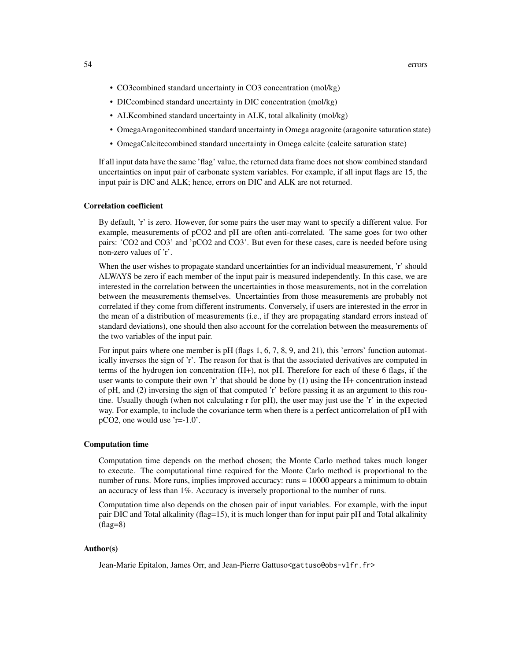- CO3combined standard uncertainty in CO3 concentration (mol/kg)
- DICcombined standard uncertainty in DIC concentration (mol/kg)
- ALKcombined standard uncertainty in ALK, total alkalinity (mol/kg)
- OmegaAragonitecombined standard uncertainty in Omega aragonite (aragonite saturation state)
- OmegaCalcitecombined standard uncertainty in Omega calcite (calcite saturation state)

If all input data have the same 'flag' value, the returned data frame does not show combined standard uncertainties on input pair of carbonate system variables. For example, if all input flags are 15, the input pair is DIC and ALK; hence, errors on DIC and ALK are not returned.

### Correlation coefficient

By default, 'r' is zero. However, for some pairs the user may want to specify a different value. For example, measurements of pCO2 and pH are often anti-correlated. The same goes for two other pairs: 'CO2 and CO3' and 'pCO2 and CO3'. But even for these cases, care is needed before using non-zero values of 'r'.

When the user wishes to propagate standard uncertainties for an individual measurement, 'r' should ALWAYS be zero if each member of the input pair is measured independently. In this case, we are interested in the correlation between the uncertainties in those measurements, not in the correlation between the measurements themselves. Uncertainties from those measurements are probably not correlated if they come from different instruments. Conversely, if users are interested in the error in the mean of a distribution of measurements (i.e., if they are propagating standard errors instead of standard deviations), one should then also account for the correlation between the measurements of the two variables of the input pair.

For input pairs where one member is pH (flags 1, 6, 7, 8, 9, and 21), this 'errors' function automatically inverses the sign of 'r'. The reason for that is that the associated derivatives are computed in terms of the hydrogen ion concentration (H+), not pH. Therefore for each of these 6 flags, if the user wants to compute their own 'r' that should be done by (1) using the H+ concentration instead of pH, and (2) inversing the sign of that computed 'r' before passing it as an argument to this routine. Usually though (when not calculating r for pH), the user may just use the 'r' in the expected way. For example, to include the covariance term when there is a perfect anticorrelation of pH with pCO2, one would use 'r=-1.0'.

### Computation time

Computation time depends on the method chosen; the Monte Carlo method takes much longer to execute. The computational time required for the Monte Carlo method is proportional to the number of runs. More runs, implies improved accuracy: runs = 10000 appears a minimum to obtain an accuracy of less than 1%. Accuracy is inversely proportional to the number of runs.

Computation time also depends on the chosen pair of input variables. For example, with the input pair DIC and Total alkalinity (flag=15), it is much longer than for input pair pH and Total alkalinity  $(hag=8)$ 

### Author(s)

Jean-Marie Epitalon, James Orr, and Jean-Pierre Gattuso<gattuso@obs-vlfr.fr>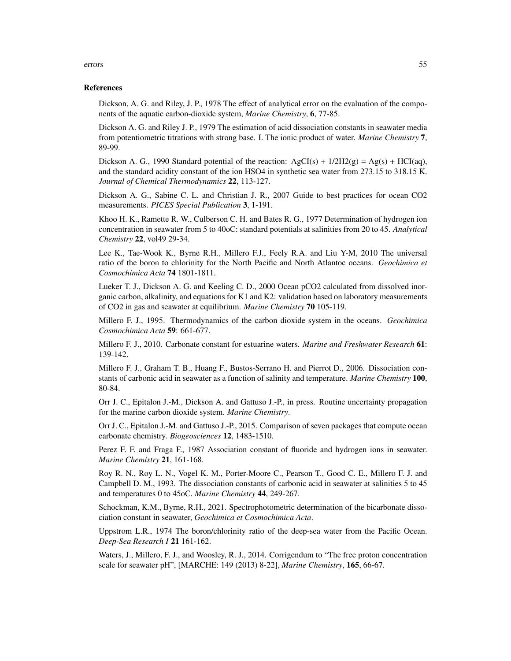### errors 55

#### References

Dickson, A. G. and Riley, J. P., 1978 The effect of analytical error on the evaluation of the components of the aquatic carbon-dioxide system, *Marine Chemistry*, 6, 77-85.

Dickson A. G. and Riley J. P., 1979 The estimation of acid dissociation constants in seawater media from potentiometric titrations with strong base. I. The ionic product of water. *Marine Chemistry* 7, 89-99.

Dickson A. G., 1990 Standard potential of the reaction:  $AgCI(s) + 1/2H2(g) = Ag(s) + HCI(aq)$ , and the standard acidity constant of the ion HSO4 in synthetic sea water from 273.15 to 318.15 K. *Journal of Chemical Thermodynamics* 22, 113-127.

Dickson A. G., Sabine C. L. and Christian J. R., 2007 Guide to best practices for ocean CO2 measurements. *PICES Special Publication* 3, 1-191.

Khoo H. K., Ramette R. W., Culberson C. H. and Bates R. G., 1977 Determination of hydrogen ion concentration in seawater from 5 to 40oC: standard potentials at salinities from 20 to 45. *Analytical Chemistry* 22, vol49 29-34.

Lee K., Tae-Wook K., Byrne R.H., Millero F.J., Feely R.A. and Liu Y-M, 2010 The universal ratio of the boron to chlorinity for the North Pacific and North Atlantoc oceans. *Geochimica et Cosmochimica Acta* 74 1801-1811.

Lueker T. J., Dickson A. G. and Keeling C. D., 2000 Ocean pCO2 calculated from dissolved inorganic carbon, alkalinity, and equations for K1 and K2: validation based on laboratory measurements of CO2 in gas and seawater at equilibrium. *Marine Chemistry* 70 105-119.

Millero F. J., 1995. Thermodynamics of the carbon dioxide system in the oceans. *Geochimica Cosmochimica Acta* 59: 661-677.

Millero F. J., 2010. Carbonate constant for estuarine waters. *Marine and Freshwater Research* 61: 139-142.

Millero F. J., Graham T. B., Huang F., Bustos-Serrano H. and Pierrot D., 2006. Dissociation constants of carbonic acid in seawater as a function of salinity and temperature. *Marine Chemistry* 100, 80-84.

Orr J. C., Epitalon J.-M., Dickson A. and Gattuso J.-P., in press. Routine uncertainty propagation for the marine carbon dioxide system. *Marine Chemistry*.

Orr J. C., Epitalon J.-M. and Gattuso J.-P., 2015. Comparison of seven packages that compute ocean carbonate chemistry. *Biogeosciences* 12, 1483-1510.

Perez F. F. and Fraga F., 1987 Association constant of fluoride and hydrogen ions in seawater. *Marine Chemistry* 21, 161-168.

Roy R. N., Roy L. N., Vogel K. M., Porter-Moore C., Pearson T., Good C. E., Millero F. J. and Campbell D. M., 1993. The dissociation constants of carbonic acid in seawater at salinities 5 to 45 and temperatures 0 to 45oC. *Marine Chemistry* 44, 249-267.

Schockman, K.M., Byrne, R.H., 2021. Spectrophotometric determination of the bicarbonate dissociation constant in seawater, *Geochimica et Cosmochimica Acta*.

Uppstrom L.R., 1974 The boron/chlorinity ratio of the deep-sea water from the Pacific Ocean. *Deep-Sea Research I* 21 161-162.

Waters, J., Millero, F. J., and Woosley, R. J., 2014. Corrigendum to "The free proton concentration scale for seawater pH", [MARCHE: 149 (2013) 8-22], *Marine Chemistry*, 165, 66-67.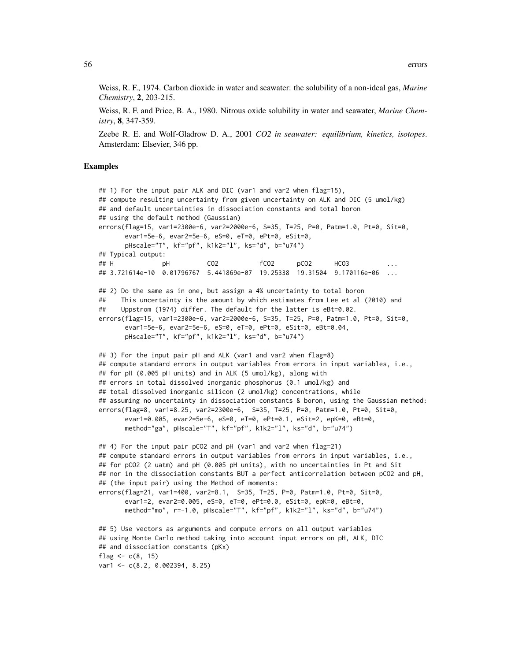Weiss, R. F., 1974. Carbon dioxide in water and seawater: the solubility of a non-ideal gas, *Marine Chemistry*, 2, 203-215.

Weiss, R. F. and Price, B. A., 1980. Nitrous oxide solubility in water and seawater, *Marine Chemistry*, 8, 347-359.

Zeebe R. E. and Wolf-Gladrow D. A., 2001 *CO2 in seawater: equilibrium, kinetics, isotopes*. Amsterdam: Elsevier, 346 pp.

### Examples

```
## 1) For the input pair ALK and DIC (var1 and var2 when flag=15),
## compute resulting uncertainty from given uncertainty on ALK and DIC (5 umol/kg)
## and default uncertainties in dissociation constants and total boron
## using the default method (Gaussian)
errors(flag=15, var1=2300e-6, var2=2000e-6, S=35, T=25, P=0, Patm=1.0, Pt=0, Sit=0,
      evar1=5e-6, evar2=5e-6, eS=0, eT=0, ePt=0, eSit=0,
      pHscale="T", kf="pf", k1k2="l", ks="d", b="u74")
## Typical output:
## H pH CO2 fCO2 pCO2 HCO3 ...
## 3.721614e-10 0.01796767 5.441869e-07 19.25338 19.31504 9.170116e-06 ...
## 2) Do the same as in one, but assign a 4% uncertainty to total boron
## This uncertainty is the amount by which estimates from Lee et al (2010) and
## Uppstrom (1974) differ. The default for the latter is eBt=0.02.
errors(flag=15, var1=2300e-6, var2=2000e-6, S=35, T=25, P=0, Patm=1.0, Pt=0, Sit=0,
      evar1=5e-6, evar2=5e-6, eS=0, eT=0, ePt=0, eSit=0, eBt=0.04,
      pHscale="T", kf="pf", k1k2="l", ks="d", b="u74")
## 3) For the input pair pH and ALK (var1 and var2 when flag=8)
## compute standard errors in output variables from errors in input variables, i.e.,
## for pH (0.005 pH units) and in ALK (5 umol/kg), along with
## errors in total dissolved inorganic phosphorus (0.1 umol/kg) and
## total dissolved inorganic silicon (2 umol/kg) concentrations, while
## assuming no uncertainty in dissociation constants & boron, using the Gaussian method:
errors(flag=8, var1=8.25, var2=2300e-6, S=35, T=25, P=0, Patm=1.0, Pt=0, Sit=0,
      evar1=0.005, evar2=5e-6, eS=0, eT=0, ePt=0.1, eSit=2, epK=0, eBt=0,
      method="ga", pHscale="T", kf="pf", k1k2="l", ks="d", b="u74")
## 4) For the input pair pCO2 and pH (var1 and var2 when flag=21)
## compute standard errors in output variables from errors in input variables, i.e.,
## for pCO2 (2 uatm) and pH (0.005 pH units), with no uncertainties in Pt and Sit
## nor in the dissociation constants BUT a perfect anticorrelation between pCO2 and pH,
## (the input pair) using the Method of moments:
errors(flag=21, var1=400, var2=8.1, S=35, T=25, P=0, Patm=1.0, Pt=0, Sit=0,
      evar1=2, evar2=0.005, eS=0, eT=0, ePt=0.0, eSit=0, epK=0, eBt=0,
      method="mo", r=-1.0, pHscale="T", kf="pf", k1k2="l", ks="d", b="u74")
## 5) Use vectors as arguments and compute errors on all output variables
## using Monte Carlo method taking into account input errors on pH, ALK, DIC
## and dissociation constants (pKx)
flag <- c(8, 15)
var1 <- c(8.2, 0.002394, 8.25)
```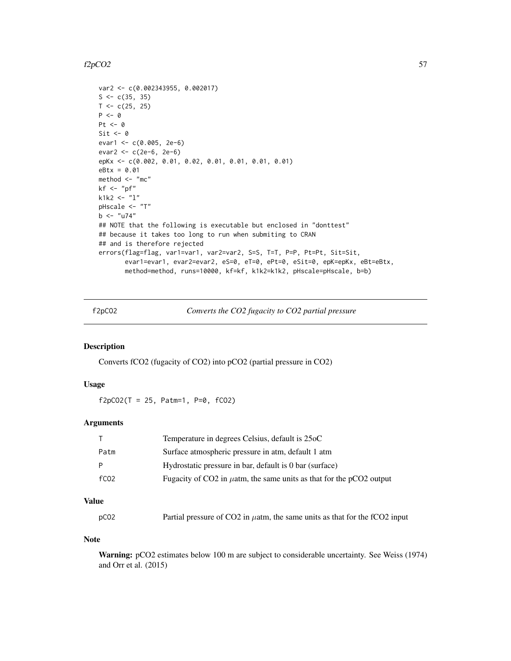#### f2pCO2  $57$

```
var2 <- c(0.002343955, 0.002017)
S \leftarrow c(35, 35)T < -c(25, 25)P \leftarrow \emptysetPt < -0Sit \leftarrow 0
evar1 <- c(0.005, 2e-6)
evar2 <- c(2e-6, 2e-6)
epKx <- c(0.002, 0.01, 0.02, 0.01, 0.01, 0.01, 0.01)
eBtx = 0.01
method <- "mc"
kf \leftarrow "pf"
k1k2 <- "l"
pHscale <- "T"
b <- "u74"
## NOTE that the following is executable but enclosed in "donttest"
## because it takes too long to run when submiting to CRAN
## and is therefore rejected
errors(flag=flag, var1=var1, var2=var2, S=S, T=T, P=P, Pt=Pt, Sit=Sit,
       evar1=evar1, evar2=evar2, eS=0, eT=0, ePt=0, eSit=0, epK=epKx, eBt=eBtx,
       method=method, runs=10000, kf=kf, k1k2=k1k2, pHscale=pHscale, b=b)
```
<span id="page-56-0"></span>f2pCO2 *Converts the CO2 fugacity to CO2 partial pressure*

### Description

Converts fCO2 (fugacity of CO2) into pCO2 (partial pressure in CO2)

#### Usage

 $f2pCO2(T = 25, Patm=1, P=0, fCO2)$ 

### Arguments

|                  | Temperature in degrees Celsius, default is 25oC                          |
|------------------|--------------------------------------------------------------------------|
| Patm             | Surface atmospheric pressure in atm, default 1 atm                       |
|                  | Hydrostatic pressure in bar, default is 0 bar (surface)                  |
| fC <sub>02</sub> | Fugacity of CO2 in $\mu$ atm, the same units as that for the pCO2 output |
|                  |                                                                          |

# Value

| pC <sub>02</sub> | Partial pressure of CO2 in $\mu$ atm, the same units as that for the fCO2 input |
|------------------|---------------------------------------------------------------------------------|
|------------------|---------------------------------------------------------------------------------|

# Note

Warning: pCO2 estimates below 100 m are subject to considerable uncertainty. See Weiss (1974) and Orr et al. (2015)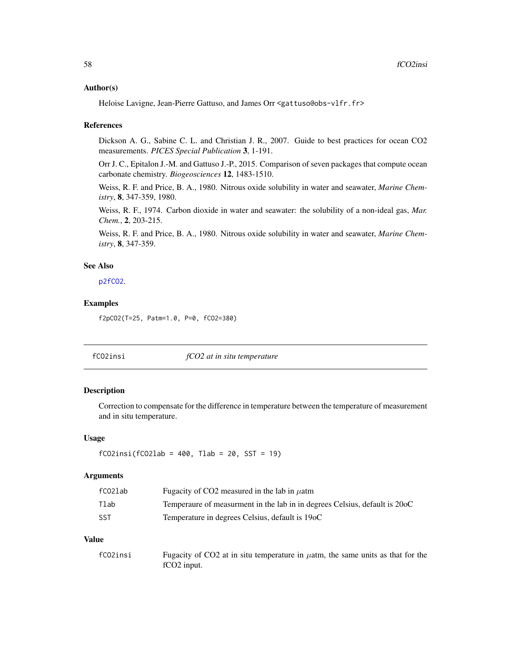### Author(s)

Heloise Lavigne, Jean-Pierre Gattuso, and James Orr <gattuso@obs-vlfr.fr>

### References

Dickson A. G., Sabine C. L. and Christian J. R., 2007. Guide to best practices for ocean CO2 measurements. *PICES Special Publication* 3, 1-191.

Orr J. C., Epitalon J.-M. and Gattuso J.-P., 2015. Comparison of seven packages that compute ocean carbonate chemistry. *Biogeosciences* 12, 1483-1510.

Weiss, R. F. and Price, B. A., 1980. Nitrous oxide solubility in water and seawater, *Marine Chemistry*, 8, 347-359, 1980.

Weiss, R. F., 1974. Carbon dioxide in water and seawater: the solubility of a non-ideal gas, *Mar. Chem.*, 2, 203-215.

Weiss, R. F. and Price, B. A., 1980. Nitrous oxide solubility in water and seawater, *Marine Chemistry*, 8, 347-359.

# See Also

[p2fCO2](#page-93-0).

### Examples

f2pCO2(T=25, Patm=1.0, P=0, fCO2=380)

fCO2insi *fCO2 at in situ temperature*

# Description

Correction to compensate for the difference in temperature between the temperature of measurement and in situ temperature.

### Usage

```
fCO2insi(fCO2lab = 400, Tlab = 20, SST = 19)
```
# Arguments

| fCO2lab | Fugacity of CO2 measured in the lab in $\mu$ atm                           |
|---------|----------------------------------------------------------------------------|
| Tlab    | Temperaure of measurment in the lab in in degrees Celsius, default is 20oC |
| -SST    | Temperature in degrees Celsius, default is 19oC                            |

### Value

| fCO2insi | Fugacity of CO2 at in situ temperature in $\mu$ atm, the same units as that for the |
|----------|-------------------------------------------------------------------------------------|
|          | fCO <sub>2</sub> input.                                                             |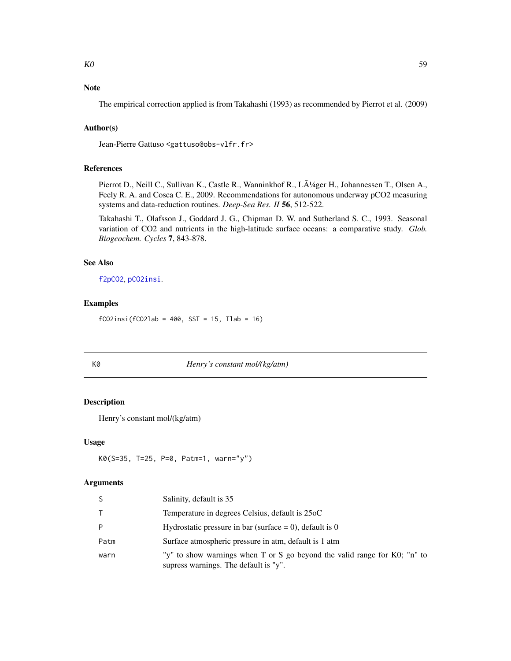# Note

The empirical correction applied is from Takahashi (1993) as recommended by Pierrot et al. (2009)

# Author(s)

Jean-Pierre Gattuso <gattuso@obs-vlfr.fr>

# References

Pierrot D., Neill C., Sullivan K., Castle R., Wanninkhof R., LÄ<sup>1</sup>/4ger H., Johannessen T., Olsen A., Feely R. A. and Cosca C. E., 2009. Recommendations for autonomous underway pCO2 measuring systems and data-reduction routines. *Deep-Sea Res. II* 56, 512-522.

Takahashi T., Olafsson J., Goddard J. G., Chipman D. W. and Sutherland S. C., 1993. Seasonal variation of CO2 and nutrients in the high-latitude surface oceans: a comparative study. *Glob. Biogeochem. Cycles* 7, 843-878.

# See Also

[f2pCO2](#page-56-0), [pCO2insi](#page-100-0).

### Examples

 $fCO2insi(fCO2lab = 400, SST = 15, Tlab = 16)$ 

#### K0 *Henry's constant mol/(kg/atm)*

# Description

Henry's constant mol/(kg/atm)

#### Usage

```
K0(S=35, T=25, P=0, Patm=1, warn="y")
```

| <sub>S</sub> | Salinity, default is 35                                                                                            |
|--------------|--------------------------------------------------------------------------------------------------------------------|
| $\top$       | Temperature in degrees Celsius, default is 25oC                                                                    |
| P            | Hydrostatic pressure in bar (surface $= 0$ ), default is 0                                                         |
| Patm         | Surface atmospheric pressure in atm, default is 1 atm                                                              |
| warn         | "y" to show warnings when T or S go beyond the valid range for K0; "n" to<br>supress warnings. The default is "y". |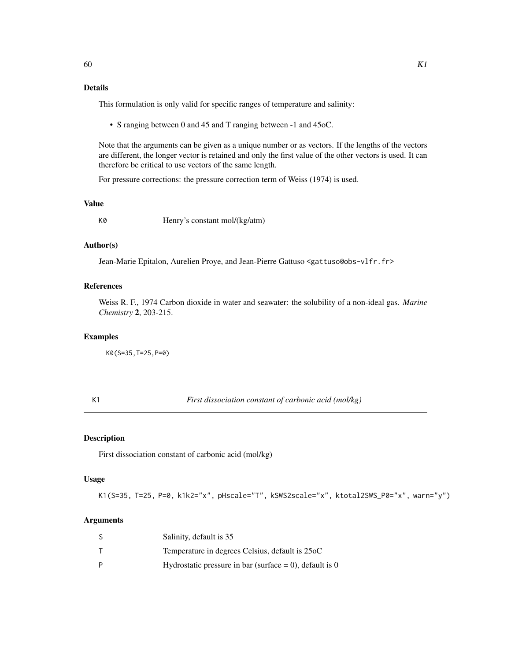# Details

This formulation is only valid for specific ranges of temperature and salinity:

• S ranging between 0 and 45 and T ranging between -1 and 45oC.

Note that the arguments can be given as a unique number or as vectors. If the lengths of the vectors are different, the longer vector is retained and only the first value of the other vectors is used. It can therefore be critical to use vectors of the same length.

For pressure corrections: the pressure correction term of Weiss (1974) is used.

# Value

K0 Henry's constant mol/(kg/atm)

### Author(s)

Jean-Marie Epitalon, Aurelien Proye, and Jean-Pierre Gattuso <gattuso@obs-vlfr.fr>

### References

Weiss R. F., 1974 Carbon dioxide in water and seawater: the solubility of a non-ideal gas. *Marine Chemistry* 2, 203-215.

#### Examples

K0(S=35,T=25,P=0)

<span id="page-59-0"></span>

K1 *First dissociation constant of carbonic acid (mol/kg)*

#### Description

First dissociation constant of carbonic acid (mol/kg)

### Usage

K1(S=35, T=25, P=0, k1k2="x", pHscale="T", kSWS2scale="x", ktotal2SWS\_P0="x", warn="y")

| S | Salinity, default is 35                                    |
|---|------------------------------------------------------------|
|   | Temperature in degrees Celsius, default is 25oC            |
| D | Hydrostatic pressure in bar (surface $= 0$ ), default is 0 |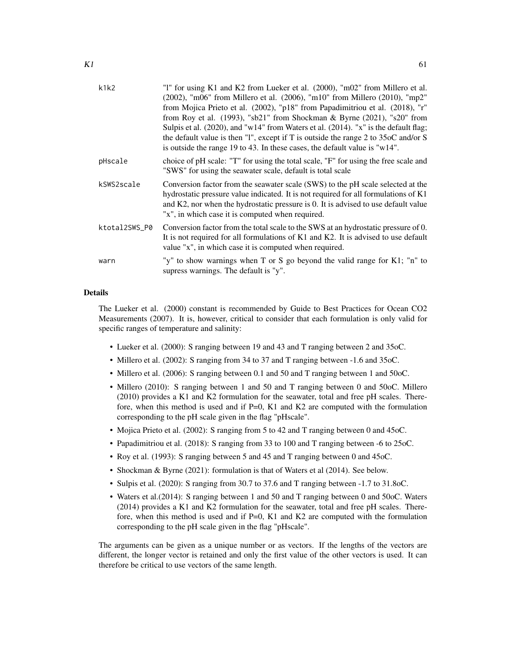| k1k2          | "1" for using K1 and K2 from Lueker et al. (2000), "m02" from Millero et al.<br>(2002), "m06" from Millero et al. (2006), "m10" from Millero (2010), "mp2"<br>from Mojica Prieto et al. (2002), "p18" from Papadimitriou et al. (2018), "r"<br>from Roy et al. (1993), "sb21" from Shockman & Byrne (2021), "s20" from<br>Sulpis et al. (2020), and "w14" from Waters et al. (2014). "x" is the default flag;<br>the default value is then "1", except if T is outside the range 2 to $35\text{oC}$ and/or S<br>is outside the range 19 to 43. In these cases, the default value is " $w14$ ". |
|---------------|------------------------------------------------------------------------------------------------------------------------------------------------------------------------------------------------------------------------------------------------------------------------------------------------------------------------------------------------------------------------------------------------------------------------------------------------------------------------------------------------------------------------------------------------------------------------------------------------|
| pHscale       | choice of pH scale: "T" for using the total scale, "F" for using the free scale and<br>"SWS" for using the seawater scale, default is total scale                                                                                                                                                                                                                                                                                                                                                                                                                                              |
| kSWS2scale    | Conversion factor from the seawater scale (SWS) to the pH scale selected at the<br>hydrostatic pressure value indicated. It is not required for all formulations of K1<br>and K2, nor when the hydrostatic pressure is 0. It is advised to use default value<br>"x", in which case it is computed when required.                                                                                                                                                                                                                                                                               |
| ktotal2SWS_P0 | Conversion factor from the total scale to the SWS at an hydrostatic pressure of 0.<br>It is not required for all formulations of K1 and K2. It is advised to use default<br>value "x", in which case it is computed when required.                                                                                                                                                                                                                                                                                                                                                             |
| warn          | "y" to show warnings when T or S go beyond the valid range for K1; "n" to<br>supress warnings. The default is "y".                                                                                                                                                                                                                                                                                                                                                                                                                                                                             |

### Details

The Lueker et al. (2000) constant is recommended by Guide to Best Practices for Ocean CO2 Measurements (2007). It is, however, critical to consider that each formulation is only valid for specific ranges of temperature and salinity:

- Lueker et al. (2000): S ranging between 19 and 43 and T ranging between 2 and 35oC.
- Millero et al. (2002): S ranging from 34 to 37 and T ranging between -1.6 and 35oC.
- Millero et al. (2006): S ranging between 0.1 and 50 and T ranging between 1 and 50oC.
- Millero (2010): S ranging between 1 and 50 and T ranging between 0 and 50oC. Millero (2010) provides a K1 and K2 formulation for the seawater, total and free pH scales. Therefore, when this method is used and if P=0, K1 and K2 are computed with the formulation corresponding to the pH scale given in the flag "pHscale".
- Mojica Prieto et al. (2002): S ranging from 5 to 42 and T ranging between 0 and 45oC.
- Papadimitriou et al. (2018): S ranging from 33 to 100 and T ranging between -6 to 25oC.
- Roy et al. (1993): S ranging between 5 and 45 and T ranging between 0 and 45oC.
- Shockman & Byrne (2021): formulation is that of Waters et al (2014). See below.
- Sulpis et al. (2020): S ranging from 30.7 to 37.6 and T ranging between -1.7 to 31.8oC.
- Waters et al.(2014): S ranging between 1 and 50 and T ranging between 0 and 50oC. Waters (2014) provides a K1 and K2 formulation for the seawater, total and free pH scales. Therefore, when this method is used and if P=0, K1 and K2 are computed with the formulation corresponding to the pH scale given in the flag "pHscale".

The arguments can be given as a unique number or as vectors. If the lengths of the vectors are different, the longer vector is retained and only the first value of the other vectors is used. It can therefore be critical to use vectors of the same length.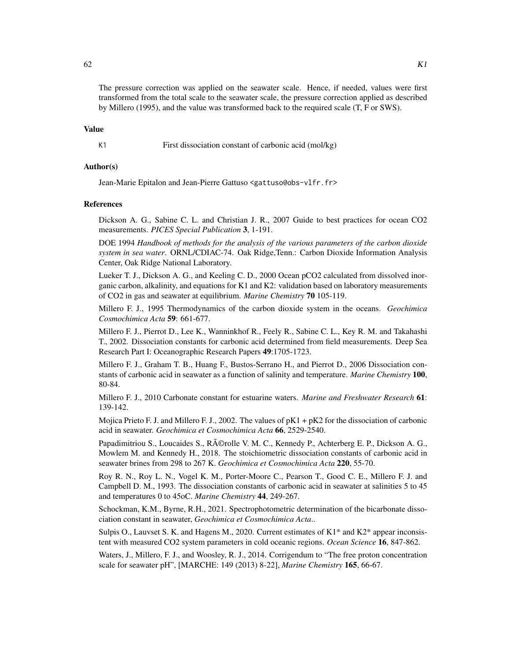The pressure correction was applied on the seawater scale. Hence, if needed, values were first transformed from the total scale to the seawater scale, the pressure correction applied as described by Millero (1995), and the value was transformed back to the required scale (T, F or SWS).

### Value

K1 First dissociation constant of carbonic acid (mol/kg)

#### Author(s)

Jean-Marie Epitalon and Jean-Pierre Gattuso <gattuso@obs-vlfr.fr>

#### References

Dickson A. G., Sabine C. L. and Christian J. R., 2007 Guide to best practices for ocean CO2 measurements. *PICES Special Publication* 3, 1-191.

DOE 1994 *Handbook of methods for the analysis of the various parameters of the carbon dioxide system in sea water*. ORNL/CDIAC-74. Oak Ridge,Tenn.: Carbon Dioxide Information Analysis Center, Oak Ridge National Laboratory.

Lueker T. J., Dickson A. G., and Keeling C. D., 2000 Ocean pCO2 calculated from dissolved inorganic carbon, alkalinity, and equations for K1 and K2: validation based on laboratory measurements of CO2 in gas and seawater at equilibrium. *Marine Chemistry* 70 105-119.

Millero F. J., 1995 Thermodynamics of the carbon dioxide system in the oceans. *Geochimica Cosmochimica Acta* 59: 661-677.

Millero F. J., Pierrot D., Lee K., Wanninkhof R., Feely R., Sabine C. L., Key R. M. and Takahashi T., 2002. Dissociation constants for carbonic acid determined from field measurements. Deep Sea Research Part I: Oceanographic Research Papers 49:1705-1723.

Millero F. J., Graham T. B., Huang F., Bustos-Serrano H., and Pierrot D., 2006 Dissociation constants of carbonic acid in seawater as a function of salinity and temperature. *Marine Chemistry* 100, 80-84.

Millero F. J., 2010 Carbonate constant for estuarine waters. *Marine and Freshwater Research* 61: 139-142.

Mojica Prieto F. J. and Millero F. J., 2002. The values of  $pK1 + pK2$  for the dissociation of carbonic acid in seawater. *Geochimica et Cosmochimica Acta* 66, 2529-2540.

Papadimitriou S., Loucaides S., R©rolle V. M. C., Kennedy P., Achterberg E. P., Dickson A. G., Mowlem M. and Kennedy H., 2018. The stoichiometric dissociation constants of carbonic acid in seawater brines from 298 to 267 K. *Geochimica et Cosmochimica Acta* 220, 55-70.

Roy R. N., Roy L. N., Vogel K. M., Porter-Moore C., Pearson T., Good C. E., Millero F. J. and Campbell D. M., 1993. The dissociation constants of carbonic acid in seawater at salinities 5 to 45 and temperatures 0 to 45oC. *Marine Chemistry* 44, 249-267.

Schockman, K.M., Byrne, R.H., 2021. Spectrophotometric determination of the bicarbonate dissociation constant in seawater, *Geochimica et Cosmochimica Acta*..

Sulpis O., Lauvset S. K. and Hagens M., 2020. Current estimates of K1\* and K2\* appear inconsistent with measured CO2 system parameters in cold oceanic regions. *Ocean Science* 16, 847-862.

Waters, J., Millero, F. J., and Woosley, R. J., 2014. Corrigendum to "The free proton concentration scale for seawater pH", [MARCHE: 149 (2013) 8-22], *Marine Chemistry* 165, 66-67.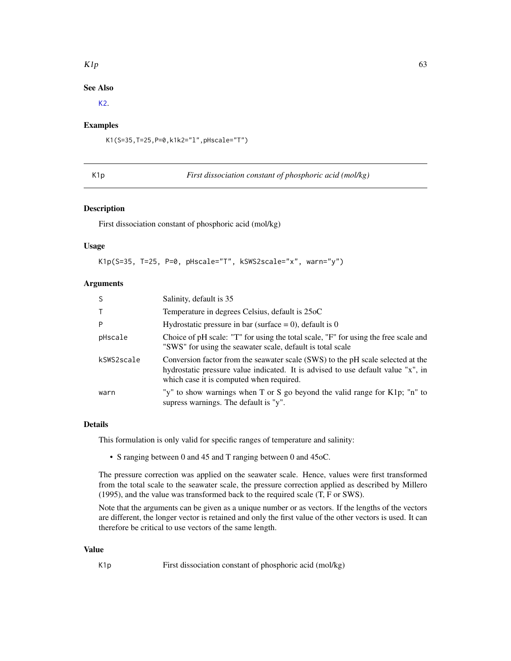### $K1p$  63

# See Also

[K2](#page-63-0).

# Examples

K1(S=35,T=25,P=0,k1k2="l",pHscale="T")

<span id="page-62-0"></span>K1p *First dissociation constant of phosphoric acid (mol/kg)*

# Description

First dissociation constant of phosphoric acid (mol/kg)

#### Usage

K1p(S=35, T=25, P=0, pHscale="T", kSWS2scale="x", warn="y")

### Arguments

| <sub>S</sub> | Salinity, default is 35                                                                                                                                                                                         |
|--------------|-----------------------------------------------------------------------------------------------------------------------------------------------------------------------------------------------------------------|
| $\top$       | Temperature in degrees Celsius, default is 25oC                                                                                                                                                                 |
| P            | Hydrostatic pressure in bar (surface $= 0$ ), default is 0                                                                                                                                                      |
| pHscale      | Choice of pH scale: "T" for using the total scale, "F" for using the free scale and<br>"SWS" for using the seawater scale, default is total scale                                                               |
| kSWS2scale   | Conversion factor from the seawater scale (SWS) to the pH scale selected at the<br>hydrostatic pressure value indicated. It is advised to use default value "x", in<br>which case it is computed when required. |
| warn         | "y" to show warnings when T or S go beyond the valid range for K1p; "n" to<br>supress warnings. The default is "y".                                                                                             |

# Details

This formulation is only valid for specific ranges of temperature and salinity:

• S ranging between 0 and 45 and T ranging between 0 and 45oC.

The pressure correction was applied on the seawater scale. Hence, values were first transformed from the total scale to the seawater scale, the pressure correction applied as described by Millero (1995), and the value was transformed back to the required scale (T, F or SWS).

Note that the arguments can be given as a unique number or as vectors. If the lengths of the vectors are different, the longer vector is retained and only the first value of the other vectors is used. It can therefore be critical to use vectors of the same length.

# Value

K1p First dissociation constant of phosphoric acid (mol/kg)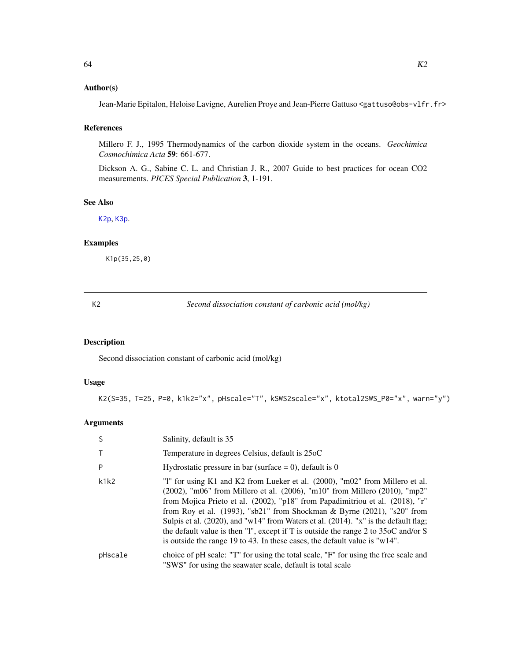# Author(s)

Jean-Marie Epitalon, Heloise Lavigne, Aurelien Proye and Jean-Pierre Gattuso <gattuso@obs-vlfr.fr>

# References

Millero F. J., 1995 Thermodynamics of the carbon dioxide system in the oceans. *Geochimica Cosmochimica Acta* 59: 661-677.

Dickson A. G., Sabine C. L. and Christian J. R., 2007 Guide to best practices for ocean CO2 measurements. *PICES Special Publication* 3, 1-191.

# See Also

[K2p](#page-66-0), [K3p](#page-68-0).

# Examples

K1p(35,25,0)

<span id="page-63-0"></span>K2 *Second dissociation constant of carbonic acid (mol/kg)*

# Description

Second dissociation constant of carbonic acid (mol/kg)

# Usage

K2(S=35, T=25, P=0, k1k2="x", pHscale="T", kSWS2scale="x", ktotal2SWS\_P0="x", warn="y")

| -S      | Salinity, default is 35                                                                                                                                                                                                                                                                                                                                                                                                                                                                                                                                                                              |
|---------|------------------------------------------------------------------------------------------------------------------------------------------------------------------------------------------------------------------------------------------------------------------------------------------------------------------------------------------------------------------------------------------------------------------------------------------------------------------------------------------------------------------------------------------------------------------------------------------------------|
|         | Temperature in degrees Celsius, default is 25oC                                                                                                                                                                                                                                                                                                                                                                                                                                                                                                                                                      |
| P       | Hydrostatic pressure in bar (surface = 0), default is 0                                                                                                                                                                                                                                                                                                                                                                                                                                                                                                                                              |
| k1k2    | "1" for using K1 and K2 from Lueker et al. (2000), "m02" from Millero et al.<br>(2002), "m06" from Millero et al. (2006), "m10" from Millero (2010), "mp2"<br>from Mojica Prieto et al. (2002), "p18" from Papadimitriou et al. (2018), "r"<br>from Roy et al. $(1993)$ , "sb21" from Shockman & Byrne $(2021)$ , "s20" from<br>Sulpis et al. (2020), and "w14" from Waters et al. (2014). "x" is the default flag;<br>the default value is then "1", except if T is outside the range 2 to $35\text{oC}$ and/or S<br>is outside the range 19 to 43. In these cases, the default value is " $w14$ ". |
| pHscale | choice of pH scale: "T" for using the total scale, "F" for using the free scale and<br>"SWS" for using the seawater scale, default is total scale                                                                                                                                                                                                                                                                                                                                                                                                                                                    |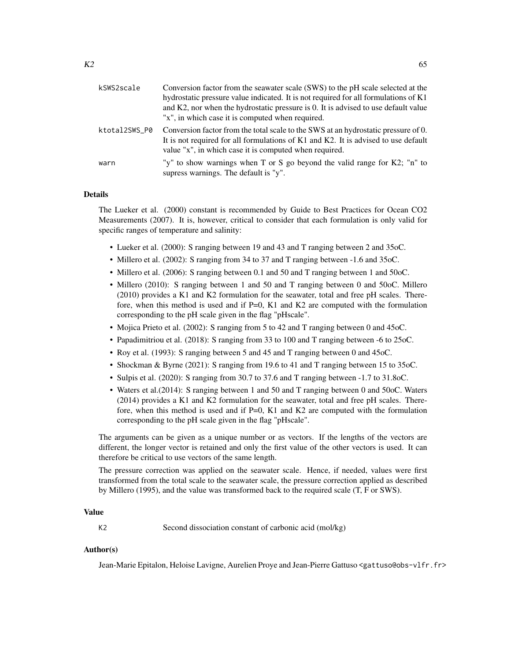| kSWS2scale    | Conversion factor from the seawater scale (SWS) to the pH scale selected at the<br>hydrostatic pressure value indicated. It is not required for all formulations of K1<br>and K2, nor when the hydrostatic pressure is 0. It is advised to use default value<br>"x", in which case it is computed when required. |
|---------------|------------------------------------------------------------------------------------------------------------------------------------------------------------------------------------------------------------------------------------------------------------------------------------------------------------------|
| ktotal2SWS_P0 | Conversion factor from the total scale to the SWS at an hydrostatic pressure of 0.<br>It is not required for all formulations of K1 and K2. It is advised to use default<br>value "x", in which case it is computed when required.                                                                               |
| warn          | "y" to show warnings when T or S go beyond the valid range for K2; "n" to<br>supress warnings. The default is "y".                                                                                                                                                                                               |

# Details

The Lueker et al. (2000) constant is recommended by Guide to Best Practices for Ocean CO2 Measurements (2007). It is, however, critical to consider that each formulation is only valid for specific ranges of temperature and salinity:

- Lueker et al. (2000): S ranging between 19 and 43 and T ranging between 2 and 35oC.
- Millero et al. (2002): S ranging from 34 to 37 and T ranging between -1.6 and 35 oC.
- Millero et al. (2006): S ranging between 0.1 and 50 and T ranging between 1 and 50 oC.
- Millero (2010): S ranging between 1 and 50 and T ranging between 0 and 50oC. Millero (2010) provides a K1 and K2 formulation for the seawater, total and free pH scales. Therefore, when this method is used and if  $P=0$ , K1 and K2 are computed with the formulation corresponding to the pH scale given in the flag "pHscale".
- Mojica Prieto et al. (2002): S ranging from 5 to 42 and T ranging between 0 and 45oC.
- Papadimitriou et al. (2018): S ranging from 33 to 100 and T ranging between -6 to 25oC.
- Roy et al. (1993): S ranging between 5 and 45 and T ranging between 0 and 45oC.
- Shockman & Byrne (2021): S ranging from 19.6 to 41 and T ranging between 15 to 35oC.
- Sulpis et al. (2020): S ranging from 30.7 to 37.6 and T ranging between -1.7 to 31.8oC.
- Waters et al.(2014): S ranging between 1 and 50 and T ranging between 0 and 50oC. Waters (2014) provides a K1 and K2 formulation for the seawater, total and free pH scales. Therefore, when this method is used and if  $P=0$ , K1 and K2 are computed with the formulation corresponding to the pH scale given in the flag "pHscale".

The arguments can be given as a unique number or as vectors. If the lengths of the vectors are different, the longer vector is retained and only the first value of the other vectors is used. It can therefore be critical to use vectors of the same length.

The pressure correction was applied on the seawater scale. Hence, if needed, values were first transformed from the total scale to the seawater scale, the pressure correction applied as described by Millero (1995), and the value was transformed back to the required scale (T, F or SWS).

# Value

K2 Second dissociation constant of carbonic acid (mol/kg)

### Author(s)

Jean-Marie Epitalon, Heloise Lavigne, Aurelien Proye and Jean-Pierre Gattuso <gattuso@obs-vlfr.fr>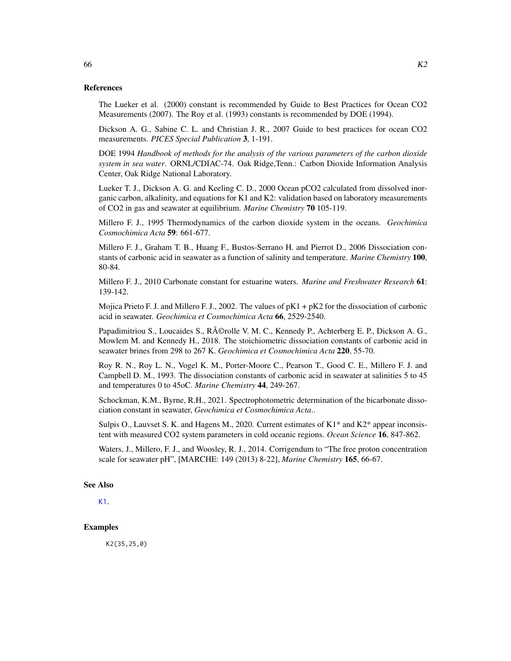### References

The Lueker et al. (2000) constant is recommended by Guide to Best Practices for Ocean CO2 Measurements (2007). The Roy et al. (1993) constants is recommended by DOE (1994).

Dickson A. G., Sabine C. L. and Christian J. R., 2007 Guide to best practices for ocean CO2 measurements. *PICES Special Publication* 3, 1-191.

DOE 1994 *Handbook of methods for the analysis of the various parameters of the carbon dioxide system in sea water*. ORNL/CDIAC-74. Oak Ridge,Tenn.: Carbon Dioxide Information Analysis Center, Oak Ridge National Laboratory.

Lueker T. J., Dickson A. G. and Keeling C. D., 2000 Ocean pCO2 calculated from dissolved inorganic carbon, alkalinity, and equations for K1 and K2: validation based on laboratory measurements of CO2 in gas and seawater at equilibrium. *Marine Chemistry* 70 105-119.

Millero F. J., 1995 Thermodynamics of the carbon dioxide system in the oceans. *Geochimica Cosmochimica Acta* 59: 661-677.

Millero F. J., Graham T. B., Huang F., Bustos-Serrano H. and Pierrot D., 2006 Dissociation constants of carbonic acid in seawater as a function of salinity and temperature. *Marine Chemistry* 100, 80-84.

Millero F. J., 2010 Carbonate constant for estuarine waters. *Marine and Freshwater Research* 61: 139-142.

Mojica Prieto F. J. and Millero F. J., 2002. The values of  $pK1 + pK2$  for the dissociation of carbonic acid in seawater. *Geochimica et Cosmochimica Acta* 66, 2529-2540.

Papadimitriou S., Loucaides S., Rérolle V. M. C., Kennedy P., Achterberg E. P., Dickson A. G., Mowlem M. and Kennedy H., 2018. The stoichiometric dissociation constants of carbonic acid in seawater brines from 298 to 267 K. *Geochimica et Cosmochimica Acta* 220, 55-70.

Roy R. N., Roy L. N., Vogel K. M., Porter-Moore C., Pearson T., Good C. E., Millero F. J. and Campbell D. M., 1993. The dissociation constants of carbonic acid in seawater at salinities 5 to 45 and temperatures 0 to 45oC. *Marine Chemistry* 44, 249-267.

Schockman, K.M., Byrne, R.H., 2021. Spectrophotometric determination of the bicarbonate dissociation constant in seawater, *Geochimica et Cosmochimica Acta*..

Sulpis O., Lauvset S. K. and Hagens M., 2020. Current estimates of K1\* and K2\* appear inconsistent with measured CO2 system parameters in cold oceanic regions. *Ocean Science* 16, 847-862.

Waters, J., Millero, F. J., and Woosley, R. J., 2014. Corrigendum to "The free proton concentration scale for seawater pH", [MARCHE: 149 (2013) 8-22], *Marine Chemistry* 165, 66-67.

#### See Also

[K1](#page-59-0).

# **Examples**

K2(35,25,0)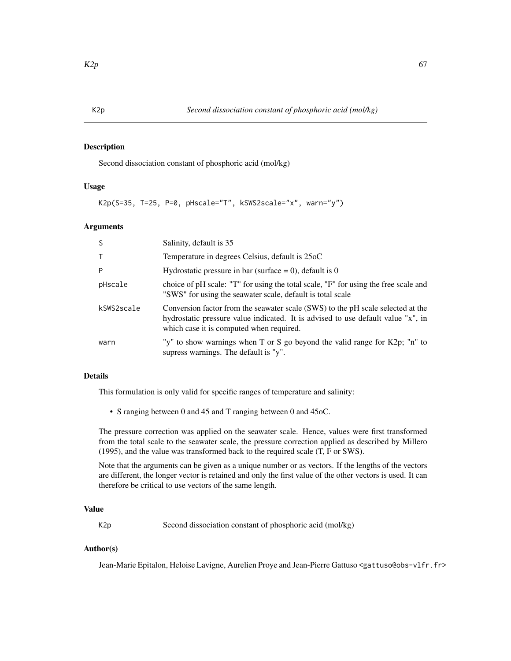# <span id="page-66-0"></span>K2p *Second dissociation constant of phosphoric acid (mol/kg)*

# Description

Second dissociation constant of phosphoric acid (mol/kg)

### Usage

```
K2p(S=35, T=25, P=0, pHscale="T", kSWS2scale="x", warn="y")
```
### **Arguments**

| <sub>S</sub> | Salinity, default is 35                                                                                                                                                                                         |
|--------------|-----------------------------------------------------------------------------------------------------------------------------------------------------------------------------------------------------------------|
| $\mathsf T$  | Temperature in degrees Celsius, default is 25oC                                                                                                                                                                 |
| P            | Hydrostatic pressure in bar (surface $= 0$ ), default is 0                                                                                                                                                      |
| pHscale      | choice of pH scale: "T" for using the total scale, "F" for using the free scale and<br>"SWS" for using the seawater scale, default is total scale                                                               |
| kSWS2scale   | Conversion factor from the seawater scale (SWS) to the pH scale selected at the<br>hydrostatic pressure value indicated. It is advised to use default value "x", in<br>which case it is computed when required. |
| warn         | "y" to show warnings when T or S go beyond the valid range for $K2p$ ; "n" to<br>supress warnings. The default is "y".                                                                                          |

# Details

This formulation is only valid for specific ranges of temperature and salinity:

• S ranging between 0 and 45 and T ranging between 0 and 45oC.

The pressure correction was applied on the seawater scale. Hence, values were first transformed from the total scale to the seawater scale, the pressure correction applied as described by Millero (1995), and the value was transformed back to the required scale (T, F or SWS).

Note that the arguments can be given as a unique number or as vectors. If the lengths of the vectors are different, the longer vector is retained and only the first value of the other vectors is used. It can therefore be critical to use vectors of the same length.

# Value

K2p Second dissociation constant of phosphoric acid (mol/kg)

### Author(s)

Jean-Marie Epitalon, Heloise Lavigne, Aurelien Proye and Jean-Pierre Gattuso <gattuso@obs-vlfr.fr>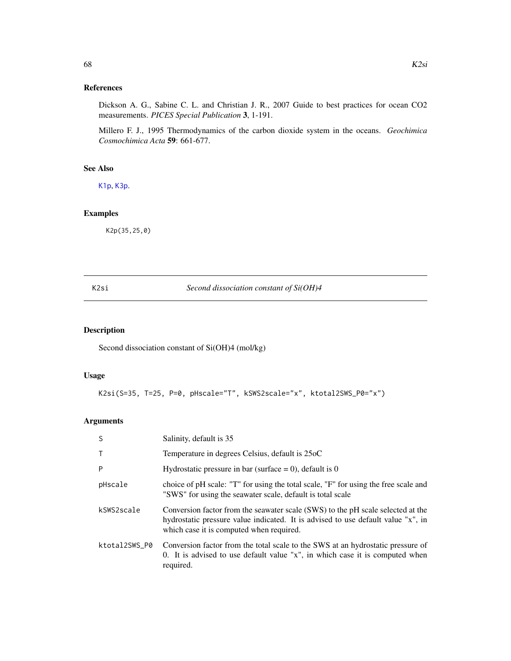# References

Dickson A. G., Sabine C. L. and Christian J. R., 2007 Guide to best practices for ocean CO2 measurements. *PICES Special Publication* 3, 1-191.

Millero F. J., 1995 Thermodynamics of the carbon dioxide system in the oceans. *Geochimica Cosmochimica Acta* 59: 661-677.

# See Also

[K1p](#page-62-0), [K3p](#page-68-0).

# Examples

K2p(35,25,0)

### K2si *Second dissociation constant of Si(OH)4*

# Description

Second dissociation constant of Si(OH)4 (mol/kg)

# Usage

K2si(S=35, T=25, P=0, pHscale="T", kSWS2scale="x", ktotal2SWS\_P0="x")

| <sub>S</sub>  | Salinity, default is 35                                                                                                                                                                                         |
|---------------|-----------------------------------------------------------------------------------------------------------------------------------------------------------------------------------------------------------------|
| $\mathsf{T}$  | Temperature in degrees Celsius, default is 25oC                                                                                                                                                                 |
| P             | Hydrostatic pressure in bar (surface = 0), default is 0                                                                                                                                                         |
| pHscale       | choice of pH scale: "T" for using the total scale, "F" for using the free scale and<br>"SWS" for using the seawater scale, default is total scale                                                               |
| kSWS2scale    | Conversion factor from the seawater scale (SWS) to the pH scale selected at the<br>hydrostatic pressure value indicated. It is advised to use default value "x", in<br>which case it is computed when required. |
| ktotal2SWS_P0 | Conversion factor from the total scale to the SWS at an hydrostatic pressure of<br>0. It is advised to use default value "x", in which case it is computed when<br>required.                                    |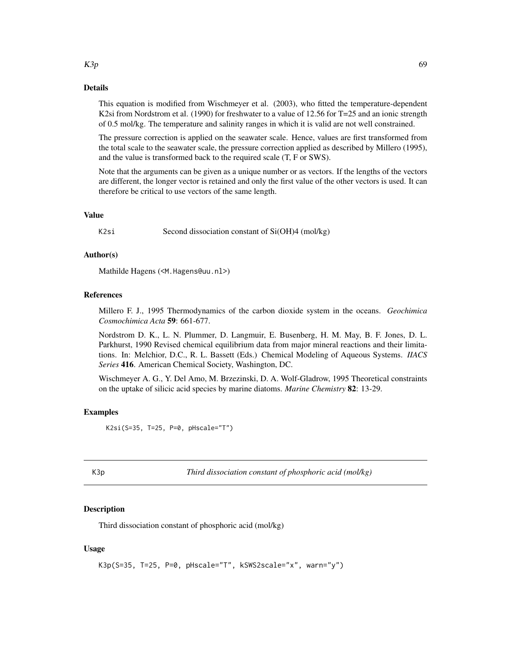#### Details

This equation is modified from Wischmeyer et al. (2003), who fitted the temperature-dependent K2si from Nordstrom et al. (1990) for freshwater to a value of 12.56 for T=25 and an ionic strength of 0.5 mol/kg. The temperature and salinity ranges in which it is valid are not well constrained.

The pressure correction is applied on the seawater scale. Hence, values are first transformed from the total scale to the seawater scale, the pressure correction applied as described by Millero (1995), and the value is transformed back to the required scale (T, F or SWS).

Note that the arguments can be given as a unique number or as vectors. If the lengths of the vectors are different, the longer vector is retained and only the first value of the other vectors is used. It can therefore be critical to use vectors of the same length.

### Value

K2si Second dissociation constant of Si(OH)4 (mol/kg)

#### Author(s)

Mathilde Hagens (<M.Hagens@uu.nl>)

#### References

Millero F. J., 1995 Thermodynamics of the carbon dioxide system in the oceans. *Geochimica Cosmochimica Acta* 59: 661-677.

Nordstrom D. K., L. N. Plummer, D. Langmuir, E. Busenberg, H. M. May, B. F. Jones, D. L. Parkhurst, 1990 Revised chemical equilibrium data from major mineral reactions and their limitations. In: Melchior, D.C., R. L. Bassett (Eds.) Chemical Modeling of Aqueous Systems. *IIACS Series* 416. American Chemical Society, Washington, DC.

Wischmeyer A. G., Y. Del Amo, M. Brzezinski, D. A. Wolf-Gladrow, 1995 Theoretical constraints on the uptake of silicic acid species by marine diatoms. *Marine Chemistry* 82: 13-29.

# Examples

K2si(S=35, T=25, P=0, pHscale="T")

<span id="page-68-0"></span>K3p *Third dissociation constant of phosphoric acid (mol/kg)*

### Description

Third dissociation constant of phosphoric acid (mol/kg)

# Usage

```
K3p(S=35, T=25, P=0, pHscale="T", kSWS2scale="x", warn="y")
```
#### $K3p$  69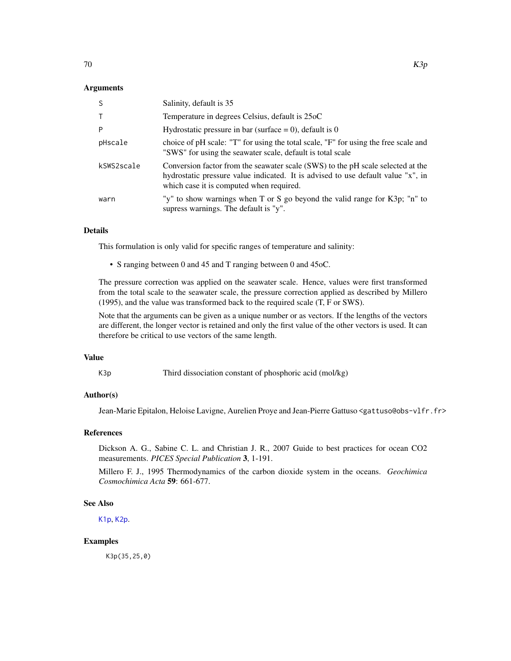# Arguments

| -S         | Salinity, default is 35                                                                                                                                                                                         |
|------------|-----------------------------------------------------------------------------------------------------------------------------------------------------------------------------------------------------------------|
| $\top$     | Temperature in degrees Celsius, default is 25oC                                                                                                                                                                 |
| P          | Hydrostatic pressure in bar (surface $= 0$ ), default is 0                                                                                                                                                      |
| pHscale    | choice of pH scale: "T" for using the total scale, "F" for using the free scale and<br>"SWS" for using the seawater scale, default is total scale                                                               |
| kSWS2scale | Conversion factor from the seawater scale (SWS) to the pH scale selected at the<br>hydrostatic pressure value indicated. It is advised to use default value "x", in<br>which case it is computed when required. |
| warn       | "y" to show warnings when T or S go beyond the valid range for K3p; "n" to<br>supress warnings. The default is "y".                                                                                             |

### Details

This formulation is only valid for specific ranges of temperature and salinity:

• S ranging between 0 and 45 and T ranging between 0 and 45oC.

The pressure correction was applied on the seawater scale. Hence, values were first transformed from the total scale to the seawater scale, the pressure correction applied as described by Millero (1995), and the value was transformed back to the required scale (T, F or SWS).

Note that the arguments can be given as a unique number or as vectors. If the lengths of the vectors are different, the longer vector is retained and only the first value of the other vectors is used. It can therefore be critical to use vectors of the same length.

# Value

K3p Third dissociation constant of phosphoric acid (mol/kg)

# Author(s)

Jean-Marie Epitalon, Heloise Lavigne, Aurelien Proye and Jean-Pierre Gattuso <gattuso@obs-vlfr.fr>

# References

Dickson A. G., Sabine C. L. and Christian J. R., 2007 Guide to best practices for ocean CO2 measurements. *PICES Special Publication* 3, 1-191.

Millero F. J., 1995 Thermodynamics of the carbon dioxide system in the oceans. *Geochimica Cosmochimica Acta* 59: 661-677.

### See Also

[K1p](#page-62-0), [K2p](#page-66-0).

### Examples

K3p(35,25,0)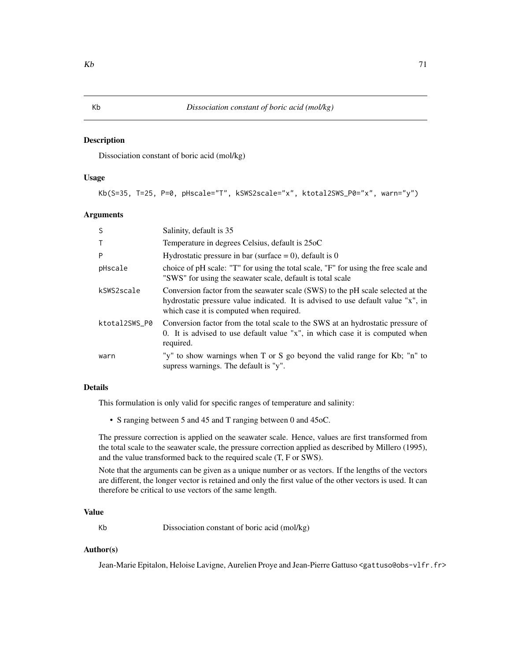### Description

Dissociation constant of boric acid (mol/kg)

# Usage

Kb(S=35, T=25, P=0, pHscale="T", kSWS2scale="x", ktotal2SWS\_P0="x", warn="y")

# Arguments

| <sub>S</sub>  | Salinity, default is 35                                                                                                                                                                                         |
|---------------|-----------------------------------------------------------------------------------------------------------------------------------------------------------------------------------------------------------------|
| Т             | Temperature in degrees Celsius, default is 25oC                                                                                                                                                                 |
| P             | Hydrostatic pressure in bar (surface $= 0$ ), default is 0                                                                                                                                                      |
| pHscale       | choice of pH scale: "T" for using the total scale, "F" for using the free scale and<br>"SWS" for using the seawater scale, default is total scale                                                               |
| kSWS2scale    | Conversion factor from the seawater scale (SWS) to the pH scale selected at the<br>hydrostatic pressure value indicated. It is advised to use default value "x", in<br>which case it is computed when required. |
| ktotal2SWS P0 | Conversion factor from the total scale to the SWS at an hydrostatic pressure of<br>0. It is advised to use default value "x", in which case it is computed when<br>required.                                    |
| warn          | "y" to show warnings when T or S go beyond the valid range for Kb; "n" to<br>supress warnings. The default is "y".                                                                                              |

# Details

This formulation is only valid for specific ranges of temperature and salinity:

• S ranging between 5 and 45 and T ranging between 0 and 45oC.

The pressure correction is applied on the seawater scale. Hence, values are first transformed from the total scale to the seawater scale, the pressure correction applied as described by Millero (1995), and the value transformed back to the required scale (T, F or SWS).

Note that the arguments can be given as a unique number or as vectors. If the lengths of the vectors are different, the longer vector is retained and only the first value of the other vectors is used. It can therefore be critical to use vectors of the same length.

# Value

Kb Dissociation constant of boric acid (mol/kg)

# Author(s)

Jean-Marie Epitalon, Heloise Lavigne, Aurelien Proye and Jean-Pierre Gattuso <gattuso@obs-vlfr.fr>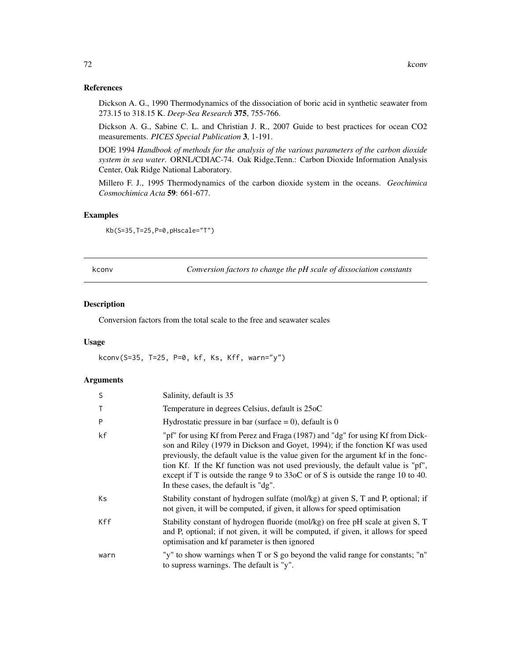# References

Dickson A. G., 1990 Thermodynamics of the dissociation of boric acid in synthetic seawater from 273.15 to 318.15 K. *Deep-Sea Research* 375, 755-766.

Dickson A. G., Sabine C. L. and Christian J. R., 2007 Guide to best practices for ocean CO2 measurements. *PICES Special Publication* 3, 1-191.

DOE 1994 *Handbook of methods for the analysis of the various parameters of the carbon dioxide system in sea water*. ORNL/CDIAC-74. Oak Ridge,Tenn.: Carbon Dioxide Information Analysis Center, Oak Ridge National Laboratory.

Millero F. J., 1995 Thermodynamics of the carbon dioxide system in the oceans. *Geochimica Cosmochimica Acta* 59: 661-677.

# Examples

Kb(S=35,T=25,P=0,pHscale="T")

kconv *Conversion factors to change the pH scale of dissociation constants*

# Description

Conversion factors from the total scale to the free and seawater scales

# Usage

kconv(S=35, T=25, P=0, kf, Ks, Kff, warn="y")

| S    | Salinity, default is 35                                                                                                                                                                                                                                                                                                                                                                                                                                             |
|------|---------------------------------------------------------------------------------------------------------------------------------------------------------------------------------------------------------------------------------------------------------------------------------------------------------------------------------------------------------------------------------------------------------------------------------------------------------------------|
|      | Temperature in degrees Celsius, default is 25oC                                                                                                                                                                                                                                                                                                                                                                                                                     |
| P    | Hydrostatic pressure in bar (surface $= 0$ ), default is 0                                                                                                                                                                                                                                                                                                                                                                                                          |
| kf   | "pf" for using Kf from Perez and Fraga (1987) and "dg" for using Kf from Dick-<br>son and Riley (1979 in Dickson and Goyet, 1994); if the fonction Kf was used<br>previously, the default value is the value given for the argument kf in the fonc-<br>tion Kf. If the Kf function was not used previously, the default value is "pf",<br>except if T is outside the range 9 to 33oC or of S is outside the range 10 to 40.<br>In these cases, the default is "dg". |
| Кs   | Stability constant of hydrogen sulfate (mol/kg) at given S, T and P, optional; if<br>not given, it will be computed, if given, it allows for speed optimisation                                                                                                                                                                                                                                                                                                     |
| Kff  | Stability constant of hydrogen fluoride (mol/kg) on free pH scale at given S, T<br>and P, optional; if not given, it will be computed, if given, it allows for speed<br>optimisation and kf parameter is then ignored                                                                                                                                                                                                                                               |
| warn | "y" to show warnings when T or S go beyond the valid range for constants; "n"<br>to supress warnings. The default is "y".                                                                                                                                                                                                                                                                                                                                           |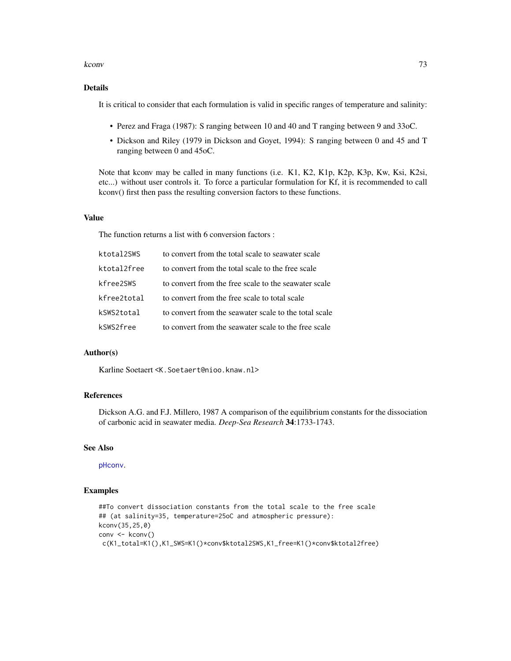#### kconv<sup>273</sup>

# Details

It is critical to consider that each formulation is valid in specific ranges of temperature and salinity:

- Perez and Fraga (1987): S ranging between 10 and 40 and T ranging between 9 and 33oC.
- Dickson and Riley (1979 in Dickson and Goyet, 1994): S ranging between 0 and 45 and T ranging between 0 and 45oC.

Note that kconv may be called in many functions (i.e. K1, K2, K1p, K2p, K3p, Kw, Ksi, K2si, etc...) without user controls it. To force a particular formulation for Kf, it is recommended to call kconv() first then pass the resulting conversion factors to these functions.

### Value

The function returns a list with 6 conversion factors :

| ktotal2SWS  | to convert from the total scale to seawater scale     |
|-------------|-------------------------------------------------------|
| ktotal2free | to convert from the total scale to the free scale     |
| kfree2SWS   | to convert from the free scale to the seawater scale  |
| kfree2total | to convert from the free scale to total scale         |
| kSWS2total  | to convert from the seawater scale to the total scale |
| kSWS2free   | to convert from the seawater scale to the free scale  |

# Author(s)

Karline Soetaert <K.Soetaert@nioo.knaw.nl>

# References

Dickson A.G. and F.J. Millero, 1987 A comparison of the equilibrium constants for the dissociation of carbonic acid in seawater media. *Deep-Sea Research* 34:1733-1743.

### See Also

[pHconv](#page-109-0).

# Examples

```
##To convert dissociation constants from the total scale to the free scale
## (at salinity=35, temperature=25oC and atmospheric pressure):
kconv(35,25,0)
conv <- kconv()
c(K1_total=K1(),K1_SWS=K1()*conv$ktotal2SWS,K1_free=K1()*conv$ktotal2free)
```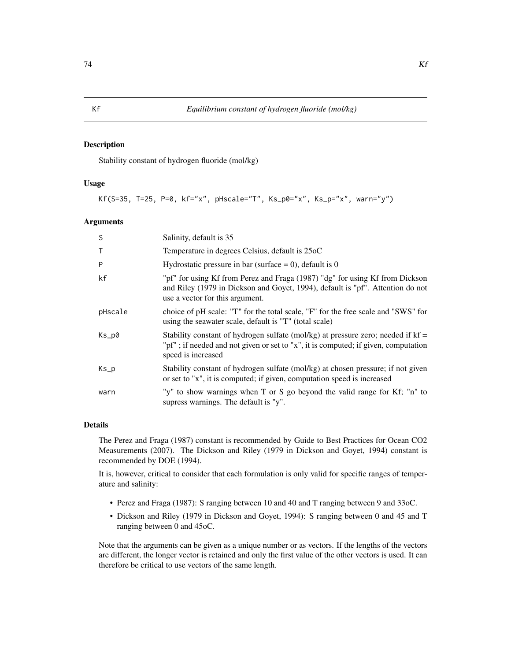### Description

Stability constant of hydrogen fluoride (mol/kg)

# Usage

Kf(S=35, T=25, P=0, kf="x", pHscale="T", Ks\_p0="x", Ks\_p="x", warn="y")

#### Arguments

| S                     | Salinity, default is 35                                                                                                                                                                           |
|-----------------------|---------------------------------------------------------------------------------------------------------------------------------------------------------------------------------------------------|
|                       | Temperature in degrees Celsius, default is 25oC                                                                                                                                                   |
| P                     | Hydrostatic pressure in bar (surface = 0), default is 0                                                                                                                                           |
| kf                    | "pf" for using Kf from Perez and Fraga (1987) "dg" for using Kf from Dickson<br>and Riley (1979 in Dickson and Goyet, 1994), default is "pf". Attention do not<br>use a vector for this argument. |
| pHscale               | choice of pH scale: "T" for the total scale, "F" for the free scale and "SWS" for<br>using the seawater scale, default is "T" (total scale)                                                       |
| Ks_p0                 | Stability constant of hydrogen sulfate (mol/kg) at pressure zero; needed if $kf =$<br>"pf"; if needed and not given or set to "x", it is computed; if given, computation<br>speed is increased    |
| $Ks$ <sub>-</sub> $p$ | Stability constant of hydrogen sulfate (mol/kg) at chosen pressure; if not given<br>or set to "x", it is computed; if given, computation speed is increased                                       |
| warn                  | "y" to show warnings when T or S go beyond the valid range for Kf; "n" to<br>supress warnings. The default is "y".                                                                                |

### Details

The Perez and Fraga (1987) constant is recommended by Guide to Best Practices for Ocean CO2 Measurements (2007). The Dickson and Riley (1979 in Dickson and Goyet, 1994) constant is recommended by DOE (1994).

It is, however, critical to consider that each formulation is only valid for specific ranges of temperature and salinity:

- Perez and Fraga (1987): S ranging between 10 and 40 and T ranging between 9 and 33oC.
- Dickson and Riley (1979 in Dickson and Goyet, 1994): S ranging between 0 and 45 and T ranging between 0 and 45oC.

Note that the arguments can be given as a unique number or as vectors. If the lengths of the vectors are different, the longer vector is retained and only the first value of the other vectors is used. It can therefore be critical to use vectors of the same length.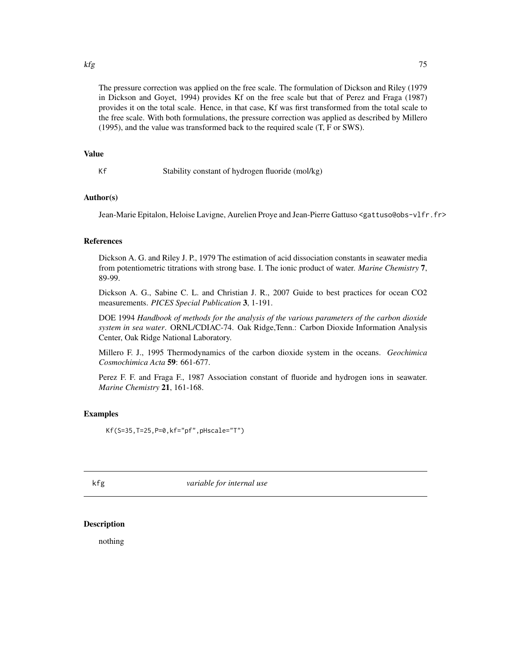#### kfg 55 and 25 and 25 and 26 and 26 and 26 and 26 and 26 and 26 and 26 and 26 and 26 and 26 and 26 and 26 and 2

The pressure correction was applied on the free scale. The formulation of Dickson and Riley (1979 in Dickson and Goyet, 1994) provides Kf on the free scale but that of Perez and Fraga (1987) provides it on the total scale. Hence, in that case, Kf was first transformed from the total scale to the free scale. With both formulations, the pressure correction was applied as described by Millero (1995), and the value was transformed back to the required scale (T, F or SWS).

### Value

Kf Stability constant of hydrogen fluoride (mol/kg)

# Author(s)

Jean-Marie Epitalon, Heloise Lavigne, Aurelien Proye and Jean-Pierre Gattuso <gattuso@obs-vlfr.fr>

# **References**

Dickson A. G. and Riley J. P., 1979 The estimation of acid dissociation constants in seawater media from potentiometric titrations with strong base. I. The ionic product of water. *Marine Chemistry* 7, 89-99.

Dickson A. G., Sabine C. L. and Christian J. R., 2007 Guide to best practices for ocean CO2 measurements. *PICES Special Publication* 3, 1-191.

DOE 1994 *Handbook of methods for the analysis of the various parameters of the carbon dioxide system in sea water*. ORNL/CDIAC-74. Oak Ridge,Tenn.: Carbon Dioxide Information Analysis Center, Oak Ridge National Laboratory.

Millero F. J., 1995 Thermodynamics of the carbon dioxide system in the oceans. *Geochimica Cosmochimica Acta* 59: 661-677.

Perez F. F. and Fraga F., 1987 Association constant of fluoride and hydrogen ions in seawater. *Marine Chemistry* 21, 161-168.

#### Examples

Kf(S=35,T=25,P=0,kf="pf",pHscale="T")

kfg *variable for internal use*

# Description

nothing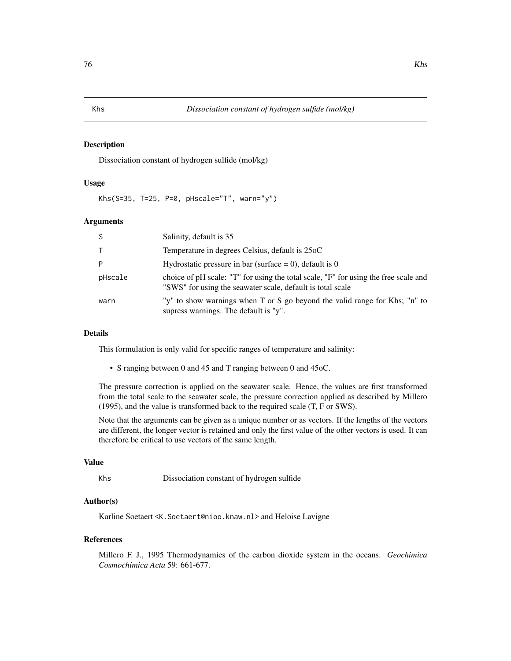### Description

Dissociation constant of hydrogen sulfide (mol/kg)

### Usage

Khs(S=35, T=25, P=0, pHscale="T", warn="y")

# Arguments

| <sub>S</sub> | Salinity, default is 35                                                                                                                           |
|--------------|---------------------------------------------------------------------------------------------------------------------------------------------------|
| $\top$       | Temperature in degrees Celsius, default is 25oC                                                                                                   |
| P            | Hydrostatic pressure in bar (surface = 0), default is 0                                                                                           |
| pHscale      | choice of pH scale: "T" for using the total scale, "F" for using the free scale and<br>"SWS" for using the seawater scale, default is total scale |
| warn         | "y" to show warnings when T or S go beyond the valid range for Khs; "n" to<br>supress warnings. The default is "y".                               |

# Details

This formulation is only valid for specific ranges of temperature and salinity:

• S ranging between 0 and 45 and T ranging between 0 and 45oC.

The pressure correction is applied on the seawater scale. Hence, the values are first transformed from the total scale to the seawater scale, the pressure correction applied as described by Millero (1995), and the value is transformed back to the required scale (T, F or SWS).

Note that the arguments can be given as a unique number or as vectors. If the lengths of the vectors are different, the longer vector is retained and only the first value of the other vectors is used. It can therefore be critical to use vectors of the same length.

### Value

Khs Dissociation constant of hydrogen sulfide

# Author(s)

Karline Soetaert <K.Soetaert@nioo.knaw.nl> and Heloise Lavigne

#### References

Millero F. J., 1995 Thermodynamics of the carbon dioxide system in the oceans. *Geochimica Cosmochimica Acta* 59: 661-677.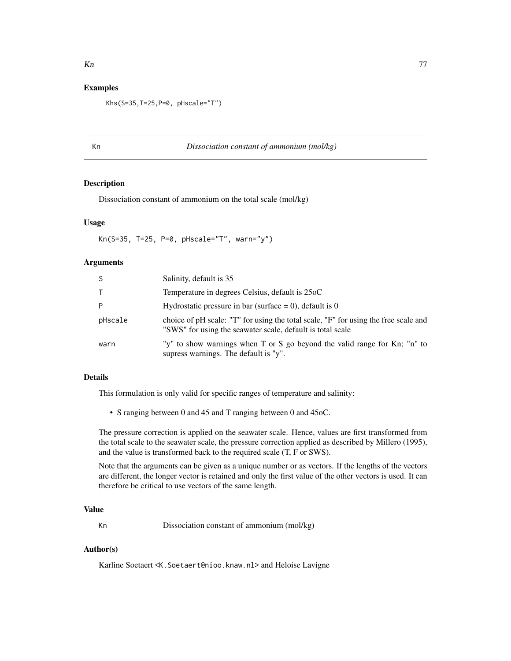# Examples

Khs(S=35,T=25,P=0, pHscale="T")

#### Kn *Dissociation constant of ammonium (mol/kg)*

# Description

Dissociation constant of ammonium on the total scale (mol/kg)

### Usage

Kn(S=35, T=25, P=0, pHscale="T", warn="y")

# **Arguments**

| -S      | Salinity, default is 35                                                                                                                           |
|---------|---------------------------------------------------------------------------------------------------------------------------------------------------|
|         | Temperature in degrees Celsius, default is 25oC                                                                                                   |
| P       | Hydrostatic pressure in bar (surface $= 0$ ), default is 0                                                                                        |
| pHscale | choice of pH scale: "T" for using the total scale, "F" for using the free scale and<br>"SWS" for using the seawater scale, default is total scale |
| warn    | "y" to show warnings when T or S go beyond the valid range for Kn; "n" to<br>supress warnings. The default is "y".                                |

# Details

This formulation is only valid for specific ranges of temperature and salinity:

• S ranging between 0 and 45 and T ranging between 0 and 45oC.

The pressure correction is applied on the seawater scale. Hence, values are first transformed from the total scale to the seawater scale, the pressure correction applied as described by Millero (1995), and the value is transformed back to the required scale (T, F or SWS).

Note that the arguments can be given as a unique number or as vectors. If the lengths of the vectors are different, the longer vector is retained and only the first value of the other vectors is used. It can therefore be critical to use vectors of the same length.

# Value

Kn Dissociation constant of ammonium (mol/kg)

### Author(s)

Karline Soetaert <K.Soetaert@nioo.knaw.nl> and Heloise Lavigne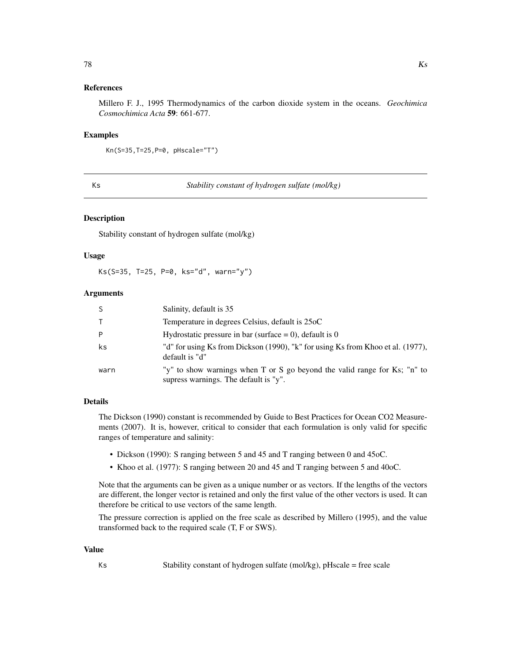### References

Millero F. J., 1995 Thermodynamics of the carbon dioxide system in the oceans. *Geochimica Cosmochimica Acta* 59: 661-677.

#### Examples

```
Kn(S=35,T=25,P=0, pHscale="T")
```
Ks *Stability constant of hydrogen sulfate (mol/kg)*

### Description

Stability constant of hydrogen sulfate (mol/kg)

### Usage

Ks(S=35, T=25, P=0, ks="d", warn="y")

# Arguments

| S    | Salinity, default is 35                                                                                            |
|------|--------------------------------------------------------------------------------------------------------------------|
| T.   | Temperature in degrees Celsius, default is 25oC                                                                    |
| P    | Hydrostatic pressure in bar (surface $= 0$ ), default is 0                                                         |
| ks   | "d" for using Ks from Dickson (1990), "k" for using Ks from Khoo et al. (1977),<br>default is "d"                  |
| warn | "y" to show warnings when T or S go beyond the valid range for Ks; "n" to<br>supress warnings. The default is "y". |

### Details

The Dickson (1990) constant is recommended by Guide to Best Practices for Ocean CO2 Measurements (2007). It is, however, critical to consider that each formulation is only valid for specific ranges of temperature and salinity:

- Dickson (1990): S ranging between 5 and 45 and T ranging between 0 and 45oC.
- Khoo et al. (1977): S ranging between 20 and 45 and T ranging between 5 and 40oC.

Note that the arguments can be given as a unique number or as vectors. If the lengths of the vectors are different, the longer vector is retained and only the first value of the other vectors is used. It can therefore be critical to use vectors of the same length.

The pressure correction is applied on the free scale as described by Millero (1995), and the value transformed back to the required scale (T, F or SWS).

#### Value

Ks Stability constant of hydrogen sulfate (mol/kg), pHscale = free scale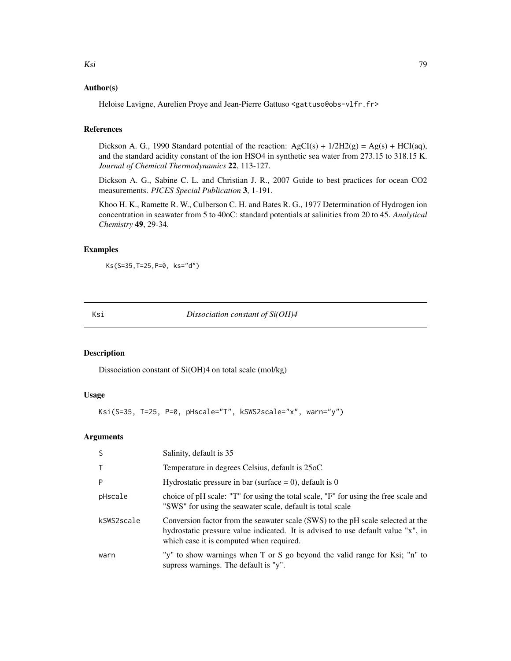# Author(s)

Heloise Lavigne, Aurelien Proye and Jean-Pierre Gattuso <gattuso@obs-vlfr.fr>

# References

Dickson A. G., 1990 Standard potential of the reaction:  $AgCI(s) + 1/2H2(g) = Ag(s) + HCI(aq)$ , and the standard acidity constant of the ion HSO4 in synthetic sea water from 273.15 to 318.15 K. *Journal of Chemical Thermodynamics* 22, 113-127.

Dickson A. G., Sabine C. L. and Christian J. R., 2007 Guide to best practices for ocean CO2 measurements. *PICES Special Publication* 3, 1-191.

Khoo H. K., Ramette R. W., Culberson C. H. and Bates R. G., 1977 Determination of Hydrogen ion concentration in seawater from 5 to 40oC: standard potentials at salinities from 20 to 45. *Analytical Chemistry* 49, 29-34.

# Examples

Ks(S=35,T=25,P=0, ks="d")

Ksi *Dissociation constant of Si(OH)4*

# Description

Dissociation constant of Si(OH)4 on total scale (mol/kg)

# Usage

```
Ksi(S=35, T=25, P=0, pHscale="T", kSWS2scale="x", warn="y")
```
# Arguments

| <sub>S</sub> | Salinity, default is 35                                                                                                                                                                                         |
|--------------|-----------------------------------------------------------------------------------------------------------------------------------------------------------------------------------------------------------------|
| $\mathsf{T}$ | Temperature in degrees Celsius, default is 25oC                                                                                                                                                                 |
| P            | Hydrostatic pressure in bar (surface = 0), default is 0                                                                                                                                                         |
| pHscale      | choice of pH scale: "T" for using the total scale, "F" for using the free scale and<br>"SWS" for using the seawater scale, default is total scale                                                               |
| kSWS2scale   | Conversion factor from the seawater scale (SWS) to the pH scale selected at the<br>hydrostatic pressure value indicated. It is advised to use default value "x", in<br>which case it is computed when required. |
| warn         | "y" to show warnings when T or S go beyond the valid range for Ksi; "n" to<br>supress warnings. The default is "y".                                                                                             |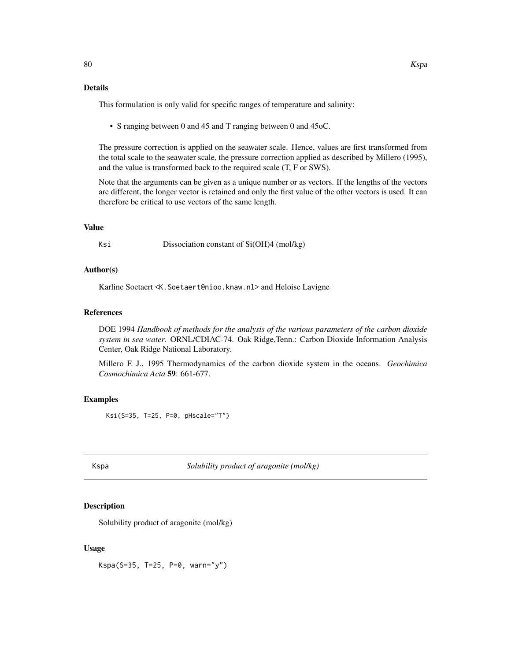# Details

This formulation is only valid for specific ranges of temperature and salinity:

• S ranging between 0 and 45 and T ranging between 0 and 45oC.

The pressure correction is applied on the seawater scale. Hence, values are first transformed from the total scale to the seawater scale, the pressure correction applied as described by Millero (1995), and the value is transformed back to the required scale (T, F or SWS).

Note that the arguments can be given as a unique number or as vectors. If the lengths of the vectors are different, the longer vector is retained and only the first value of the other vectors is used. It can therefore be critical to use vectors of the same length.

#### Value

Ksi Dissociation constant of Si(OH)4 (mol/kg)

# Author(s)

Karline Soetaert <K.Soetaert@nioo.knaw.nl> and Heloise Lavigne

#### References

DOE 1994 *Handbook of methods for the analysis of the various parameters of the carbon dioxide system in sea water*. ORNL/CDIAC-74. Oak Ridge,Tenn.: Carbon Dioxide Information Analysis Center, Oak Ridge National Laboratory.

Millero F. J., 1995 Thermodynamics of the carbon dioxide system in the oceans. *Geochimica Cosmochimica Acta* 59: 661-677.

#### Examples

Ksi(S=35, T=25, P=0, pHscale="T")

<span id="page-79-0"></span>

Kspa *Solubility product of aragonite (mol/kg)*

#### Description

Solubility product of aragonite (mol/kg)

#### Usage

Kspa(S=35, T=25, P=0, warn="y")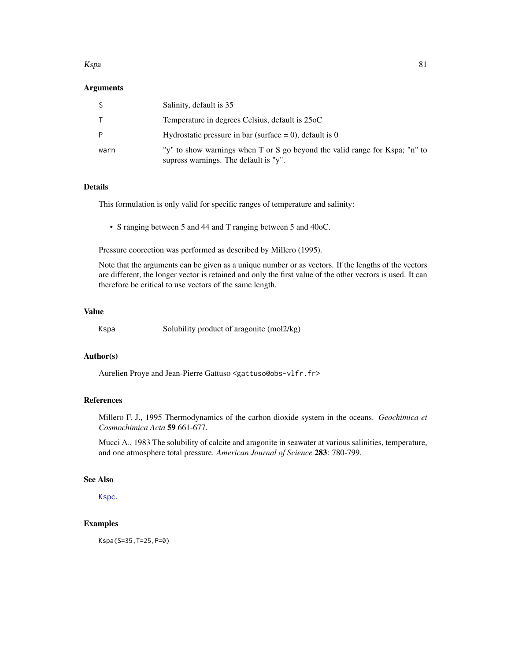#### Kspa 81

### Arguments

|      | Salinity, default is 35                                                                                              |
|------|----------------------------------------------------------------------------------------------------------------------|
|      | Temperature in degrees Celsius, default is 25oC                                                                      |
|      | Hydrostatic pressure in bar (surface $= 0$ ), default is 0                                                           |
| warn | "y" to show warnings when T or S go beyond the valid range for Kspa; "n" to<br>supress warnings. The default is "y". |

### Details

This formulation is only valid for specific ranges of temperature and salinity:

• S ranging between 5 and 44 and T ranging between 5 and 40oC.

Pressure coorection was performed as described by Millero (1995).

Note that the arguments can be given as a unique number or as vectors. If the lengths of the vectors are different, the longer vector is retained and only the first value of the other vectors is used. It can therefore be critical to use vectors of the same length.

# Value

Kspa Solubility product of aragonite (mol2/kg)

### Author(s)

Aurelien Proye and Jean-Pierre Gattuso <gattuso@obs-vlfr.fr>

#### References

Millero F. J., 1995 Thermodynamics of the carbon dioxide system in the oceans. *Geochimica et Cosmochimica Acta* 59 661-677.

Mucci A., 1983 The solubility of calcite and aragonite in seawater at various salinities, temperature, and one atmosphere total pressure. *American Journal of Science* 283: 780-799.

# See Also

[Kspc](#page-81-0).

# Examples

Kspa(S=35,T=25,P=0)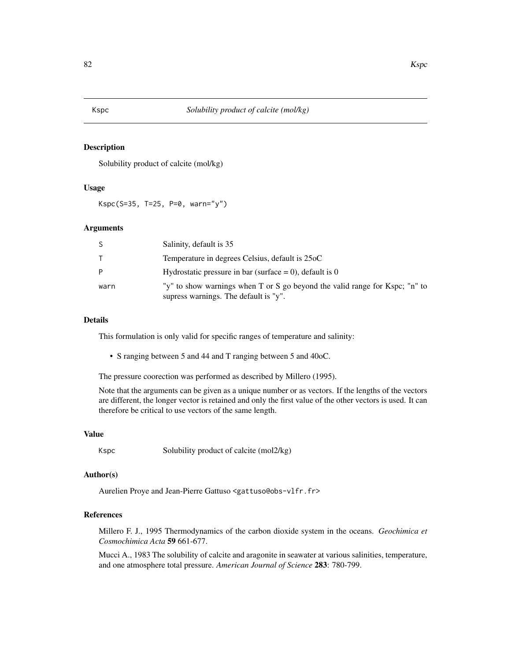### Description

Solubility product of calcite (mol/kg)

# Usage

Kspc(S=35, T=25, P=0, warn="y")

#### Arguments

|      | Salinity, default is 35                                                                                              |
|------|----------------------------------------------------------------------------------------------------------------------|
|      | Temperature in degrees Celsius, default is 25oC                                                                      |
|      | Hydrostatic pressure in bar (surface $= 0$ ), default is 0                                                           |
| warn | "y" to show warnings when T or S go beyond the valid range for Kspc; "n" to<br>supress warnings. The default is "y". |

### Details

This formulation is only valid for specific ranges of temperature and salinity:

• S ranging between 5 and 44 and T ranging between 5 and 40oC.

The pressure coorection was performed as described by Millero (1995).

Note that the arguments can be given as a unique number or as vectors. If the lengths of the vectors are different, the longer vector is retained and only the first value of the other vectors is used. It can therefore be critical to use vectors of the same length.

#### Value

Kspc Solubility product of calcite (mol2/kg)

#### Author(s)

Aurelien Proye and Jean-Pierre Gattuso <gattuso@obs-vlfr.fr>

# References

Millero F. J., 1995 Thermodynamics of the carbon dioxide system in the oceans. *Geochimica et Cosmochimica Acta* 59 661-677.

Mucci A., 1983 The solubility of calcite and aragonite in seawater at various salinities, temperature, and one atmosphere total pressure. *American Journal of Science* 283: 780-799.

<span id="page-81-0"></span>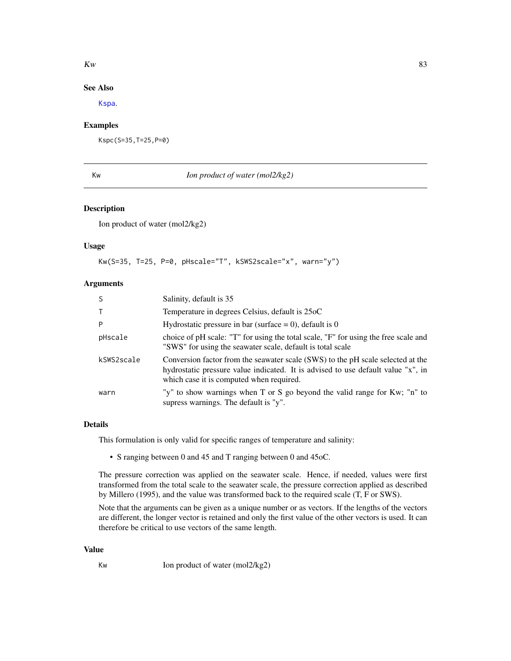#### $K_{W}$  83

# See Also

[Kspa](#page-79-0).

# Examples

Kspc(S=35,T=25,P=0)

# Kw *Ion product of water (mol2/kg2)*

# Description

Ion product of water (mol2/kg2)

### Usage

```
Kw(S=35, T=25, P=0, pHscale="T", kSWS2scale="x", warn="y")
```
### Arguments

| <sub>S</sub> | Salinity, default is 35                                                                                                                                                                                         |
|--------------|-----------------------------------------------------------------------------------------------------------------------------------------------------------------------------------------------------------------|
| $\top$       | Temperature in degrees Celsius, default is 25oC                                                                                                                                                                 |
| P            | Hydrostatic pressure in bar (surface = 0), default is 0                                                                                                                                                         |
| pHscale      | choice of pH scale: "T" for using the total scale, "F" for using the free scale and<br>"SWS" for using the seawater scale, default is total scale                                                               |
| kSWS2scale   | Conversion factor from the seawater scale (SWS) to the pH scale selected at the<br>hydrostatic pressure value indicated. It is advised to use default value "x", in<br>which case it is computed when required. |
| warn         | "y" to show warnings when T or S go beyond the valid range for Kw; "n" to<br>supress warnings. The default is "y".                                                                                              |

## Details

This formulation is only valid for specific ranges of temperature and salinity:

• S ranging between 0 and 45 and T ranging between 0 and 45oC.

The pressure correction was applied on the seawater scale. Hence, if needed, values were first transformed from the total scale to the seawater scale, the pressure correction applied as described by Millero (1995), and the value was transformed back to the required scale (T, F or SWS).

Note that the arguments can be given as a unique number or as vectors. If the lengths of the vectors are different, the longer vector is retained and only the first value of the other vectors is used. It can therefore be critical to use vectors of the same length.

### Value

Kw Ion product of water (mol2/kg2)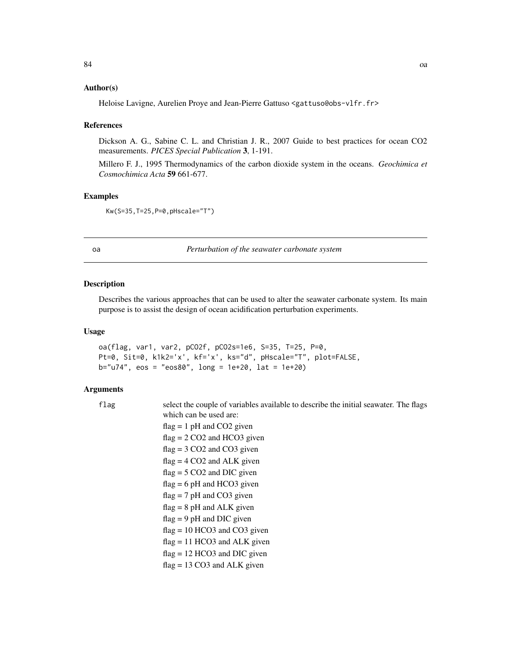## Author(s)

Heloise Lavigne, Aurelien Proye and Jean-Pierre Gattuso <gattuso@obs-vlfr.fr>

#### References

Dickson A. G., Sabine C. L. and Christian J. R., 2007 Guide to best practices for ocean CO2 measurements. *PICES Special Publication* 3, 1-191.

Millero F. J., 1995 Thermodynamics of the carbon dioxide system in the oceans. *Geochimica et Cosmochimica Acta* 59 661-677.

# Examples

Kw(S=35,T=25,P=0,pHscale="T")

oa *Perturbation of the seawater carbonate system*

### Description

Describes the various approaches that can be used to alter the seawater carbonate system. Its main purpose is to assist the design of ocean acidification perturbation experiments.

#### Usage

oa(flag, var1, var2, pCO2f, pCO2s=1e6, S=35, T=25, P=0, Pt=0, Sit=0, k1k2='x', kf='x', ks="d", pHscale="T", plot=FALSE,  $b="u74", eos = "eos80", long = 1e+20, lat = 1e+20)$ 

#### Arguments

flag select the couple of variables available to describe the initial seawater. The flags which can be used are:

flag = 1 pH and CO2 given flag = 2 CO2 and HCO3 given flag = 3 CO2 and CO3 given flag = 4 CO2 and ALK given flag = 5 CO2 and DIC given flag = 6 pH and HCO3 given flag = 7 pH and CO3 given flag = 8 pH and ALK given flag = 9 pH and DIC given flag = 10 HCO3 and CO3 given flag = 11 HCO3 and ALK given flag = 12 HCO3 and DIC given flag = 13 CO3 and ALK given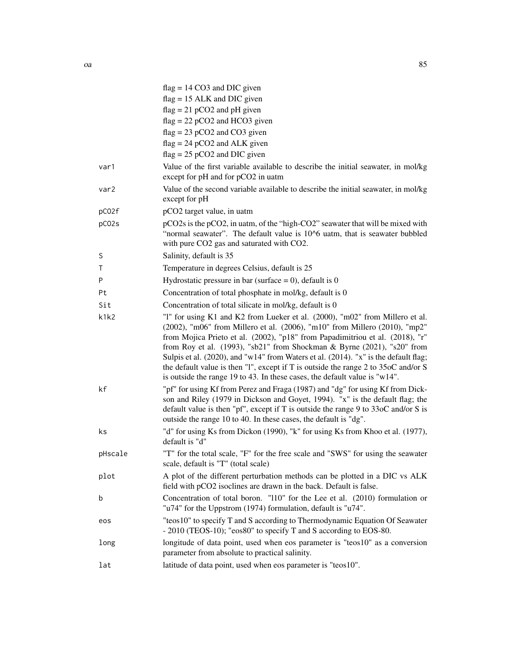|         | $flag = 14 CO3$ and DIC given                                                                                                                                                                                                                                                                                                                                                                                                                                                                                                                                                                |
|---------|----------------------------------------------------------------------------------------------------------------------------------------------------------------------------------------------------------------------------------------------------------------------------------------------------------------------------------------------------------------------------------------------------------------------------------------------------------------------------------------------------------------------------------------------------------------------------------------------|
|         | $flag = 15$ ALK and DIC given                                                                                                                                                                                                                                                                                                                                                                                                                                                                                                                                                                |
|         | $flag = 21 pCO2$ and pH given                                                                                                                                                                                                                                                                                                                                                                                                                                                                                                                                                                |
|         | $flag = 22 pCO2$ and HCO3 given<br>$flag = 23 pCO2$ and $CO3$ given                                                                                                                                                                                                                                                                                                                                                                                                                                                                                                                          |
|         | $flag = 24 pCO2$ and ALK given                                                                                                                                                                                                                                                                                                                                                                                                                                                                                                                                                               |
|         | $flag = 25 pCO2$ and DIC given                                                                                                                                                                                                                                                                                                                                                                                                                                                                                                                                                               |
| var1    | Value of the first variable available to describe the initial seawater, in mol/kg<br>except for pH and for pCO2 in uatm                                                                                                                                                                                                                                                                                                                                                                                                                                                                      |
| var2    | Value of the second variable available to describe the initial seawater, in mol/kg<br>except for pH                                                                                                                                                                                                                                                                                                                                                                                                                                                                                          |
| pC02f   | pCO2 target value, in uatm                                                                                                                                                                                                                                                                                                                                                                                                                                                                                                                                                                   |
| pC02s   | pCO2s is the pCO2, in uatm, of the "high-CO2" seawater that will be mixed with<br>"normal seawater". The default value is 10^6 uatm, that is seawater bubbled<br>with pure CO2 gas and saturated with CO2.                                                                                                                                                                                                                                                                                                                                                                                   |
| S       | Salinity, default is 35                                                                                                                                                                                                                                                                                                                                                                                                                                                                                                                                                                      |
| Τ       | Temperature in degrees Celsius, default is 25                                                                                                                                                                                                                                                                                                                                                                                                                                                                                                                                                |
| P       | Hydrostatic pressure in bar (surface $= 0$ ), default is 0                                                                                                                                                                                                                                                                                                                                                                                                                                                                                                                                   |
| Pt      | Concentration of total phosphate in mol/kg, default is 0                                                                                                                                                                                                                                                                                                                                                                                                                                                                                                                                     |
| Sit     | Concentration of total silicate in mol/kg, default is 0                                                                                                                                                                                                                                                                                                                                                                                                                                                                                                                                      |
| k1k2    | "1" for using K1 and K2 from Lueker et al. (2000), "m02" from Millero et al.<br>(2002), "m06" from Millero et al. (2006), "m10" from Millero (2010), "mp2"<br>from Mojica Prieto et al. (2002), "p18" from Papadimitriou et al. (2018), "r"<br>from Roy et al. $(1993)$ , "sb21" from Shockman & Byrne $(2021)$ , "s20" from<br>Sulpis et al. (2020), and "w14" from Waters et al. (2014). "x" is the default flag;<br>the default value is then "1", except if T is outside the range $2$ to $35$ oC and/or S<br>is outside the range 19 to 43. In these cases, the default value is "w14". |
| kf      | "pf" for using Kf from Perez and Fraga (1987) and "dg" for using Kf from Dick-<br>son and Riley (1979 in Dickson and Goyet, 1994). "x" is the default flag; the<br>default value is then "pf", except if T is outside the range $9$ to $33$ oC and/or S is<br>outside the range 10 to 40. In these cases, the default is "dg".                                                                                                                                                                                                                                                               |
| ks      | "d" for using Ks from Dickon (1990), "k" for using Ks from Khoo et al. (1977),<br>default is "d"                                                                                                                                                                                                                                                                                                                                                                                                                                                                                             |
| pHscale | "T" for the total scale, "F" for the free scale and "SWS" for using the seawater<br>scale, default is "T" (total scale)                                                                                                                                                                                                                                                                                                                                                                                                                                                                      |
| plot    | A plot of the different perturbation methods can be plotted in a DIC vs ALK<br>field with pCO2 isoclines are drawn in the back. Default is false.                                                                                                                                                                                                                                                                                                                                                                                                                                            |
| b       | Concentration of total boron. "110" for the Lee et al. (2010) formulation or<br>"u74" for the Uppstrom (1974) formulation, default is "u74".                                                                                                                                                                                                                                                                                                                                                                                                                                                 |
| eos     | "teos10" to specify T and S according to Thermodynamic Equation Of Seawater<br>- 2010 (TEOS-10); "eos80" to specify T and S according to EOS-80.                                                                                                                                                                                                                                                                                                                                                                                                                                             |
| long    | longitude of data point, used when eos parameter is "teos10" as a conversion<br>parameter from absolute to practical salinity.                                                                                                                                                                                                                                                                                                                                                                                                                                                               |
| lat     | latitude of data point, used when eos parameter is "teos10".                                                                                                                                                                                                                                                                                                                                                                                                                                                                                                                                 |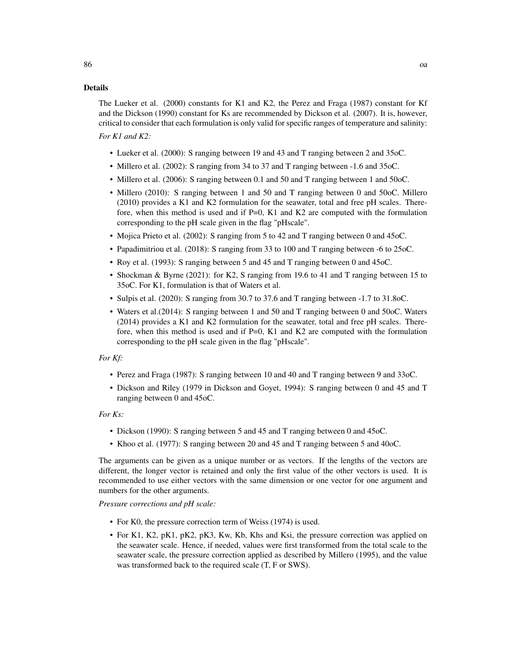### Details

The Lueker et al. (2000) constants for K1 and K2, the Perez and Fraga (1987) constant for Kf and the Dickson (1990) constant for Ks are recommended by Dickson et al. (2007). It is, however, critical to consider that each formulation is only valid for specific ranges of temperature and salinity:

*For K1 and K2:*

- Lueker et al. (2000): S ranging between 19 and 43 and T ranging between 2 and 35oC.
- Millero et al. (2002): S ranging from 34 to 37 and T ranging between -1.6 and 35oC.
- Millero et al. (2006): S ranging between 0.1 and 50 and T ranging between 1 and 50oC.
- Millero (2010): S ranging between 1 and 50 and T ranging between 0 and 50oC. Millero (2010) provides a K1 and K2 formulation for the seawater, total and free pH scales. Therefore, when this method is used and if  $P=0$ , K1 and K2 are computed with the formulation corresponding to the pH scale given in the flag "pHscale".
- Mojica Prieto et al. (2002): S ranging from 5 to 42 and T ranging between 0 and 45oC.
- Papadimitriou et al. (2018): S ranging from 33 to 100 and T ranging between -6 to 25oC.
- Roy et al. (1993): S ranging between 5 and 45 and T ranging between 0 and 45oC.
- Shockman & Byrne (2021): for K2, S ranging from 19.6 to 41 and T ranging between 15 to 35oC. For K1, formulation is that of Waters et al.
- Sulpis et al. (2020): S ranging from 30.7 to 37.6 and T ranging between -1.7 to 31.8oC.
- Waters et al.(2014): S ranging between 1 and 50 and T ranging between 0 and 50oC. Waters (2014) provides a K1 and K2 formulation for the seawater, total and free pH scales. Therefore, when this method is used and if  $P=0$ , K1 and K2 are computed with the formulation corresponding to the pH scale given in the flag "pHscale".

# *For Kf:*

- Perez and Fraga (1987): S ranging between 10 and 40 and T ranging between 9 and 33oC.
- Dickson and Riley (1979 in Dickson and Goyet, 1994): S ranging between 0 and 45 and T ranging between 0 and 45oC.

*For Ks:*

- Dickson (1990): S ranging between 5 and 45 and T ranging between 0 and 45oC.
- Khoo et al. (1977): S ranging between 20 and 45 and T ranging between 5 and 40oC.

The arguments can be given as a unique number or as vectors. If the lengths of the vectors are different, the longer vector is retained and only the first value of the other vectors is used. It is recommended to use either vectors with the same dimension or one vector for one argument and numbers for the other arguments.

*Pressure corrections and pH scale:*

- For K0, the pressure correction term of Weiss (1974) is used.
- For K1, K2, pK1, pK2, pK3, Kw, Kb, Khs and Ksi, the pressure correction was applied on the seawater scale. Hence, if needed, values were first transformed from the total scale to the seawater scale, the pressure correction applied as described by Millero (1995), and the value was transformed back to the required scale (T, F or SWS).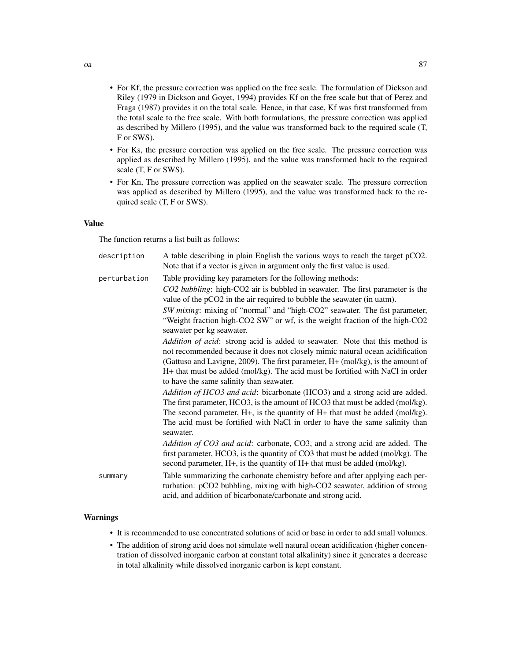- For Kf, the pressure correction was applied on the free scale. The formulation of Dickson and Riley (1979 in Dickson and Goyet, 1994) provides Kf on the free scale but that of Perez and Fraga (1987) provides it on the total scale. Hence, in that case, Kf was first transformed from the total scale to the free scale. With both formulations, the pressure correction was applied as described by Millero (1995), and the value was transformed back to the required scale (T, F or SWS).
- For Ks, the pressure correction was applied on the free scale. The pressure correction was applied as described by Millero (1995), and the value was transformed back to the required scale (T, F or SWS).
- For Kn, The pressure correction was applied on the seawater scale. The pressure correction was applied as described by Millero (1995), and the value was transformed back to the required scale (T, F or SWS).

### Value

The function returns a list built as follows:

| description  | A table describing in plain English the various ways to reach the target pCO2.<br>Note that if a vector is given in argument only the first value is used.                                                                                                                                                                                                                    |
|--------------|-------------------------------------------------------------------------------------------------------------------------------------------------------------------------------------------------------------------------------------------------------------------------------------------------------------------------------------------------------------------------------|
| perturbation | Table providing key parameters for the following methods:                                                                                                                                                                                                                                                                                                                     |
|              | CO2 bubbling: high-CO2 air is bubbled in seawater. The first parameter is the<br>value of the pCO2 in the air required to bubble the seawater (in uatm).                                                                                                                                                                                                                      |
|              | SW mixing: mixing of "normal" and "high-CO2" seawater. The fist parameter,<br>"Weight fraction high-CO2 SW" or wf, is the weight fraction of the high-CO2<br>seawater per kg seawater.                                                                                                                                                                                        |
|              | Addition of acid: strong acid is added to seawater. Note that this method is<br>not recommended because it does not closely mimic natural ocean acidification<br>(Gattuso and Lavigne, 2009). The first parameter, H+ (mol/kg), is the amount of<br>H+ that must be added (mol/kg). The acid must be fortified with NaCl in order<br>to have the same salinity than seawater. |
|              | Addition of HCO3 and acid: bicarbonate (HCO3) and a strong acid are added.<br>The first parameter, HCO3, is the amount of HCO3 that must be added (mol/kg).<br>The second parameter, $H+$ , is the quantity of $H+$ that must be added (mol/kg).<br>The acid must be fortified with NaCl in order to have the same salinity than<br>seawater.                                 |
|              | Addition of CO3 and acid: carbonate, CO3, and a strong acid are added. The<br>first parameter, HCO3, is the quantity of CO3 that must be added (mol/kg). The<br>second parameter, H+, is the quantity of H+ that must be added (mol/kg).                                                                                                                                      |
| summary      | Table summarizing the carbonate chemistry before and after applying each per-<br>turbation: pCO2 bubbling, mixing with high-CO2 seawater, addition of strong<br>acid, and addition of bicarbonate/carbonate and strong acid.                                                                                                                                                  |

# Warnings

- It is recommended to use concentrated solutions of acid or base in order to add small volumes.
- The addition of strong acid does not simulate well natural ocean acidification (higher concentration of dissolved inorganic carbon at constant total alkalinity) since it generates a decrease in total alkalinity while dissolved inorganic carbon is kept constant.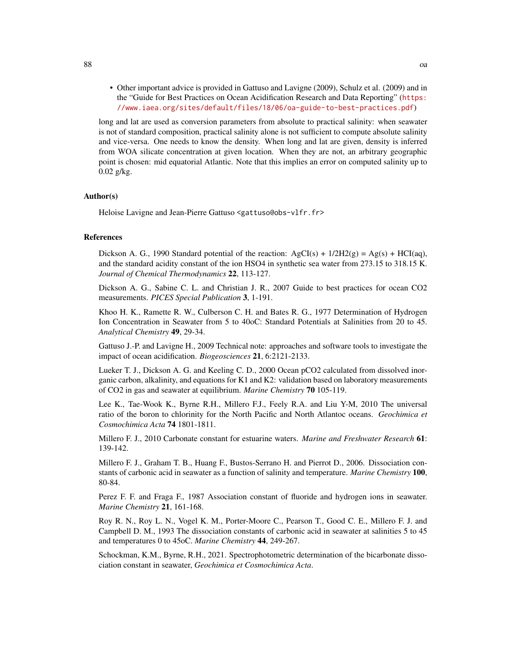• Other important advice is provided in Gattuso and Lavigne (2009), Schulz et al. (2009) and in the "Guide for Best Practices on Ocean Acidification Research and Data Reporting" ([https:](https://www.iaea.org/sites/default/files/18/06/oa-guide-to-best-practices.pdf) [//www.iaea.org/sites/default/files/18/06/oa-guide-to-best-practices.pdf](https://www.iaea.org/sites/default/files/18/06/oa-guide-to-best-practices.pdf))

long and lat are used as conversion parameters from absolute to practical salinity: when seawater is not of standard composition, practical salinity alone is not sufficient to compute absolute salinity and vice-versa. One needs to know the density. When long and lat are given, density is inferred from WOA silicate concentration at given location. When they are not, an arbitrary geographic point is chosen: mid equatorial Atlantic. Note that this implies an error on computed salinity up to 0.02 g/kg.

## Author(s)

Heloise Lavigne and Jean-Pierre Gattuso <gattuso@obs-vlfr.fr>

#### **References**

Dickson A. G., 1990 Standard potential of the reaction:  $AgCI(s) + 1/2H2(g) = Ag(s) + HCI(aq)$ , and the standard acidity constant of the ion HSO4 in synthetic sea water from 273.15 to 318.15 K. *Journal of Chemical Thermodynamics* 22, 113-127.

Dickson A. G., Sabine C. L. and Christian J. R., 2007 Guide to best practices for ocean CO2 measurements. *PICES Special Publication* 3, 1-191.

Khoo H. K., Ramette R. W., Culberson C. H. and Bates R. G., 1977 Determination of Hydrogen Ion Concentration in Seawater from 5 to 40oC: Standard Potentials at Salinities from 20 to 45. *Analytical Chemistry* 49, 29-34.

Gattuso J.-P. and Lavigne H., 2009 Technical note: approaches and software tools to investigate the impact of ocean acidification. *Biogeosciences* 21, 6:2121-2133.

Lueker T. J., Dickson A. G. and Keeling C. D., 2000 Ocean pCO2 calculated from dissolved inorganic carbon, alkalinity, and equations for K1 and K2: validation based on laboratory measurements of CO2 in gas and seawater at equilibrium. *Marine Chemistry* 70 105-119.

Lee K., Tae-Wook K., Byrne R.H., Millero F.J., Feely R.A. and Liu Y-M, 2010 The universal ratio of the boron to chlorinity for the North Pacific and North Atlantoc oceans. *Geochimica et Cosmochimica Acta* 74 1801-1811.

Millero F. J., 2010 Carbonate constant for estuarine waters. *Marine and Freshwater Research* 61: 139-142.

Millero F. J., Graham T. B., Huang F., Bustos-Serrano H. and Pierrot D., 2006. Dissociation constants of carbonic acid in seawater as a function of salinity and temperature. *Marine Chemistry* 100, 80-84.

Perez F. F. and Fraga F., 1987 Association constant of fluoride and hydrogen ions in seawater. *Marine Chemistry* 21, 161-168.

Roy R. N., Roy L. N., Vogel K. M., Porter-Moore C., Pearson T., Good C. E., Millero F. J. and Campbell D. M., 1993 The dissociation constants of carbonic acid in seawater at salinities 5 to 45 and temperatures 0 to 45oC. *Marine Chemistry* 44, 249-267.

Schockman, K.M., Byrne, R.H., 2021. Spectrophotometric determination of the bicarbonate dissociation constant in seawater, *Geochimica et Cosmochimica Acta*.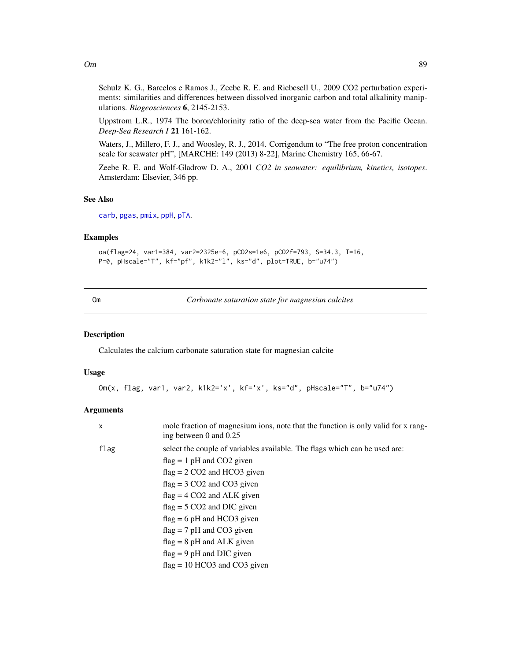Schulz K. G., Barcelos e Ramos J., Zeebe R. E. and Riebesell U., 2009 CO2 perturbation experiments: similarities and differences between dissolved inorganic carbon and total alkalinity manipulations. *Biogeosciences* 6, 2145-2153.

Uppstrom L.R., 1974 The boron/chlorinity ratio of the deep-sea water from the Pacific Ocean. *Deep-Sea Research I* 21 161-162.

Waters, J., Millero, F. J., and Woosley, R. J., 2014. Corrigendum to "The free proton concentration scale for seawater pH", [MARCHE: 149 (2013) 8-22], Marine Chemistry 165, 66-67.

Zeebe R. E. and Wolf-Gladrow D. A., 2001 *CO2 in seawater: equilibrium, kinetics, isotopes*. Amsterdam: Elsevier, 346 pp.

# See Also

[carb](#page-22-0), [pgas](#page-103-0), [pmix](#page-116-0), [ppH](#page-120-0), [pTA](#page-129-0).

### Examples

```
oa(flag=24, var1=384, var2=2325e-6, pCO2s=1e6, pCO2f=793, S=34.3, T=16,
P=0, pHscale="T", kf="pf", k1k2="l", ks="d", plot=TRUE, b="u74")
```
Om *Carbonate saturation state for magnesian calcites*

#### Description

Calculates the calcium carbonate saturation state for magnesian calcite

## Usage

```
Om(x, flag, var1, var2, k1k2='x', kf='x', ks="d", pHscale="T", b="u74")
```
#### Arguments

| $\mathsf{x}$ | mole fraction of magnesium ions, note that the function is only valid for x rang-<br>ing between 0 and 0.25 |
|--------------|-------------------------------------------------------------------------------------------------------------|
| flag         | select the couple of variables available. The flags which can be used are:                                  |
|              | $flag = 1 pH$ and CO2 given                                                                                 |
|              | $flag = 2 CO2$ and HCO3 given                                                                               |
|              | $flag = 3 CO2$ and $CO3$ given                                                                              |
|              | $flag = 4 CO2$ and ALK given                                                                                |
|              | $flag = 5 CO2$ and DIC given                                                                                |
|              | $flag = 6 pH$ and HCO3 given                                                                                |
|              | $flag = 7 pH$ and CO3 given                                                                                 |
|              | $flag = 8$ pH and ALK given                                                                                 |
|              | $flag = 9 pH$ and DIC given                                                                                 |
|              | $flag = 10 HCO3$ and $CO3$ given                                                                            |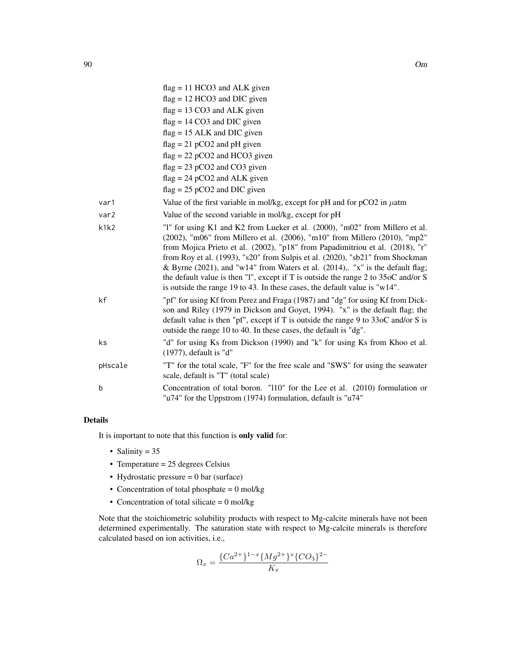|         | $flag = 11 HCO3$ and ALK given                                                                                                                                                                                                                                                                                                                                                                                                                                                                                                                                                     |
|---------|------------------------------------------------------------------------------------------------------------------------------------------------------------------------------------------------------------------------------------------------------------------------------------------------------------------------------------------------------------------------------------------------------------------------------------------------------------------------------------------------------------------------------------------------------------------------------------|
|         | $flag = 12 HCO3$ and DIC given                                                                                                                                                                                                                                                                                                                                                                                                                                                                                                                                                     |
|         | $flag = 13 CO3$ and ALK given                                                                                                                                                                                                                                                                                                                                                                                                                                                                                                                                                      |
|         | $flag = 14 CO3$ and DIC given                                                                                                                                                                                                                                                                                                                                                                                                                                                                                                                                                      |
|         | $flag = 15$ ALK and DIC given                                                                                                                                                                                                                                                                                                                                                                                                                                                                                                                                                      |
|         | $flag = 21 pCO2$ and pH given                                                                                                                                                                                                                                                                                                                                                                                                                                                                                                                                                      |
|         | $flag = 22 pCO2$ and HCO3 given                                                                                                                                                                                                                                                                                                                                                                                                                                                                                                                                                    |
|         | $flag = 23 pCO2$ and $CO3$ given                                                                                                                                                                                                                                                                                                                                                                                                                                                                                                                                                   |
|         | $flag = 24 pCO2$ and ALK given                                                                                                                                                                                                                                                                                                                                                                                                                                                                                                                                                     |
|         | $flag = 25 pCO2$ and DIC given                                                                                                                                                                                                                                                                                                                                                                                                                                                                                                                                                     |
| var1    | Value of the first variable in mol/kg, except for pH and for $pCO2$ in $\mu$ atm                                                                                                                                                                                                                                                                                                                                                                                                                                                                                                   |
| var2    | Value of the second variable in mol/kg, except for pH                                                                                                                                                                                                                                                                                                                                                                                                                                                                                                                              |
| k1k2    | "1" for using K1 and K2 from Lueker et al. (2000), "m02" from Millero et al.<br>(2002), "m06" from Millero et al. (2006), "m10" from Millero (2010), "mp2"<br>from Mojica Prieto et al. (2002), "p18" from Papadimitriou et al. (2018), "r"<br>from Roy et al. (1993), "s20" from Sulpis et al. (2020), "sb21" from Shockman<br>& Byrne (2021), and "w14" from Waters et al. (2014),. "x" is the default flag;<br>the default value is then "1", except if T is outside the range 2 to 35oC and/or S<br>is outside the range 19 to 43. In these cases, the default value is "w14". |
| kf      | "pf" for using Kf from Perez and Fraga (1987) and "dg" for using Kf from Dick-<br>son and Riley (1979 in Dickson and Goyet, 1994). "x" is the default flag; the<br>default value is then "pf", except if T is outside the range 9 to $33\text{oC}$ and/or S is<br>outside the range 10 to 40. In these cases, the default is "dg".                                                                                                                                                                                                                                                 |
| ks      | "d" for using Ks from Dickson (1990) and "k" for using Ks from Khoo et al.<br>(1977), default is "d"                                                                                                                                                                                                                                                                                                                                                                                                                                                                               |
| pHscale | "T" for the total scale, "F" for the free scale and "SWS" for using the seawater<br>scale, default is "T" (total scale)                                                                                                                                                                                                                                                                                                                                                                                                                                                            |
| b       | Concentration of total boron. "110" for the Lee et al. (2010) formulation or<br>"u74" for the Uppstrom (1974) formulation, default is "u74"                                                                                                                                                                                                                                                                                                                                                                                                                                        |

# Details

It is important to note that this function is only valid for:

- Salinity  $= 35$
- Temperature =  $25$  degrees Celsius
- Hydrostatic pressure  $= 0$  bar (surface)
- Concentration of total phosphate  $= 0$  mol/kg
- Concentration of total silicate  $= 0$  mol/kg

Note that the stoichiometric solubility products with respect to Mg-calcite minerals have not been determined experimentally. The saturation state with respect to Mg-calcite minerals is therefore calculated based on ion activities, i.e.,

$$
\Omega_x = \frac{\{Ca^{2+}\}^{1-x} \{Mg^{2+}\}^x \{CO_3\}^{2-}}{K_x}
$$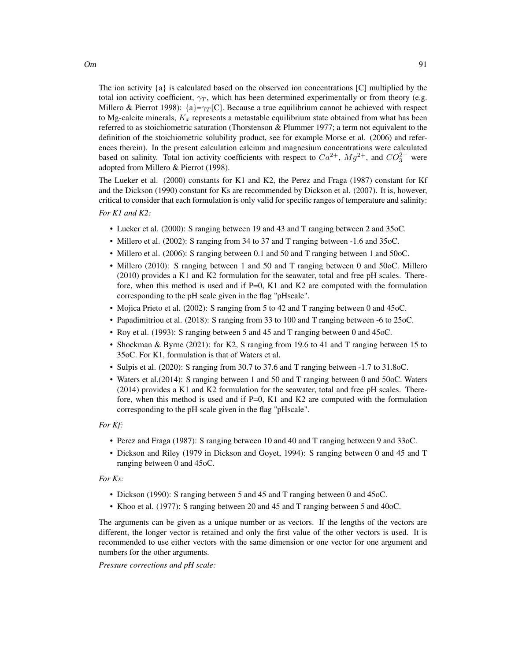The ion activity  $\{a\}$  is calculated based on the observed ion concentrations  $[C]$  multiplied by the total ion activity coefficient,  $\gamma_T$ , which has been determined experimentally or from theory (e.g. Millero & Pierrot 1998): {a}= $\gamma_T$ [C]. Because a true equilibrium cannot be achieved with respect to Mg-calcite minerals,  $K_x$  represents a metastable equilibrium state obtained from what has been referred to as stoichiometric saturation (Thorstenson & Plummer 1977; a term not equivalent to the definition of the stoichiometric solubility product, see for example Morse et al. (2006) and references therein). In the present calculation calcium and magnesium concentrations were calculated based on salinity. Total ion activity coefficients with respect to  $Ca^{2+}$ ,  $Mg^{2+}$ , and  $CO_3^{2-}$  were adopted from Millero & Pierrot (1998).

The Lueker et al. (2000) constants for K1 and K2, the Perez and Fraga (1987) constant for Kf and the Dickson (1990) constant for Ks are recommended by Dickson et al. (2007). It is, however, critical to consider that each formulation is only valid for specific ranges of temperature and salinity:

*For K1 and K2:*

- Lueker et al. (2000): S ranging between 19 and 43 and T ranging between 2 and 35oC.
- Millero et al. (2002): S ranging from 34 to 37 and T ranging between -1.6 and 35oC.
- Millero et al. (2006): S ranging between 0.1 and 50 and T ranging between 1 and 50 oC.
- Millero (2010): S ranging between 1 and 50 and T ranging between 0 and 50oC. Millero (2010) provides a K1 and K2 formulation for the seawater, total and free pH scales. Therefore, when this method is used and if  $P=0$ , K1 and K2 are computed with the formulation corresponding to the pH scale given in the flag "pHscale".
- Mojica Prieto et al. (2002): S ranging from 5 to 42 and T ranging between 0 and 45oC.
- Papadimitriou et al. (2018): S ranging from 33 to 100 and T ranging between -6 to 25oC.
- Roy et al. (1993): S ranging between 5 and 45 and T ranging between 0 and 45oC.
- Shockman & Byrne (2021): for K2, S ranging from 19.6 to 41 and T ranging between 15 to 35oC. For K1, formulation is that of Waters et al.
- Sulpis et al. (2020): S ranging from 30.7 to 37.6 and T ranging between -1.7 to 31.8oC.
- Waters et al.(2014): S ranging between 1 and 50 and T ranging between 0 and 50oC. Waters (2014) provides a K1 and K2 formulation for the seawater, total and free pH scales. Therefore, when this method is used and if  $P=0$ , K1 and K2 are computed with the formulation corresponding to the pH scale given in the flag "pHscale".

#### *For Kf:*

- Perez and Fraga (1987): S ranging between 10 and 40 and T ranging between 9 and 33oC.
- Dickson and Riley (1979 in Dickson and Goyet, 1994): S ranging between 0 and 45 and T ranging between 0 and 45oC.

#### *For Ks:*

- Dickson (1990): S ranging between 5 and 45 and T ranging between 0 and 45oC.
- Khoo et al. (1977): S ranging between 20 and 45 and T ranging between 5 and 40oC.

The arguments can be given as a unique number or as vectors. If the lengths of the vectors are different, the longer vector is retained and only the first value of the other vectors is used. It is recommended to use either vectors with the same dimension or one vector for one argument and numbers for the other arguments.

*Pressure corrections and pH scale:*

 $Om$  91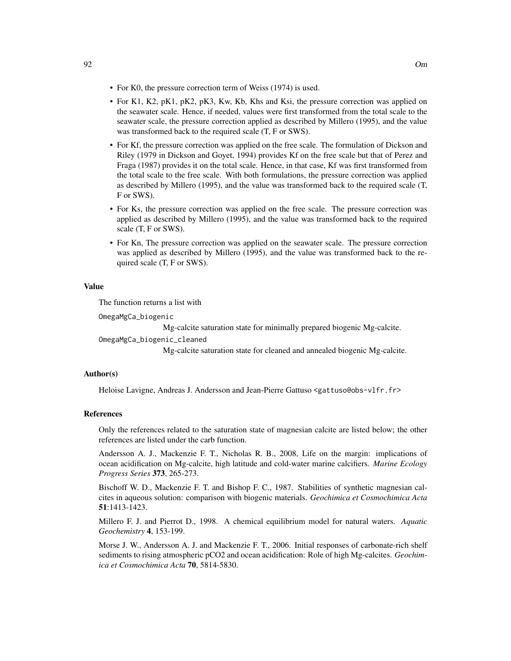- For K0, the pressure correction term of Weiss (1974) is used.
- For K1, K2, pK1, pK2, pK3, Kw, Kb, Khs and Ksi, the pressure correction was applied on the seawater scale. Hence, if needed, values were first transformed from the total scale to the seawater scale, the pressure correction applied as described by Millero (1995), and the value was transformed back to the required scale (T, F or SWS).
- For Kf, the pressure correction was applied on the free scale. The formulation of Dickson and Riley (1979 in Dickson and Goyet, 1994) provides Kf on the free scale but that of Perez and Fraga (1987) provides it on the total scale. Hence, in that case, Kf was first transformed from the total scale to the free scale. With both formulations, the pressure correction was applied as described by Millero (1995), and the value was transformed back to the required scale (T, F or SWS).
- For Ks, the pressure correction was applied on the free scale. The pressure correction was applied as described by Millero (1995), and the value was transformed back to the required scale (T, F or SWS).
- For Kn, The pressure correction was applied on the seawater scale. The pressure correction was applied as described by Millero (1995), and the value was transformed back to the required scale (T, F or SWS).

#### Value

The function returns a list with

OmegaMgCa\_biogenic

Mg-calcite saturation state for minimally prepared biogenic Mg-calcite.

OmegaMgCa\_biogenic\_cleaned

Mg-calcite saturation state for cleaned and annealed biogenic Mg-calcite.

#### Author(s)

Heloise Lavigne, Andreas J. Andersson and Jean-Pierre Gattuso <gattuso@obs-vlfr.fr>

#### References

Only the references related to the saturation state of magnesian calcite are listed below; the other references are listed under the carb function.

Andersson A. J., Mackenzie F. T., Nicholas R. B., 2008, Life on the margin: implications of ocean acidification on Mg-calcite, high latitude and cold-water marine calcifiers. *Marine Ecology Progress Series* 373, 265-273.

Bischoff W. D., Mackenzie F. T. and Bishop F. C., 1987. Stabilities of synthetic magnesian calcites in aqueous solution: comparison with biogenic materials. *Geochimica et Cosmochimica Acta* 51:1413-1423.

Millero F. J. and Pierrot D., 1998. A chemical equilibrium model for natural waters. *Aquatic Geochemistry* 4, 153-199.

Morse J. W., Andersson A. J. and Mackenzie F. T., 2006. Initial responses of carbonate-rich shelf sediments to rising atmospheric pCO2 and ocean acidification: Role of high Mg-calcites. *Geochimica et Cosmochimica Acta* 70, 5814-5830.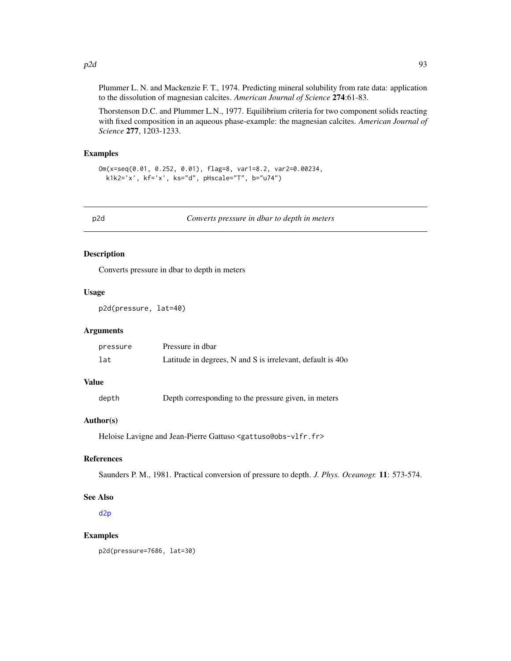Plummer L. N. and Mackenzie F. T., 1974. Predicting mineral solubility from rate data: application to the dissolution of magnesian calcites. *American Journal of Science* 274:61-83.

Thorstenson D.C. and Plummer L.N., 1977. Equilibrium criteria for two component solids reacting with fixed composition in an aqueous phase-example: the magnesian calcites. *American Journal of Science* 277, 1203-1233.

#### Examples

```
Om(x=seq(0.01, 0.252, 0.01), flag=8, var1=8.2, var2=0.00234,
 k1k2='x', kf='x', ks="d", pHscale="T", b="u74")
```
p2d *Converts pressure in dbar to depth in meters*

# Description

Converts pressure in dbar to depth in meters

# Usage

p2d(pressure, lat=40)

# Arguments

| pressure | Pressure in dbar                                           |
|----------|------------------------------------------------------------|
| lat      | Latitude in degrees, N and S is irrelevant, default is 40o |

# Value

depth Depth corresponding to the pressure given, in meters

### Author(s)

Heloise Lavigne and Jean-Pierre Gattuso <gattuso@obs-vlfr.fr>

# References

Saunders P. M., 1981. Practical conversion of pressure to depth. *J. Phys. Oceanogr.* 11: 573-574.

#### See Also

[d2p](#page-40-0)

### Examples

p2d(pressure=7686, lat=30)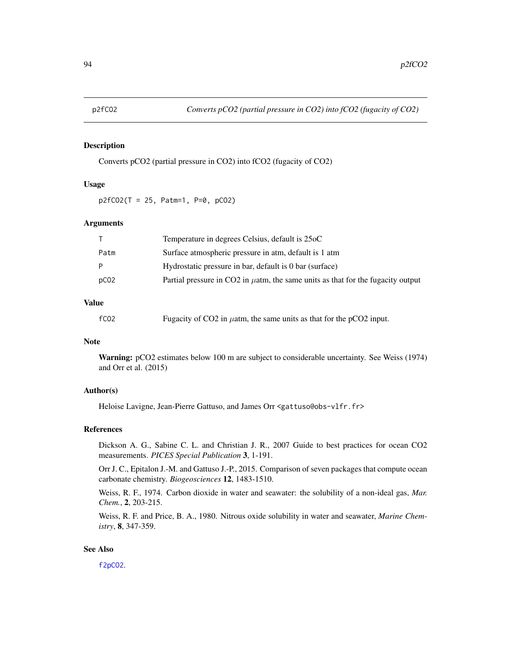# Description

Converts pCO2 (partial pressure in CO2) into fCO2 (fugacity of CO2)

### Usage

 $p2fCO2(T = 25, Patm=1, P=0, pCO2)$ 

### Arguments

|      | Temperature in degrees Celsius, default is 25oC                                      |
|------|--------------------------------------------------------------------------------------|
| Patm | Surface atmospheric pressure in atm, default is 1 atm                                |
| P    | Hydrostatic pressure in bar, default is 0 bar (surface)                              |
| pCO2 | Partial pressure in CO2 in $\mu$ atm, the same units as that for the fugacity output |

# Value

| fC <sub>02</sub> | Fugacity of CO2 in $\mu$ atm, the same units as that for the pCO2 input. |
|------------------|--------------------------------------------------------------------------|
|------------------|--------------------------------------------------------------------------|

# Note

Warning: pCO2 estimates below 100 m are subject to considerable uncertainty. See Weiss (1974) and Orr et al. (2015)

# Author(s)

Heloise Lavigne, Jean-Pierre Gattuso, and James Orr <gattuso@obs-vlfr.fr>

#### References

Dickson A. G., Sabine C. L. and Christian J. R., 2007 Guide to best practices for ocean CO2 measurements. *PICES Special Publication* 3, 1-191.

Orr J. C., Epitalon J.-M. and Gattuso J.-P., 2015. Comparison of seven packages that compute ocean carbonate chemistry. *Biogeosciences* 12, 1483-1510.

Weiss, R. F., 1974. Carbon dioxide in water and seawater: the solubility of a non-ideal gas, *Mar. Chem.*, 2, 203-215.

Weiss, R. F. and Price, B. A., 1980. Nitrous oxide solubility in water and seawater, *Marine Chemistry*, 8, 347-359.

# See Also

[f2pCO2](#page-56-0).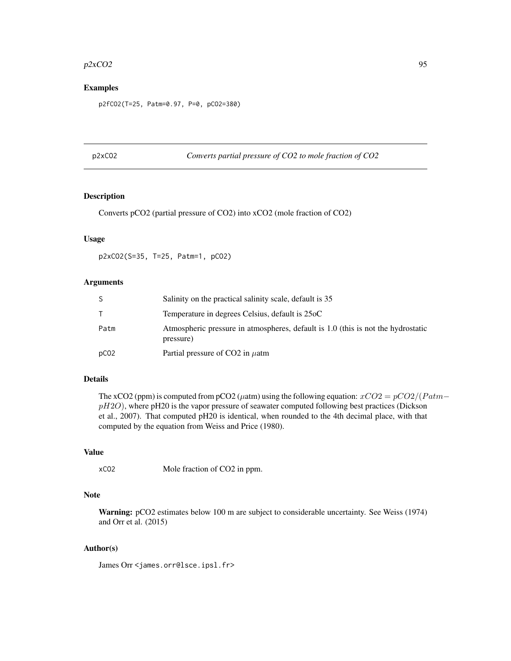#### $p2xCO2$  95

# Examples

p2fCO2(T=25, Patm=0.97, P=0, pCO2=380)

p2xCO2 *Converts partial pressure of CO2 to mole fraction of CO2*

### Description

Converts pCO2 (partial pressure of CO2) into xCO2 (mole fraction of CO2)

# Usage

p2xCO2(S=35, T=25, Patm=1, pCO2)

#### Arguments

| S                | Salinity on the practical salinity scale, default is 35                                       |
|------------------|-----------------------------------------------------------------------------------------------|
| T.               | Temperature in degrees Celsius, default is 25oC                                               |
| Patm             | Atmospheric pressure in atmospheres, default is 1.0 (this is not the hydrostatic<br>pressure) |
| pCO <sub>2</sub> | Partial pressure of CO2 in $\mu$ atm                                                          |

#### Details

The xCO2 (ppm) is computed from pCO2 ( $\mu$ atm) using the following equation:  $xCO2 = pCO2/(Patm$  $pH2O$ ), where pH20 is the vapor pressure of seawater computed following best practices (Dickson et al., 2007). That computed pH20 is identical, when rounded to the 4th decimal place, with that computed by the equation from Weiss and Price (1980).

# Value

```
xCO2 Mole fraction of CO2 in ppm.
```
# Note

Warning: pCO2 estimates below 100 m are subject to considerable uncertainty. See Weiss (1974) and Orr et al. (2015)

# Author(s)

James Orr <james.orr@lsce.ipsl.fr>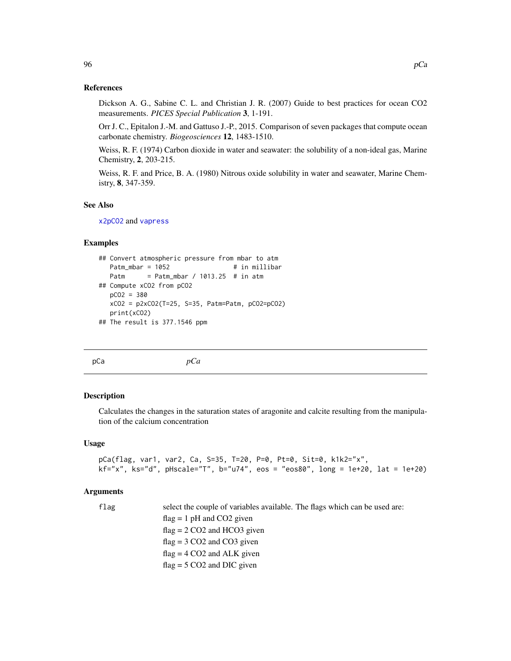# References

Dickson A. G., Sabine C. L. and Christian J. R. (2007) Guide to best practices for ocean CO2 measurements. *PICES Special Publication* 3, 1-191.

Orr J. C., Epitalon J.-M. and Gattuso J.-P., 2015. Comparison of seven packages that compute ocean carbonate chemistry. *Biogeosciences* 12, 1483-1510.

Weiss, R. F. (1974) Carbon dioxide in water and seawater: the solubility of a non-ideal gas, Marine Chemistry, 2, 203-215.

Weiss, R. F. and Price, B. A. (1980) Nitrous oxide solubility in water and seawater, Marine Chemistry, 8, 347-359.

### See Also

[x2pCO2](#page-170-0) and [vapress](#page-169-0)

#### Examples

```
## Convert atmospheric pressure from mbar to atm
  Patm_mbar = 1052 # in millibar
  Patm = Patm_mbar / 1013.25 # in atm
## Compute xCO2 from pCO2
  pCO2 = 380
  xCO2 = p2xCO2(T=25, S=35, Patm=Patm, pCO2=pCO2)
  print(xCO2)
## The result is 377.1546 ppm
```

| pCa<br>nt<br>ノーぃ |
|------------------|
|------------------|

# **Description**

Calculates the changes in the saturation states of aragonite and calcite resulting from the manipulation of the calcium concentration

#### Usage

```
pCa(flag, var1, var2, Ca, S=35, T=20, P=0, Pt=0, Sit=0, k1k2="x",
kf="x", ks="d", pHscale="", b="u74", eos = "eos80", long = 1e+20, lat = 1e+20
```
### Arguments

flag select the couple of variables available. The flags which can be used are:

 $flag = 1 pH$  and  $CO2$  given  $flag = 2 CO2$  and HCO3 given  $flag = 3 CO2$  and  $CO3$  given  $flag = 4 CO2$  and ALK given  $flag = 5 CO2$  and DIC given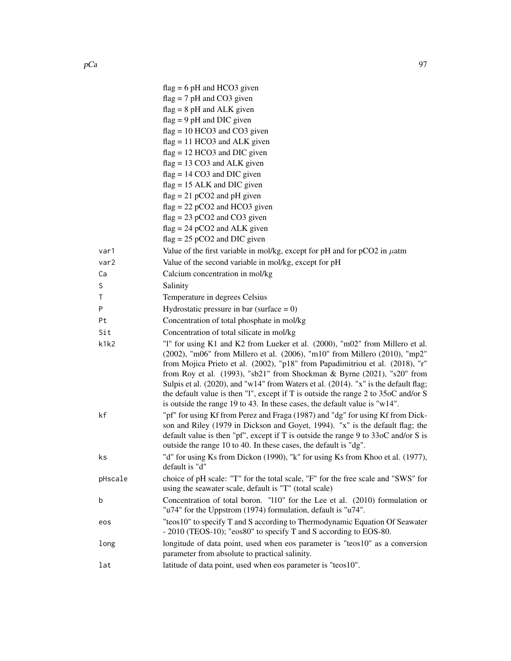|         | $flag = 6 pH$ and HCO3 given                                                                                                                                                                                                                                                                                                          |
|---------|---------------------------------------------------------------------------------------------------------------------------------------------------------------------------------------------------------------------------------------------------------------------------------------------------------------------------------------|
|         | $flag = 7 pH$ and CO3 given                                                                                                                                                                                                                                                                                                           |
|         | $flag = 8 pH$ and ALK given                                                                                                                                                                                                                                                                                                           |
|         | $flag = 9 pH$ and DIC given                                                                                                                                                                                                                                                                                                           |
|         | $flag = 10 HCO3$ and $CO3$ given                                                                                                                                                                                                                                                                                                      |
|         | $flag = 11 HCO3$ and ALK given                                                                                                                                                                                                                                                                                                        |
|         | $flag = 12 HCO3$ and DIC given                                                                                                                                                                                                                                                                                                        |
|         | $flag = 13 CO3$ and ALK given                                                                                                                                                                                                                                                                                                         |
|         | $flag = 14 CO3$ and DIC given                                                                                                                                                                                                                                                                                                         |
|         | $flag = 15$ ALK and DIC given                                                                                                                                                                                                                                                                                                         |
|         | $flag = 21 pCO2$ and pH given                                                                                                                                                                                                                                                                                                         |
|         | $flag = 22 pCO2$ and HCO3 given                                                                                                                                                                                                                                                                                                       |
|         | $flag = 23 pCO2$ and $CO3$ given                                                                                                                                                                                                                                                                                                      |
|         | $flag = 24 pCO2$ and ALK given<br>$flag = 25 pCO2$ and DIC given                                                                                                                                                                                                                                                                      |
|         |                                                                                                                                                                                                                                                                                                                                       |
| var1    | Value of the first variable in mol/kg, except for pH and for $pCO2$ in $\mu$ atm                                                                                                                                                                                                                                                      |
| var2    | Value of the second variable in mol/kg, except for pH                                                                                                                                                                                                                                                                                 |
| Ca      | Calcium concentration in mol/kg                                                                                                                                                                                                                                                                                                       |
| S       | Salinity                                                                                                                                                                                                                                                                                                                              |
| Τ       | Temperature in degrees Celsius                                                                                                                                                                                                                                                                                                        |
| P       | Hydrostatic pressure in bar (surface $= 0$ )                                                                                                                                                                                                                                                                                          |
| Pt      | Concentration of total phosphate in mol/kg                                                                                                                                                                                                                                                                                            |
| Sit     | Concentration of total silicate in mol/kg                                                                                                                                                                                                                                                                                             |
| k1k2    | "1" for using K1 and K2 from Lueker et al. (2000), "m02" from Millero et al.<br>(2002), "m06" from Millero et al. (2006), "m10" from Millero (2010), "mp2"                                                                                                                                                                            |
|         | from Mojica Prieto et al. (2002), "p18" from Papadimitriou et al. (2018), "r"<br>from Roy et al. (1993), "sb21" from Shockman & Byrne (2021), "s20" from<br>Sulpis et al. (2020), and "w14" from Waters et al. (2014). "x" is the default flag;<br>the default value is then "1", except if T is outside the range 2 to 35oC and/or S |
|         | is outside the range 19 to 43. In these cases, the default value is "w14".                                                                                                                                                                                                                                                            |
| kf      | "pf" for using Kf from Perez and Fraga (1987) and "dg" for using Kf from Dick-<br>son and Riley (1979 in Dickson and Goyet, 1994). "x" is the default flag; the<br>default value is then "pf", except if T is outside the range 9 to $330C$ and/or S is                                                                               |
|         | outside the range 10 to 40. In these cases, the default is "dg".                                                                                                                                                                                                                                                                      |
| ks      | "d" for using Ks from Dickon (1990), "k" for using Ks from Khoo et al. (1977),<br>default is "d"                                                                                                                                                                                                                                      |
| pHscale | choice of pH scale: "T" for the total scale, "F" for the free scale and "SWS" for<br>using the seawater scale, default is "T" (total scale)                                                                                                                                                                                           |
| b       | Concentration of total boron. "110" for the Lee et al. (2010) formulation or<br>"u74" for the Uppstrom (1974) formulation, default is "u74".                                                                                                                                                                                          |
| eos     | "teos10" to specify T and S according to Thermodynamic Equation Of Seawater<br>- 2010 (TEOS-10); "eos80" to specify T and S according to EOS-80.                                                                                                                                                                                      |
| long    | longitude of data point, used when eos parameter is "teos10" as a conversion<br>parameter from absolute to practical salinity.                                                                                                                                                                                                        |
| lat     | latitude of data point, used when eos parameter is "teos10".                                                                                                                                                                                                                                                                          |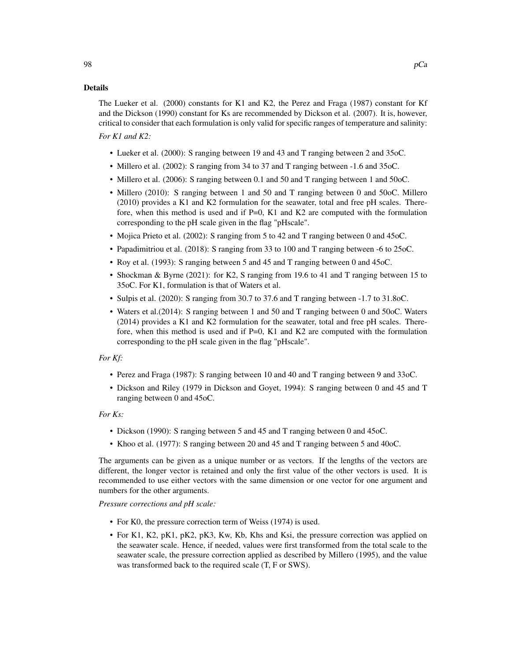### Details

The Lueker et al. (2000) constants for K1 and K2, the Perez and Fraga (1987) constant for Kf and the Dickson (1990) constant for Ks are recommended by Dickson et al. (2007). It is, however, critical to consider that each formulation is only valid for specific ranges of temperature and salinity:

# *For K1 and K2:*

- Lueker et al. (2000): S ranging between 19 and 43 and T ranging between 2 and 35oC.
- Millero et al. (2002): S ranging from 34 to 37 and T ranging between -1.6 and 35oC.
- Millero et al. (2006): S ranging between 0.1 and 50 and T ranging between 1 and 50oC.
- Millero (2010): S ranging between 1 and 50 and T ranging between 0 and 50oC. Millero (2010) provides a K1 and K2 formulation for the seawater, total and free pH scales. Therefore, when this method is used and if  $P=0$ , K1 and K2 are computed with the formulation corresponding to the pH scale given in the flag "pHscale".
- Mojica Prieto et al. (2002): S ranging from 5 to 42 and T ranging between 0 and 45oC.
- Papadimitriou et al. (2018): S ranging from 33 to 100 and T ranging between -6 to 25oC.
- Roy et al. (1993): S ranging between 5 and 45 and T ranging between 0 and 45oC.
- Shockman & Byrne (2021): for K2, S ranging from 19.6 to 41 and T ranging between 15 to 35oC. For K1, formulation is that of Waters et al.
- Sulpis et al. (2020): S ranging from 30.7 to 37.6 and T ranging between -1.7 to 31.8oC.
- Waters et al.(2014): S ranging between 1 and 50 and T ranging between 0 and 50oC. Waters (2014) provides a K1 and K2 formulation for the seawater, total and free pH scales. Therefore, when this method is used and if  $P=0$ , K1 and K2 are computed with the formulation corresponding to the pH scale given in the flag "pHscale".

# *For Kf:*

- Perez and Fraga (1987): S ranging between 10 and 40 and T ranging between 9 and 33oC.
- Dickson and Riley (1979 in Dickson and Goyet, 1994): S ranging between 0 and 45 and T ranging between 0 and 45oC.

#### *For Ks:*

- Dickson (1990): S ranging between 5 and 45 and T ranging between 0 and 45oC.
- Khoo et al. (1977): S ranging between 20 and 45 and T ranging between 5 and 40oC.

The arguments can be given as a unique number or as vectors. If the lengths of the vectors are different, the longer vector is retained and only the first value of the other vectors is used. It is recommended to use either vectors with the same dimension or one vector for one argument and numbers for the other arguments.

*Pressure corrections and pH scale:*

- For K0, the pressure correction term of Weiss (1974) is used.
- For K1, K2, pK1, pK2, pK3, Kw, Kb, Khs and Ksi, the pressure correction was applied on the seawater scale. Hence, if needed, values were first transformed from the total scale to the seawater scale, the pressure correction applied as described by Millero (1995), and the value was transformed back to the required scale (T, F or SWS).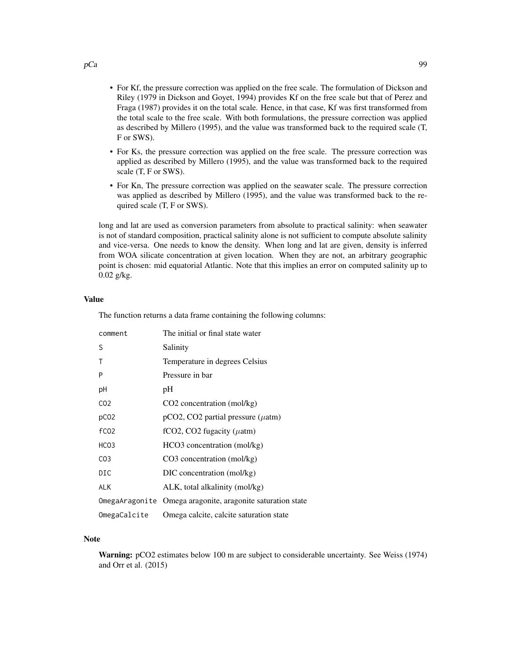- For Kf, the pressure correction was applied on the free scale. The formulation of Dickson and Riley (1979 in Dickson and Goyet, 1994) provides Kf on the free scale but that of Perez and Fraga (1987) provides it on the total scale. Hence, in that case, Kf was first transformed from the total scale to the free scale. With both formulations, the pressure correction was applied as described by Millero (1995), and the value was transformed back to the required scale (T, F or SWS).
- For Ks, the pressure correction was applied on the free scale. The pressure correction was applied as described by Millero (1995), and the value was transformed back to the required scale (T, F or SWS).
- For Kn, The pressure correction was applied on the seawater scale. The pressure correction was applied as described by Millero (1995), and the value was transformed back to the required scale (T, F or SWS).

long and lat are used as conversion parameters from absolute to practical salinity: when seawater is not of standard composition, practical salinity alone is not sufficient to compute absolute salinity and vice-versa. One needs to know the density. When long and lat are given, density is inferred from WOA silicate concentration at given location. When they are not, an arbitrary geographic point is chosen: mid equatorial Atlantic. Note that this implies an error on computed salinity up to 0.02 g/kg.

#### Value

The function returns a data frame containing the following columns:

| comment          | The initial or final state water                           |
|------------------|------------------------------------------------------------|
| S                | Salinity                                                   |
| Τ                | Temperature in degrees Celsius                             |
| P                | Pressure in bar                                            |
| рH               | pH                                                         |
| CO <sub>2</sub>  | $CO2$ concentration (mol/kg)                               |
| pCO <sub>2</sub> | $pCO2$ , CO2 partial pressure ( $\mu$ atm)                 |
| f <sub>CO2</sub> | fCO2, CO2 fugacity ( $\mu$ atm)                            |
| HCO <sub>3</sub> | HCO3 concentration (mol/kg)                                |
| CO <sub>3</sub>  | $CO3$ concentration (mol/kg)                               |
| DIC              | DIC concentration (mol/kg)                                 |
| <b>ALK</b>       | ALK, total alkalinity (mol/kg)                             |
|                  | OmegaAragonite Omega aragonite, aragonite saturation state |
| OmegaCalcite     | Omega calcite, calcite saturation state                    |

#### Note

Warning: pCO2 estimates below 100 m are subject to considerable uncertainty. See Weiss (1974) and Orr et al. (2015)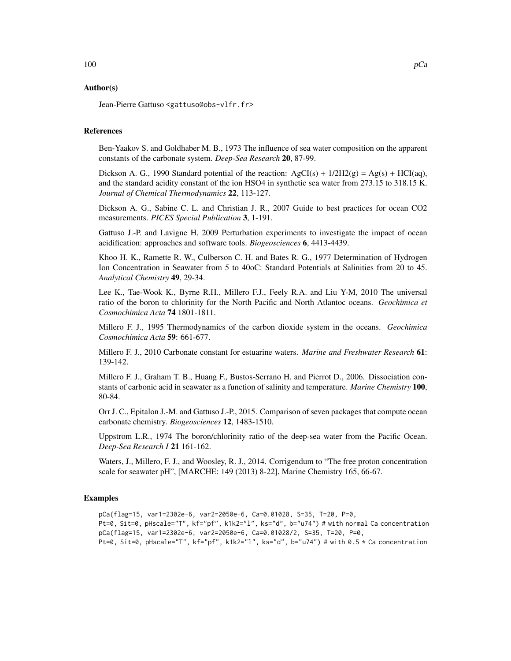### Author(s)

Jean-Pierre Gattuso <gattuso@obs-vlfr.fr>

### References

Ben-Yaakov S. and Goldhaber M. B., 1973 The influence of sea water composition on the apparent constants of the carbonate system. *Deep-Sea Research* 20, 87-99.

Dickson A. G., 1990 Standard potential of the reaction:  $AgCI(s) + 1/2H2(g) = Ag(s) + HCI(aq)$ , and the standard acidity constant of the ion HSO4 in synthetic sea water from 273.15 to 318.15 K. *Journal of Chemical Thermodynamics* 22, 113-127.

Dickson A. G., Sabine C. L. and Christian J. R., 2007 Guide to best practices for ocean CO2 measurements. *PICES Special Publication* 3, 1-191.

Gattuso J.-P. and Lavigne H, 2009 Perturbation experiments to investigate the impact of ocean acidification: approaches and software tools. *Biogeosciences* 6, 4413-4439.

Khoo H. K., Ramette R. W., Culberson C. H. and Bates R. G., 1977 Determination of Hydrogen Ion Concentration in Seawater from 5 to 40oC: Standard Potentials at Salinities from 20 to 45. *Analytical Chemistry* 49, 29-34.

Lee K., Tae-Wook K., Byrne R.H., Millero F.J., Feely R.A. and Liu Y-M, 2010 The universal ratio of the boron to chlorinity for the North Pacific and North Atlantoc oceans. *Geochimica et Cosmochimica Acta* 74 1801-1811.

Millero F. J., 1995 Thermodynamics of the carbon dioxide system in the oceans. *Geochimica Cosmochimica Acta* 59: 661-677.

Millero F. J., 2010 Carbonate constant for estuarine waters. *Marine and Freshwater Research* 61: 139-142.

Millero F. J., Graham T. B., Huang F., Bustos-Serrano H. and Pierrot D., 2006. Dissociation constants of carbonic acid in seawater as a function of salinity and temperature. *Marine Chemistry* 100, 80-84.

Orr J. C., Epitalon J.-M. and Gattuso J.-P., 2015. Comparison of seven packages that compute ocean carbonate chemistry. *Biogeosciences* 12, 1483-1510.

Uppstrom L.R., 1974 The boron/chlorinity ratio of the deep-sea water from the Pacific Ocean. *Deep-Sea Research I* 21 161-162.

Waters, J., Millero, F. J., and Woosley, R. J., 2014. Corrigendum to "The free proton concentration scale for seawater pH", [MARCHE: 149 (2013) 8-22], Marine Chemistry 165, 66-67.

### Examples

pCa(flag=15, var1=2302e-6, var2=2050e-6, Ca=0.01028, S=35, T=20, P=0, Pt=0, Sit=0, pHscale="T", kf="pf", k1k2="l", ks="d", b="u74") # with normal Ca concentration pCa(flag=15, var1=2302e-6, var2=2050e-6, Ca=0.01028/2, S=35, T=20, P=0, Pt=0, Sit=0, pHscale="T", kf="pf", k1k2="l", ks="d", b="u74") # with 0.5 \* Ca concentration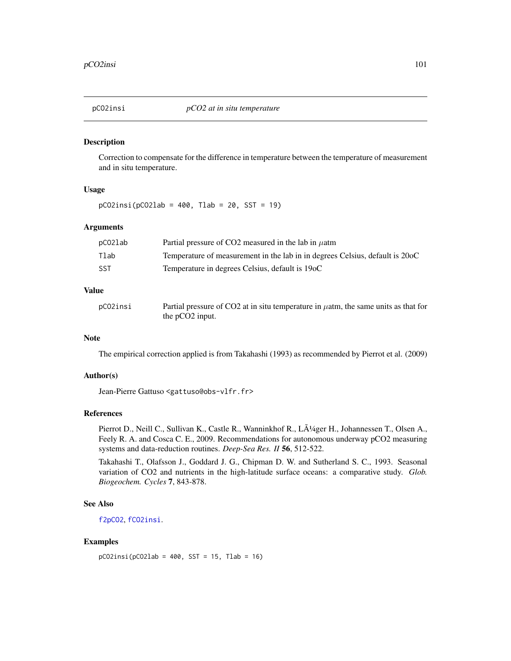# Description

Correction to compensate for the difference in temperature between the temperature of measurement and in situ temperature.

#### Usage

 $pCO2insi(pCO2lab = 400, Tlab = 20, SST = 19)$ 

# Arguments

| pCO2lab    | Partial pressure of CO2 measured in the lab in $\mu$ atm                     |
|------------|------------------------------------------------------------------------------|
| Tlab       | Temperature of measurement in the lab in in degrees Celsius, default is 200C |
| <b>SST</b> | Temperature in degrees Celsius, default is 19oC                              |

### Value

| pCO2insi | Partial pressure of CO2 at in situ temperature in $\mu$ atm, the same units as that for |
|----------|-----------------------------------------------------------------------------------------|
|          | the $pCO2$ input.                                                                       |

#### Note

The empirical correction applied is from Takahashi (1993) as recommended by Pierrot et al. (2009)

# Author(s)

Jean-Pierre Gattuso <gattuso@obs-vlfr.fr>

# References

Pierrot D., Neill C., Sullivan K., Castle R., Wanninkhof R., LÄ<sup>1</sup>/ager H., Johannessen T., Olsen A., Feely R. A. and Cosca C. E., 2009. Recommendations for autonomous underway pCO2 measuring systems and data-reduction routines. *Deep-Sea Res. II* 56, 512-522.

Takahashi T., Olafsson J., Goddard J. G., Chipman D. W. and Sutherland S. C., 1993. Seasonal variation of CO2 and nutrients in the high-latitude surface oceans: a comparative study. *Glob. Biogeochem. Cycles* 7, 843-878.

### See Also

[f2pCO2](#page-56-0), [fCO2insi](#page-57-0).

# Examples

```
pCO2insi(pCO2lab = 400, SST = 15, Tlab = 16)
```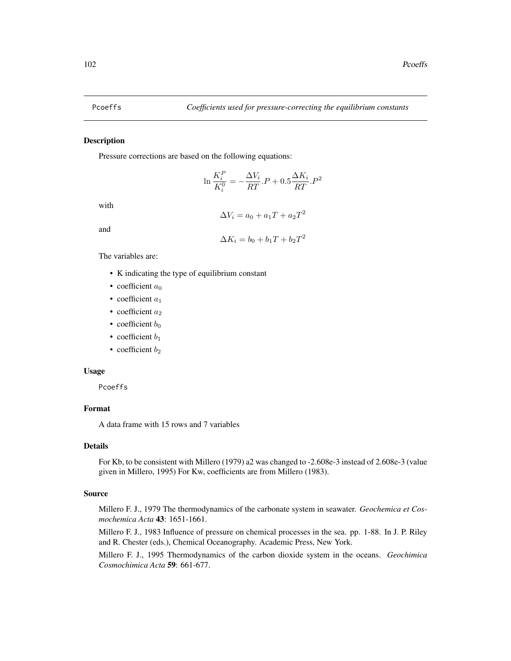$\alpha$ 

#### Description

Pressure corrections are based on the following equations:

$$
\ln \frac{K_i^P}{K_i^0} = -\frac{\Delta V_i}{RT} .P + 0.5 \frac{\Delta K_i}{RT} .P^2
$$

with

$$
\Delta V_i = a_0 + a_1 T + a_2 T^2
$$

and

$$
\Delta K_i = b_0 + b_1 T + b_2 T^2
$$

The variables are:

- K indicating the type of equilibrium constant
- coefficient  $a_0$
- coefficient  $a_1$
- coefficient  $a_2$
- coefficient  $b_0$
- coefficient  $b_1$
- coefficient  $b_2$

## Usage

Pcoeffs

# Format

A data frame with 15 rows and 7 variables

# Details

For Kb, to be consistent with Millero (1979) a2 was changed to -2.608e-3 instead of 2.608e-3 (value given in Millero, 1995) For Kw, coefficients are from Millero (1983).

# Source

Millero F. J., 1979 The thermodynamics of the carbonate system in seawater. *Geochemica et Cosmochemica Acta* 43: 1651-1661.

Millero F. J., 1983 Influence of pressure on chemical processes in the sea. pp. 1-88. In J. P. Riley and R. Chester (eds.), Chemical Oceanography. Academic Press, New York.

Millero F. J., 1995 Thermodynamics of the carbon dioxide system in the oceans. *Geochimica Cosmochimica Acta* 59: 661-677.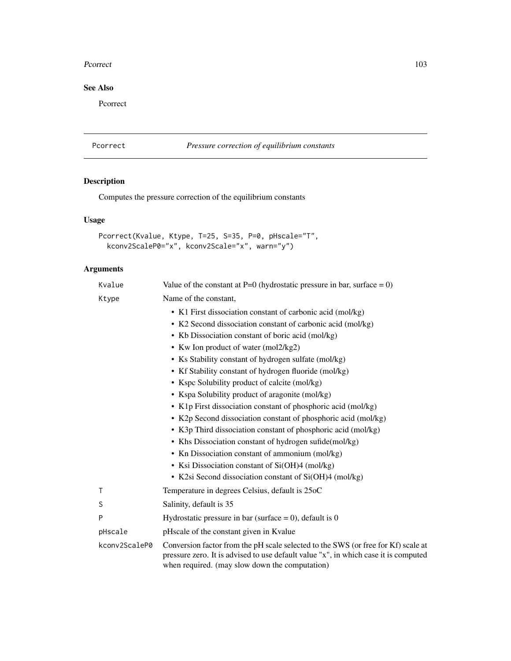#### Pcorrect 203

# See Also

Pcorrect

# Pcorrect *Pressure correction of equilibrium constants*

# Description

Computes the pressure correction of the equilibrium constants

# Usage

```
Pcorrect(Kvalue, Ktype, T=25, S=35, P=0, pHscale="T",
 kconv2ScaleP0="x", kconv2Scale="x", warn="y")
```
# Arguments

| Kvalue        | Value of the constant at P=0 (hydrostatic pressure in bar, surface = 0)                                                                                                                                                    |
|---------------|----------------------------------------------------------------------------------------------------------------------------------------------------------------------------------------------------------------------------|
| Ktype         | Name of the constant,                                                                                                                                                                                                      |
|               | • K1 First dissociation constant of carbonic acid (mol/kg)                                                                                                                                                                 |
|               | • K2 Second dissociation constant of carbonic acid (mol/kg)                                                                                                                                                                |
|               | • Kb Dissociation constant of boric acid (mol/kg)                                                                                                                                                                          |
|               | • Kw Ion product of water (mol2/kg2)                                                                                                                                                                                       |
|               | • Ks Stability constant of hydrogen sulfate (mol/kg)                                                                                                                                                                       |
|               | • Kf Stability constant of hydrogen fluoride (mol/kg)                                                                                                                                                                      |
|               | • Kspc Solubility product of calcite (mol/kg)                                                                                                                                                                              |
|               | • Kspa Solubility product of aragonite (mol/kg)                                                                                                                                                                            |
|               | • K1p First dissociation constant of phosphoric acid (mol/kg)                                                                                                                                                              |
|               | • K2p Second dissociation constant of phosphoric acid (mol/kg)                                                                                                                                                             |
|               | • K3p Third dissociation constant of phosphoric acid (mol/kg)                                                                                                                                                              |
|               | • Khs Dissociation constant of hydrogen sufide (mol/kg)                                                                                                                                                                    |
|               | • Kn Dissociation constant of ammonium (mol/kg)                                                                                                                                                                            |
|               | • Ksi Dissociation constant of Si(OH)4 (mol/kg)                                                                                                                                                                            |
|               | • K2si Second dissociation constant of Si(OH)4 (mol/kg)                                                                                                                                                                    |
| Τ             | Temperature in degrees Celsius, default is 25oC                                                                                                                                                                            |
| S             | Salinity, default is 35                                                                                                                                                                                                    |
| P             | Hydrostatic pressure in bar (surface = 0), default is 0                                                                                                                                                                    |
| pHscale       | pHscale of the constant given in Kvalue                                                                                                                                                                                    |
| kconv2ScaleP0 | Conversion factor from the pH scale selected to the SWS (or free for Kf) scale at<br>pressure zero. It is advised to use default value "x", in which case it is computed<br>when required. (may slow down the computation) |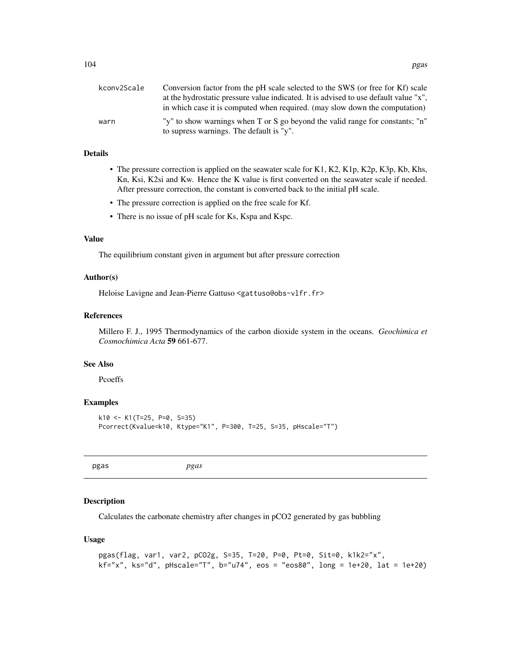| kconv2Scale | Conversion factor from the pH scale selected to the SWS (or free for Kf) scale                                            |
|-------------|---------------------------------------------------------------------------------------------------------------------------|
|             | at the hydrostatic pressure value indicated. It is advised to use default value "x",                                      |
|             | in which case it is computed when required. (may slow down the computation)                                               |
| warn        | "y" to show warnings when T or S go beyond the valid range for constants; "n"<br>to supress warnings. The default is "y". |
|             |                                                                                                                           |

### Details

- The pressure correction is applied on the seawater scale for K1, K2, K1p, K2p, K3p, Kb, Khs, Kn, Ksi, K2si and Kw. Hence the K value is first converted on the seawater scale if needed. After pressure correction, the constant is converted back to the initial pH scale.
- The pressure correction is applied on the free scale for Kf.
- There is no issue of pH scale for Ks, Kspa and Kspc.

# Value

The equilibrium constant given in argument but after pressure correction

#### Author(s)

Heloise Lavigne and Jean-Pierre Gattuso <gattuso@obs-vlfr.fr>

# References

Millero F. J., 1995 Thermodynamics of the carbon dioxide system in the oceans. *Geochimica et Cosmochimica Acta* 59 661-677.

### See Also

Pcoeffs

### Examples

```
k10 <- K1(T=25, P=0, S=35)
Pcorrect(Kvalue=k10, Ktype="K1", P=300, T=25, S=35, pHscale="T")
```
<span id="page-103-0"></span>

pgas *pgas*

# Description

Calculates the carbonate chemistry after changes in pCO2 generated by gas bubbling

#### Usage

```
pgas(flag, var1, var2, pCO2g, S=35, T=20, P=0, Pt=0, Sit=0, k1k2="x",
kf="x", ks="d", pHscale="T", b="u74", eos = "eos80", long = 1e+20, lat = 1e+20)
```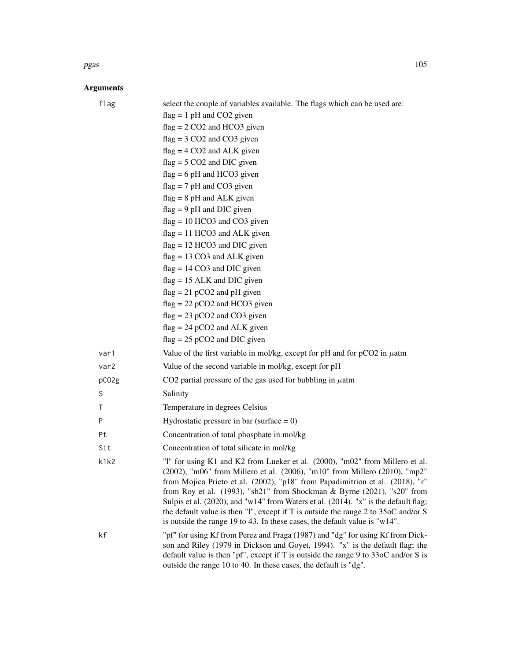#### pgas the contract of the contract of the contract of the contract of the contract of the contract of the contract of the contract of the contract of the contract of the contract of the contract of the contract of the contr

# Arguments

| flag  | select the couple of variables available. The flags which can be used are:                                                                                                                                                                                                                                                                                                                                                                                                                        |
|-------|---------------------------------------------------------------------------------------------------------------------------------------------------------------------------------------------------------------------------------------------------------------------------------------------------------------------------------------------------------------------------------------------------------------------------------------------------------------------------------------------------|
|       | $flag = 1 pH$ and CO2 given                                                                                                                                                                                                                                                                                                                                                                                                                                                                       |
|       | $flag = 2 CO2$ and HCO3 given                                                                                                                                                                                                                                                                                                                                                                                                                                                                     |
|       | $flag = 3 CO2$ and $CO3$ given                                                                                                                                                                                                                                                                                                                                                                                                                                                                    |
|       | $flag = 4 CO2$ and ALK given                                                                                                                                                                                                                                                                                                                                                                                                                                                                      |
|       | $flag = 5 CO2$ and DIC given                                                                                                                                                                                                                                                                                                                                                                                                                                                                      |
|       | $flag = 6 pH$ and HCO3 given                                                                                                                                                                                                                                                                                                                                                                                                                                                                      |
|       | $flag = 7 pH$ and CO3 given                                                                                                                                                                                                                                                                                                                                                                                                                                                                       |
|       | $flag = 8 pH$ and ALK given                                                                                                                                                                                                                                                                                                                                                                                                                                                                       |
|       | $flag = 9 pH$ and DIC given                                                                                                                                                                                                                                                                                                                                                                                                                                                                       |
|       | $flag = 10 HCO3$ and $CO3$ given                                                                                                                                                                                                                                                                                                                                                                                                                                                                  |
|       | $flag = 11 HCO3$ and ALK given                                                                                                                                                                                                                                                                                                                                                                                                                                                                    |
|       | $flag = 12 HCO3$ and DIC given                                                                                                                                                                                                                                                                                                                                                                                                                                                                    |
|       | $flag = 13 CO3$ and ALK given                                                                                                                                                                                                                                                                                                                                                                                                                                                                     |
|       | $flag = 14 CO3$ and DIC given                                                                                                                                                                                                                                                                                                                                                                                                                                                                     |
|       | $flag = 15$ ALK and DIC given                                                                                                                                                                                                                                                                                                                                                                                                                                                                     |
|       | $flag = 21 pCO2$ and pH given                                                                                                                                                                                                                                                                                                                                                                                                                                                                     |
|       | $flag = 22 pCO2$ and HCO3 given                                                                                                                                                                                                                                                                                                                                                                                                                                                                   |
|       | $flag = 23 pCO2$ and $CO3$ given<br>$flag = 24 pCO2$ and ALK given                                                                                                                                                                                                                                                                                                                                                                                                                                |
|       | $flag = 25 pCO2$ and DIC given                                                                                                                                                                                                                                                                                                                                                                                                                                                                    |
| var1  | Value of the first variable in mol/kg, except for pH and for $pCO2$ in $\mu$ atm                                                                                                                                                                                                                                                                                                                                                                                                                  |
| var2  | Value of the second variable in mol/kg, except for pH                                                                                                                                                                                                                                                                                                                                                                                                                                             |
| pC02g | CO2 partial pressure of the gas used for bubbling in $\mu$ atm                                                                                                                                                                                                                                                                                                                                                                                                                                    |
| S     | Salinity                                                                                                                                                                                                                                                                                                                                                                                                                                                                                          |
| Τ     | Temperature in degrees Celsius                                                                                                                                                                                                                                                                                                                                                                                                                                                                    |
| P     | Hydrostatic pressure in bar (surface $= 0$ )                                                                                                                                                                                                                                                                                                                                                                                                                                                      |
| Pt    | Concentration of total phosphate in mol/kg                                                                                                                                                                                                                                                                                                                                                                                                                                                        |
| Sit   | Concentration of total silicate in mol/kg                                                                                                                                                                                                                                                                                                                                                                                                                                                         |
| k1k2  | "1" for using K1 and K2 from Lueker et al. (2000), "m02" from Millero et al.                                                                                                                                                                                                                                                                                                                                                                                                                      |
|       | (2002), "m06" from Millero et al. (2006), "m10" from Millero (2010), "mp2"<br>from Mojica Prieto et al. (2002), "p18" from Papadimitriou et al. (2018), "r"<br>from Roy et al. (1993), "sb21" from Shockman & Byrne (2021), "s20" from<br>Sulpis et al. (2020), and "w14" from Waters et al. (2014). "x" is the default flag;<br>the default value is then "1", except if T is outside the range 2 to 35oC and/or S<br>is outside the range 19 to 43. In these cases, the default value is "w14". |
| kf    | "pf" for using Kf from Perez and Fraga (1987) and "dg" for using Kf from Dick-<br>son and Riley (1979 in Dickson and Goyet, 1994). "x" is the default flag; the<br>default value is then "pf", except if T is outside the range $9$ to $33$ oC and/or S is<br>outside the range 10 to 40. In these cases, the default is "dg".                                                                                                                                                                    |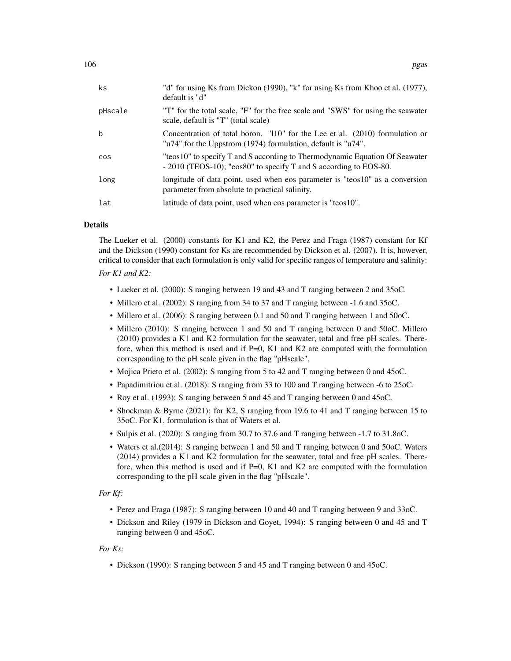| $\mathsf{ks}$ | "d" for using Ks from Dickon (1990), "k" for using Ks from Khoo et al. (1977),<br>default is "d"                                                 |  |
|---------------|--------------------------------------------------------------------------------------------------------------------------------------------------|--|
| pHscale       | "T" for the total scale, "F" for the free scale and "SWS" for using the seawater<br>scale, default is "T" (total scale)                          |  |
| b             | Concentration of total boron. "110" for the Lee et al. $(2010)$ formulation or<br>"u74" for the Uppstrom (1974) formulation, default is "u74".   |  |
| eos           | "teos10" to specify T and S according to Thermodynamic Equation Of Seawater<br>- 2010 (TEOS-10); "eos80" to specify T and S according to EOS-80. |  |
| long          | longitude of data point, used when eos parameter is "teos10" as a conversion<br>parameter from absolute to practical salinity.                   |  |
| lat           | latitude of data point, used when eos parameter is "teos10".                                                                                     |  |
|               |                                                                                                                                                  |  |

# Details

The Lueker et al. (2000) constants for K1 and K2, the Perez and Fraga (1987) constant for Kf and the Dickson (1990) constant for Ks are recommended by Dickson et al. (2007). It is, however, critical to consider that each formulation is only valid for specific ranges of temperature and salinity:

# *For K1 and K2:*

- Lueker et al. (2000): S ranging between 19 and 43 and T ranging between 2 and 35oC.
- Millero et al. (2002): S ranging from 34 to 37 and T ranging between -1.6 and 35oC.
- Millero et al. (2006): S ranging between 0.1 and 50 and T ranging between 1 and 50oC.
- Millero (2010): S ranging between 1 and 50 and T ranging between 0 and 50oC. Millero (2010) provides a K1 and K2 formulation for the seawater, total and free pH scales. Therefore, when this method is used and if P=0, K1 and K2 are computed with the formulation corresponding to the pH scale given in the flag "pHscale".
- Mojica Prieto et al. (2002): S ranging from 5 to 42 and T ranging between 0 and 45oC.
- Papadimitriou et al. (2018): S ranging from 33 to 100 and T ranging between -6 to 25oC.
- Roy et al. (1993): S ranging between 5 and 45 and T ranging between 0 and 45oC.
- Shockman & Byrne (2021): for K2, S ranging from 19.6 to 41 and T ranging between 15 to 35oC. For K1, formulation is that of Waters et al.
- Sulpis et al. (2020): S ranging from 30.7 to 37.6 and T ranging between -1.7 to 31.8oC.
- Waters et al.(2014): S ranging between 1 and 50 and T ranging between 0 and 50oC. Waters (2014) provides a K1 and K2 formulation for the seawater, total and free pH scales. Therefore, when this method is used and if  $P=0$ , K1 and K2 are computed with the formulation corresponding to the pH scale given in the flag "pHscale".

#### *For Kf:*

- Perez and Fraga (1987): S ranging between 10 and 40 and T ranging between 9 and 33oC.
- Dickson and Riley (1979 in Dickson and Goyet, 1994): S ranging between 0 and 45 and T ranging between 0 and 45oC.

#### *For Ks:*

• Dickson (1990): S ranging between 5 and 45 and T ranging between 0 and 45oC.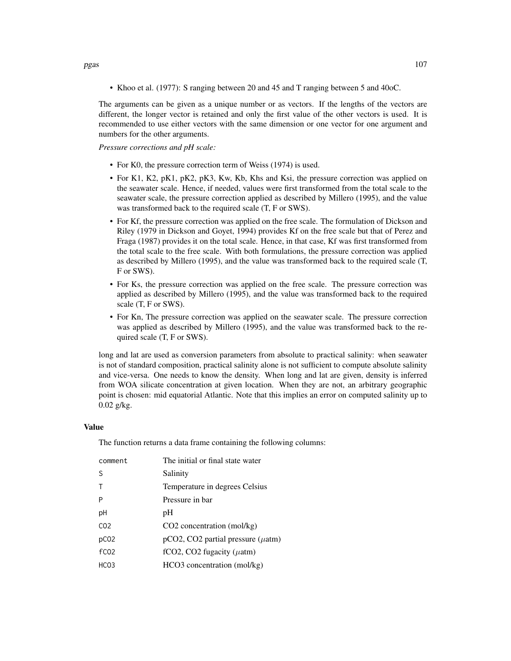• Khoo et al. (1977): S ranging between 20 and 45 and T ranging between 5 and 40oC.

The arguments can be given as a unique number or as vectors. If the lengths of the vectors are different, the longer vector is retained and only the first value of the other vectors is used. It is recommended to use either vectors with the same dimension or one vector for one argument and numbers for the other arguments.

*Pressure corrections and pH scale:*

- For K0, the pressure correction term of Weiss (1974) is used.
- For K1, K2, pK1, pK2, pK3, Kw, Kb, Khs and Ksi, the pressure correction was applied on the seawater scale. Hence, if needed, values were first transformed from the total scale to the seawater scale, the pressure correction applied as described by Millero (1995), and the value was transformed back to the required scale (T, F or SWS).
- For Kf, the pressure correction was applied on the free scale. The formulation of Dickson and Riley (1979 in Dickson and Goyet, 1994) provides Kf on the free scale but that of Perez and Fraga (1987) provides it on the total scale. Hence, in that case, Kf was first transformed from the total scale to the free scale. With both formulations, the pressure correction was applied as described by Millero (1995), and the value was transformed back to the required scale (T, F or SWS).
- For Ks, the pressure correction was applied on the free scale. The pressure correction was applied as described by Millero (1995), and the value was transformed back to the required scale (T, F or SWS).
- For Kn, The pressure correction was applied on the seawater scale. The pressure correction was applied as described by Millero (1995), and the value was transformed back to the required scale (T, F or SWS).

long and lat are used as conversion parameters from absolute to practical salinity: when seawater is not of standard composition, practical salinity alone is not sufficient to compute absolute salinity and vice-versa. One needs to know the density. When long and lat are given, density is inferred from WOA silicate concentration at given location. When they are not, an arbitrary geographic point is chosen: mid equatorial Atlantic. Note that this implies an error on computed salinity up to 0.02 g/kg.

### Value

The function returns a data frame containing the following columns:

| The initial or final state water           |
|--------------------------------------------|
| Salinity                                   |
| Temperature in degrees Celsius             |
| Pressure in bar                            |
| pH                                         |
| CO <sub>2</sub> concentration (mol/kg)     |
| $pCO2$ , CO2 partial pressure ( $\mu$ atm) |
| fCO2, CO2 fugacity ( $\mu$ atm)            |
| HCO3 concentration (mol/kg)                |
|                                            |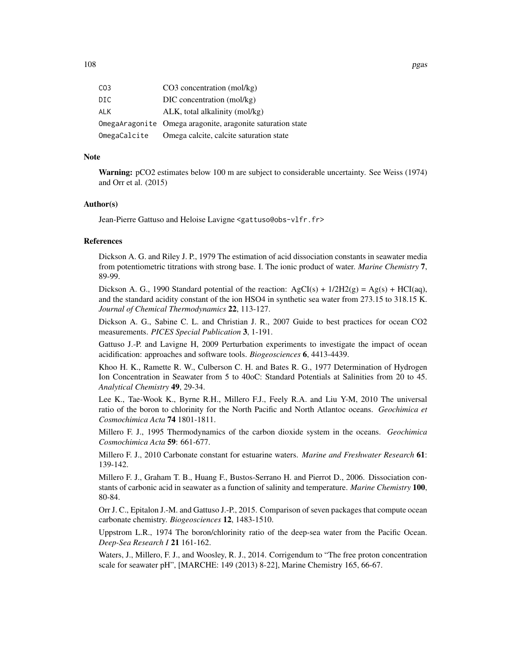| CO3          | $CO3$ concentration (mol/kg)                               |
|--------------|------------------------------------------------------------|
| DIC          | DIC concentration (mol/kg)                                 |
| ALK          | ALK, total alkalinity (mol/kg)                             |
|              | OmegaAragonite Omega aragonite, aragonite saturation state |
| OmegaCalcite | Omega calcite, calcite saturation state                    |

### Note

Warning: pCO2 estimates below 100 m are subject to considerable uncertainty. See Weiss (1974) and Orr et al. (2015)

### Author(s)

Jean-Pierre Gattuso and Heloise Lavigne <gattuso@obs-vlfr.fr>

#### References

Dickson A. G. and Riley J. P., 1979 The estimation of acid dissociation constants in seawater media from potentiometric titrations with strong base. I. The ionic product of water. *Marine Chemistry* 7, 89-99.

Dickson A. G., 1990 Standard potential of the reaction:  $AgCI(s) + 1/2H2(g) = Ag(s) + HCI(aq)$ , and the standard acidity constant of the ion HSO4 in synthetic sea water from 273.15 to 318.15 K. *Journal of Chemical Thermodynamics* 22, 113-127.

Dickson A. G., Sabine C. L. and Christian J. R., 2007 Guide to best practices for ocean CO2 measurements. *PICES Special Publication* 3, 1-191.

Gattuso J.-P. and Lavigne H, 2009 Perturbation experiments to investigate the impact of ocean acidification: approaches and software tools. *Biogeosciences* 6, 4413-4439.

Khoo H. K., Ramette R. W., Culberson C. H. and Bates R. G., 1977 Determination of Hydrogen Ion Concentration in Seawater from 5 to 40oC: Standard Potentials at Salinities from 20 to 45. *Analytical Chemistry* 49, 29-34.

Lee K., Tae-Wook K., Byrne R.H., Millero F.J., Feely R.A. and Liu Y-M, 2010 The universal ratio of the boron to chlorinity for the North Pacific and North Atlantoc oceans. *Geochimica et Cosmochimica Acta* 74 1801-1811.

Millero F. J., 1995 Thermodynamics of the carbon dioxide system in the oceans. *Geochimica Cosmochimica Acta* 59: 661-677.

Millero F. J., 2010 Carbonate constant for estuarine waters. *Marine and Freshwater Research* 61: 139-142.

Millero F. J., Graham T. B., Huang F., Bustos-Serrano H. and Pierrot D., 2006. Dissociation constants of carbonic acid in seawater as a function of salinity and temperature. *Marine Chemistry* 100, 80-84.

Orr J. C., Epitalon J.-M. and Gattuso J.-P., 2015. Comparison of seven packages that compute ocean carbonate chemistry. *Biogeosciences* 12, 1483-1510.

Uppstrom L.R., 1974 The boron/chlorinity ratio of the deep-sea water from the Pacific Ocean. *Deep-Sea Research I* 21 161-162.

Waters, J., Millero, F. J., and Woosley, R. J., 2014. Corrigendum to "The free proton concentration scale for seawater pH", [MARCHE: 149 (2013) 8-22], Marine Chemistry 165, 66-67.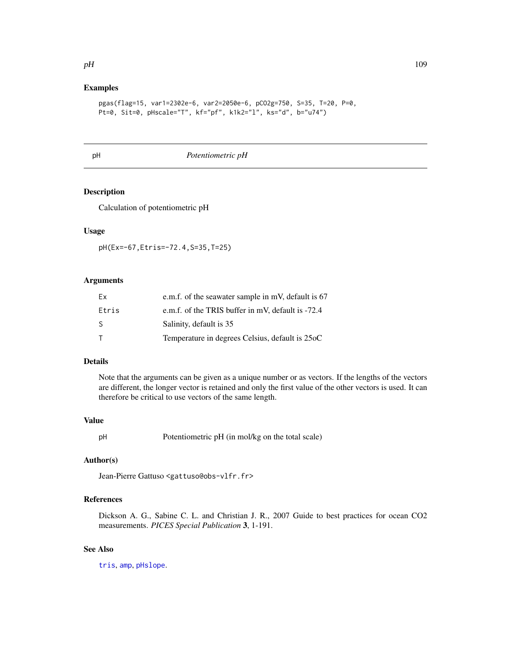# Examples

```
pgas(flag=15, var1=2302e-6, var2=2050e-6, pCO2g=750, S=35, T=20, P=0,
Pt=0, Sit=0, pHscale="T", kf="pf", k1k2="l", ks="d", b="u74")
```
<span id="page-108-0"></span>

pH *Potentiometric pH*

# Description

Calculation of potentiometric pH

## Usage

pH(Ex=-67,Etris=-72.4,S=35,T=25)

# Arguments

| Fx    | e.m.f. of the seawater sample in mV, default is $67$ |
|-------|------------------------------------------------------|
| Etris | e.m.f. of the TRIS buffer in mV, default is -72.4    |
| -S    | Salinity, default is 35                              |
|       | Temperature in degrees Celsius, default is 25oC      |

## Details

Note that the arguments can be given as a unique number or as vectors. If the lengths of the vectors are different, the longer vector is retained and only the first value of the other vectors is used. It can therefore be critical to use vectors of the same length.

### Value

pH Potentiometric pH (in mol/kg on the total scale)

## Author(s)

Jean-Pierre Gattuso <gattuso@obs-vlfr.fr>

# References

Dickson A. G., Sabine C. L. and Christian J. R., 2007 Guide to best practices for ocean CO2 measurements. *PICES Special Publication* 3, 1-191.

# See Also

[tris](#page-168-0), [amp](#page-3-0), [pHslope](#page-114-0).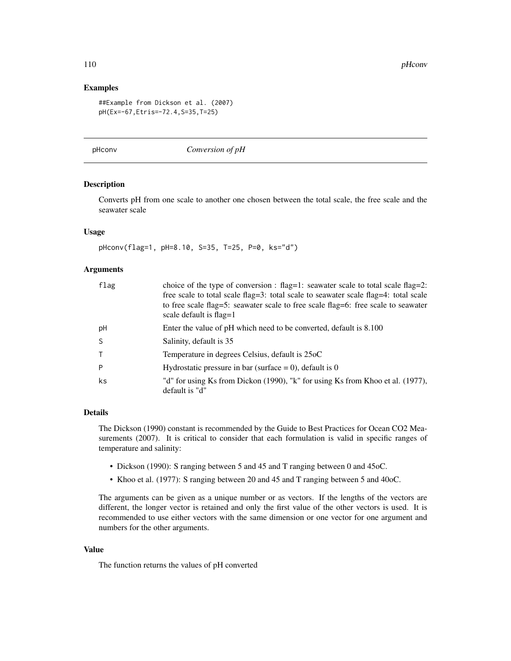110 pHconv

## Examples

```
##Example from Dickson et al. (2007)
pH(Ex=-67,Etris=-72.4,S=35,T=25)
```
pHconv *Conversion of pH*

## Description

Converts pH from one scale to another one chosen between the total scale, the free scale and the seawater scale

## Usage

pHconv(flag=1, pH=8.10, S=35, T=25, P=0, ks="d")

# Arguments

| flag | choice of the type of conversion : flag=1: seawater scale to total scale flag=2:                             |
|------|--------------------------------------------------------------------------------------------------------------|
|      | free scale to total scale flag=3: total scale to seawater scale flag=4: total scale                          |
|      | to free scale flag=5: seawater scale to free scale flag=6: free scale to seawater<br>scale default is flag=1 |
|      |                                                                                                              |
| pH   | Enter the value of pH which need to be converted, default is 8.100                                           |
| S    | Salinity, default is 35                                                                                      |
| T.   | Temperature in degrees Celsius, default is 25oC                                                              |
| P    | Hydrostatic pressure in bar (surface = 0), default is 0                                                      |
| ks   | "d" for using Ks from Dickon (1990), "k" for using Ks from Khoo et al. (1977),                               |
|      | default is "d"                                                                                               |

# Details

The Dickson (1990) constant is recommended by the Guide to Best Practices for Ocean CO2 Measurements (2007). It is critical to consider that each formulation is valid in specific ranges of temperature and salinity:

- Dickson (1990): S ranging between 5 and 45 and T ranging between 0 and 45oC.
- Khoo et al. (1977): S ranging between 20 and 45 and T ranging between 5 and 40oC.

The arguments can be given as a unique number or as vectors. If the lengths of the vectors are different, the longer vector is retained and only the first value of the other vectors is used. It is recommended to use either vectors with the same dimension or one vector for one argument and numbers for the other arguments.

# Value

The function returns the values of pH converted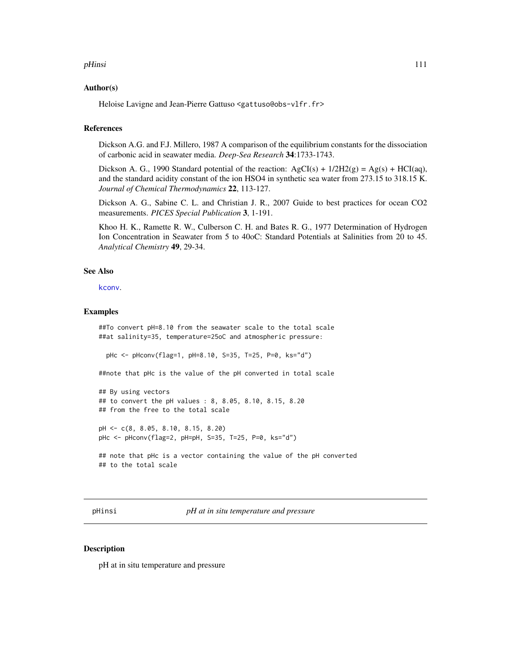#### pHinsi 2011 - 2022 - 2022 - 2022 - 2022 - 2022 - 2022 - 2022 - 2022 - 2023 - 2023 - 2023 - 2023 - 2023 - 2023 - 2023 - 2023 - 2023 - 2023 - 2023 - 2023 - 2023 - 2023 - 2023 - 2023 - 2023 - 2023 - 2023 - 2023 - 2023 - 2023

#### Author(s)

Heloise Lavigne and Jean-Pierre Gattuso <gattuso@obs-vlfr.fr>

# References

Dickson A.G. and F.J. Millero, 1987 A comparison of the equilibrium constants for the dissociation of carbonic acid in seawater media. *Deep-Sea Research* 34:1733-1743.

Dickson A. G., 1990 Standard potential of the reaction:  $AgCI(s) + 1/2H2(g) = Ag(s) + HCI(aq)$ , and the standard acidity constant of the ion HSO4 in synthetic sea water from 273.15 to 318.15 K. *Journal of Chemical Thermodynamics* 22, 113-127.

Dickson A. G., Sabine C. L. and Christian J. R., 2007 Guide to best practices for ocean CO2 measurements. *PICES Special Publication* 3, 1-191.

Khoo H. K., Ramette R. W., Culberson C. H. and Bates R. G., 1977 Determination of Hydrogen Ion Concentration in Seawater from 5 to 40oC: Standard Potentials at Salinities from 20 to 45. *Analytical Chemistry* 49, 29-34.

# See Also

[kconv](#page-71-0).

### Examples

##To convert pH=8.10 from the seawater scale to the total scale ##at salinity=35, temperature=25oC and atmospheric pressure:

pHc <- pHconv(flag=1, pH=8.10, S=35, T=25, P=0, ks="d")

##note that pHc is the value of the pH converted in total scale

```
## By using vectors
## to convert the pH values : 8, 8.05, 8.10, 8.15, 8.20
## from the free to the total scale
```
pH <- c(8, 8.05, 8.10, 8.15, 8.20) pHc <- pHconv(flag=2, pH=pH, S=35, T=25, P=0, ks="d")

```
## note that pHc is a vector containing the value of the pH converted
## to the total scale
```
pHinsi *pH at in situ temperature and pressure*

## **Description**

pH at in situ temperature and pressure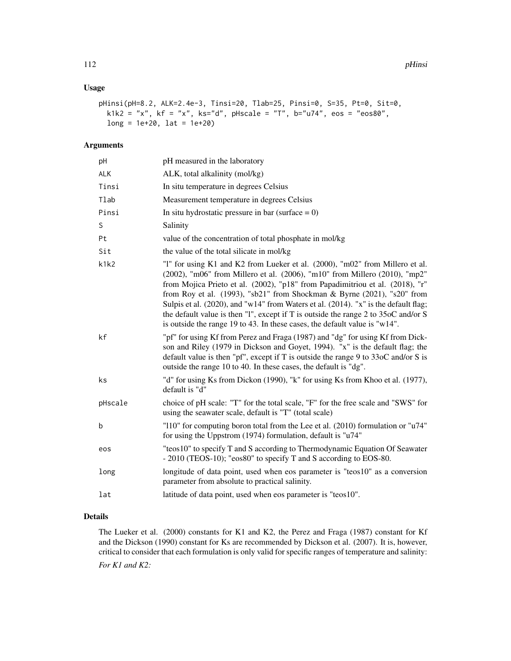# Usage

```
pHinsi(pH=8.2, ALK=2.4e-3, Tinsi=20, Tlab=25, Pinsi=0, S=35, Pt=0, Sit=0,
 k1k2 = "x", kf = "x", ks="d", pHscale = "T", b="u74", eos = "eos80",
 long = 1e+20, 1at = 1e+20)
```
## Arguments

| pH      | pH measured in the laboratory                                                                                                                                                                                                                                                                                                                                                                                                                                                                                                                                                     |
|---------|-----------------------------------------------------------------------------------------------------------------------------------------------------------------------------------------------------------------------------------------------------------------------------------------------------------------------------------------------------------------------------------------------------------------------------------------------------------------------------------------------------------------------------------------------------------------------------------|
| ALK     | ALK, total alkalinity (mol/kg)                                                                                                                                                                                                                                                                                                                                                                                                                                                                                                                                                    |
| Tinsi   | In situ temperature in degrees Celsius                                                                                                                                                                                                                                                                                                                                                                                                                                                                                                                                            |
| Tlab    | Measurement temperature in degrees Celsius                                                                                                                                                                                                                                                                                                                                                                                                                                                                                                                                        |
| Pinsi   | In situ hydrostatic pressure in bar (surface $= 0$ )                                                                                                                                                                                                                                                                                                                                                                                                                                                                                                                              |
| S       | Salinity                                                                                                                                                                                                                                                                                                                                                                                                                                                                                                                                                                          |
| Pt      | value of the concentration of total phosphate in mol/kg                                                                                                                                                                                                                                                                                                                                                                                                                                                                                                                           |
| Sit     | the value of the total silicate in mol/kg                                                                                                                                                                                                                                                                                                                                                                                                                                                                                                                                         |
| k1k2    | "1" for using K1 and K2 from Lueker et al. (2000), "m02" from Millero et al.<br>(2002), "m06" from Millero et al. (2006), "m10" from Millero (2010), "mp2"<br>from Mojica Prieto et al. (2002), "p18" from Papadimitriou et al. (2018), "r"<br>from Roy et al. (1993), "sb21" from Shockman & Byrne (2021), "s20" from<br>Sulpis et al. (2020), and "w14" from Waters et al. (2014). "x" is the default flag;<br>the default value is then "1", except if T is outside the range 2 to 35oC and/or S<br>is outside the range 19 to 43. In these cases, the default value is "w14". |
| kf      | "pf" for using Kf from Perez and Fraga (1987) and "dg" for using Kf from Dick-<br>son and Riley (1979 in Dickson and Goyet, 1994). "x" is the default flag; the<br>default value is then "pf", except if T is outside the range 9 to $330C$ and/or S is<br>outside the range 10 to 40. In these cases, the default is "dg".                                                                                                                                                                                                                                                       |
| ks      | "d" for using Ks from Dickon (1990), "k" for using Ks from Khoo et al. (1977),<br>default is "d"                                                                                                                                                                                                                                                                                                                                                                                                                                                                                  |
| pHscale | choice of pH scale: "T" for the total scale, "F" for the free scale and "SWS" for<br>using the seawater scale, default is "T" (total scale)                                                                                                                                                                                                                                                                                                                                                                                                                                       |
| b       | "110" for computing boron total from the Lee et al. (2010) formulation or "u74"<br>for using the Uppstrom (1974) formulation, default is "u74"                                                                                                                                                                                                                                                                                                                                                                                                                                    |
| eos     | "teos10" to specify T and S according to Thermodynamic Equation Of Seawater<br>- 2010 (TEOS-10); "eos80" to specify T and S according to EOS-80.                                                                                                                                                                                                                                                                                                                                                                                                                                  |
| long    | longitude of data point, used when eos parameter is "teos10" as a conversion<br>parameter from absolute to practical salinity.                                                                                                                                                                                                                                                                                                                                                                                                                                                    |
| lat     | latitude of data point, used when eos parameter is "teos10".                                                                                                                                                                                                                                                                                                                                                                                                                                                                                                                      |
|         |                                                                                                                                                                                                                                                                                                                                                                                                                                                                                                                                                                                   |

# Details

The Lueker et al. (2000) constants for K1 and K2, the Perez and Fraga (1987) constant for Kf and the Dickson (1990) constant for Ks are recommended by Dickson et al. (2007). It is, however, critical to consider that each formulation is only valid for specific ranges of temperature and salinity: *For K1 and K2:*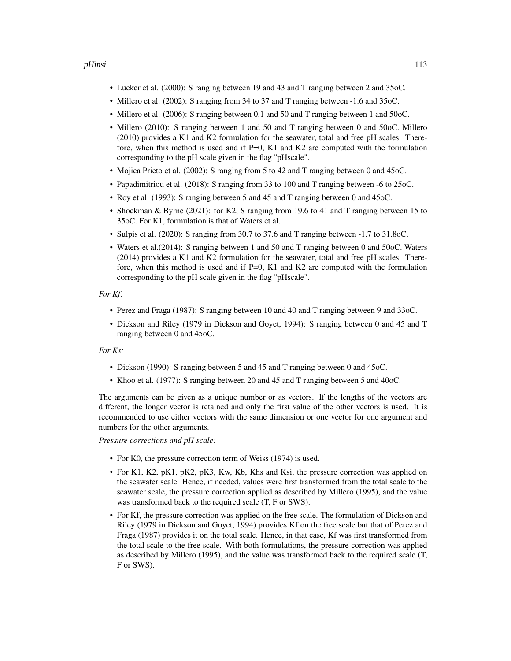## pHinsi 2012 113

- Lueker et al. (2000): S ranging between 19 and 43 and T ranging between 2 and 35oC.
- Millero et al. (2002): S ranging from 34 to 37 and T ranging between -1.6 and 35oC.
- Millero et al. (2006): S ranging between 0.1 and 50 and T ranging between 1 and 50oC.
- Millero (2010): S ranging between 1 and 50 and T ranging between 0 and 50oC. Millero (2010) provides a K1 and K2 formulation for the seawater, total and free pH scales. Therefore, when this method is used and if  $P=0$ , K1 and K2 are computed with the formulation corresponding to the pH scale given in the flag "pHscale".
- Mojica Prieto et al. (2002): S ranging from 5 to 42 and T ranging between 0 and 45oC.
- Papadimitriou et al. (2018): S ranging from 33 to 100 and T ranging between -6 to 25oC.
- Roy et al. (1993): S ranging between 5 and 45 and T ranging between 0 and 45oC.
- Shockman & Byrne (2021): for K2, S ranging from 19.6 to 41 and T ranging between 15 to 35oC. For K1, formulation is that of Waters et al.
- Sulpis et al. (2020): S ranging from 30.7 to 37.6 and T ranging between -1.7 to 31.8oC.
- Waters et al.(2014): S ranging between 1 and 50 and T ranging between 0 and 50oC. Waters (2014) provides a K1 and K2 formulation for the seawater, total and free pH scales. Therefore, when this method is used and if P=0, K1 and K2 are computed with the formulation corresponding to the pH scale given in the flag "pHscale".

#### *For Kf:*

- Perez and Fraga (1987): S ranging between 10 and 40 and T ranging between 9 and 33oC.
- Dickson and Riley (1979 in Dickson and Goyet, 1994): S ranging between 0 and 45 and T ranging between 0 and 45oC.

## *For Ks:*

- Dickson (1990): S ranging between 5 and 45 and T ranging between 0 and 45oC.
- Khoo et al. (1977): S ranging between 20 and 45 and T ranging between 5 and 40oC.

The arguments can be given as a unique number or as vectors. If the lengths of the vectors are different, the longer vector is retained and only the first value of the other vectors is used. It is recommended to use either vectors with the same dimension or one vector for one argument and numbers for the other arguments.

*Pressure corrections and pH scale:*

- For K0, the pressure correction term of Weiss (1974) is used.
- For K1, K2, pK1, pK2, pK3, Kw, Kb, Khs and Ksi, the pressure correction was applied on the seawater scale. Hence, if needed, values were first transformed from the total scale to the seawater scale, the pressure correction applied as described by Millero (1995), and the value was transformed back to the required scale (T, F or SWS).
- For Kf, the pressure correction was applied on the free scale. The formulation of Dickson and Riley (1979 in Dickson and Goyet, 1994) provides Kf on the free scale but that of Perez and Fraga (1987) provides it on the total scale. Hence, in that case, Kf was first transformed from the total scale to the free scale. With both formulations, the pressure correction was applied as described by Millero (1995), and the value was transformed back to the required scale (T, F or SWS).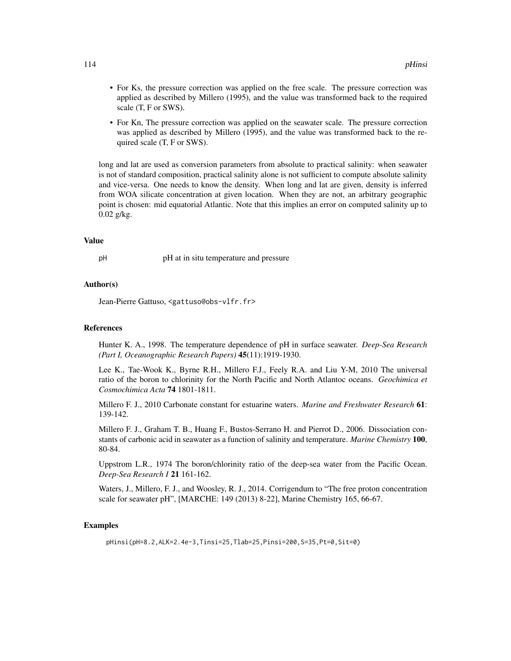- For Ks, the pressure correction was applied on the free scale. The pressure correction was applied as described by Millero (1995), and the value was transformed back to the required scale (T, F or SWS).
- For Kn, The pressure correction was applied on the seawater scale. The pressure correction was applied as described by Millero (1995), and the value was transformed back to the required scale (T, F or SWS).

long and lat are used as conversion parameters from absolute to practical salinity: when seawater is not of standard composition, practical salinity alone is not sufficient to compute absolute salinity and vice-versa. One needs to know the density. When long and lat are given, density is inferred from WOA silicate concentration at given location. When they are not, an arbitrary geographic point is chosen: mid equatorial Atlantic. Note that this implies an error on computed salinity up to 0.02 g/kg.

## Value

pH at in situ temperature and pressure

# Author(s)

Jean-Pierre Gattuso, <gattuso@obs-vlfr.fr>

#### References

Hunter K. A., 1998. The temperature dependence of pH in surface seawater. *Deep-Sea Research (Part I, Oceanographic Research Papers)* 45(11):1919-1930.

Lee K., Tae-Wook K., Byrne R.H., Millero F.J., Feely R.A. and Liu Y-M, 2010 The universal ratio of the boron to chlorinity for the North Pacific and North Atlantoc oceans. *Geochimica et Cosmochimica Acta* 74 1801-1811.

Millero F. J., 2010 Carbonate constant for estuarine waters. *Marine and Freshwater Research* 61: 139-142.

Millero F. J., Graham T. B., Huang F., Bustos-Serrano H. and Pierrot D., 2006. Dissociation constants of carbonic acid in seawater as a function of salinity and temperature. *Marine Chemistry* 100, 80-84.

Uppstrom L.R., 1974 The boron/chlorinity ratio of the deep-sea water from the Pacific Ocean. *Deep-Sea Research I* 21 161-162.

Waters, J., Millero, F. J., and Woosley, R. J., 2014. Corrigendum to "The free proton concentration scale for seawater pH", [MARCHE: 149 (2013) 8-22], Marine Chemistry 165, 66-67.

# Examples

pHinsi(pH=8.2,ALK=2.4e-3,Tinsi=25,Tlab=25,Pinsi=200,S=35,Pt=0,Sit=0)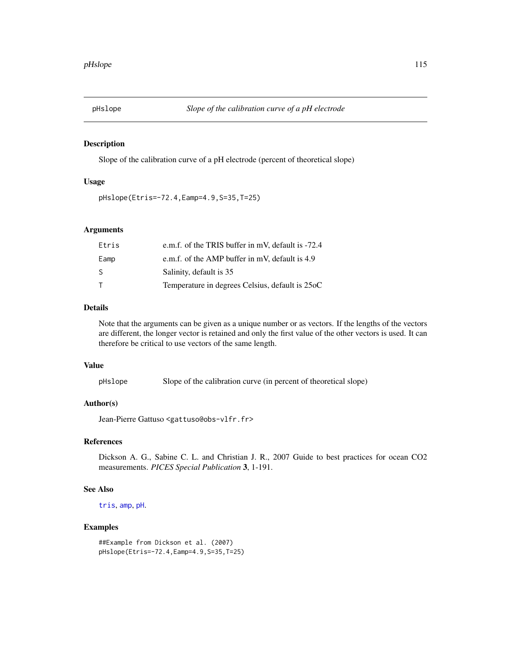<span id="page-114-0"></span>

# Description

Slope of the calibration curve of a pH electrode (percent of theoretical slope)

# Usage

```
pHslope(Etris=-72.4,Eamp=4.9,S=35,T=25)
```
# Arguments

| Etris  | e.m.f. of the TRIS buffer in mV, default is -72.4 |
|--------|---------------------------------------------------|
| Eamp   | e.m.f. of the AMP buffer in mV, default is 4.9    |
| -S     | Salinity, default is 35                           |
| $\top$ | Temperature in degrees Celsius, default is 25oC   |

# Details

Note that the arguments can be given as a unique number or as vectors. If the lengths of the vectors are different, the longer vector is retained and only the first value of the other vectors is used. It can therefore be critical to use vectors of the same length.

#### Value

```
pHslope Slope of the calibration curve (in percent of theoretical slope)
```
# Author(s)

Jean-Pierre Gattuso <gattuso@obs-vlfr.fr>

# References

Dickson A. G., Sabine C. L. and Christian J. R., 2007 Guide to best practices for ocean CO2 measurements. *PICES Special Publication* 3, 1-191.

# See Also

[tris](#page-168-0), [amp](#page-3-0), [pH](#page-108-0).

# Examples

```
##Example from Dickson et al. (2007)
pHslope(Etris=-72.4,Eamp=4.9,S=35,T=25)
```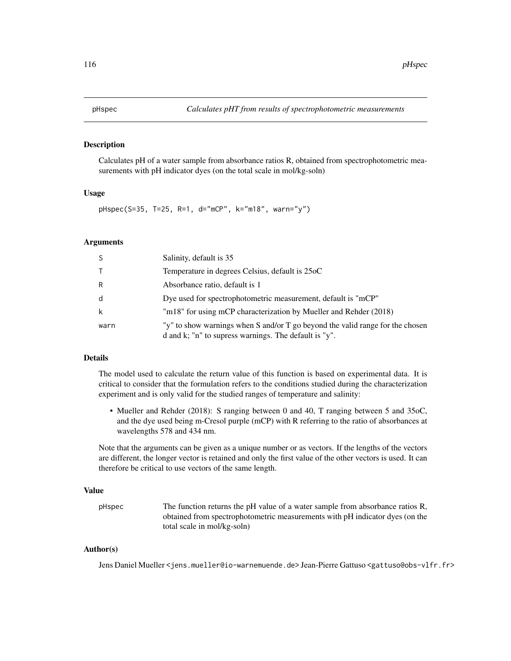## Description

Calculates pH of a water sample from absorbance ratios R, obtained from spectrophotometric measurements with pH indicator dyes (on the total scale in mol/kg-soln)

## Usage

pHspec(S=35, T=25, R=1, d="mCP", k="m18", warn="y")

# Arguments

| -S     | Salinity, default is 35                                                                                                                |
|--------|----------------------------------------------------------------------------------------------------------------------------------------|
| $\top$ | Temperature in degrees Celsius, default is 25oC                                                                                        |
| R      | Absorbance ratio, default is 1                                                                                                         |
| d      | Dye used for spectrophotometric measurement, default is "mCP"                                                                          |
| k      | "m18" for using mCP characterization by Mueller and Rehder (2018)                                                                      |
| warn   | "y" to show warnings when S and/or T go beyond the valid range for the chosen<br>d and k; "n" to supress warnings. The default is "y". |

## Details

The model used to calculate the return value of this function is based on experimental data. It is critical to consider that the formulation refers to the conditions studied during the characterization experiment and is only valid for the studied ranges of temperature and salinity:

• Mueller and Rehder (2018): S ranging between 0 and 40, T ranging between 5 and 35oC, and the dye used being m-Cresol purple (mCP) with R referring to the ratio of absorbances at wavelengths 578 and 434 nm.

Note that the arguments can be given as a unique number or as vectors. If the lengths of the vectors are different, the longer vector is retained and only the first value of the other vectors is used. It can therefore be critical to use vectors of the same length.

#### Value

pHspec The function returns the pH value of a water sample from absorbance ratios R, obtained from spectrophotometric measurements with pH indicator dyes (on the total scale in mol/kg-soln)

# Author(s)

Jens Daniel Mueller <jens.mueller@io-warnemuende.de> Jean-Pierre Gattuso <gattuso@obs-vlfr.fr>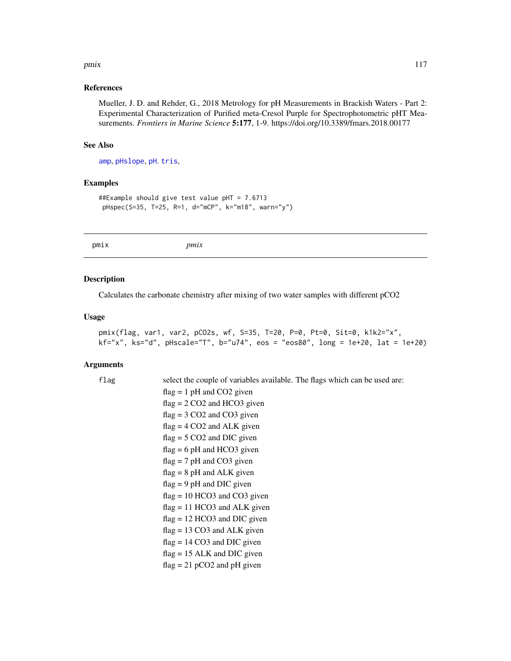#### pmix the contract of the contract of the contract of the contract of the contract of the contract of the contract of the contract of the contract of the contract of the contract of the contract of the contract of the contr

## References

Mueller, J. D. and Rehder, G., 2018 Metrology for pH Measurements in Brackish Waters - Part 2: Experimental Characterization of Purified meta-Cresol Purple for Spectrophotometric pHT Measurements. *Frontiers in Marine Science* 5:177, 1-9. https://doi.org/10.3389/fmars.2018.00177

### See Also

[amp](#page-3-0), [pHslope](#page-114-0), [pH](#page-108-0). [tris](#page-168-0),

# Examples

```
##Example should give test value pHT = 7.6713
pHspec(S=35, T=25, R=1, d="mCP", k="m18", warn="y")
```
pmix *pmix*

# Description

Calculates the carbonate chemistry after mixing of two water samples with different pCO2

#### Usage

```
pmix(flag, var1, var2, pCO2s, wf, S=35, T=20, P=0, Pt=0, Sit=0, k1k2="x",
kf="x", ks="d", pHscale="T", b="u74", eos = "eos80", long = 1e+20, lat = 1e+20)
```
#### Arguments

| flag | select the couple of variables available. The flags which can be used are: |
|------|----------------------------------------------------------------------------|
|      | $flag = 1 pH$ and CO2 given                                                |
|      | $flag = 2 CO2$ and HCO3 given                                              |
|      | $flag = 3 CO2$ and $CO3$ given                                             |
|      | $flag = 4 CO2$ and ALK given                                               |
|      | $flag = 5 CO2$ and DIC given                                               |
|      | $flag = 6 pH$ and HCO3 given                                               |
|      | $flag = 7 pH$ and CO3 given                                                |
|      | $flag = 8 pH$ and ALK given                                                |
|      | $flag = 9 pH$ and DIC given                                                |
|      | $flag = 10 HCO3$ and $CO3$ given                                           |
|      | $flag = 11 HCO3$ and ALK given                                             |
|      | $flag = 12 HCO3$ and DIC given                                             |
|      | $flag = 13 CO3$ and ALK given                                              |
|      | $flag = 14 CO3$ and DIC given                                              |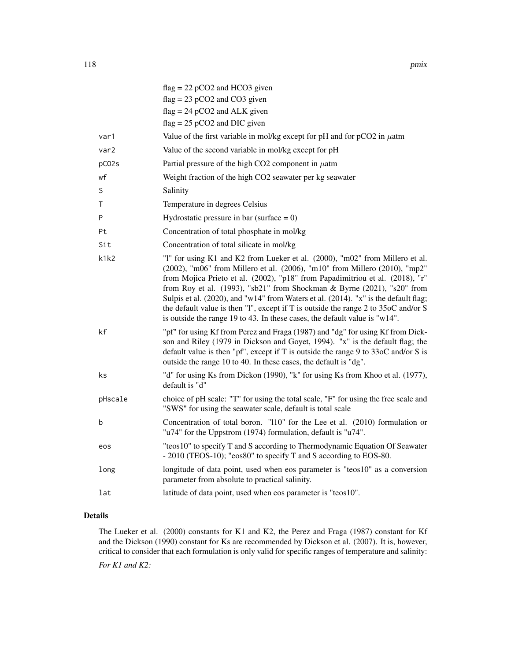|         | $flag = 22 pCO2$ and HCO3 given                                                                                                                                                                                                                                                                                                                                                                                                                                                                                                                                                   |
|---------|-----------------------------------------------------------------------------------------------------------------------------------------------------------------------------------------------------------------------------------------------------------------------------------------------------------------------------------------------------------------------------------------------------------------------------------------------------------------------------------------------------------------------------------------------------------------------------------|
|         | $flag = 23 pCO2$ and $CO3$ given                                                                                                                                                                                                                                                                                                                                                                                                                                                                                                                                                  |
|         | $flag = 24 pCO2$ and ALK given                                                                                                                                                                                                                                                                                                                                                                                                                                                                                                                                                    |
|         | $flag = 25 pCO2$ and DIC given                                                                                                                                                                                                                                                                                                                                                                                                                                                                                                                                                    |
| var1    | Value of the first variable in mol/kg except for pH and for $pCO2$ in $\mu$ atm                                                                                                                                                                                                                                                                                                                                                                                                                                                                                                   |
| var2    | Value of the second variable in mol/kg except for pH                                                                                                                                                                                                                                                                                                                                                                                                                                                                                                                              |
| pC02s   | Partial pressure of the high CO2 component in $\mu$ atm                                                                                                                                                                                                                                                                                                                                                                                                                                                                                                                           |
| wf      | Weight fraction of the high CO2 seawater per kg seawater                                                                                                                                                                                                                                                                                                                                                                                                                                                                                                                          |
| S       | Salinity                                                                                                                                                                                                                                                                                                                                                                                                                                                                                                                                                                          |
| Τ       | Temperature in degrees Celsius                                                                                                                                                                                                                                                                                                                                                                                                                                                                                                                                                    |
| P       | Hydrostatic pressure in bar (surface $= 0$ )                                                                                                                                                                                                                                                                                                                                                                                                                                                                                                                                      |
| Pt      | Concentration of total phosphate in mol/kg                                                                                                                                                                                                                                                                                                                                                                                                                                                                                                                                        |
| Sit     | Concentration of total silicate in mol/kg                                                                                                                                                                                                                                                                                                                                                                                                                                                                                                                                         |
| k1k2    | "1" for using K1 and K2 from Lueker et al. (2000), "m02" from Millero et al.<br>(2002), "m06" from Millero et al. (2006), "m10" from Millero (2010), "mp2"<br>from Mojica Prieto et al. (2002), "p18" from Papadimitriou et al. (2018), "r"<br>from Roy et al. (1993), "sb21" from Shockman & Byrne (2021), "s20" from<br>Sulpis et al. (2020), and "w14" from Waters et al. (2014). "x" is the default flag;<br>the default value is then "I", except if T is outside the range 2 to 35oC and/or S<br>is outside the range 19 to 43. In these cases, the default value is "w14". |
| kf      | "pf" for using Kf from Perez and Fraga (1987) and "dg" for using Kf from Dick-<br>son and Riley (1979 in Dickson and Goyet, 1994). "x" is the default flag; the<br>default value is then "pf", except if T is outside the range 9 to 33oC and/or S is<br>outside the range 10 to 40. In these cases, the default is "dg".                                                                                                                                                                                                                                                         |
| ks      | "d" for using Ks from Dickon (1990), "k" for using Ks from Khoo et al. (1977),<br>default is "d"                                                                                                                                                                                                                                                                                                                                                                                                                                                                                  |
| pHscale | choice of pH scale: "T" for using the total scale, "F" for using the free scale and<br>"SWS" for using the seawater scale, default is total scale                                                                                                                                                                                                                                                                                                                                                                                                                                 |
| b       | Concentration of total boron. "110" for the Lee et al. (2010) formulation or<br>"u74" for the Uppstrom (1974) formulation, default is "u74".                                                                                                                                                                                                                                                                                                                                                                                                                                      |
| eos     | "teos10" to specify T and S according to Thermodynamic Equation Of Seawater<br>- 2010 (TEOS-10); "eos80" to specify T and S according to EOS-80.                                                                                                                                                                                                                                                                                                                                                                                                                                  |
| long    | longitude of data point, used when eos parameter is "teos10" as a conversion<br>parameter from absolute to practical salinity.                                                                                                                                                                                                                                                                                                                                                                                                                                                    |
| lat     | latitude of data point, used when eos parameter is "teos10".                                                                                                                                                                                                                                                                                                                                                                                                                                                                                                                      |

# Details

The Lueker et al. (2000) constants for K1 and K2, the Perez and Fraga (1987) constant for Kf and the Dickson (1990) constant for Ks are recommended by Dickson et al. (2007). It is, however, critical to consider that each formulation is only valid for specific ranges of temperature and salinity:

*For K1 and K2:*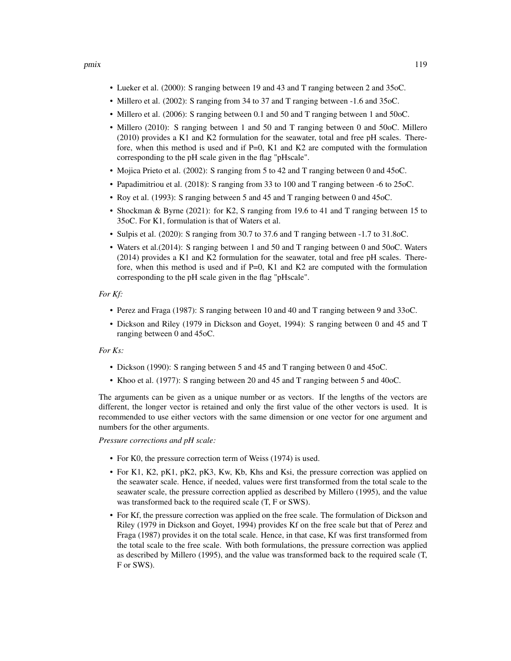- Lueker et al. (2000): S ranging between 19 and 43 and T ranging between 2 and 35oC.
- Millero et al. (2002): S ranging from 34 to 37 and T ranging between -1.6 and 35oC.
- Millero et al. (2006): S ranging between 0.1 and 50 and T ranging between 1 and 50oC.
- Millero (2010): S ranging between 1 and 50 and T ranging between 0 and 50oC. Millero (2010) provides a K1 and K2 formulation for the seawater, total and free pH scales. Therefore, when this method is used and if  $P=0$ , K1 and K2 are computed with the formulation corresponding to the pH scale given in the flag "pHscale".
- Mojica Prieto et al. (2002): S ranging from 5 to 42 and T ranging between 0 and 45oC.
- Papadimitriou et al. (2018): S ranging from 33 to 100 and T ranging between -6 to 25oC.
- Roy et al. (1993): S ranging between 5 and 45 and T ranging between 0 and 45oC.
- Shockman & Byrne (2021): for K2, S ranging from 19.6 to 41 and T ranging between 15 to 35oC. For K1, formulation is that of Waters et al.
- Sulpis et al. (2020): S ranging from 30.7 to 37.6 and T ranging between -1.7 to 31.8oC.
- Waters et al.(2014): S ranging between 1 and 50 and T ranging between 0 and 50oC. Waters (2014) provides a K1 and K2 formulation for the seawater, total and free pH scales. Therefore, when this method is used and if  $P=0$ , K1 and K2 are computed with the formulation corresponding to the pH scale given in the flag "pHscale".

#### *For Kf:*

- Perez and Fraga (1987): S ranging between 10 and 40 and T ranging between 9 and 33oC.
- Dickson and Riley (1979 in Dickson and Goyet, 1994): S ranging between 0 and 45 and T ranging between 0 and 45oC.

## *For Ks:*

- Dickson (1990): S ranging between 5 and 45 and T ranging between 0 and 45oC.
- Khoo et al. (1977): S ranging between 20 and 45 and T ranging between 5 and 40oC.

The arguments can be given as a unique number or as vectors. If the lengths of the vectors are different, the longer vector is retained and only the first value of the other vectors is used. It is recommended to use either vectors with the same dimension or one vector for one argument and numbers for the other arguments.

*Pressure corrections and pH scale:*

- For K0, the pressure correction term of Weiss (1974) is used.
- For K1, K2, pK1, pK2, pK3, Kw, Kb, Khs and Ksi, the pressure correction was applied on the seawater scale. Hence, if needed, values were first transformed from the total scale to the seawater scale, the pressure correction applied as described by Millero (1995), and the value was transformed back to the required scale (T, F or SWS).
- For Kf, the pressure correction was applied on the free scale. The formulation of Dickson and Riley (1979 in Dickson and Goyet, 1994) provides Kf on the free scale but that of Perez and Fraga (1987) provides it on the total scale. Hence, in that case, Kf was first transformed from the total scale to the free scale. With both formulations, the pressure correction was applied as described by Millero (1995), and the value was transformed back to the required scale (T, F or SWS).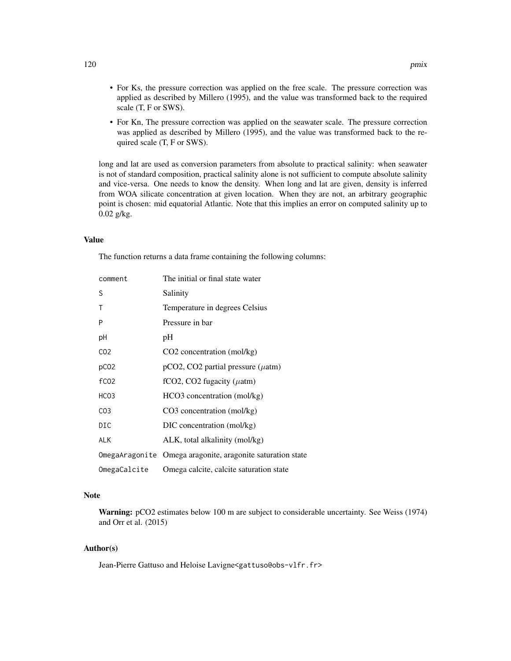- For Ks, the pressure correction was applied on the free scale. The pressure correction was applied as described by Millero (1995), and the value was transformed back to the required scale (T, F or SWS).
- For Kn, The pressure correction was applied on the seawater scale. The pressure correction was applied as described by Millero (1995), and the value was transformed back to the required scale (T, F or SWS).

long and lat are used as conversion parameters from absolute to practical salinity: when seawater is not of standard composition, practical salinity alone is not sufficient to compute absolute salinity and vice-versa. One needs to know the density. When long and lat are given, density is inferred from WOA silicate concentration at given location. When they are not, an arbitrary geographic point is chosen: mid equatorial Atlantic. Note that this implies an error on computed salinity up to 0.02 g/kg.

## Value

The function returns a data frame containing the following columns:

| comment          | The initial or final state water                           |
|------------------|------------------------------------------------------------|
| S                | Salinity                                                   |
| Τ                | Temperature in degrees Celsius                             |
| P                | Pressure in bar                                            |
| рH               | pH                                                         |
| CO <sub>2</sub>  | $CO2$ concentration (mol/kg)                               |
| pC <sub>02</sub> | $pCO2$ , CO2 partial pressure ( $\mu$ atm)                 |
| f <sub>CO2</sub> | fCO2, CO2 fugacity ( $\mu$ atm)                            |
| HCO <sub>3</sub> | HCO3 concentration (mol/kg)                                |
| CO <sub>3</sub>  | $CO3$ concentration (mol/kg)                               |
| DIC              | DIC concentration (mol/kg)                                 |
| <b>ALK</b>       | ALK, total alkalinity (mol/kg)                             |
|                  | OmegaAragonite Omega aragonite, aragonite saturation state |
| OmegaCalcite     | Omega calcite, calcite saturation state                    |

# Note

Warning: pCO2 estimates below 100 m are subject to considerable uncertainty. See Weiss (1974) and Orr et al. (2015)

## Author(s)

Jean-Pierre Gattuso and Heloise Lavigne<gattuso@obs-vlfr.fr>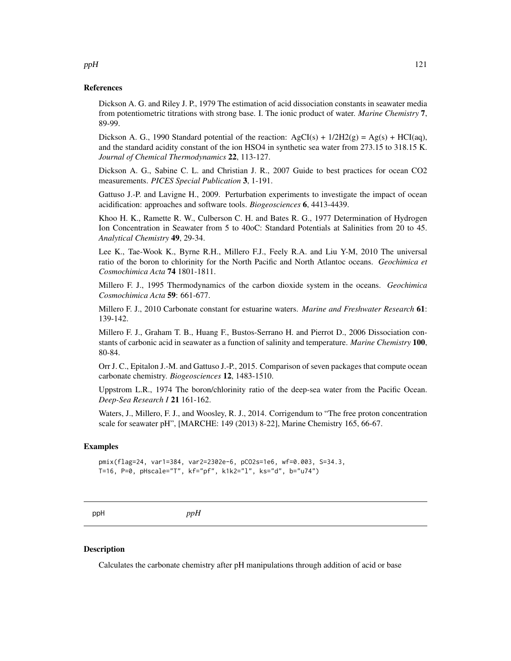## References

Dickson A. G. and Riley J. P., 1979 The estimation of acid dissociation constants in seawater media from potentiometric titrations with strong base. I. The ionic product of water. *Marine Chemistry* 7, 89-99.

Dickson A. G., 1990 Standard potential of the reaction:  $AgCI(s) + 1/2H2(g) = Ag(s) + HCI(aq)$ , and the standard acidity constant of the ion HSO4 in synthetic sea water from 273.15 to 318.15 K. *Journal of Chemical Thermodynamics* 22, 113-127.

Dickson A. G., Sabine C. L. and Christian J. R., 2007 Guide to best practices for ocean CO2 measurements. *PICES Special Publication* 3, 1-191.

Gattuso J.-P. and Lavigne H., 2009. Perturbation experiments to investigate the impact of ocean acidification: approaches and software tools. *Biogeosciences* 6, 4413-4439.

Khoo H. K., Ramette R. W., Culberson C. H. and Bates R. G., 1977 Determination of Hydrogen Ion Concentration in Seawater from 5 to 40oC: Standard Potentials at Salinities from 20 to 45. *Analytical Chemistry* 49, 29-34.

Lee K., Tae-Wook K., Byrne R.H., Millero F.J., Feely R.A. and Liu Y-M, 2010 The universal ratio of the boron to chlorinity for the North Pacific and North Atlantoc oceans. *Geochimica et Cosmochimica Acta* 74 1801-1811.

Millero F. J., 1995 Thermodynamics of the carbon dioxide system in the oceans. *Geochimica Cosmochimica Acta* 59: 661-677.

Millero F. J., 2010 Carbonate constant for estuarine waters. *Marine and Freshwater Research* 61: 139-142.

Millero F. J., Graham T. B., Huang F., Bustos-Serrano H. and Pierrot D., 2006 Dissociation constants of carbonic acid in seawater as a function of salinity and temperature. *Marine Chemistry* 100, 80-84.

Orr J. C., Epitalon J.-M. and Gattuso J.-P., 2015. Comparison of seven packages that compute ocean carbonate chemistry. *Biogeosciences* 12, 1483-1510.

Uppstrom L.R., 1974 The boron/chlorinity ratio of the deep-sea water from the Pacific Ocean. *Deep-Sea Research I* 21 161-162.

Waters, J., Millero, F. J., and Woosley, R. J., 2014. Corrigendum to "The free proton concentration scale for seawater pH", [MARCHE: 149 (2013) 8-22], Marine Chemistry 165, 66-67.

#### Examples

```
pmix(flag=24, var1=384, var2=2302e-6, pCO2s=1e6, wf=0.003, S=34.3,
T=16, P=0, pHscale="T", kf="pf", k1k2="l", ks="d", b="u74")
```
ppH *ppH*

## Description

Calculates the carbonate chemistry after pH manipulations through addition of acid or base

#### $ppH$  121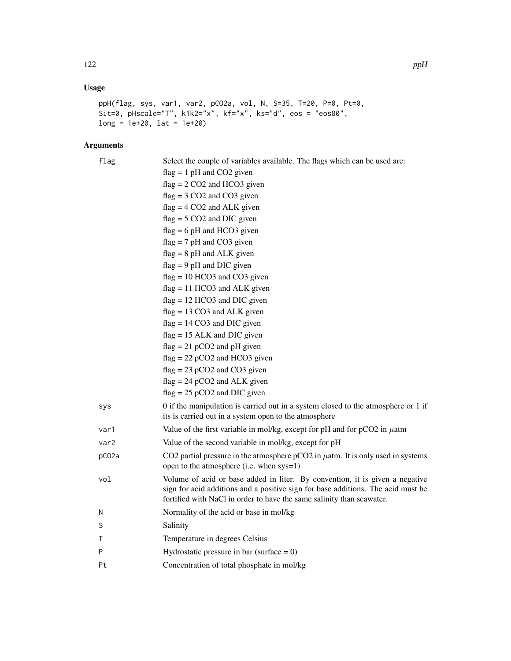# Usage

```
ppH(flag, sys, var1, var2, pCO2a, vol, N, S=35, T=20, P=0, Pt=0,
Sit=0, pHscale="T", k1k2="x", kf="x", ks="d", eos = "eos80",
long = 1e+20, lat = 1e+20
```
# Arguments

| flag             | Select the couple of variables available. The flags which can be used are:<br>$flag = 1 pH$ and CO2 given<br>$flag = 2 CO2$ and HCO3 given<br>$flag = 3 CO2$ and $CO3$ given<br>$flag = 4 CO2$ and ALK given<br>$flag = 5 CO2$ and DIC given<br>$flag = 6 pH$ and HCO3 given<br>$flag = 7 pH$ and CO3 given<br>$flag = 8 pH$ and ALK given<br>$flag = 9 pH$ and DIC given<br>$flag = 10 HCO3$ and $CO3$ given<br>$flag = 11 HCO3$ and ALK given<br>$flag = 12 HCO3$ and DIC given |
|------------------|-----------------------------------------------------------------------------------------------------------------------------------------------------------------------------------------------------------------------------------------------------------------------------------------------------------------------------------------------------------------------------------------------------------------------------------------------------------------------------------|
|                  | $flag = 13 CO3$ and ALK given                                                                                                                                                                                                                                                                                                                                                                                                                                                     |
|                  | $flag = 14 CO3$ and DIC given                                                                                                                                                                                                                                                                                                                                                                                                                                                     |
|                  | $flag = 15$ ALK and DIC given                                                                                                                                                                                                                                                                                                                                                                                                                                                     |
|                  | $flag = 21 pCO2$ and pH given                                                                                                                                                                                                                                                                                                                                                                                                                                                     |
|                  | $flag = 22 pCO2$ and HCO3 given                                                                                                                                                                                                                                                                                                                                                                                                                                                   |
|                  | $flag = 23 pCO2$ and $CO3$ given                                                                                                                                                                                                                                                                                                                                                                                                                                                  |
|                  | $flag = 24 pCO2$ and ALK given                                                                                                                                                                                                                                                                                                                                                                                                                                                    |
|                  | $flag = 25 pCO2$ and DIC given                                                                                                                                                                                                                                                                                                                                                                                                                                                    |
| sys              | 0 if the manipulation is carried out in a system closed to the atmosphere or 1 if<br>its is carried out in a system open to the atmosphere                                                                                                                                                                                                                                                                                                                                        |
| var1             | Value of the first variable in mol/kg, except for pH and for $pCO2$ in $\mu$ atm                                                                                                                                                                                                                                                                                                                                                                                                  |
| var <sub>2</sub> | Value of the second variable in mol/kg, except for pH                                                                                                                                                                                                                                                                                                                                                                                                                             |
| pC02a            | CO2 partial pressure in the atmosphere $pCO2$ in $\mu$ atm. It is only used in systems<br>open to the atmosphere (i.e. when sys=1)                                                                                                                                                                                                                                                                                                                                                |
| vol              | Volume of acid or base added in liter. By convention, it is given a negative<br>sign for acid additions and a positive sign for base additions. The acid must be<br>fortified with NaCl in order to have the same salinity than seawater.                                                                                                                                                                                                                                         |
| N                | Normality of the acid or base in mol/kg                                                                                                                                                                                                                                                                                                                                                                                                                                           |
| S                | Salinity                                                                                                                                                                                                                                                                                                                                                                                                                                                                          |
| Τ                | Temperature in degrees Celsius                                                                                                                                                                                                                                                                                                                                                                                                                                                    |
| P                | Hydrostatic pressure in bar (surface $= 0$ )                                                                                                                                                                                                                                                                                                                                                                                                                                      |
| Pt               | Concentration of total phosphate in mol/kg                                                                                                                                                                                                                                                                                                                                                                                                                                        |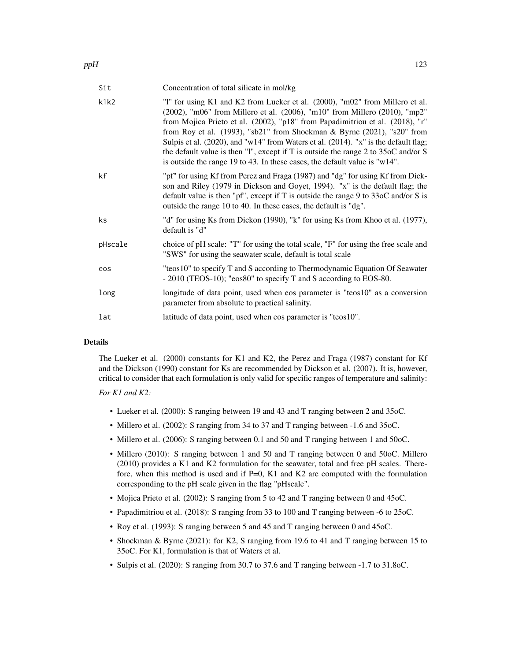| Sit     | Concentration of total silicate in mol/kg                                                                                                                                                                                                                                                                                                                                                                                                                                                                                                                                                        |
|---------|--------------------------------------------------------------------------------------------------------------------------------------------------------------------------------------------------------------------------------------------------------------------------------------------------------------------------------------------------------------------------------------------------------------------------------------------------------------------------------------------------------------------------------------------------------------------------------------------------|
| k1k2    | "1" for using K1 and K2 from Lueker et al. (2000), "m02" from Millero et al.<br>(2002), "m06" from Millero et al. (2006), "m10" from Millero (2010), "mp2"<br>from Mojica Prieto et al. (2002), "p18" from Papadimitriou et al. (2018), "r"<br>from Roy et al. $(1993)$ , "sb21" from Shockman & Byrne $(2021)$ , "s20" from<br>Sulpis et al. (2020), and "w14" from Waters et al. (2014). "x" is the default flag;<br>the default value is then "1", except if T is outside the range $2$ to $35$ oC and/or S<br>is outside the range 19 to 43. In these cases, the default value is " $w14$ ". |
| kf      | "pf" for using Kf from Perez and Fraga (1987) and "dg" for using Kf from Dick-<br>son and Riley (1979 in Dickson and Goyet, 1994). "x" is the default flag; the<br>default value is then "pf", except if T is outside the range 9 to $330C$ and/or S is<br>outside the range 10 to 40. In these cases, the default is "dg".                                                                                                                                                                                                                                                                      |
| ks      | "d" for using Ks from Dickon (1990), "k" for using Ks from Khoo et al. (1977),<br>default is "d"                                                                                                                                                                                                                                                                                                                                                                                                                                                                                                 |
| pHscale | choice of pH scale: "T" for using the total scale, "F" for using the free scale and<br>"SWS" for using the seawater scale, default is total scale                                                                                                                                                                                                                                                                                                                                                                                                                                                |
| eos     | "teos10" to specify T and S according to Thermodynamic Equation Of Seawater<br>- 2010 (TEOS-10); "eos80" to specify T and S according to EOS-80.                                                                                                                                                                                                                                                                                                                                                                                                                                                 |
| long    | longitude of data point, used when eos parameter is "teos10" as a conversion<br>parameter from absolute to practical salinity.                                                                                                                                                                                                                                                                                                                                                                                                                                                                   |
| lat     | latitude of data point, used when eos parameter is "teos10".                                                                                                                                                                                                                                                                                                                                                                                                                                                                                                                                     |

# Details

The Lueker et al. (2000) constants for K1 and K2, the Perez and Fraga (1987) constant for Kf and the Dickson (1990) constant for Ks are recommended by Dickson et al. (2007). It is, however, critical to consider that each formulation is only valid for specific ranges of temperature and salinity:

# *For K1 and K2:*

- Lueker et al. (2000): S ranging between 19 and 43 and T ranging between 2 and 35oC.
- Millero et al. (2002): S ranging from 34 to 37 and T ranging between -1.6 and 35oC.
- Millero et al. (2006): S ranging between 0.1 and 50 and T ranging between 1 and 50oC.
- Millero (2010): S ranging between 1 and 50 and T ranging between 0 and 50oC. Millero (2010) provides a K1 and K2 formulation for the seawater, total and free pH scales. Therefore, when this method is used and if  $P=0$ , K1 and K2 are computed with the formulation corresponding to the pH scale given in the flag "pHscale".
- Mojica Prieto et al. (2002): S ranging from 5 to 42 and T ranging between 0 and 45oC.
- Papadimitriou et al. (2018): S ranging from 33 to 100 and T ranging between -6 to 25oC.
- Roy et al. (1993): S ranging between 5 and 45 and T ranging between 0 and 45oC.
- Shockman & Byrne (2021): for K2, S ranging from 19.6 to 41 and T ranging between 15 to 35oC. For K1, formulation is that of Waters et al.
- Sulpis et al. (2020): S ranging from 30.7 to 37.6 and T ranging between -1.7 to 31.8oC.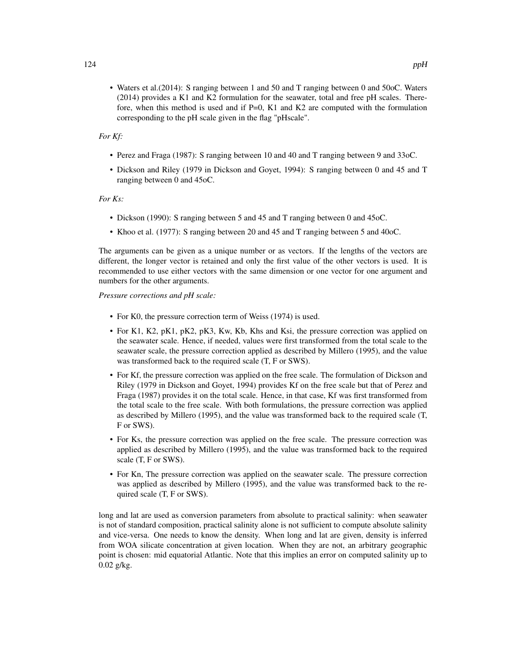# *For Kf:*

- Perez and Fraga (1987): S ranging between 10 and 40 and T ranging between 9 and 33oC.
- Dickson and Riley (1979 in Dickson and Goyet, 1994): S ranging between 0 and 45 and T ranging between 0 and 45oC.

## *For Ks:*

- Dickson (1990): S ranging between 5 and 45 and T ranging between 0 and 45oC.
- Khoo et al. (1977): S ranging between 20 and 45 and T ranging between 5 and 40oC.

The arguments can be given as a unique number or as vectors. If the lengths of the vectors are different, the longer vector is retained and only the first value of the other vectors is used. It is recommended to use either vectors with the same dimension or one vector for one argument and numbers for the other arguments.

*Pressure corrections and pH scale:*

- For K0, the pressure correction term of Weiss (1974) is used.
- For K1, K2, pK1, pK2, pK3, Kw, Kb, Khs and Ksi, the pressure correction was applied on the seawater scale. Hence, if needed, values were first transformed from the total scale to the seawater scale, the pressure correction applied as described by Millero (1995), and the value was transformed back to the required scale (T, F or SWS).
- For Kf, the pressure correction was applied on the free scale. The formulation of Dickson and Riley (1979 in Dickson and Goyet, 1994) provides Kf on the free scale but that of Perez and Fraga (1987) provides it on the total scale. Hence, in that case, Kf was first transformed from the total scale to the free scale. With both formulations, the pressure correction was applied as described by Millero (1995), and the value was transformed back to the required scale (T, F or SWS).
- For Ks, the pressure correction was applied on the free scale. The pressure correction was applied as described by Millero (1995), and the value was transformed back to the required scale (T, F or SWS).
- For Kn, The pressure correction was applied on the seawater scale. The pressure correction was applied as described by Millero (1995), and the value was transformed back to the required scale (T, F or SWS).

long and lat are used as conversion parameters from absolute to practical salinity: when seawater is not of standard composition, practical salinity alone is not sufficient to compute absolute salinity and vice-versa. One needs to know the density. When long and lat are given, density is inferred from WOA silicate concentration at given location. When they are not, an arbitrary geographic point is chosen: mid equatorial Atlantic. Note that this implies an error on computed salinity up to 0.02 g/kg.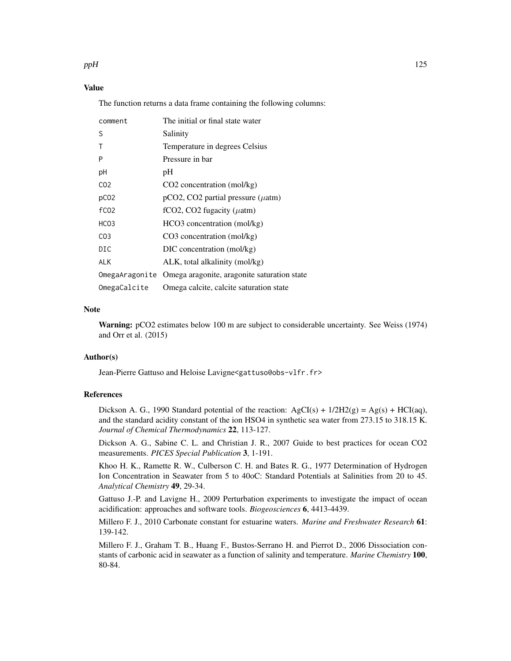#### $ppH$  125

# Value

The function returns a data frame containing the following columns:

| comment          | The initial or final state water                           |
|------------------|------------------------------------------------------------|
| S                | Salinity                                                   |
| Τ                | Temperature in degrees Celsius                             |
| P                | Pressure in bar                                            |
| рH               | pH                                                         |
| CO <sub>2</sub>  | CO <sub>2</sub> concentration (mol/kg)                     |
| pC <sub>02</sub> | $pCO2$ , CO2 partial pressure ( $\mu$ atm)                 |
| fC <sub>02</sub> | fCO2, CO2 fugacity ( $\mu$ atm)                            |
| HCO <sub>3</sub> | HCO3 concentration (mol/kg)                                |
| CO <sub>3</sub>  | $CO3$ concentration (mol/kg)                               |
| DIC              | DIC concentration (mol/kg)                                 |
| <b>ALK</b>       | ALK, total alkalinity (mol/kg)                             |
|                  | OmegaAragonite Omega aragonite, aragonite saturation state |
| OmegaCalcite     | Omega calcite, calcite saturation state                    |

#### Note

Warning: pCO2 estimates below 100 m are subject to considerable uncertainty. See Weiss (1974) and Orr et al. (2015)

## Author(s)

Jean-Pierre Gattuso and Heloise Lavigne<gattuso@obs-vlfr.fr>

#### References

Dickson A. G., 1990 Standard potential of the reaction:  $AgCI(s) + 1/2H2(g) = Ag(s) + HCI(aq)$ , and the standard acidity constant of the ion HSO4 in synthetic sea water from 273.15 to 318.15 K. *Journal of Chemical Thermodynamics* 22, 113-127.

Dickson A. G., Sabine C. L. and Christian J. R., 2007 Guide to best practices for ocean CO2 measurements. *PICES Special Publication* 3, 1-191.

Khoo H. K., Ramette R. W., Culberson C. H. and Bates R. G., 1977 Determination of Hydrogen Ion Concentration in Seawater from 5 to 40oC: Standard Potentials at Salinities from 20 to 45. *Analytical Chemistry* 49, 29-34.

Gattuso J.-P. and Lavigne H., 2009 Perturbation experiments to investigate the impact of ocean acidification: approaches and software tools. *Biogeosciences* 6, 4413-4439.

Millero F. J., 2010 Carbonate constant for estuarine waters. *Marine and Freshwater Research* 61: 139-142.

Millero F. J., Graham T. B., Huang F., Bustos-Serrano H. and Pierrot D., 2006 Dissociation constants of carbonic acid in seawater as a function of salinity and temperature. *Marine Chemistry* 100, 80-84.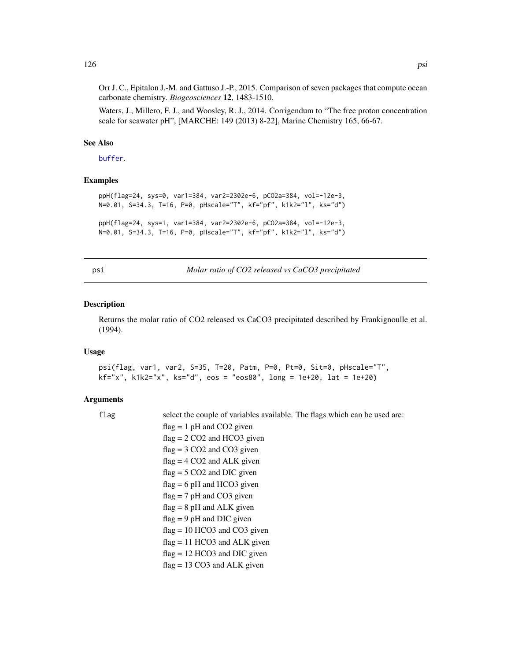Orr J. C., Epitalon J.-M. and Gattuso J.-P., 2015. Comparison of seven packages that compute ocean carbonate chemistry. *Biogeosciences* 12, 1483-1510.

Waters, J., Millero, F. J., and Woosley, R. J., 2014. Corrigendum to "The free proton concentration scale for seawater pH", [MARCHE: 149 (2013) 8-22], Marine Chemistry 165, 66-67.

#### See Also

[buffer](#page-7-0).

# Examples

```
ppH(flag=24, sys=0, var1=384, var2=2302e-6, pCO2a=384, vol=-12e-3,
N=0.01, S=34.3, T=16, P=0, pHscale="T", kf="pf", k1k2="l", ks="d")
```

```
ppH(flag=24, sys=1, var1=384, var2=2302e-6, pCO2a=384, vol=-12e-3,
N=0.01, S=34.3, T=16, P=0, pHscale="T", kf="pf", k1k2="l", ks="d")
```
psi *Molar ratio of CO2 released vs CaCO3 precipitated*

#### **Description**

Returns the molar ratio of CO2 released vs CaCO3 precipitated described by Frankignoulle et al. (1994).

#### Usage

```
psi(flag, var1, var2, S=35, T=20, Patm, P=0, Pt=0, Sit=0, pHscale="T",
kf='x", k1k2='x", ks='d", eos = "eos80", long = 1e+20, lat = 1e+20)
```
#### Arguments

flag select the couple of variables available. The flags which can be used are:  $flag = 1 pH$  and  $CO2$  given  $flag = 2 CO2$  and HCO3 given  $flag = 3 CO2$  and  $CO3$  given  $flag = 4 CO2$  and  $ALK$  given  $flag = 5 CO2$  and DIC given  $flag = 6 pH$  and HCO3 given  $flag = 7 pH$  and CO3 given  $flag = 8 pH$  and  $ALK$  given  $flag = 9 pH$  and DIC given  $flag = 10 HCO3$  and  $CO3$  given  $flag = 11 HCO3$  and ALK given  $flag = 12 HCO3$  and DIC given flag = 13 CO3 and ALK given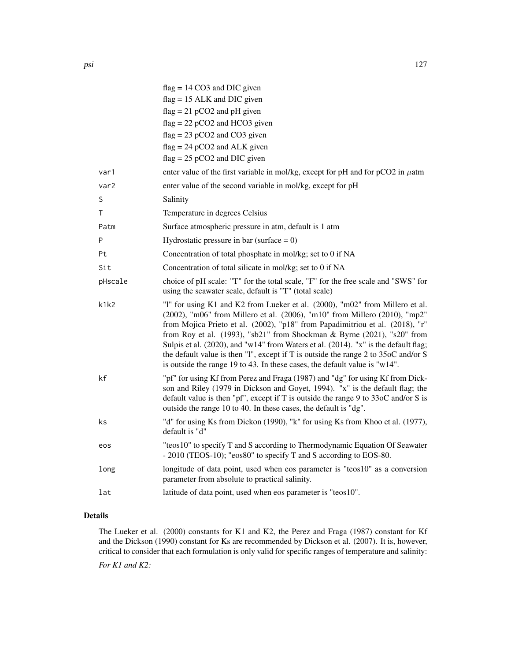|         | $flag = 14 CO3$ and DIC given                                                                                                                                                                                                                                                                                                                                                                                                                                                                                                                                                     |
|---------|-----------------------------------------------------------------------------------------------------------------------------------------------------------------------------------------------------------------------------------------------------------------------------------------------------------------------------------------------------------------------------------------------------------------------------------------------------------------------------------------------------------------------------------------------------------------------------------|
|         | $flag = 15 ALK$ and DIC given                                                                                                                                                                                                                                                                                                                                                                                                                                                                                                                                                     |
|         | $flag = 21 pCO2$ and pH given                                                                                                                                                                                                                                                                                                                                                                                                                                                                                                                                                     |
|         | $flag = 22 pCO2$ and HCO3 given                                                                                                                                                                                                                                                                                                                                                                                                                                                                                                                                                   |
|         | $flag = 23 pCO2$ and $CO3$ given                                                                                                                                                                                                                                                                                                                                                                                                                                                                                                                                                  |
|         | $flag = 24 pCO2$ and ALK given                                                                                                                                                                                                                                                                                                                                                                                                                                                                                                                                                    |
|         | $flag = 25 pCO2$ and DIC given                                                                                                                                                                                                                                                                                                                                                                                                                                                                                                                                                    |
| var1    | enter value of the first variable in mol/kg, except for pH and for $pCO2$ in $\mu$ atm                                                                                                                                                                                                                                                                                                                                                                                                                                                                                            |
| var2    | enter value of the second variable in mol/kg, except for pH                                                                                                                                                                                                                                                                                                                                                                                                                                                                                                                       |
| S       | Salinity                                                                                                                                                                                                                                                                                                                                                                                                                                                                                                                                                                          |
| т       | Temperature in degrees Celsius                                                                                                                                                                                                                                                                                                                                                                                                                                                                                                                                                    |
| Patm    | Surface atmospheric pressure in atm, default is 1 atm                                                                                                                                                                                                                                                                                                                                                                                                                                                                                                                             |
| P       | Hydrostatic pressure in bar (surface $= 0$ )                                                                                                                                                                                                                                                                                                                                                                                                                                                                                                                                      |
| Pt      | Concentration of total phosphate in mol/kg; set to 0 if NA                                                                                                                                                                                                                                                                                                                                                                                                                                                                                                                        |
| Sit     | Concentration of total silicate in mol/kg; set to 0 if NA                                                                                                                                                                                                                                                                                                                                                                                                                                                                                                                         |
| pHscale | choice of pH scale: "T" for the total scale, "F" for the free scale and "SWS" for<br>using the seawater scale, default is "T" (total scale)                                                                                                                                                                                                                                                                                                                                                                                                                                       |
| k1k2    | "I" for using K1 and K2 from Lueker et al. (2000), "m02" from Millero et al.<br>(2002), "m06" from Millero et al. (2006), "m10" from Millero (2010), "mp2"<br>from Mojica Prieto et al. (2002), "p18" from Papadimitriou et al. (2018), "r"<br>from Roy et al. (1993), "sb21" from Shockman & Byrne (2021), "s20" from<br>Sulpis et al. (2020), and "w14" from Waters et al. (2014). "x" is the default flag;<br>the default value is then "1", except if T is outside the range 2 to 35oC and/or S<br>is outside the range 19 to 43. In these cases, the default value is "w14". |
| kf      | "pf" for using Kf from Perez and Fraga (1987) and "dg" for using Kf from Dick-<br>son and Riley (1979 in Dickson and Goyet, 1994). "x" is the default flag; the<br>default value is then "pf", except if T is outside the range 9 to $330C$ and/or S is<br>outside the range 10 to 40. In these cases, the default is "dg".                                                                                                                                                                                                                                                       |
| ks      | "d" for using Ks from Dickon (1990), "k" for using Ks from Khoo et al. (1977),<br>default is "d"                                                                                                                                                                                                                                                                                                                                                                                                                                                                                  |
| eos     | "teos10" to specify T and S according to Thermodynamic Equation Of Seawater<br>- 2010 (TEOS-10); "eos80" to specify T and S according to EOS-80.                                                                                                                                                                                                                                                                                                                                                                                                                                  |
| long    | longitude of data point, used when eos parameter is "teos10" as a conversion<br>parameter from absolute to practical salinity.                                                                                                                                                                                                                                                                                                                                                                                                                                                    |
| lat     | latitude of data point, used when eos parameter is "teos10".                                                                                                                                                                                                                                                                                                                                                                                                                                                                                                                      |
|         |                                                                                                                                                                                                                                                                                                                                                                                                                                                                                                                                                                                   |

# Details

The Lueker et al. (2000) constants for K1 and K2, the Perez and Fraga (1987) constant for Kf and the Dickson (1990) constant for Ks are recommended by Dickson et al. (2007). It is, however, critical to consider that each formulation is only valid for specific ranges of temperature and salinity: *For K1 and K2:*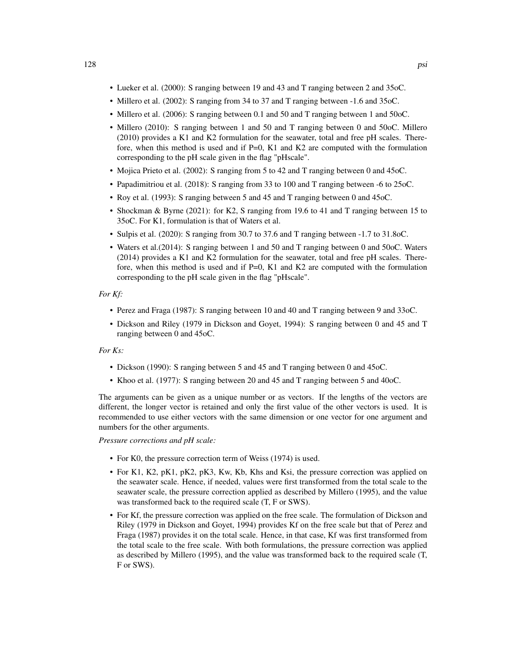- Lueker et al. (2000): S ranging between 19 and 43 and T ranging between 2 and 35oC.
- Millero et al. (2002): S ranging from 34 to 37 and T ranging between -1.6 and 35oC.
- Millero et al. (2006): S ranging between 0.1 and 50 and T ranging between 1 and 50oC.
- Millero (2010): S ranging between 1 and 50 and T ranging between 0 and 50oC. Millero (2010) provides a K1 and K2 formulation for the seawater, total and free pH scales. Therefore, when this method is used and if  $P=0$ , K1 and K2 are computed with the formulation corresponding to the pH scale given in the flag "pHscale".
- Mojica Prieto et al. (2002): S ranging from 5 to 42 and T ranging between 0 and 45oC.
- Papadimitriou et al. (2018): S ranging from 33 to 100 and T ranging between -6 to 25oC.
- Roy et al. (1993): S ranging between 5 and 45 and T ranging between 0 and 45oC.
- Shockman & Byrne (2021): for K2, S ranging from 19.6 to 41 and T ranging between 15 to 35oC. For K1, formulation is that of Waters et al.
- Sulpis et al. (2020): S ranging from 30.7 to 37.6 and T ranging between -1.7 to 31.8oC.
- Waters et al.(2014): S ranging between 1 and 50 and T ranging between 0 and 50oC. Waters (2014) provides a K1 and K2 formulation for the seawater, total and free pH scales. Therefore, when this method is used and if  $P=0$ , K1 and K2 are computed with the formulation corresponding to the pH scale given in the flag "pHscale".

#### *For Kf:*

- Perez and Fraga (1987): S ranging between 10 and 40 and T ranging between 9 and 33oC.
- Dickson and Riley (1979 in Dickson and Goyet, 1994): S ranging between 0 and 45 and T ranging between 0 and 45oC.

## *For Ks:*

- Dickson (1990): S ranging between 5 and 45 and T ranging between 0 and 45oC.
- Khoo et al. (1977): S ranging between 20 and 45 and T ranging between 5 and 40oC.

The arguments can be given as a unique number or as vectors. If the lengths of the vectors are different, the longer vector is retained and only the first value of the other vectors is used. It is recommended to use either vectors with the same dimension or one vector for one argument and numbers for the other arguments.

*Pressure corrections and pH scale:*

- For K0, the pressure correction term of Weiss (1974) is used.
- For K1, K2, pK1, pK2, pK3, Kw, Kb, Khs and Ksi, the pressure correction was applied on the seawater scale. Hence, if needed, values were first transformed from the total scale to the seawater scale, the pressure correction applied as described by Millero (1995), and the value was transformed back to the required scale (T, F or SWS).
- For Kf, the pressure correction was applied on the free scale. The formulation of Dickson and Riley (1979 in Dickson and Goyet, 1994) provides Kf on the free scale but that of Perez and Fraga (1987) provides it on the total scale. Hence, in that case, Kf was first transformed from the total scale to the free scale. With both formulations, the pressure correction was applied as described by Millero (1995), and the value was transformed back to the required scale (T, F or SWS).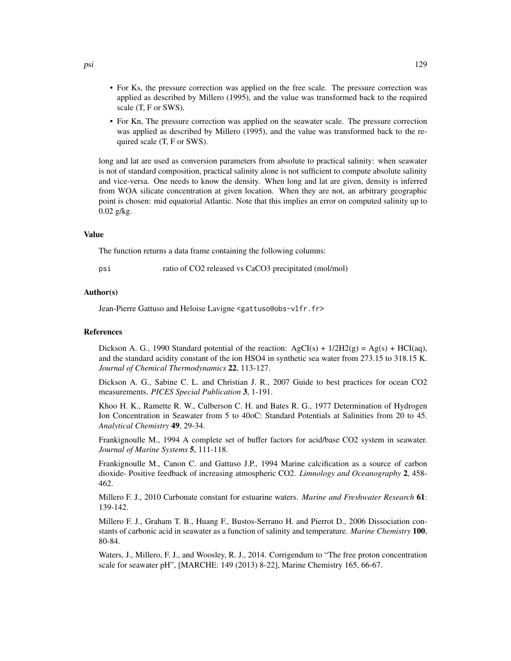- For Ks, the pressure correction was applied on the free scale. The pressure correction was applied as described by Millero (1995), and the value was transformed back to the required scale (T, F or SWS).
- For Kn, The pressure correction was applied on the seawater scale. The pressure correction was applied as described by Millero (1995), and the value was transformed back to the required scale (T, F or SWS).

long and lat are used as conversion parameters from absolute to practical salinity: when seawater is not of standard composition, practical salinity alone is not sufficient to compute absolute salinity and vice-versa. One needs to know the density. When long and lat are given, density is inferred from WOA silicate concentration at given location. When they are not, an arbitrary geographic point is chosen: mid equatorial Atlantic. Note that this implies an error on computed salinity up to 0.02 g/kg.

# Value

The function returns a data frame containing the following columns:

| psı | ratio of CO2 released vs CaCO3 precipitated (mol/mol) |  |
|-----|-------------------------------------------------------|--|
|-----|-------------------------------------------------------|--|

#### Author(s)

Jean-Pierre Gattuso and Heloise Lavigne <gattuso@obs-vlfr.fr>

#### References

Dickson A. G., 1990 Standard potential of the reaction:  $AgCI(s) + 1/2H2(g) = Ag(s) + HCI(aq)$ , and the standard acidity constant of the ion HSO4 in synthetic sea water from 273.15 to 318.15 K. *Journal of Chemical Thermodynamics* 22, 113-127.

Dickson A. G., Sabine C. L. and Christian J. R., 2007 Guide to best practices for ocean CO2 measurements. *PICES Special Publication* 3, 1-191.

Khoo H. K., Ramette R. W., Culberson C. H. and Bates R. G., 1977 Determination of Hydrogen Ion Concentration in Seawater from 5 to 40oC: Standard Potentials at Salinities from 20 to 45. *Analytical Chemistry* 49, 29-34.

Frankignoulle M., 1994 A complete set of buffer factors for acid/base CO2 system in seawater. *Journal of Marine Systems* 5, 111-118.

Frankignoulle M., Canon C. and Gattuso J.P., 1994 Marine calcification as a source of carbon dioxide- Positive feedback of increasing atmospheric CO2. *Limnology and Oceanography* 2, 458- 462.

Millero F. J., 2010 Carbonate constant for estuarine waters. *Marine and Freshwater Research* 61: 139-142.

Millero F. J., Graham T. B., Huang F., Bustos-Serrano H. and Pierrot D., 2006 Dissociation constants of carbonic acid in seawater as a function of salinity and temperature. *Marine Chemistry* 100, 80-84.

Waters, J., Millero, F. J., and Woosley, R. J., 2014. Corrigendum to "The free proton concentration scale for seawater pH", [MARCHE: 149 (2013) 8-22], Marine Chemistry 165, 66-67.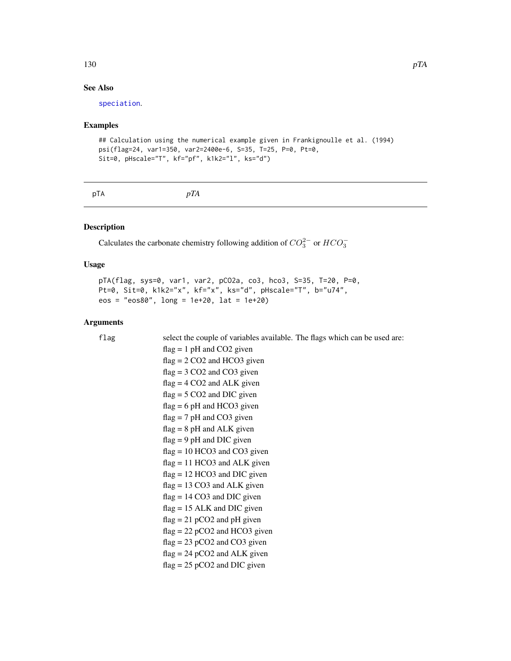# See Also

[speciation](#page-163-0).

# Examples

```
## Calculation using the numerical example given in Frankignoulle et al. (1994)
psi(flag=24, var1=350, var2=2400e-6, S=35, T=25, P=0, Pt=0,
Sit=0, pHscale="T", kf="pf", k1k2="l", ks="d")
```

| pTA | pTA |  |  |
|-----|-----|--|--|
|-----|-----|--|--|

# Description

Calculates the carbonate chemistry following addition of  $CO_3^{2-}$  or  $HCO_3^-$ 

# Usage

pTA(flag, sys=0, var1, var2, pCO2a, co3, hco3, S=35, T=20, P=0, Pt=0, Sit=0, k1k2="x", kf="x", ks="d", pHscale="T", b="u74", eos = "eos80", long = 1e+20, lat = 1e+20)

# Arguments

| flag | select the couple of variables available. The flags which can be used are: |
|------|----------------------------------------------------------------------------|
|      | $flag = 1 pH$ and CO2 given                                                |
|      | $flag = 2 CO2$ and HCO3 given                                              |
|      | $flag = 3 CO2$ and $CO3$ given                                             |
|      | $flag = 4 CO2$ and ALK given                                               |
|      | $flag = 5 CO2$ and DIC given                                               |
|      | $flag = 6 pH$ and HCO3 given                                               |
|      | $flag = 7 pH$ and CO3 given                                                |
|      | $flag = 8 pH$ and ALK given                                                |
|      | $flag = 9 pH$ and DIC given                                                |
|      | $flag = 10 HCO3$ and $CO3$ given                                           |
|      | $flag = 11 HCO3$ and ALK given                                             |
|      | $flag = 12 HCO3$ and DIC given                                             |
|      | $flag = 13 CO3$ and ALK given                                              |
|      | $flag = 14 CO3$ and DIC given                                              |
|      | $flag = 15$ ALK and DIC given                                              |
|      | $flag = 21 pCO2$ and pH given                                              |
|      | $flag = 22 pCO2$ and HCO3 given                                            |
|      | $flag = 23 pCO2$ and $CO3$ given                                           |
|      | $flag = 24 pCO2$ and ALK given                                             |
|      | $flag = 25 pCO2$ and DIC given                                             |
|      |                                                                            |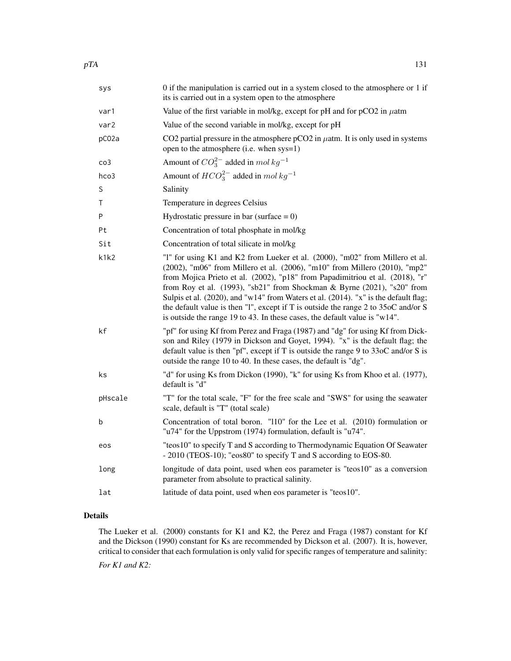| sys              | 0 if the manipulation is carried out in a system closed to the atmosphere or 1 if<br>its is carried out in a system open to the atmosphere                                                                                                                                                                                                                                                                                                                                                                                                                                        |
|------------------|-----------------------------------------------------------------------------------------------------------------------------------------------------------------------------------------------------------------------------------------------------------------------------------------------------------------------------------------------------------------------------------------------------------------------------------------------------------------------------------------------------------------------------------------------------------------------------------|
| var1             | Value of the first variable in mol/kg, except for pH and for $pCO2$ in $\mu$ atm                                                                                                                                                                                                                                                                                                                                                                                                                                                                                                  |
| var <sub>2</sub> | Value of the second variable in mol/kg, except for pH                                                                                                                                                                                                                                                                                                                                                                                                                                                                                                                             |
| pC02a            | CO2 partial pressure in the atmosphere pCO2 in $\mu$ atm. It is only used in systems<br>open to the atmosphere (i.e. when sys=1)                                                                                                                                                                                                                                                                                                                                                                                                                                                  |
| $\cos$           | Amount of $CO_3^{2-}$ added in mol $kg^{-1}$                                                                                                                                                                                                                                                                                                                                                                                                                                                                                                                                      |
| hco3             | Amount of $HCO_3^{2-}$ added in mol $kg^{-1}$                                                                                                                                                                                                                                                                                                                                                                                                                                                                                                                                     |
| S                | Salinity                                                                                                                                                                                                                                                                                                                                                                                                                                                                                                                                                                          |
| т                | Temperature in degrees Celsius                                                                                                                                                                                                                                                                                                                                                                                                                                                                                                                                                    |
| P                | Hydrostatic pressure in bar (surface $= 0$ )                                                                                                                                                                                                                                                                                                                                                                                                                                                                                                                                      |
| Pt               | Concentration of total phosphate in mol/kg                                                                                                                                                                                                                                                                                                                                                                                                                                                                                                                                        |
| Sit              | Concentration of total silicate in mol/kg                                                                                                                                                                                                                                                                                                                                                                                                                                                                                                                                         |
| k1k2             | "I" for using K1 and K2 from Lueker et al. (2000), "m02" from Millero et al.<br>(2002), "m06" from Millero et al. (2006), "m10" from Millero (2010), "mp2"<br>from Mojica Prieto et al. (2002), "p18" from Papadimitriou et al. (2018), "r"<br>from Roy et al. (1993), "sb21" from Shockman & Byrne (2021), "s20" from<br>Sulpis et al. (2020), and "w14" from Waters et al. (2014). "x" is the default flag;<br>the default value is then "1", except if T is outside the range 2 to 35oC and/or S<br>is outside the range 19 to 43. In these cases, the default value is "w14". |
| kf               | "pf" for using Kf from Perez and Fraga (1987) and "dg" for using Kf from Dick-<br>son and Riley (1979 in Dickson and Goyet, 1994). "x" is the default flag; the<br>default value is then "pf", except if T is outside the range 9 to $33$ oC and/or S is<br>outside the range 10 to 40. In these cases, the default is "dg".                                                                                                                                                                                                                                                      |
| ks               | "d" for using Ks from Dickon (1990), "k" for using Ks from Khoo et al. (1977),<br>default is "d"                                                                                                                                                                                                                                                                                                                                                                                                                                                                                  |
| pHscale          | "T" for the total scale, "F" for the free scale and "SWS" for using the seawater<br>scale, default is "T" (total scale)                                                                                                                                                                                                                                                                                                                                                                                                                                                           |
| b                | Concentration of total boron. "110" for the Lee et al. (2010) formulation or<br>"u74" for the Uppstrom (1974) formulation, default is "u74".                                                                                                                                                                                                                                                                                                                                                                                                                                      |
| eos              | "teos10" to specify T and S according to Thermodynamic Equation Of Seawater<br>- 2010 (TEOS-10); "eos80" to specify T and S according to EOS-80.                                                                                                                                                                                                                                                                                                                                                                                                                                  |
| long             | longitude of data point, used when eos parameter is "teos10" as a conversion<br>parameter from absolute to practical salinity.                                                                                                                                                                                                                                                                                                                                                                                                                                                    |
| lat              | latitude of data point, used when eos parameter is "teos10".                                                                                                                                                                                                                                                                                                                                                                                                                                                                                                                      |

# Details

The Lueker et al. (2000) constants for K1 and K2, the Perez and Fraga (1987) constant for Kf and the Dickson (1990) constant for Ks are recommended by Dickson et al. (2007). It is, however, critical to consider that each formulation is only valid for specific ranges of temperature and salinity: *For K1 and K2:*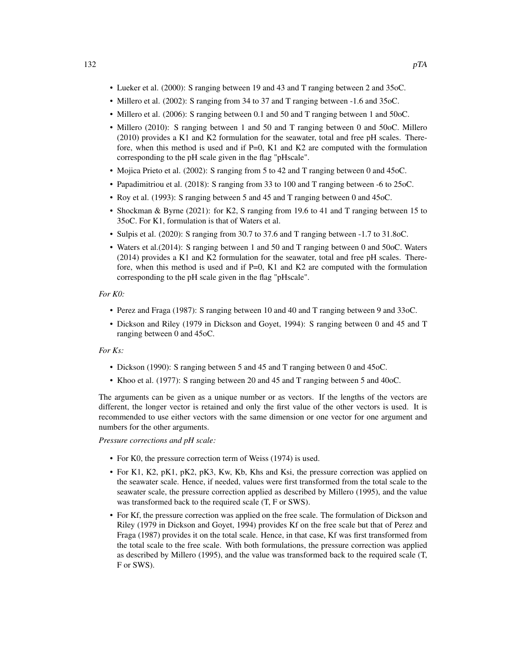- Lueker et al. (2000): S ranging between 19 and 43 and T ranging between 2 and 35oC.
- Millero et al. (2002): S ranging from 34 to 37 and T ranging between -1.6 and 35oC.
- Millero et al. (2006): S ranging between 0.1 and 50 and T ranging between 1 and 50oC.
- Millero (2010): S ranging between 1 and 50 and T ranging between 0 and 50oC. Millero (2010) provides a K1 and K2 formulation for the seawater, total and free pH scales. Therefore, when this method is used and if  $P=0$ , K1 and K2 are computed with the formulation corresponding to the pH scale given in the flag "pHscale".
- Mojica Prieto et al. (2002): S ranging from 5 to 42 and T ranging between 0 and 45oC.
- Papadimitriou et al. (2018): S ranging from 33 to 100 and T ranging between -6 to 25oC.
- Roy et al. (1993): S ranging between 5 and 45 and T ranging between 0 and 45oC.
- Shockman & Byrne (2021): for K2, S ranging from 19.6 to 41 and T ranging between 15 to 35oC. For K1, formulation is that of Waters et al.
- Sulpis et al. (2020): S ranging from 30.7 to 37.6 and T ranging between -1.7 to 31.8oC.
- Waters et al.(2014): S ranging between 1 and 50 and T ranging between 0 and 50oC. Waters (2014) provides a K1 and K2 formulation for the seawater, total and free pH scales. Therefore, when this method is used and if  $P=0$ , K1 and K2 are computed with the formulation corresponding to the pH scale given in the flag "pHscale".

## *For K0:*

- Perez and Fraga (1987): S ranging between 10 and 40 and T ranging between 9 and 33oC.
- Dickson and Riley (1979 in Dickson and Goyet, 1994): S ranging between 0 and 45 and T ranging between 0 and 45oC.

## *For Ks:*

- Dickson (1990): S ranging between 5 and 45 and T ranging between 0 and 45oC.
- Khoo et al. (1977): S ranging between 20 and 45 and T ranging between 5 and 40oC.

The arguments can be given as a unique number or as vectors. If the lengths of the vectors are different, the longer vector is retained and only the first value of the other vectors is used. It is recommended to use either vectors with the same dimension or one vector for one argument and numbers for the other arguments.

*Pressure corrections and pH scale:*

- For K0, the pressure correction term of Weiss (1974) is used.
- For K1, K2, pK1, pK2, pK3, Kw, Kb, Khs and Ksi, the pressure correction was applied on the seawater scale. Hence, if needed, values were first transformed from the total scale to the seawater scale, the pressure correction applied as described by Millero (1995), and the value was transformed back to the required scale (T, F or SWS).
- For Kf, the pressure correction was applied on the free scale. The formulation of Dickson and Riley (1979 in Dickson and Goyet, 1994) provides Kf on the free scale but that of Perez and Fraga (1987) provides it on the total scale. Hence, in that case, Kf was first transformed from the total scale to the free scale. With both formulations, the pressure correction was applied as described by Millero (1995), and the value was transformed back to the required scale (T, F or SWS).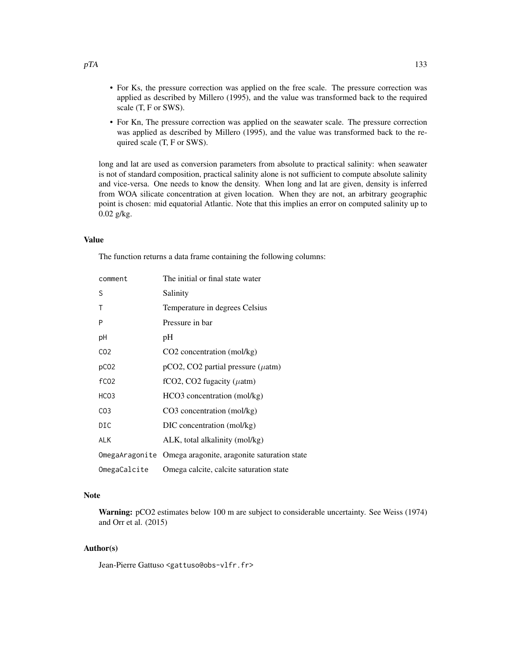- For Ks, the pressure correction was applied on the free scale. The pressure correction was applied as described by Millero (1995), and the value was transformed back to the required scale (T, F or SWS).
- For Kn, The pressure correction was applied on the seawater scale. The pressure correction was applied as described by Millero (1995), and the value was transformed back to the required scale (T, F or SWS).

long and lat are used as conversion parameters from absolute to practical salinity: when seawater is not of standard composition, practical salinity alone is not sufficient to compute absolute salinity and vice-versa. One needs to know the density. When long and lat are given, density is inferred from WOA silicate concentration at given location. When they are not, an arbitrary geographic point is chosen: mid equatorial Atlantic. Note that this implies an error on computed salinity up to 0.02 g/kg.

## Value

The function returns a data frame containing the following columns:

| comment          | The initial or final state water                           |
|------------------|------------------------------------------------------------|
| S                | Salinity                                                   |
| Τ                | Temperature in degrees Celsius                             |
| P                | Pressure in bar                                            |
| рH               | pH                                                         |
| CO <sub>2</sub>  | $CO2$ concentration (mol/kg)                               |
| pC <sub>02</sub> | $pCO2$ , CO2 partial pressure ( $\mu$ atm)                 |
| f <sub>CO2</sub> | fCO2, CO2 fugacity ( $\mu$ atm)                            |
| HCO <sub>3</sub> | HCO3 concentration (mol/kg)                                |
| CO <sub>3</sub>  | $CO3$ concentration (mol/kg)                               |
| DIC              | DIC concentration (mol/kg)                                 |
| <b>ALK</b>       | ALK, total alkalinity (mol/kg)                             |
|                  | OmegaAragonite Omega aragonite, aragonite saturation state |
| OmegaCalcite     | Omega calcite, calcite saturation state                    |

# Note

Warning: pCO2 estimates below 100 m are subject to considerable uncertainty. See Weiss (1974) and Orr et al. (2015)

## Author(s)

Jean-Pierre Gattuso <gattuso@obs-vlfr.fr>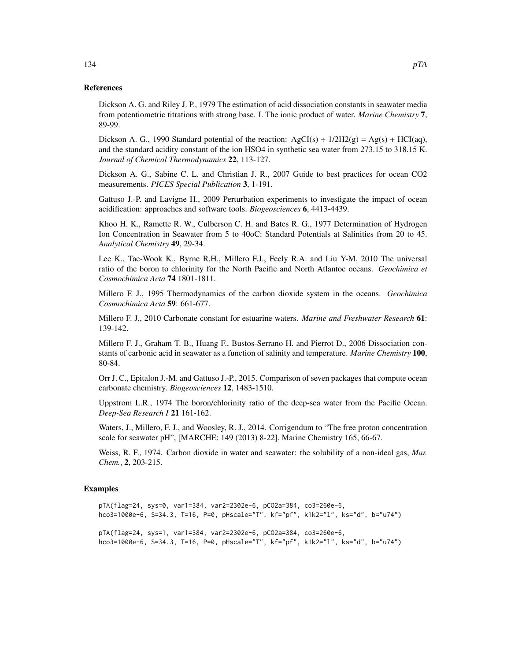## References

Dickson A. G. and Riley J. P., 1979 The estimation of acid dissociation constants in seawater media from potentiometric titrations with strong base. I. The ionic product of water. *Marine Chemistry* 7, 89-99.

Dickson A. G., 1990 Standard potential of the reaction:  $AgCI(s) + 1/2H2(g) = Ag(s) + HCI(aq)$ , and the standard acidity constant of the ion HSO4 in synthetic sea water from 273.15 to 318.15 K. *Journal of Chemical Thermodynamics* 22, 113-127.

Dickson A. G., Sabine C. L. and Christian J. R., 2007 Guide to best practices for ocean CO2 measurements. *PICES Special Publication* 3, 1-191.

Gattuso J.-P. and Lavigne H., 2009 Perturbation experiments to investigate the impact of ocean acidification: approaches and software tools. *Biogeosciences* 6, 4413-4439.

Khoo H. K., Ramette R. W., Culberson C. H. and Bates R. G., 1977 Determination of Hydrogen Ion Concentration in Seawater from 5 to 40oC: Standard Potentials at Salinities from 20 to 45. *Analytical Chemistry* 49, 29-34.

Lee K., Tae-Wook K., Byrne R.H., Millero F.J., Feely R.A. and Liu Y-M, 2010 The universal ratio of the boron to chlorinity for the North Pacific and North Atlantoc oceans. *Geochimica et Cosmochimica Acta* 74 1801-1811.

Millero F. J., 1995 Thermodynamics of the carbon dioxide system in the oceans. *Geochimica Cosmochimica Acta* 59: 661-677.

Millero F. J., 2010 Carbonate constant for estuarine waters. *Marine and Freshwater Research* 61: 139-142.

Millero F. J., Graham T. B., Huang F., Bustos-Serrano H. and Pierrot D., 2006 Dissociation constants of carbonic acid in seawater as a function of salinity and temperature. *Marine Chemistry* 100, 80-84.

Orr J. C., Epitalon J.-M. and Gattuso J.-P., 2015. Comparison of seven packages that compute ocean carbonate chemistry. *Biogeosciences* 12, 1483-1510.

Uppstrom L.R., 1974 The boron/chlorinity ratio of the deep-sea water from the Pacific Ocean. *Deep-Sea Research I* 21 161-162.

Waters, J., Millero, F. J., and Woosley, R. J., 2014. Corrigendum to "The free proton concentration scale for seawater pH", [MARCHE: 149 (2013) 8-22], Marine Chemistry 165, 66-67.

Weiss, R. F., 1974. Carbon dioxide in water and seawater: the solubility of a non-ideal gas, *Mar. Chem.*, 2, 203-215.

#### Examples

```
pTA(flag=24, sys=0, var1=384, var2=2302e-6, pCO2a=384, co3=260e-6,
hco3=1000e-6, S=34.3, T=16, P=0, pHscale="T", kf="pf", k1k2="l", ks="d", b="u74")
pTA(flag=24, sys=1, var1=384, var2=2302e-6, pCO2a=384, co3=260e-6,
hco3=1000e-6, S=34.3, T=16, P=0, pHscale="T", kf="pf", k1k2="l", ks="d", b="u74")
```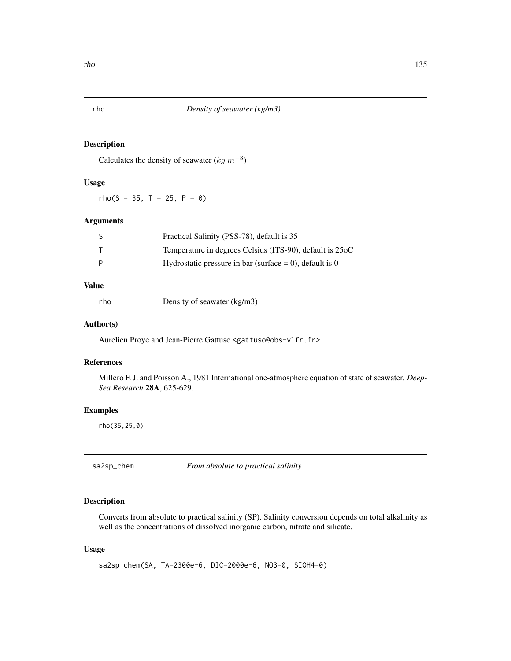# Description

Calculates the density of seawater  $(kg \, m^{-3})$ 

# Usage

rho(S = 35, T = 25, P = 0)

# Arguments

|   | Practical Salinity (PSS-78), default is 35                 |
|---|------------------------------------------------------------|
|   | Temperature in degrees Celsius (ITS-90), default is 25oC   |
| P | Hydrostatic pressure in bar (surface $= 0$ ), default is 0 |

# Value

rho Density of seawater (kg/m3)

## Author(s)

Aurelien Proye and Jean-Pierre Gattuso <gattuso@obs-vlfr.fr>

# References

Millero F. J. and Poisson A., 1981 International one-atmosphere equation of state of seawater. *Deep-Sea Research* 28A, 625-629.

## Examples

rho(35,25,0)

sa2sp\_chem *From absolute to practical salinity*

# Description

Converts from absolute to practical salinity (SP). Salinity conversion depends on total alkalinity as well as the concentrations of dissolved inorganic carbon, nitrate and silicate.

# Usage

sa2sp\_chem(SA, TA=2300e-6, DIC=2000e-6, NO3=0, SIOH4=0)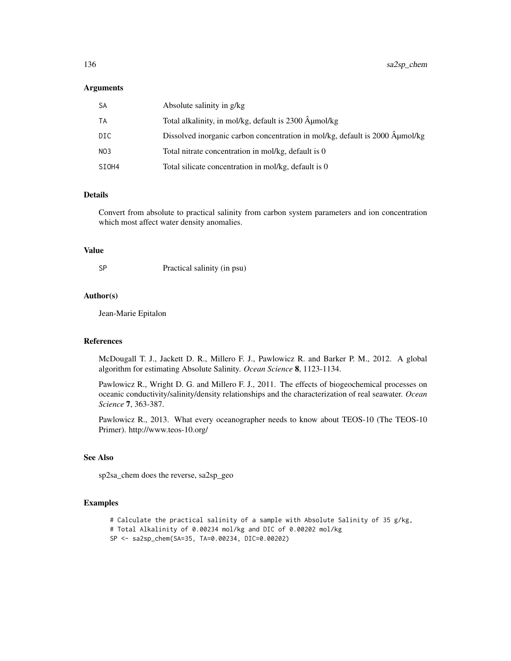## **Arguments**

| SА    | Absolute salinity in g/kg                                                    |
|-------|------------------------------------------------------------------------------|
| ТA    | Total alkalinity, in mol/kg, default is 2300 µmol/kg                         |
| DIC   | Dissolved inorganic carbon concentration in mol/kg, default is 2000 Aumol/kg |
| NO3   | Total nitrate concentration in mol/kg, default is 0                          |
| SIOH4 | Total silicate concentration in mol/kg, default is 0                         |

# Details

Convert from absolute to practical salinity from carbon system parameters and ion concentration which most affect water density anomalies.

# Value

SP Practical salinity (in psu)

# Author(s)

Jean-Marie Epitalon

#### References

McDougall T. J., Jackett D. R., Millero F. J., Pawlowicz R. and Barker P. M., 2012. A global algorithm for estimating Absolute Salinity. *Ocean Science* 8, 1123-1134.

Pawlowicz R., Wright D. G. and Millero F. J., 2011. The effects of biogeochemical processes on oceanic conductivity/salinity/density relationships and the characterization of real seawater. *Ocean Science* 7, 363-387.

Pawlowicz R., 2013. What every oceanographer needs to know about TEOS-10 (The TEOS-10 Primer). http://www.teos-10.org/

#### See Also

sp2sa\_chem does the reverse, sa2sp\_geo

### Examples

```
# Calculate the practical salinity of a sample with Absolute Salinity of 35 g/kg,
# Total Alkalinity of 0.00234 mol/kg and DIC of 0.00202 mol/kg
SP <- sa2sp_chem(SA=35, TA=0.00234, DIC=0.00202)
```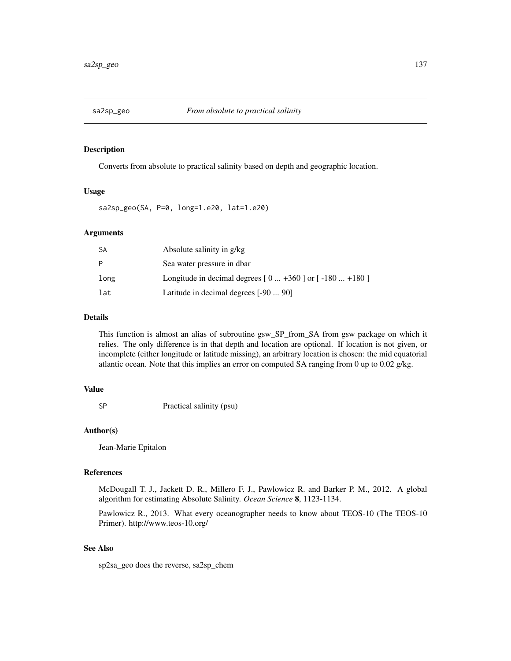## Description

Converts from absolute to practical salinity based on depth and geographic location.

# Usage

sa2sp\_geo(SA, P=0, long=1.e20, lat=1.e20)

# Arguments

| <b>SA</b> | Absolute salinity in g/kg                                  |
|-----------|------------------------------------------------------------|
| P         | Sea water pressure in dbar                                 |
| long      | Longitude in decimal degrees $[0  +360]$ or $[-180  +180]$ |
| lat       | Latitude in decimal degrees [-90  90]                      |

# Details

This function is almost an alias of subroutine gsw\_SP\_from\_SA from gsw package on which it relies. The only difference is in that depth and location are optional. If location is not given, or incomplete (either longitude or latitude missing), an arbitrary location is chosen: the mid equatorial atlantic ocean. Note that this implies an error on computed SA ranging from 0 up to 0.02 g/kg.

## Value

SP Practical salinity (psu)

## Author(s)

Jean-Marie Epitalon

# References

McDougall T. J., Jackett D. R., Millero F. J., Pawlowicz R. and Barker P. M., 2012. A global algorithm for estimating Absolute Salinity. *Ocean Science* 8, 1123-1134.

Pawlowicz R., 2013. What every oceanographer needs to know about TEOS-10 (The TEOS-10 Primer). http://www.teos-10.org/

# See Also

sp2sa\_geo does the reverse, sa2sp\_chem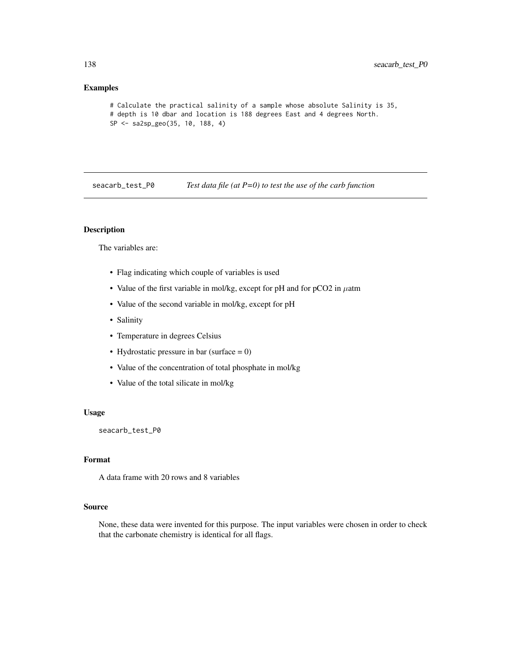# Examples

```
# Calculate the practical salinity of a sample whose absolute Salinity is 35,
# depth is 10 dbar and location is 188 degrees East and 4 degrees North.
SP <- sa2sp_geo(35, 10, 188, 4)
```
seacarb\_test\_P0 *Test data file (at P=0) to test the use of the carb function*

# Description

The variables are:

- Flag indicating which couple of variables is used
- Value of the first variable in mol/kg, except for pH and for pCO2 in  $\mu$ atm
- Value of the second variable in mol/kg, except for pH
- Salinity
- Temperature in degrees Celsius
- Hydrostatic pressure in bar (surface  $= 0$ )
- Value of the concentration of total phosphate in mol/kg
- Value of the total silicate in mol/kg

## Usage

seacarb\_test\_P0

# Format

A data frame with 20 rows and 8 variables

#### Source

None, these data were invented for this purpose. The input variables were chosen in order to check that the carbonate chemistry is identical for all flags.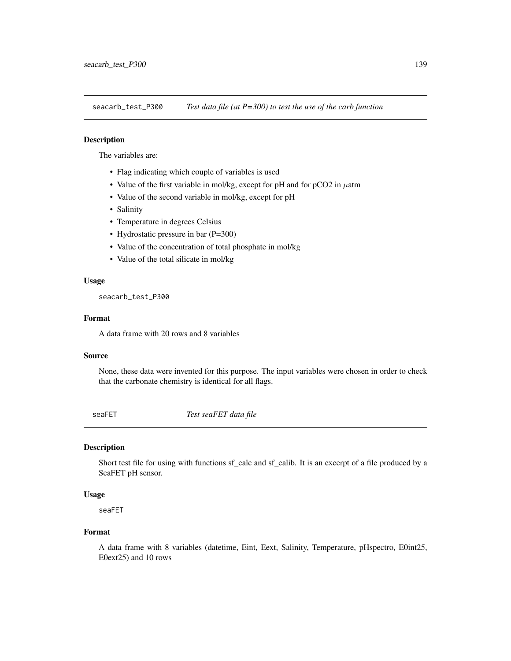seacarb\_test\_P300 *Test data file (at P=300) to test the use of the carb function*

# Description

The variables are:

- Flag indicating which couple of variables is used
- Value of the first variable in mol/kg, except for pH and for pCO2 in  $\mu$ atm
- Value of the second variable in mol/kg, except for pH
- Salinity
- Temperature in degrees Celsius
- Hydrostatic pressure in bar (P=300)
- Value of the concentration of total phosphate in mol/kg
- Value of the total silicate in mol/kg

# Usage

seacarb\_test\_P300

## Format

A data frame with 20 rows and 8 variables

# Source

None, these data were invented for this purpose. The input variables were chosen in order to check that the carbonate chemistry is identical for all flags.

seaFET *Test seaFET data file*

## Description

Short test file for using with functions sf\_calc and sf\_calib. It is an excerpt of a file produced by a SeaFET pH sensor.

#### Usage

seaFET

# Format

A data frame with 8 variables (datetime, Eint, Eext, Salinity, Temperature, pHspectro, E0int25, E0ext25) and 10 rows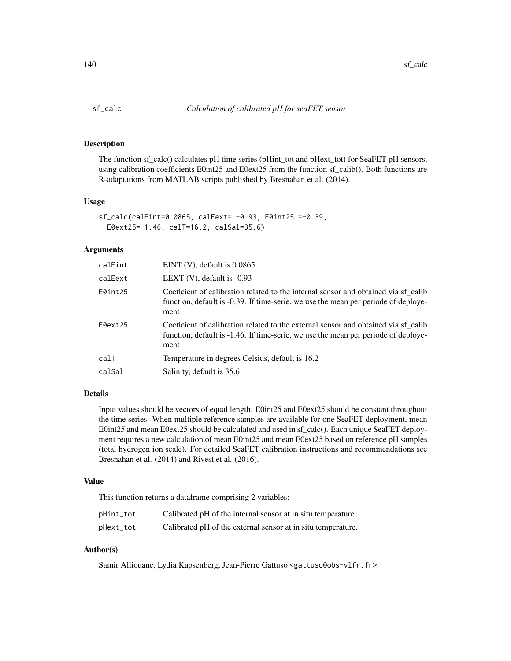<span id="page-139-0"></span>

#### Description

The function sf\_calc() calculates pH time series (pHint\_tot and pHext\_tot) for SeaFET pH sensors, using calibration coefficients E0int25 and E0ext25 from the function sf\_calib(). Both functions are R-adaptations from MATLAB scripts published by Bresnahan et al. (2014).

## Usage

```
sf_calc(calEint=0.0865, calEext= -0.93, E0int25 =-0.39,
 E0ext25=-1.46, calT=16.2, calSal=35.6)
```
### Arguments

| calEint | EINT $(V)$ , default is 0.0865                                                                                                                                                   |
|---------|----------------------------------------------------------------------------------------------------------------------------------------------------------------------------------|
| calEext | EEXT $(V)$ , default is -0.93                                                                                                                                                    |
| E0int25 | Coeficient of calibration related to the internal sensor and obtained via sf_calib<br>function, default is -0.39. If time-serie, we use the mean per periode of deploye-<br>ment |
| E0ext25 | Coeficient of calibration related to the external sensor and obtained via sf calib<br>function, default is -1.46. If time-serie, we use the mean per periode of deploye-<br>ment |
| calT    | Temperature in degrees Celsius, default is 16.2                                                                                                                                  |
| calSal  | Salinity, default is 35.6                                                                                                                                                        |
|         |                                                                                                                                                                                  |

# Details

Input values should be vectors of equal length. E0int25 and E0ext25 should be constant throughout the time series. When multiple reference samples are available for one SeaFET deployment, mean E0int25 and mean E0ext25 should be calculated and used in sf\_calc(). Each unique SeaFET deployment requires a new calculation of mean E0int25 and mean E0ext25 based on reference pH samples (total hydrogen ion scale). For detailed SeaFET calibration instructions and recommendations see Bresnahan et al. (2014) and Rivest et al. (2016).

# Value

This function returns a dataframe comprising 2 variables:

| pHint_tot | Calibrated pH of the internal sensor at in situ temperature. |
|-----------|--------------------------------------------------------------|
| pHext_tot | Calibrated pH of the external sensor at in situ temperature. |

# Author(s)

Samir Alliouane, Lydia Kapsenberg, Jean-Pierre Gattuso <gattuso@obs-vlfr.fr>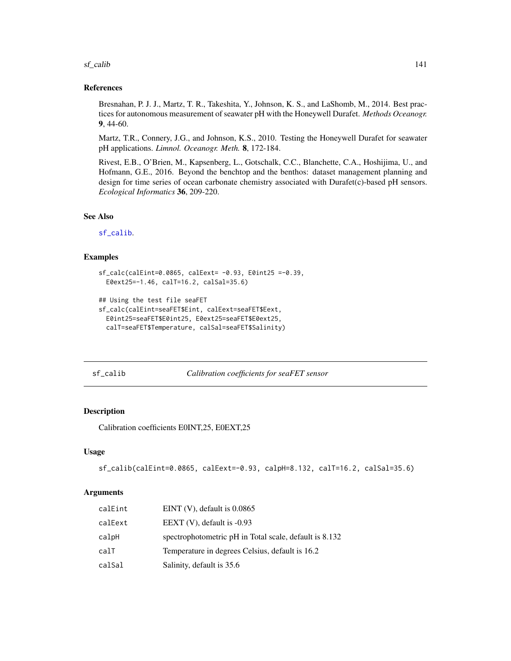$sf\_calib$  141

## References

Bresnahan, P. J. J., Martz, T. R., Takeshita, Y., Johnson, K. S., and LaShomb, M., 2014. Best practices for autonomous measurement of seawater pH with the Honeywell Durafet. *Methods Oceanogr.* 9, 44-60.

Martz, T.R., Connery, J.G., and Johnson, K.S., 2010. Testing the Honeywell Durafet for seawater pH applications. *Limnol. Oceanogr. Meth.* 8, 172-184.

Rivest, E.B., O'Brien, M., Kapsenberg, L., Gotschalk, C.C., Blanchette, C.A., Hoshijima, U., and Hofmann, G.E., 2016. Beyond the benchtop and the benthos: dataset management planning and design for time series of ocean carbonate chemistry associated with Durafet(c)-based pH sensors. *Ecological Informatics* 36, 209-220.

# See Also

[sf\\_calib](#page-140-0).

# Examples

```
sf_calc(calEint=0.0865, calEext= -0.93, E0int25 =-0.39,
 E0ext25=-1.46, calT=16.2, calSal=35.6)
```

```
## Using the test file seaFET
sf_calc(calEint=seaFET$Eint, calEext=seaFET$Eext,
 E0int25=seaFET$E0int25, E0ext25=seaFET$E0ext25,
 calT=seaFET$Temperature, calSal=seaFET$Salinity)
```
<span id="page-140-0"></span>sf\_calib *Calibration coefficients for seaFET sensor*

# Description

Calibration coefficients E0INT,25, E0EXT,25

### Usage

```
sf_calib(calEint=0.0865, calEext=-0.93, calpH=8.132, calT=16.2, calSal=35.6)
```
### Arguments

| calEint | EINT $(V)$ , default is 0.0865                         |
|---------|--------------------------------------------------------|
| calEext | EEXT $(V)$ , default is -0.93                          |
| calpH   | spectrophotometric pH in Total scale, default is 8.132 |
| calT    | Temperature in degrees Celsius, default is 16.2        |
| calSal  | Salinity, default is 35.6                              |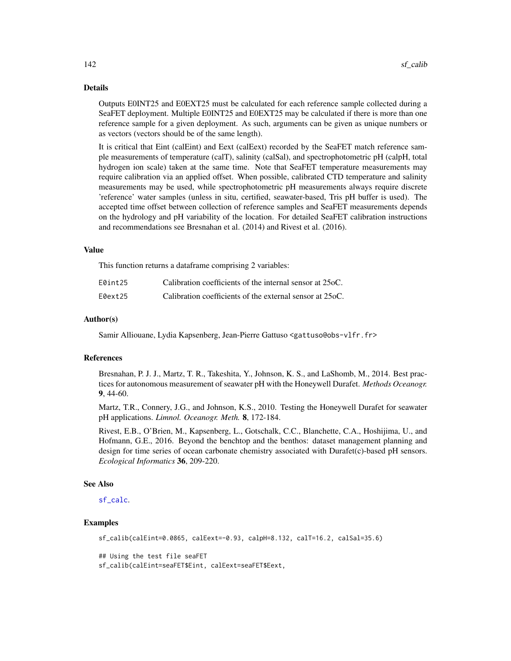## Details

Outputs E0INT25 and E0EXT25 must be calculated for each reference sample collected during a SeaFET deployment. Multiple E0INT25 and E0EXT25 may be calculated if there is more than one reference sample for a given deployment. As such, arguments can be given as unique numbers or as vectors (vectors should be of the same length).

It is critical that Eint (calEint) and Eext (calEext) recorded by the SeaFET match reference sample measurements of temperature (calT), salinity (calSal), and spectrophotometric pH (calpH, total hydrogen ion scale) taken at the same time. Note that SeaFET temperature measurements may require calibration via an applied offset. When possible, calibrated CTD temperature and salinity measurements may be used, while spectrophotometric pH measurements always require discrete 'reference' water samples (unless in situ, certified, seawater-based, Tris pH buffer is used). The accepted time offset between collection of reference samples and SeaFET measurements depends on the hydrology and pH variability of the location. For detailed SeaFET calibration instructions and recommendations see Bresnahan et al. (2014) and Rivest et al. (2016).

#### Value

This function returns a dataframe comprising 2 variables:

| E0int25 | Calibration coefficients of the internal sensor at 25oC. |
|---------|----------------------------------------------------------|
| E0ext25 | Calibration coefficients of the external sensor at 25oC. |

#### Author(s)

Samir Alliouane, Lydia Kapsenberg, Jean-Pierre Gattuso <gattuso@obs-vlfr.fr>

# References

Bresnahan, P. J. J., Martz, T. R., Takeshita, Y., Johnson, K. S., and LaShomb, M., 2014. Best practices for autonomous measurement of seawater pH with the Honeywell Durafet. *Methods Oceanogr.* 9, 44-60.

Martz, T.R., Connery, J.G., and Johnson, K.S., 2010. Testing the Honeywell Durafet for seawater pH applications. *Limnol. Oceanogr. Meth.* 8, 172-184.

Rivest, E.B., O'Brien, M., Kapsenberg, L., Gotschalk, C.C., Blanchette, C.A., Hoshijima, U., and Hofmann, G.E., 2016. Beyond the benchtop and the benthos: dataset management planning and design for time series of ocean carbonate chemistry associated with Durafet(c)-based pH sensors. *Ecological Informatics* 36, 209-220.

# See Also

[sf\\_calc](#page-139-0).

## Examples

sf\_calib(calEint=0.0865, calEext=-0.93, calpH=8.132, calT=16.2, calSal=35.6)

## Using the test file seaFET sf\_calib(calEint=seaFET\$Eint, calEext=seaFET\$Eext,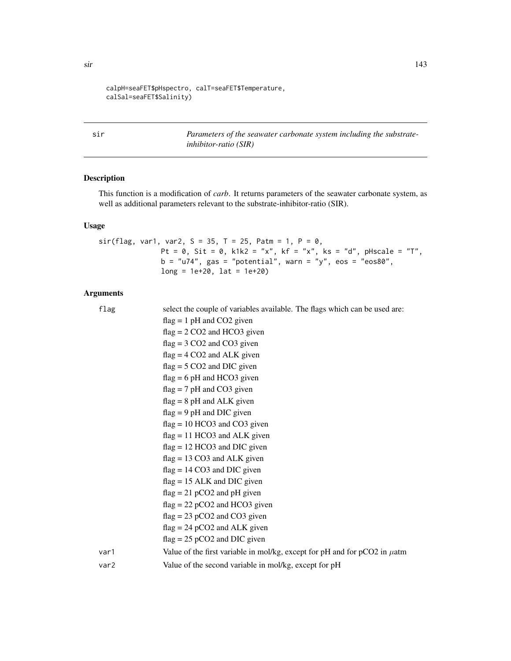```
calpH=seaFET$pHspectro, calT=seaFET$Temperature,
calSal=seaFET$Salinity)
```
sir *Parameters of the seawater carbonate system including the substrateinhibitor-ratio (SIR)*

# Description

This function is a modification of *carb*. It returns parameters of the seawater carbonate system, as well as additional parameters relevant to the substrate-inhibitor-ratio (SIR).

# Usage

```
sir(flag, var1, var2, S = 35, T = 25, Patm = 1, P = 0,Pt = 0, Sit = 0, k1k2 = "x", kf = "x", ks = "d", pHscale = "T",
              b = "u74", gas = "potential", warn = "y", eos = "eos80",long = 1e+20, lat = 1e+20
```
# Arguments

| flag | select the couple of variables available. The flags which can be used are:       |
|------|----------------------------------------------------------------------------------|
|      | $flag = 1 pH$ and CO2 given                                                      |
|      | $flag = 2 CO2$ and HCO3 given                                                    |
|      | $flag = 3 CO2$ and $CO3$ given                                                   |
|      | $flag = 4 CO2$ and ALK given                                                     |
|      | $flag = 5 CO2$ and DIC given                                                     |
|      | $flag = 6 pH$ and HCO3 given                                                     |
|      | $flag = 7 pH$ and CO3 given                                                      |
|      | $flag = 8 pH$ and ALK given                                                      |
|      | $flag = 9 pH$ and DIC given                                                      |
|      | $flag = 10 HCO3$ and CO3 given                                                   |
|      | $flag = 11 HCO3$ and ALK given                                                   |
|      | $flag = 12 HCO3$ and DIC given                                                   |
|      | $flag = 13 CO3$ and ALK given                                                    |
|      | $flag = 14 CO3$ and DIC given                                                    |
|      | $flag = 15$ ALK and DIC given                                                    |
|      | $flag = 21 pCO2$ and pH given                                                    |
|      | $flag = 22 pCO2$ and HCO3 given                                                  |
|      | $flag = 23 pCO2$ and $CO3$ given                                                 |
|      | $flag = 24 pCO2$ and ALK given                                                   |
|      | $flag = 25 pCO2$ and DIC given                                                   |
| var1 | Value of the first variable in mol/kg, except for pH and for $pCO2$ in $\mu$ atm |
| var2 | Value of the second variable in mol/kg, except for pH                            |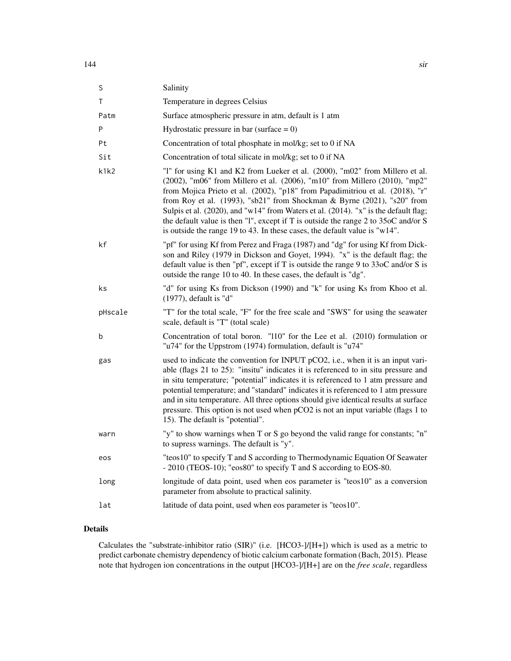| S       | Salinity                                                                                                                                                                                                                                                                                                                                                                                                                                                                                                                                                                          |
|---------|-----------------------------------------------------------------------------------------------------------------------------------------------------------------------------------------------------------------------------------------------------------------------------------------------------------------------------------------------------------------------------------------------------------------------------------------------------------------------------------------------------------------------------------------------------------------------------------|
| T       | Temperature in degrees Celsius                                                                                                                                                                                                                                                                                                                                                                                                                                                                                                                                                    |
| Patm    | Surface atmospheric pressure in atm, default is 1 atm                                                                                                                                                                                                                                                                                                                                                                                                                                                                                                                             |
| P       | Hydrostatic pressure in bar (surface $= 0$ )                                                                                                                                                                                                                                                                                                                                                                                                                                                                                                                                      |
| Pt      | Concentration of total phosphate in mol/kg; set to 0 if NA                                                                                                                                                                                                                                                                                                                                                                                                                                                                                                                        |
| Sit     | Concentration of total silicate in mol/kg; set to 0 if NA                                                                                                                                                                                                                                                                                                                                                                                                                                                                                                                         |
| k1k2    | "I" for using K1 and K2 from Lueker et al. (2000), "m02" from Millero et al.<br>(2002), "m06" from Millero et al. (2006), "m10" from Millero (2010), "mp2"<br>from Mojica Prieto et al. (2002), "p18" from Papadimitriou et al. (2018), "r"<br>from Roy et al. (1993), "sb21" from Shockman & Byrne (2021), "s20" from<br>Sulpis et al. (2020), and "w14" from Waters et al. (2014). "x" is the default flag;<br>the default value is then "1", except if T is outside the range 2 to 35oC and/or S<br>is outside the range 19 to 43. In these cases, the default value is "w14". |
| kf      | "pf" for using Kf from Perez and Fraga (1987) and "dg" for using Kf from Dick-<br>son and Riley (1979 in Dickson and Goyet, 1994). "x" is the default flag; the<br>default value is then "pf", except if T is outside the range $9$ to $33$ oC and/or S is<br>outside the range 10 to 40. In these cases, the default is "dg".                                                                                                                                                                                                                                                    |
| ks      | "d" for using Ks from Dickson (1990) and "k" for using Ks from Khoo et al.<br>$(1977)$ , default is "d"                                                                                                                                                                                                                                                                                                                                                                                                                                                                           |
| pHscale | "T" for the total scale, "F" for the free scale and "SWS" for using the seawater<br>scale, default is "T" (total scale)                                                                                                                                                                                                                                                                                                                                                                                                                                                           |
| b       | Concentration of total boron. "110" for the Lee et al. (2010) formulation or<br>"u74" for the Uppstrom (1974) formulation, default is "u74"                                                                                                                                                                                                                                                                                                                                                                                                                                       |
| gas     | used to indicate the convention for INPUT pCO2, i.e., when it is an input vari-<br>able (flags 21 to 25): "insitu" indicates it is referenced to in situ pressure and<br>in situ temperature; "potential" indicates it is referenced to 1 atm pressure and<br>potential temperature; and "standard" indicates it is referenced to 1 atm pressure<br>and in situ temperature. All three options should give identical results at surface<br>pressure. This option is not used when pCO2 is not an input variable (flags 1 to<br>15). The default is "potential".                   |
| warn    | "y" to show warnings when T or S go beyond the valid range for constants; "n"<br>to supress warnings. The default is "y".                                                                                                                                                                                                                                                                                                                                                                                                                                                         |
| eos     | "teos10" to specify T and S according to Thermodynamic Equation Of Seawater<br>- 2010 (TEOS-10); "eos80" to specify T and S according to EOS-80.                                                                                                                                                                                                                                                                                                                                                                                                                                  |
| long    | longitude of data point, used when eos parameter is "teos10" as a conversion<br>parameter from absolute to practical salinity.                                                                                                                                                                                                                                                                                                                                                                                                                                                    |
| lat     | latitude of data point, used when eos parameter is "teos10".                                                                                                                                                                                                                                                                                                                                                                                                                                                                                                                      |

# Details

Calculates the "substrate-inhibitor ratio (SIR)" (i.e. [HCO3-]/[H+]) which is used as a metric to predict carbonate chemistry dependency of biotic calcium carbonate formation (Bach, 2015). Please note that hydrogen ion concentrations in the output [HCO3-]/[H+] are on the *free scale*, regardless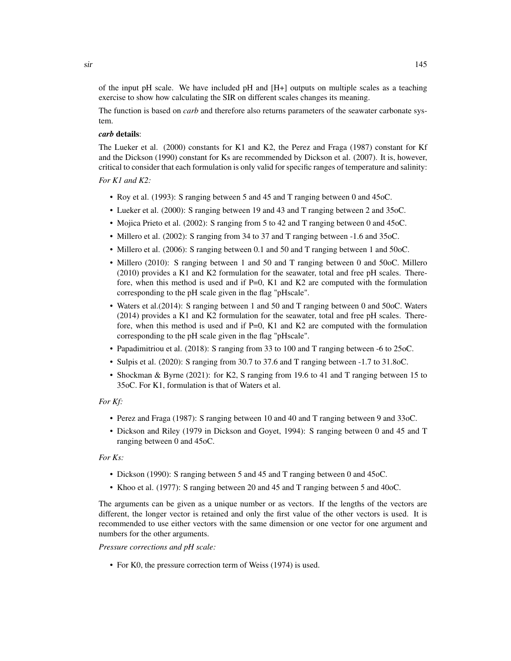of the input pH scale. We have included pH and  $[H+]$  outputs on multiple scales as a teaching exercise to show how calculating the SIR on different scales changes its meaning.

The function is based on *carb* and therefore also returns parameters of the seawater carbonate system.

#### *carb* details:

The Lueker et al. (2000) constants for K1 and K2, the Perez and Fraga (1987) constant for Kf and the Dickson (1990) constant for Ks are recommended by Dickson et al. (2007). It is, however, critical to consider that each formulation is only valid for specific ranges of temperature and salinity:

#### *For K1 and K2:*

- Roy et al. (1993): S ranging between 5 and 45 and T ranging between 0 and 45oC.
- Lueker et al. (2000): S ranging between 19 and 43 and T ranging between 2 and 35oC.
- Mojica Prieto et al. (2002): S ranging from 5 to 42 and T ranging between 0 and 45oC.
- Millero et al. (2002): S ranging from 34 to 37 and T ranging between -1.6 and 35oC.
- Millero et al. (2006): S ranging between 0.1 and 50 and T ranging between 1 and 50oC.
- Millero (2010): S ranging between 1 and 50 and T ranging between 0 and 50oC. Millero (2010) provides a K1 and K2 formulation for the seawater, total and free pH scales. Therefore, when this method is used and if  $P=0$ , K1 and K2 are computed with the formulation corresponding to the pH scale given in the flag "pHscale".
- Waters et al.(2014): S ranging between 1 and 50 and T ranging between 0 and 50oC. Waters (2014) provides a K1 and K2 formulation for the seawater, total and free pH scales. Therefore, when this method is used and if  $P=0$ , K1 and K2 are computed with the formulation corresponding to the pH scale given in the flag "pHscale".
- Papadimitriou et al. (2018): S ranging from 33 to 100 and T ranging between -6 to 25oC.
- Sulpis et al. (2020): S ranging from 30.7 to 37.6 and T ranging between -1.7 to 31.8oC.
- Shockman & Byrne (2021): for K2, S ranging from 19.6 to 41 and T ranging between 15 to 35oC. For K1, formulation is that of Waters et al.

#### *For Kf:*

- Perez and Fraga (1987): S ranging between 10 and 40 and T ranging between 9 and 33oC.
- Dickson and Riley (1979 in Dickson and Goyet, 1994): S ranging between 0 and 45 and T ranging between 0 and 45oC.

#### *For Ks:*

- Dickson (1990): S ranging between 5 and 45 and T ranging between 0 and 45oC.
- Khoo et al. (1977): S ranging between 20 and 45 and T ranging between 5 and 40oC.

The arguments can be given as a unique number or as vectors. If the lengths of the vectors are different, the longer vector is retained and only the first value of the other vectors is used. It is recommended to use either vectors with the same dimension or one vector for one argument and numbers for the other arguments.

# *Pressure corrections and pH scale:*

• For K0, the pressure correction term of Weiss (1974) is used.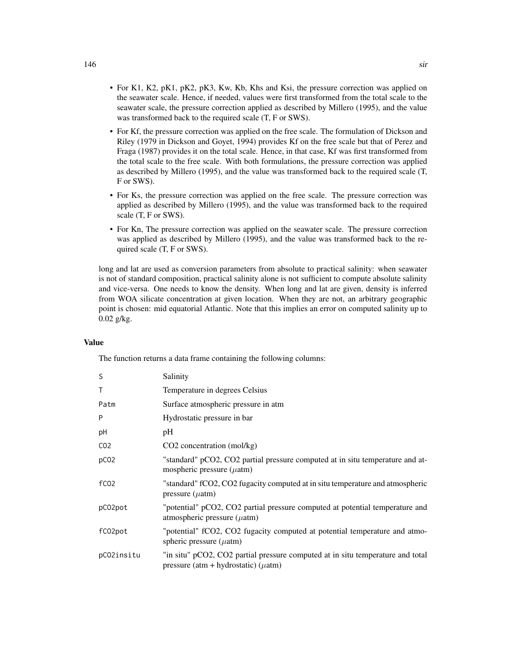- For K1, K2, pK1, pK2, pK3, Kw, Kb, Khs and Ksi, the pressure correction was applied on the seawater scale. Hence, if needed, values were first transformed from the total scale to the seawater scale, the pressure correction applied as described by Millero (1995), and the value was transformed back to the required scale (T, F or SWS).
- For Kf, the pressure correction was applied on the free scale. The formulation of Dickson and Riley (1979 in Dickson and Goyet, 1994) provides Kf on the free scale but that of Perez and Fraga (1987) provides it on the total scale. Hence, in that case, Kf was first transformed from the total scale to the free scale. With both formulations, the pressure correction was applied as described by Millero (1995), and the value was transformed back to the required scale (T, F or SWS).
- For Ks, the pressure correction was applied on the free scale. The pressure correction was applied as described by Millero (1995), and the value was transformed back to the required scale (T, F or SWS).
- For Kn, The pressure correction was applied on the seawater scale. The pressure correction was applied as described by Millero (1995), and the value was transformed back to the required scale (T, F or SWS).

long and lat are used as conversion parameters from absolute to practical salinity: when seawater is not of standard composition, practical salinity alone is not sufficient to compute absolute salinity and vice-versa. One needs to know the density. When long and lat are given, density is inferred from WOA silicate concentration at given location. When they are not, an arbitrary geographic point is chosen: mid equatorial Atlantic. Note that this implies an error on computed salinity up to 0.02 g/kg.

#### Value

The function returns a data frame containing the following columns:

| S                | Salinity                                                                                                                    |
|------------------|-----------------------------------------------------------------------------------------------------------------------------|
| Τ                | Temperature in degrees Celsius                                                                                              |
| Patm             | Surface atmospheric pressure in atm                                                                                         |
| P                | Hydrostatic pressure in bar                                                                                                 |
| pH               | pH                                                                                                                          |
| CO <sub>2</sub>  | $CO2$ concentration (mol/kg)                                                                                                |
| pC <sub>02</sub> | "standard" pCO2, CO2 partial pressure computed at in situ temperature and at-<br>mospheric pressure $(\mu atm)$             |
| f <sub>CO2</sub> | "standard" fCO2, CO2 fugacity computed at in situ temperature and atmospheric<br>pressure $(\mu atm)$                       |
| pC02pot          | "potential" pCO2, CO2 partial pressure computed at potential temperature and<br>atmospheric pressure $(\mu$ atm)            |
| fC02pot          | "potential" fCO2, CO2 fugacity computed at potential temperature and atmo-<br>spheric pressure $(\mu atm)$                  |
| pC02insitu       | "in situ" pCO2, CO2 partial pressure computed at in situ temperature and total<br>pressure (atm + hydrostatic) ( $\mu$ atm) |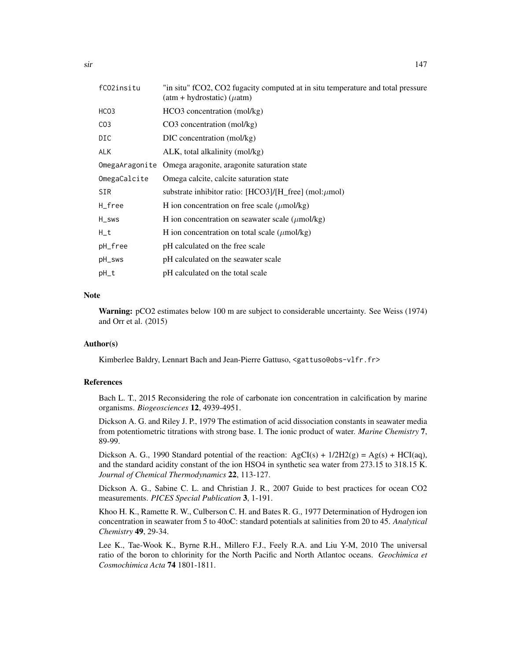| fCO2insitu      | "in situ" fCO2, CO2 fugacity computed at in situ temperature and total pressure<br>$(atm + hydrostatic)$ ( $\mu$ atm) |
|-----------------|-----------------------------------------------------------------------------------------------------------------------|
| HCO3            | $HCO3$ concentration (mol/kg)                                                                                         |
| CO <sub>3</sub> | $CO3$ concentration (mol/kg)                                                                                          |
| DIC             | DIC concentration (mol/kg)                                                                                            |
| <b>ALK</b>      | ALK, total alkalinity (mol/kg)                                                                                        |
| OmegaAragonite  | Omega aragonite, aragonite saturation state                                                                           |
| OmegaCalcite    | Omega calcite, calcite saturation state                                                                               |
| SIR             | substrate inhibitor ratio: [HCO3]/[H_free] (mol: $\mu$ mol)                                                           |
| H_free          | H ion concentration on free scale $(\mu \text{mol/kg})$                                                               |
| H_sws           | H ion concentration on seawater scale $(\mu \text{mol/kg})$                                                           |
| $H_t$           | H ion concentration on total scale $(\mu \text{mol/kg})$                                                              |
| pH_free         | pH calculated on the free scale                                                                                       |
| pH_sws          | pH calculated on the seawater scale                                                                                   |
| pH_t            | pH calculated on the total scale                                                                                      |

#### **Note**

Warning: pCO2 estimates below 100 m are subject to considerable uncertainty. See Weiss (1974) and Orr et al. (2015)

# Author(s)

Kimberlee Baldry, Lennart Bach and Jean-Pierre Gattuso, <gattuso@obs-vlfr.fr>

#### References

Bach L. T., 2015 Reconsidering the role of carbonate ion concentration in calcification by marine organisms. *Biogeosciences* 12, 4939-4951.

Dickson A. G. and Riley J. P., 1979 The estimation of acid dissociation constants in seawater media from potentiometric titrations with strong base. I. The ionic product of water. *Marine Chemistry* 7, 89-99.

Dickson A. G., 1990 Standard potential of the reaction:  $AgCI(s) + 1/2H2(g) = Ag(s) + HCI(aq)$ , and the standard acidity constant of the ion HSO4 in synthetic sea water from 273.15 to 318.15 K. *Journal of Chemical Thermodynamics* 22, 113-127.

Dickson A. G., Sabine C. L. and Christian J. R., 2007 Guide to best practices for ocean CO2 measurements. *PICES Special Publication* 3, 1-191.

Khoo H. K., Ramette R. W., Culberson C. H. and Bates R. G., 1977 Determination of Hydrogen ion concentration in seawater from 5 to 40oC: standard potentials at salinities from 20 to 45. *Analytical Chemistry* 49, 29-34.

Lee K., Tae-Wook K., Byrne R.H., Millero F.J., Feely R.A. and Liu Y-M, 2010 The universal ratio of the boron to chlorinity for the North Pacific and North Atlantoc oceans. *Geochimica et Cosmochimica Acta* 74 1801-1811.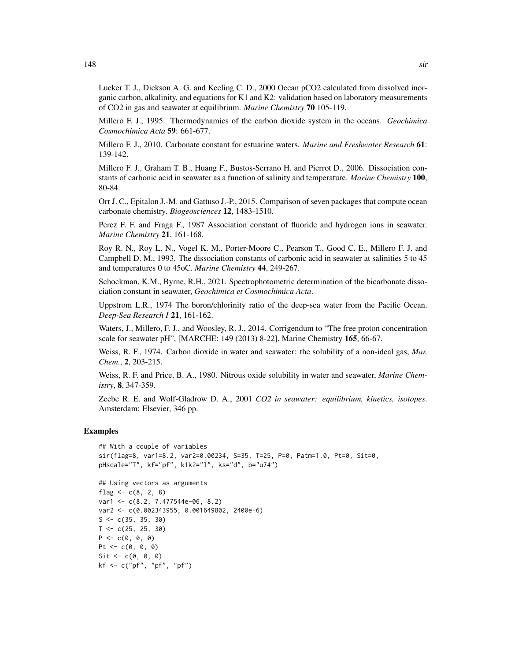Lueker T. J., Dickson A. G. and Keeling C. D., 2000 Ocean pCO2 calculated from dissolved inorganic carbon, alkalinity, and equations for K1 and K2: validation based on laboratory measurements of CO2 in gas and seawater at equilibrium. *Marine Chemistry* 70 105-119.

Millero F. J., 1995. Thermodynamics of the carbon dioxide system in the oceans. *Geochimica Cosmochimica Acta* 59: 661-677.

Millero F. J., 2010. Carbonate constant for estuarine waters. *Marine and Freshwater Research* 61: 139-142.

Millero F. J., Graham T. B., Huang F., Bustos-Serrano H. and Pierrot D., 2006. Dissociation constants of carbonic acid in seawater as a function of salinity and temperature. *Marine Chemistry* 100, 80-84.

Orr J. C., Epitalon J.-M. and Gattuso J.-P., 2015. Comparison of seven packages that compute ocean carbonate chemistry. *Biogeosciences* 12, 1483-1510.

Perez F. F. and Fraga F., 1987 Association constant of fluoride and hydrogen ions in seawater. *Marine Chemistry* 21, 161-168.

Roy R. N., Roy L. N., Vogel K. M., Porter-Moore C., Pearson T., Good C. E., Millero F. J. and Campbell D. M., 1993. The dissociation constants of carbonic acid in seawater at salinities 5 to 45 and temperatures 0 to 45oC. *Marine Chemistry* 44, 249-267.

Schockman, K.M., Byrne, R.H., 2021. Spectrophotometric determination of the bicarbonate dissociation constant in seawater, *Geochimica et Cosmochimica Acta*.

Uppstrom L.R., 1974 The boron/chlorinity ratio of the deep-sea water from the Pacific Ocean. *Deep-Sea Research I* 21, 161-162.

Waters, J., Millero, F. J., and Woosley, R. J., 2014. Corrigendum to "The free proton concentration scale for seawater pH", [MARCHE: 149 (2013) 8-22], Marine Chemistry 165, 66-67.

Weiss, R. F., 1974. Carbon dioxide in water and seawater: the solubility of a non-ideal gas, *Mar. Chem.*, 2, 203-215.

Weiss, R. F. and Price, B. A., 1980. Nitrous oxide solubility in water and seawater, *Marine Chemistry*, 8, 347-359.

Zeebe R. E. and Wolf-Gladrow D. A., 2001 *CO2 in seawater: equilibrium, kinetics, isotopes*. Amsterdam: Elsevier, 346 pp.

#### Examples

```
## With a couple of variables
sir(flag=8, var1=8.2, var2=0.00234, S=35, T=25, P=0, Patm=1.0, Pt=0, Sit=0,
pHscale="T", kf="pf", k1k2="l", ks="d", b="u74")
```

```
## Using vectors as arguments
flag <-c(8, 2, 8)var1 <- c(8.2, 7.477544e-06, 8.2)
var2 <- c(0.002343955, 0.001649802, 2400e-6)
S \leftarrow c(35, 35, 30)T < -c(25, 25, 30)P \leftarrow c(0, 0, 0)Pt <- c(0, 0, 0)Sit \leftarrow c(\emptyset, \emptyset, \emptyset)kf <- c("pf", "pf", "pf")
```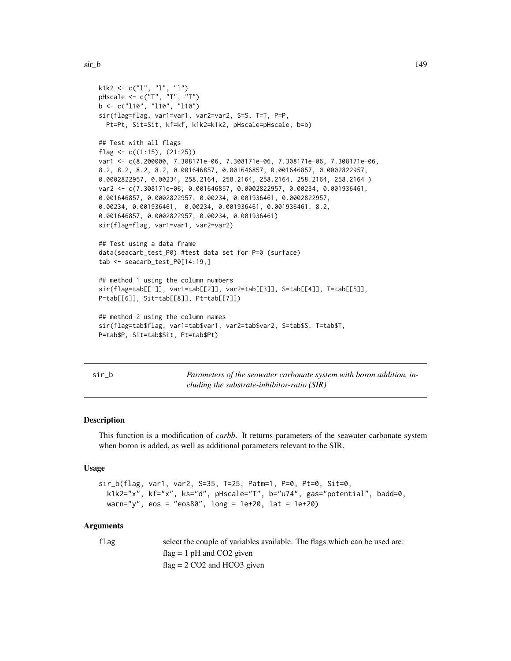```
k1k2 \leq c("1", "1", "1")pHscale <- c("T", "T", "T")
b <- c("l10", "l10", "l10")
sir(flag=flag, var1=var1, var2=var2, S=S, T=T, P=P,
 Pt=Pt, Sit=Sit, kf=kf, k1k2=k1k2, pHscale=pHscale, b=b)
## Test with all flags
flag \leq c((1:15), (21:25))var1 <- c(8.200000, 7.308171e-06, 7.308171e-06, 7.308171e-06, 7.308171e-06,
8.2, 8.2, 8.2, 8.2, 0.001646857, 0.001646857, 0.001646857, 0.0002822957,
0.0002822957, 0.00234, 258.2164, 258.2164, 258.2164, 258.2164, 258.2164 )
var2 <- c(7.308171e-06, 0.001646857, 0.0002822957, 0.00234, 0.001936461,
0.001646857, 0.0002822957, 0.00234, 0.001936461, 0.0002822957,
0.00234, 0.001936461, 0.00234, 0.001936461, 0.001936461, 8.2,
0.001646857, 0.0002822957, 0.00234, 0.001936461)
sir(flag=flag, var1=var1, var2=var2)
## Test using a data frame
data(seacarb_test_P0) #test data set for P=0 (surface)
tab <- seacarb_test_P0[14:19,]
## method 1 using the column numbers
sir(flag=tab[[1]], var1=tab[[2]], var2=tab[[3]], S=tab[[4]], T=tab[[5]],
P=tab[[6]], Sit=tab[[8]], Pt=tab[[7]])
## method 2 using the column names
sir(flag=tab$flag, var1=tab$var1, var2=tab$var2, S=tab$S, T=tab$T,
P=tab$P, Sit=tab$Sit, Pt=tab$Pt)
```

| M.<br>۰. | ٠<br>__ |  |
|----------|---------|--|

Parameters of the seawater carbonate system with boron addition, in*cluding the substrate-inhibitor-ratio (SIR)*

#### Description

This function is a modification of *carbb*. It returns parameters of the seawater carbonate system when boron is added, as well as additional parameters relevant to the SIR.

#### Usage

```
sir_b(flag, var1, var2, S=35, T=25, Patm=1, P=0, Pt=0, Sit=0,
 k1k2="x", kf="x", ks="d", pHscale="T", b="u74", gas="potential", badd=0,
 warn="y", eos = "eos80", long = 1e+20, lat = 1e+20)
```
#### Arguments

flag select the couple of variables available. The flags which can be used are:  $flag = 1 pH$  and  $CO2$  given  $flag = 2 CO2$  and HCO3 given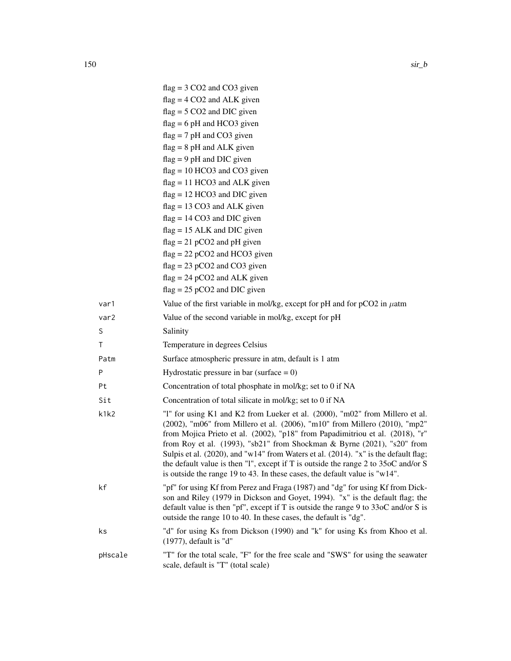|         | $flag = 3 CO2$ and $CO3$ given                                                                                                                                                                                                                                                                                                                                                                                                                                                                                                                                                                     |
|---------|----------------------------------------------------------------------------------------------------------------------------------------------------------------------------------------------------------------------------------------------------------------------------------------------------------------------------------------------------------------------------------------------------------------------------------------------------------------------------------------------------------------------------------------------------------------------------------------------------|
|         | $flag = 4 CO2$ and ALK given                                                                                                                                                                                                                                                                                                                                                                                                                                                                                                                                                                       |
|         | $flag = 5 CO2$ and DIC given                                                                                                                                                                                                                                                                                                                                                                                                                                                                                                                                                                       |
|         | $flag = 6 pH$ and HCO3 given                                                                                                                                                                                                                                                                                                                                                                                                                                                                                                                                                                       |
|         | $flag = 7 pH$ and CO3 given                                                                                                                                                                                                                                                                                                                                                                                                                                                                                                                                                                        |
|         | $flag = 8 pH$ and ALK given                                                                                                                                                                                                                                                                                                                                                                                                                                                                                                                                                                        |
|         | $flag = 9 pH$ and DIC given                                                                                                                                                                                                                                                                                                                                                                                                                                                                                                                                                                        |
|         | $flag = 10 HCO3$ and $CO3$ given                                                                                                                                                                                                                                                                                                                                                                                                                                                                                                                                                                   |
|         | $flag = 11 HCO3$ and ALK given                                                                                                                                                                                                                                                                                                                                                                                                                                                                                                                                                                     |
|         | $flag = 12 HCO3$ and DIC given                                                                                                                                                                                                                                                                                                                                                                                                                                                                                                                                                                     |
|         | $flag = 13 CO3$ and ALK given                                                                                                                                                                                                                                                                                                                                                                                                                                                                                                                                                                      |
|         | $flag = 14 CO3$ and DIC given                                                                                                                                                                                                                                                                                                                                                                                                                                                                                                                                                                      |
|         | $flag = 15$ ALK and DIC given                                                                                                                                                                                                                                                                                                                                                                                                                                                                                                                                                                      |
|         | $flag = 21 pCO2$ and pH given<br>$flag = 22 pCO2$ and HCO3 given                                                                                                                                                                                                                                                                                                                                                                                                                                                                                                                                   |
|         | $flag = 23 pCO2$ and $CO3$ given                                                                                                                                                                                                                                                                                                                                                                                                                                                                                                                                                                   |
|         | $flag = 24 pCO2$ and ALK given                                                                                                                                                                                                                                                                                                                                                                                                                                                                                                                                                                     |
|         | $flag = 25 pCO2$ and DIC given                                                                                                                                                                                                                                                                                                                                                                                                                                                                                                                                                                     |
| var1    | Value of the first variable in mol/kg, except for pH and for $pCO2$ in $\mu$ atm                                                                                                                                                                                                                                                                                                                                                                                                                                                                                                                   |
| var2    | Value of the second variable in mol/kg, except for pH                                                                                                                                                                                                                                                                                                                                                                                                                                                                                                                                              |
| S       | Salinity                                                                                                                                                                                                                                                                                                                                                                                                                                                                                                                                                                                           |
| Τ       | Temperature in degrees Celsius                                                                                                                                                                                                                                                                                                                                                                                                                                                                                                                                                                     |
| Patm    | Surface atmospheric pressure in atm, default is 1 atm                                                                                                                                                                                                                                                                                                                                                                                                                                                                                                                                              |
| P       | Hydrostatic pressure in bar (surface $= 0$ )                                                                                                                                                                                                                                                                                                                                                                                                                                                                                                                                                       |
| Pt      | Concentration of total phosphate in mol/kg; set to 0 if NA                                                                                                                                                                                                                                                                                                                                                                                                                                                                                                                                         |
| Sit     | Concentration of total silicate in mol/kg; set to 0 if NA                                                                                                                                                                                                                                                                                                                                                                                                                                                                                                                                          |
| k1k2    | "1" for using K1 and K2 from Lueker et al. (2000), "m02" from Millero et al.<br>(2002), "m06" from Millero et al. (2006), "m10" from Millero (2010), "mp2"<br>from Mojica Prieto et al. (2002), "p18" from Papadimitriou et al. (2018), "r"<br>from Roy et al. $(1993)$ , "sb21" from Shockman & Byrne $(2021)$ , "s20" from<br>Sulpis et al. (2020), and "w14" from Waters et al. (2014). "x" is the default flag;<br>the default value is then "1", except if T is outside the range $2$ to $35\text{oC}$ and/or S<br>is outside the range 19 to 43. In these cases, the default value is "w14". |
| kf      | "pf" for using Kf from Perez and Fraga (1987) and "dg" for using Kf from Dick-<br>son and Riley (1979 in Dickson and Goyet, 1994). "x" is the default flag; the<br>default value is then "pf", except if T is outside the range $9$ to $33$ oC and/or S is<br>outside the range 10 to 40. In these cases, the default is "dg".                                                                                                                                                                                                                                                                     |
| ks      | "d" for using Ks from Dickson (1990) and "k" for using Ks from Khoo et al.<br>$(1977)$ , default is "d"                                                                                                                                                                                                                                                                                                                                                                                                                                                                                            |
| pHscale | "T" for the total scale, "F" for the free scale and "SWS" for using the seawater<br>scale, default is "T" (total scale)                                                                                                                                                                                                                                                                                                                                                                                                                                                                            |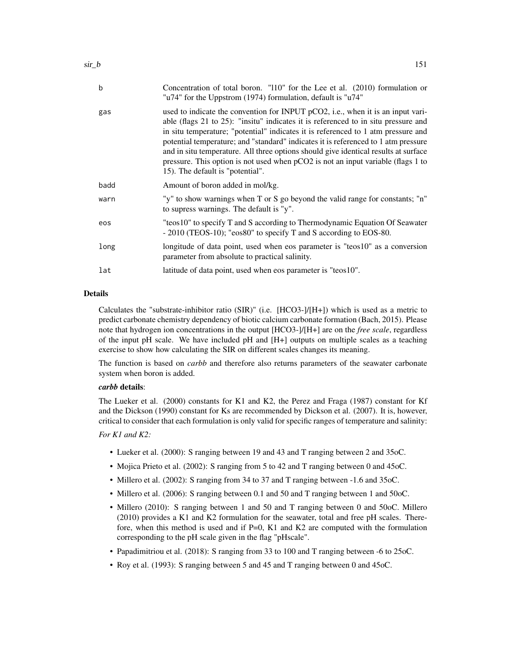| $\mathbf b$ | Concentration of total boron. "110" for the Lee et al. (2010) formulation or<br>"u74" for the Uppstrom (1974) formulation, default is "u74"                                                                                                                                                                                                                                                                                                                                                                                                                     |
|-------------|-----------------------------------------------------------------------------------------------------------------------------------------------------------------------------------------------------------------------------------------------------------------------------------------------------------------------------------------------------------------------------------------------------------------------------------------------------------------------------------------------------------------------------------------------------------------|
| gas         | used to indicate the convention for INPUT pCO2, i.e., when it is an input vari-<br>able (flags 21 to 25): "insitu" indicates it is referenced to in situ pressure and<br>in situ temperature; "potential" indicates it is referenced to 1 atm pressure and<br>potential temperature; and "standard" indicates it is referenced to 1 atm pressure<br>and in situ temperature. All three options should give identical results at surface<br>pressure. This option is not used when pCO2 is not an input variable (flags 1 to<br>15). The default is "potential". |
| badd        | Amount of boron added in mol/kg.                                                                                                                                                                                                                                                                                                                                                                                                                                                                                                                                |
| warn        | "y" to show warnings when T or S go beyond the valid range for constants; "n"<br>to supress warnings. The default is "y".                                                                                                                                                                                                                                                                                                                                                                                                                                       |
| eos         | "teos10" to specify T and S according to Thermodynamic Equation Of Seawater<br>- 2010 (TEOS-10); "eos80" to specify T and S according to EOS-80.                                                                                                                                                                                                                                                                                                                                                                                                                |
| long        | longitude of data point, used when eos parameter is "teos10" as a conversion<br>parameter from absolute to practical salinity.                                                                                                                                                                                                                                                                                                                                                                                                                                  |
| lat         | latitude of data point, used when eos parameter is "teos10".                                                                                                                                                                                                                                                                                                                                                                                                                                                                                                    |
|             |                                                                                                                                                                                                                                                                                                                                                                                                                                                                                                                                                                 |

# Details

Calculates the "substrate-inhibitor ratio  $(SIR)$ " (i.e.  $[HCO3-]/[H+])$  which is used as a metric to predict carbonate chemistry dependency of biotic calcium carbonate formation (Bach, 2015). Please note that hydrogen ion concentrations in the output [HCO3-]/[H+] are on the *free scale*, regardless of the input pH scale. We have included pH and [H+] outputs on multiple scales as a teaching exercise to show how calculating the SIR on different scales changes its meaning.

The function is based on *carbb* and therefore also returns parameters of the seawater carbonate system when boron is added.

#### *carbb* details:

The Lueker et al. (2000) constants for K1 and K2, the Perez and Fraga (1987) constant for Kf and the Dickson (1990) constant for Ks are recommended by Dickson et al. (2007). It is, however, critical to consider that each formulation is only valid for specific ranges of temperature and salinity:

# *For K1 and K2:*

- Lueker et al. (2000): S ranging between 19 and 43 and T ranging between 2 and 35oC.
- Mojica Prieto et al. (2002): S ranging from 5 to 42 and T ranging between 0 and 45oC.
- Millero et al. (2002): S ranging from 34 to 37 and T ranging between -1.6 and 35oC.
- Millero et al. (2006): S ranging between 0.1 and 50 and T ranging between 1 and 50oC.
- Millero (2010): S ranging between 1 and 50 and T ranging between 0 and 50oC. Millero (2010) provides a K1 and K2 formulation for the seawater, total and free pH scales. Therefore, when this method is used and if P=0, K1 and K2 are computed with the formulation corresponding to the pH scale given in the flag "pHscale".
- Papadimitriou et al. (2018): S ranging from 33 to 100 and T ranging between -6 to 25oC.
- Roy et al. (1993): S ranging between 5 and 45 and T ranging between 0 and 45oC.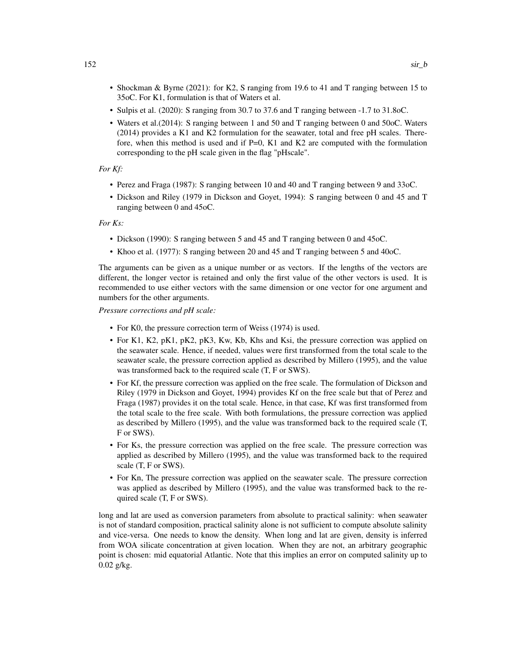- Shockman & Byrne (2021): for K2, S ranging from 19.6 to 41 and T ranging between 15 to 35oC. For K1, formulation is that of Waters et al.
- Sulpis et al. (2020): S ranging from 30.7 to 37.6 and T ranging between -1.7 to 31.8oC.
- Waters et al.(2014): S ranging between 1 and 50 and T ranging between 0 and 50oC. Waters (2014) provides a K1 and K2 formulation for the seawater, total and free pH scales. Therefore, when this method is used and if  $P=0$ , K1 and K2 are computed with the formulation corresponding to the pH scale given in the flag "pHscale".

#### *For Kf:*

- Perez and Fraga (1987): S ranging between 10 and 40 and T ranging between 9 and 33oC.
- Dickson and Riley (1979 in Dickson and Goyet, 1994): S ranging between 0 and 45 and T ranging between 0 and 45oC.

#### *For Ks:*

- Dickson (1990): S ranging between 5 and 45 and T ranging between 0 and 45oC.
- Khoo et al. (1977): S ranging between 20 and 45 and T ranging between 5 and 40oC.

The arguments can be given as a unique number or as vectors. If the lengths of the vectors are different, the longer vector is retained and only the first value of the other vectors is used. It is recommended to use either vectors with the same dimension or one vector for one argument and numbers for the other arguments.

*Pressure corrections and pH scale:*

- For K0, the pressure correction term of Weiss (1974) is used.
- For K1, K2, pK1, pK2, pK3, Kw, Kb, Khs and Ksi, the pressure correction was applied on the seawater scale. Hence, if needed, values were first transformed from the total scale to the seawater scale, the pressure correction applied as described by Millero (1995), and the value was transformed back to the required scale (T, F or SWS).
- For Kf, the pressure correction was applied on the free scale. The formulation of Dickson and Riley (1979 in Dickson and Goyet, 1994) provides Kf on the free scale but that of Perez and Fraga (1987) provides it on the total scale. Hence, in that case, Kf was first transformed from the total scale to the free scale. With both formulations, the pressure correction was applied as described by Millero (1995), and the value was transformed back to the required scale (T, F or SWS).
- For Ks, the pressure correction was applied on the free scale. The pressure correction was applied as described by Millero (1995), and the value was transformed back to the required scale (T, F or SWS).
- For Kn, The pressure correction was applied on the seawater scale. The pressure correction was applied as described by Millero (1995), and the value was transformed back to the required scale (T, F or SWS).

long and lat are used as conversion parameters from absolute to practical salinity: when seawater is not of standard composition, practical salinity alone is not sufficient to compute absolute salinity and vice-versa. One needs to know the density. When long and lat are given, density is inferred from WOA silicate concentration at given location. When they are not, an arbitrary geographic point is chosen: mid equatorial Atlantic. Note that this implies an error on computed salinity up to 0.02 g/kg.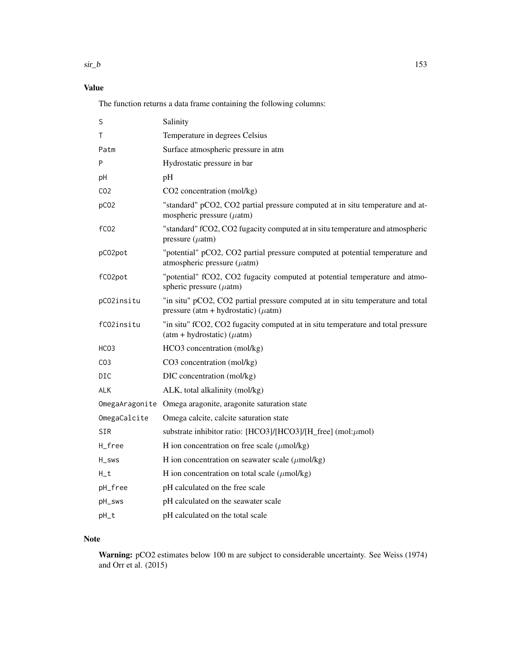$\sin b$  153

# Value

The function returns a data frame containing the following columns:

| S                | Salinity                                                                                                                    |
|------------------|-----------------------------------------------------------------------------------------------------------------------------|
| Τ                | Temperature in degrees Celsius                                                                                              |
| Patm             | Surface atmospheric pressure in atm                                                                                         |
| P                | Hydrostatic pressure in bar                                                                                                 |
| рH               | pH                                                                                                                          |
| CO <sub>2</sub>  | CO2 concentration (mol/kg)                                                                                                  |
| pCO <sub>2</sub> | "standard" pCO2, CO2 partial pressure computed at in situ temperature and at-<br>mospheric pressure $(\mu$ atm)             |
| fC <sub>02</sub> | "standard" fCO2, CO2 fugacity computed at in situ temperature and atmospheric<br>pressure $(\mu atm)$                       |
| pC02pot          | "potential" pCO2, CO2 partial pressure computed at potential temperature and<br>atmospheric pressure $(\mu$ atm)            |
| fC02pot          | "potential" fCO2, CO2 fugacity computed at potential temperature and atmo-<br>spheric pressure $(\mu atm)$                  |
| pC02insitu       | "in situ" pCO2, CO2 partial pressure computed at in situ temperature and total<br>pressure (atm + hydrostatic) ( $\mu$ atm) |
| fC02insitu       | "in situ" fCO2, CO2 fugacity computed at in situ temperature and total pressure<br>$(atm + hydrostatic) (\mu atm)$          |
| HCO3             | HCO3 concentration (mol/kg)                                                                                                 |
| CO <sub>3</sub>  | CO3 concentration (mol/kg)                                                                                                  |
| DIC              | DIC concentration (mol/kg)                                                                                                  |
| <b>ALK</b>       | ALK, total alkalinity (mol/kg)                                                                                              |
|                  | OmegaAragonite Omega aragonite, aragonite saturation state                                                                  |
| OmegaCalcite     | Omega calcite, calcite saturation state                                                                                     |
| SIR              | substrate inhibitor ratio: $[HCO3]/[HCO3]/[H_{free}]$ (mol: $\mu$ mol)                                                      |
| H_free           | H ion concentration on free scale $(\mu \text{mol/kg})$                                                                     |
| H_sws            | H ion concentration on seawater scale $(\mu$ mol/kg)                                                                        |
| $H_t$            | H ion concentration on total scale $(\mu \text{mol/kg})$                                                                    |
| pH_free          | pH calculated on the free scale                                                                                             |
| pH_sws           | pH calculated on the seawater scale                                                                                         |
| pH_t             | pH calculated on the total scale                                                                                            |

# Note

Warning: pCO2 estimates below 100 m are subject to considerable uncertainty. See Weiss (1974) and Orr et al. (2015)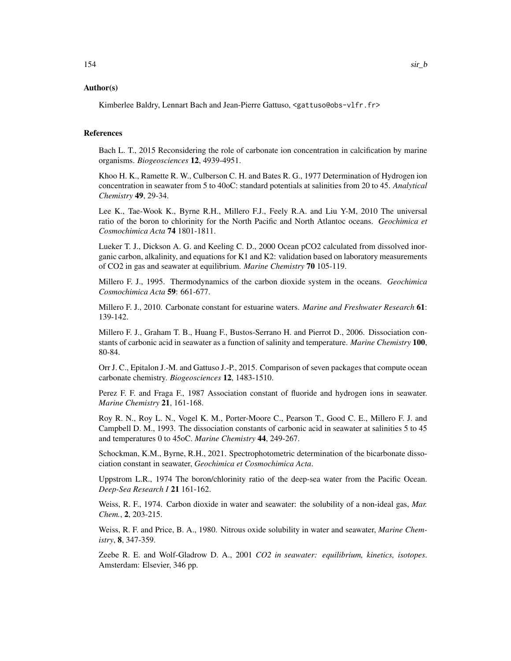#### Author(s)

Kimberlee Baldry, Lennart Bach and Jean-Pierre Gattuso, <gattuso@obs-vlfr.fr>

# References

Bach L. T., 2015 Reconsidering the role of carbonate ion concentration in calcification by marine organisms. *Biogeosciences* 12, 4939-4951.

Khoo H. K., Ramette R. W., Culberson C. H. and Bates R. G., 1977 Determination of Hydrogen ion concentration in seawater from 5 to 40oC: standard potentials at salinities from 20 to 45. *Analytical Chemistry* 49, 29-34.

Lee K., Tae-Wook K., Byrne R.H., Millero F.J., Feely R.A. and Liu Y-M, 2010 The universal ratio of the boron to chlorinity for the North Pacific and North Atlantoc oceans. *Geochimica et Cosmochimica Acta* 74 1801-1811.

Lueker T. J., Dickson A. G. and Keeling C. D., 2000 Ocean pCO2 calculated from dissolved inorganic carbon, alkalinity, and equations for K1 and K2: validation based on laboratory measurements of CO2 in gas and seawater at equilibrium. *Marine Chemistry* 70 105-119.

Millero F. J., 1995. Thermodynamics of the carbon dioxide system in the oceans. *Geochimica Cosmochimica Acta* 59: 661-677.

Millero F. J., 2010. Carbonate constant for estuarine waters. *Marine and Freshwater Research* 61: 139-142.

Millero F. J., Graham T. B., Huang F., Bustos-Serrano H. and Pierrot D., 2006. Dissociation constants of carbonic acid in seawater as a function of salinity and temperature. *Marine Chemistry* 100, 80-84.

Orr J. C., Epitalon J.-M. and Gattuso J.-P., 2015. Comparison of seven packages that compute ocean carbonate chemistry. *Biogeosciences* 12, 1483-1510.

Perez F. F. and Fraga F., 1987 Association constant of fluoride and hydrogen ions in seawater. *Marine Chemistry* 21, 161-168.

Roy R. N., Roy L. N., Vogel K. M., Porter-Moore C., Pearson T., Good C. E., Millero F. J. and Campbell D. M., 1993. The dissociation constants of carbonic acid in seawater at salinities 5 to 45 and temperatures 0 to 45oC. *Marine Chemistry* 44, 249-267.

Schockman, K.M., Byrne, R.H., 2021. Spectrophotometric determination of the bicarbonate dissociation constant in seawater, *Geochimica et Cosmochimica Acta*.

Uppstrom L.R., 1974 The boron/chlorinity ratio of the deep-sea water from the Pacific Ocean. *Deep-Sea Research I* 21 161-162.

Weiss, R. F., 1974. Carbon dioxide in water and seawater: the solubility of a non-ideal gas, *Mar. Chem.*, 2, 203-215.

Weiss, R. F. and Price, B. A., 1980. Nitrous oxide solubility in water and seawater, *Marine Chemistry*, 8, 347-359.

Zeebe R. E. and Wolf-Gladrow D. A., 2001 *CO2 in seawater: equilibrium, kinetics, isotopes*. Amsterdam: Elsevier, 346 pp.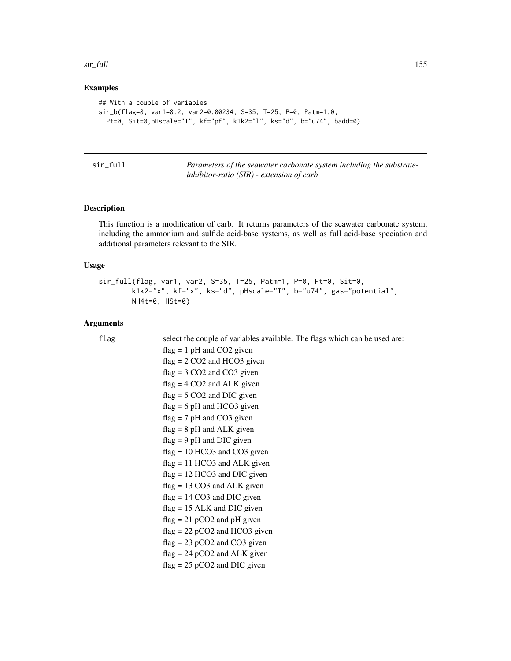#### <span id="page-154-0"></span>sir\_full 155

#### Examples

```
## With a couple of variables
sir_b(flag=8, var1=8.2, var2=0.00234, S=35, T=25, P=0, Patm=1.0,
 Pt=0, Sit=0,pHscale="T", kf="pf", k1k2="l", ks="d", b="u74", badd=0)
```

| sir full |  |
|----------|--|
|          |  |
|          |  |

Parameters of the seawater carbonate system including the substrate*inhibitor-ratio (SIR) - extension of carb*

#### Description

This function is a modification of carb. It returns parameters of the seawater carbonate system, including the ammonium and sulfide acid-base systems, as well as full acid-base speciation and additional parameters relevant to the SIR.

#### Usage

```
sir_full(flag, var1, var2, S=35, T=25, Patm=1, P=0, Pt=0, Sit=0,
       k1k2="x", kf="x", ks="d", pHscale="T", b="u74", gas="potential",
       NH4t=0, HSt=0)
```
#### Arguments

```
flag select the couple of variables available. The flags which can be used are:
                 flag = 1 pH and CO2 given
                 flag = 2 CO2 and HCO3 given
                 flag = 3 CO2 and CO3 given
                 flag = 4 CO2 and ALK given
                 flag = 5 CO2 and DIC given
                 flag = 6 pH and HCO3 given
                 flag = 7 pH and CO3 given
                 flag = 8 pH and ALK given
                 flag = 9 pH and DIC given
                 flag = 10 HCO3 and CO3 given
                 flag = 11 HCO3 and ALK given
                 flag = 12 HCO3 and DIC given
                 flag = 13 CO3 and ALK given
                 flag = 14 CO3 and DIC given
                 flag = 15 ALK and DIC given
                 flag = 21 pCO2 and pH given
                 flag = 22 pCO2 and HCO3 given
                 flag = 23 pCO2 and CO3 given
                 flag = 24 pCO2 and ALK given
                 flag = 25 pCO2 and DIC given
```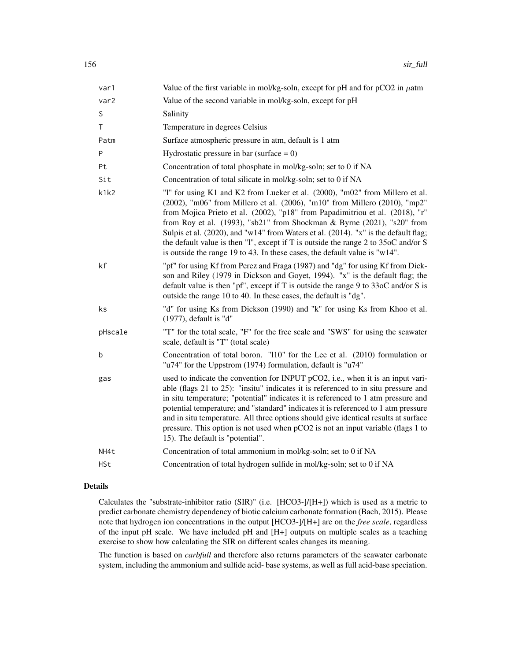| var1      | Value of the first variable in mol/kg-soln, except for pH and for $pCO2$ in $\mu$ atm                                                                                                                                                                                                                                                                                                                                                                                                                                                                                             |
|-----------|-----------------------------------------------------------------------------------------------------------------------------------------------------------------------------------------------------------------------------------------------------------------------------------------------------------------------------------------------------------------------------------------------------------------------------------------------------------------------------------------------------------------------------------------------------------------------------------|
| var2      | Value of the second variable in mol/kg-soln, except for pH                                                                                                                                                                                                                                                                                                                                                                                                                                                                                                                        |
| S         | Salinity                                                                                                                                                                                                                                                                                                                                                                                                                                                                                                                                                                          |
| Τ         | Temperature in degrees Celsius                                                                                                                                                                                                                                                                                                                                                                                                                                                                                                                                                    |
| Patm      | Surface atmospheric pressure in atm, default is 1 atm                                                                                                                                                                                                                                                                                                                                                                                                                                                                                                                             |
| ${\sf P}$ | Hydrostatic pressure in bar (surface $= 0$ )                                                                                                                                                                                                                                                                                                                                                                                                                                                                                                                                      |
| Pt        | Concentration of total phosphate in mol/kg-soln; set to 0 if NA                                                                                                                                                                                                                                                                                                                                                                                                                                                                                                                   |
| Sit       | Concentration of total silicate in mol/kg-soln; set to 0 if NA                                                                                                                                                                                                                                                                                                                                                                                                                                                                                                                    |
| k1k2      | "1" for using K1 and K2 from Lueker et al. (2000), "m02" from Millero et al.<br>(2002), "m06" from Millero et al. (2006), "m10" from Millero (2010), "mp2"<br>from Mojica Prieto et al. (2002), "p18" from Papadimitriou et al. (2018), "r"<br>from Roy et al. (1993), "sb21" from Shockman & Byrne (2021), "s20" from<br>Sulpis et al. (2020), and "w14" from Waters et al. (2014). "x" is the default flag;<br>the default value is then "1", except if T is outside the range 2 to 35oC and/or S<br>is outside the range 19 to 43. In these cases, the default value is "w14". |
| kf        | "pf" for using Kf from Perez and Fraga (1987) and "dg" for using Kf from Dick-<br>son and Riley (1979 in Dickson and Goyet, 1994). "x" is the default flag; the<br>default value is then "pf", except if T is outside the range 9 to $330C$ and/or S is<br>outside the range 10 to 40. In these cases, the default is "dg".                                                                                                                                                                                                                                                       |
| ks        | "d" for using Ks from Dickson (1990) and "k" for using Ks from Khoo et al.<br>(1977), default is "d"                                                                                                                                                                                                                                                                                                                                                                                                                                                                              |
| pHscale   | "T" for the total scale, "F" for the free scale and "SWS" for using the seawater<br>scale, default is "T" (total scale)                                                                                                                                                                                                                                                                                                                                                                                                                                                           |
| b         | Concentration of total boron. "110" for the Lee et al. (2010) formulation or<br>"u74" for the Uppstrom (1974) formulation, default is "u74"                                                                                                                                                                                                                                                                                                                                                                                                                                       |
| gas       | used to indicate the convention for INPUT pCO2, i.e., when it is an input vari-<br>able (flags 21 to 25): "insitu" indicates it is referenced to in situ pressure and<br>in situ temperature; "potential" indicates it is referenced to 1 atm pressure and<br>potential temperature; and "standard" indicates it is referenced to 1 atm pressure<br>and in situ temperature. All three options should give identical results at surface<br>pressure. This option is not used when pCO2 is not an input variable (flags 1 to<br>15). The default is "potential".                   |
| NH4t      | Concentration of total ammonium in mol/kg-soln; set to 0 if NA                                                                                                                                                                                                                                                                                                                                                                                                                                                                                                                    |
| HSt       | Concentration of total hydrogen sulfide in mol/kg-soln; set to 0 if NA                                                                                                                                                                                                                                                                                                                                                                                                                                                                                                            |

# Details

Calculates the "substrate-inhibitor ratio (SIR)" (i.e. [HCO3-]/[H+]) which is used as a metric to predict carbonate chemistry dependency of biotic calcium carbonate formation (Bach, 2015). Please note that hydrogen ion concentrations in the output [HCO3-]/[H+] are on the *free scale*, regardless of the input pH scale. We have included pH and [H+] outputs on multiple scales as a teaching exercise to show how calculating the SIR on different scales changes its meaning.

The function is based on *carbfull* and therefore also returns parameters of the seawater carbonate system, including the ammonium and sulfide acid- base systems, as well as full acid-base speciation.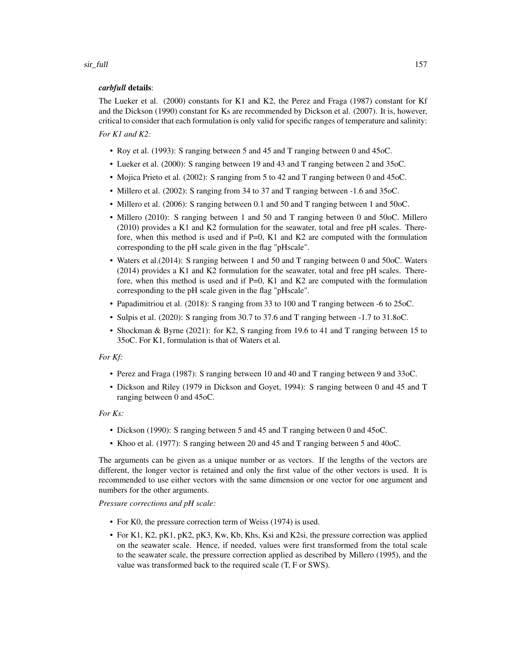#### sir\_full 157

# *carbfull* details:

The Lueker et al. (2000) constants for K1 and K2, the Perez and Fraga (1987) constant for Kf and the Dickson (1990) constant for Ks are recommended by Dickson et al. (2007). It is, however, critical to consider that each formulation is only valid for specific ranges of temperature and salinity: *For K1 and K2:*

# • Roy et al. (1993): S ranging between 5 and 45 and T ranging between 0 and 45oC.

- Lueker et al. (2000): S ranging between 19 and 43 and T ranging between 2 and 35oC.
- Mojica Prieto et al. (2002): S ranging from 5 to 42 and T ranging between 0 and 45oC.
- Millero et al. (2002): S ranging from 34 to 37 and T ranging between -1.6 and 35oC.
- Millero et al. (2006): S ranging between 0.1 and 50 and T ranging between 1 and 50 oC.
- Millero (2010): S ranging between 1 and 50 and T ranging between 0 and 50oC. Millero (2010) provides a K1 and K2 formulation for the seawater, total and free pH scales. Therefore, when this method is used and if  $P=0$ , K1 and K2 are computed with the formulation corresponding to the pH scale given in the flag "pHscale".
- Waters et al.(2014): S ranging between 1 and 50 and T ranging between 0 and 50oC. Waters (2014) provides a K1 and K2 formulation for the seawater, total and free pH scales. Therefore, when this method is used and if  $P=0$ , K1 and K2 are computed with the formulation corresponding to the pH scale given in the flag "pHscale".
- Papadimitriou et al. (2018): S ranging from 33 to 100 and T ranging between -6 to 25oC.
- Sulpis et al. (2020): S ranging from 30.7 to 37.6 and T ranging between -1.7 to 31.8oC.
- Shockman & Byrne (2021): for K2, S ranging from 19.6 to 41 and T ranging between 15 to 35oC. For K1, formulation is that of Waters et al.

#### *For Kf:*

- Perez and Fraga (1987): S ranging between 10 and 40 and T ranging between 9 and 33oC.
- Dickson and Riley (1979 in Dickson and Goyet, 1994): S ranging between 0 and 45 and T ranging between 0 and 45oC.

#### *For Ks:*

- Dickson (1990): S ranging between 5 and 45 and T ranging between 0 and 45oC.
- Khoo et al. (1977): S ranging between 20 and 45 and T ranging between 5 and 40oC.

The arguments can be given as a unique number or as vectors. If the lengths of the vectors are different, the longer vector is retained and only the first value of the other vectors is used. It is recommended to use either vectors with the same dimension or one vector for one argument and numbers for the other arguments.

*Pressure corrections and pH scale:*

- For K0, the pressure correction term of Weiss (1974) is used.
- For K1, K2, pK1, pK2, pK3, Kw, Kb, Khs, Ksi and K2si, the pressure correction was applied on the seawater scale. Hence, if needed, values were first transformed from the total scale to the seawater scale, the pressure correction applied as described by Millero (1995), and the value was transformed back to the required scale (T, F or SWS).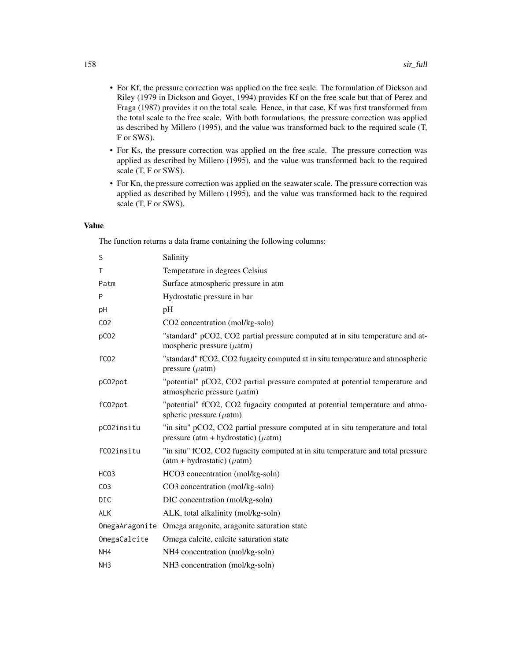- For Kf, the pressure correction was applied on the free scale. The formulation of Dickson and Riley (1979 in Dickson and Goyet, 1994) provides Kf on the free scale but that of Perez and Fraga (1987) provides it on the total scale. Hence, in that case, Kf was first transformed from the total scale to the free scale. With both formulations, the pressure correction was applied as described by Millero (1995), and the value was transformed back to the required scale (T, F or SWS).
- For Ks, the pressure correction was applied on the free scale. The pressure correction was applied as described by Millero (1995), and the value was transformed back to the required scale (T, F or SWS).
- For Kn, the pressure correction was applied on the seawater scale. The pressure correction was applied as described by Millero (1995), and the value was transformed back to the required scale (T, F or SWS).

# Value

The function returns a data frame containing the following columns:

| S                | Salinity                                                                                                                    |
|------------------|-----------------------------------------------------------------------------------------------------------------------------|
| $\mathsf{T}$     | Temperature in degrees Celsius                                                                                              |
| Patm             | Surface atmospheric pressure in atm                                                                                         |
| P                | Hydrostatic pressure in bar                                                                                                 |
| pH               | pH                                                                                                                          |
| CO <sub>2</sub>  | CO2 concentration (mol/kg-soln)                                                                                             |
| pCO <sub>2</sub> | "standard" pCO2, CO2 partial pressure computed at in situ temperature and at-<br>mospheric pressure $(\mu atm)$             |
| fC <sub>02</sub> | "standard" fCO2, CO2 fugacity computed at in situ temperature and atmospheric<br>pressure $(\mu atm)$                       |
| pC02pot          | "potential" pCO2, CO2 partial pressure computed at potential temperature and<br>atmospheric pressure $(\mu$ atm)            |
| fC02pot          | "potential" fCO2, CO2 fugacity computed at potential temperature and atmo-<br>spheric pressure $(\mu atm)$                  |
| pC02insitu       | "in situ" pCO2, CO2 partial pressure computed at in situ temperature and total<br>pressure (atm + hydrostatic) ( $\mu$ atm) |
| fC02insitu       | "in situ" fCO2, CO2 fugacity computed at in situ temperature and total pressure<br>$(atm + hydrostatic) (\mu atm)$          |
| HCO <sub>3</sub> | HCO3 concentration (mol/kg-soln)                                                                                            |
| CO <sub>3</sub>  | CO3 concentration (mol/kg-soln)                                                                                             |
| <b>DIC</b>       | DIC concentration (mol/kg-soln)                                                                                             |
| <b>ALK</b>       | ALK, total alkalinity (mol/kg-soln)                                                                                         |
|                  | OmegaAragonite Omega aragonite, aragonite saturation state                                                                  |
| OmegaCalcite     | Omega calcite, calcite saturation state                                                                                     |
| NH <sub>4</sub>  | NH4 concentration (mol/kg-soln)                                                                                             |
| NH <sub>3</sub>  | NH3 concentration (mol/kg-soln)                                                                                             |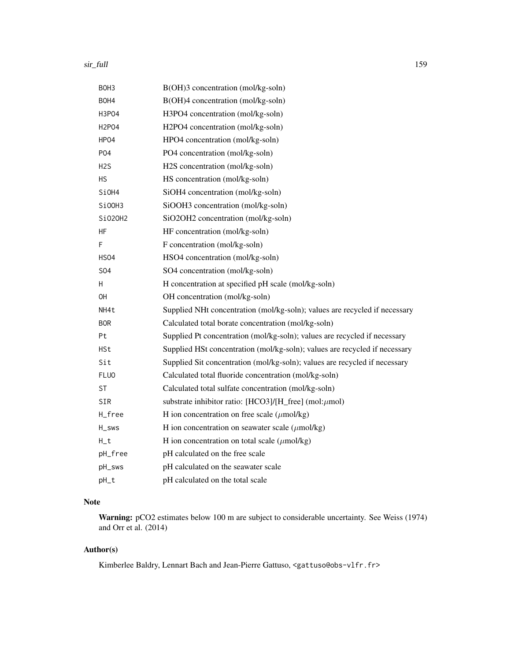#### sir\_full the control of the control of the control of the control of the control of the control of the control of the control of the control of the control of the control of the control of the control of the control of the

| BOH3             | B(OH)3 concentration (mol/kg-soln)                                         |
|------------------|----------------------------------------------------------------------------|
| BOH4             | B(OH)4 concentration (mol/kg-soln)                                         |
| H3P04            | H3PO4 concentration (mol/kg-soln)                                          |
| H2P04            | H2PO4 concentration (mol/kg-soln)                                          |
| HPO4             | HPO4 concentration (mol/kg-soln)                                           |
| <b>PO4</b>       | PO4 concentration (mol/kg-soln)                                            |
| H <sub>2</sub> S | H2S concentration (mol/kg-soln)                                            |
| <b>HS</b>        | HS concentration (mol/kg-soln)                                             |
| SiOH4            | SiOH4 concentration (mol/kg-soln)                                          |
| SiOOH3           | SiOOH3 concentration (mol/kg-soln)                                         |
| Si020H2          | SiO2OH2 concentration (mol/kg-soln)                                        |
| ΗF               | HF concentration (mol/kg-soln)                                             |
| F                | F concentration (mol/kg-soln)                                              |
| <b>HSO4</b>      | HSO4 concentration (mol/kg-soln)                                           |
| S <sub>04</sub>  | SO4 concentration (mol/kg-soln)                                            |
| н                | H concentration at specified pH scale (mol/kg-soln)                        |
| <b>OH</b>        | OH concentration (mol/kg-soln)                                             |
| NH4t             | Supplied NHt concentration (mol/kg-soln); values are recycled if necessary |
| <b>BOR</b>       | Calculated total borate concentration (mol/kg-soln)                        |
| Pt               | Supplied Pt concentration (mol/kg-soln); values are recycled if necessary  |
| HSt              | Supplied HSt concentration (mol/kg-soln); values are recycled if necessary |
| Sit              | Supplied Sit concentration (mol/kg-soln); values are recycled if necessary |
| <b>FLUO</b>      | Calculated total fluoride concentration (mol/kg-soln)                      |
| ST               | Calculated total sulfate concentration (mol/kg-soln)                       |
| <b>SIR</b>       | substrate inhibitor ratio: [HCO3]/[H_free] (mol: $\mu$ mol)                |
| H_free           | H ion concentration on free scale $(\mu$ mol/kg)                           |
| H_sws            | H ion concentration on seawater scale $(\mu$ mol/kg)                       |
| $H_t$            | H ion concentration on total scale $(\mu \text{mol/kg})$                   |
| pH_free          | pH calculated on the free scale                                            |
| pH_sws           | pH calculated on the seawater scale                                        |
| pH_t             | pH calculated on the total scale                                           |
|                  |                                                                            |

# Note

Warning: pCO2 estimates below 100 m are subject to considerable uncertainty. See Weiss (1974) and Orr et al. (2014)

# Author(s)

Kimberlee Baldry, Lennart Bach and Jean-Pierre Gattuso, <gattuso@obs-vlfr.fr>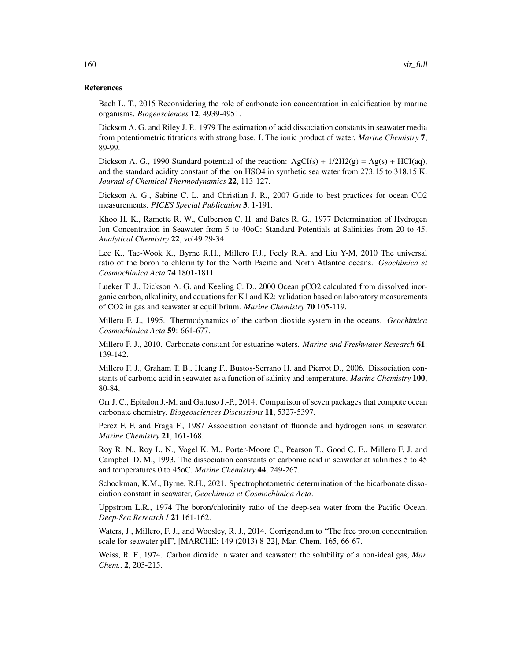#### References

Bach L. T., 2015 Reconsidering the role of carbonate ion concentration in calcification by marine organisms. *Biogeosciences* 12, 4939-4951.

Dickson A. G. and Riley J. P., 1979 The estimation of acid dissociation constants in seawater media from potentiometric titrations with strong base. I. The ionic product of water. *Marine Chemistry* 7, 89-99.

Dickson A. G., 1990 Standard potential of the reaction:  $AgCI(s) + 1/2H2(g) = Ag(s) + HCI(aq)$ , and the standard acidity constant of the ion HSO4 in synthetic sea water from 273.15 to 318.15 K. *Journal of Chemical Thermodynamics* 22, 113-127.

Dickson A. G., Sabine C. L. and Christian J. R., 2007 Guide to best practices for ocean CO2 measurements. *PICES Special Publication* 3, 1-191.

Khoo H. K., Ramette R. W., Culberson C. H. and Bates R. G., 1977 Determination of Hydrogen Ion Concentration in Seawater from 5 to 40oC: Standard Potentials at Salinities from 20 to 45. *Analytical Chemistry* 22, vol49 29-34.

Lee K., Tae-Wook K., Byrne R.H., Millero F.J., Feely R.A. and Liu Y-M, 2010 The universal ratio of the boron to chlorinity for the North Pacific and North Atlantoc oceans. *Geochimica et Cosmochimica Acta* 74 1801-1811.

Lueker T. J., Dickson A. G. and Keeling C. D., 2000 Ocean pCO2 calculated from dissolved inorganic carbon, alkalinity, and equations for K1 and K2: validation based on laboratory measurements of CO2 in gas and seawater at equilibrium. *Marine Chemistry* 70 105-119.

Millero F. J., 1995. Thermodynamics of the carbon dioxide system in the oceans. *Geochimica Cosmochimica Acta* 59: 661-677.

Millero F. J., 2010. Carbonate constant for estuarine waters. *Marine and Freshwater Research* 61: 139-142.

Millero F. J., Graham T. B., Huang F., Bustos-Serrano H. and Pierrot D., 2006. Dissociation constants of carbonic acid in seawater as a function of salinity and temperature. *Marine Chemistry* 100, 80-84.

Orr J. C., Epitalon J.-M. and Gattuso J.-P., 2014. Comparison of seven packages that compute ocean carbonate chemistry. *Biogeosciences Discussions* 11, 5327-5397.

Perez F. F. and Fraga F., 1987 Association constant of fluoride and hydrogen ions in seawater. *Marine Chemistry* 21, 161-168.

Roy R. N., Roy L. N., Vogel K. M., Porter-Moore C., Pearson T., Good C. E., Millero F. J. and Campbell D. M., 1993. The dissociation constants of carbonic acid in seawater at salinities 5 to 45 and temperatures 0 to 45oC. *Marine Chemistry* 44, 249-267.

Schockman, K.M., Byrne, R.H., 2021. Spectrophotometric determination of the bicarbonate dissociation constant in seawater, *Geochimica et Cosmochimica Acta*.

Uppstrom L.R., 1974 The boron/chlorinity ratio of the deep-sea water from the Pacific Ocean. *Deep-Sea Research I* 21 161-162.

Waters, J., Millero, F. J., and Woosley, R. J., 2014. Corrigendum to "The free proton concentration scale for seawater pH", [MARCHE: 149 (2013) 8-22], Mar. Chem. 165, 66-67.

Weiss, R. F., 1974. Carbon dioxide in water and seawater: the solubility of a non-ideal gas, *Mar. Chem.*, 2, 203-215.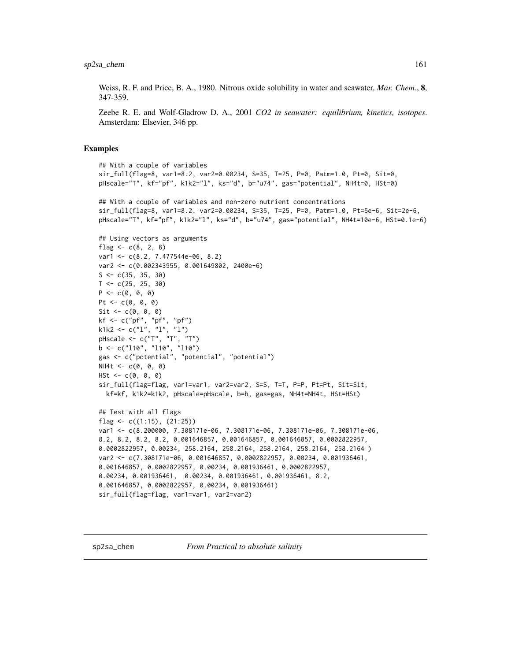<span id="page-160-0"></span>Weiss, R. F. and Price, B. A., 1980. Nitrous oxide solubility in water and seawater, *Mar. Chem.*, 8, 347-359.

Zeebe R. E. and Wolf-Gladrow D. A., 2001 *CO2 in seawater: equilibrium, kinetics, isotopes*. Amsterdam: Elsevier, 346 pp.

#### Examples

```
## With a couple of variables
sir_full(flag=8, var1=8.2, var2=0.00234, S=35, T=25, P=0, Patm=1.0, Pt=0, Sit=0,
pHscale="T", kf="pf", k1k2="l", ks="d", b="u74", gas="potential", NH4t=0, HSt=0)
## With a couple of variables and non-zero nutrient concentrations
sir_full(flag=8, var1=8.2, var2=0.00234, S=35, T=25, P=0, Patm=1.0, Pt=5e-6, Sit=2e-6,
pHscale="T", kf="pf", k1k2="l", ks="d", b="u74", gas="potential", NH4t=10e-6, HSt=0.1e-6)
## Using vectors as arguments
flag <-c(8, 2, 8)var1 <- c(8.2, 7.477544e-06, 8.2)
var2 <- c(0.002343955, 0.001649802, 2400e-6)
S \leftarrow c(35, 35, 30)T < -c(25, 25, 30)P \leftarrow c(0, 0, 0)Pt <- c(0, 0, 0)Sit \leftarrow c(\emptyset, \emptyset, \emptyset)kf <- c("pf", "pf", "pf")
k1k2 <- c("1", "1", "1")
pHscale <- c("T", "T", "T")
b \leq c("110", "110", "110")gas <- c("potential", "potential", "potential")
NH4t < -c(0, 0, 0)HSt \leftarrow c(0, 0, 0)
sir_full(flag=flag, var1=var1, var2=var2, S=S, T=T, P=P, Pt=Pt, Sit=Sit,
  kf=kf, k1k2=k1k2, pHscale=pHscale, b=b, gas=gas, NH4t=NH4t, HSt=HSt)
## Test with all flags
flag <- c((1:15), (21:25))
var1 <- c(8.200000, 7.308171e-06, 7.308171e-06, 7.308171e-06, 7.308171e-06,
8.2, 8.2, 8.2, 8.2, 0.001646857, 0.001646857, 0.001646857, 0.0002822957,
0.0002822957, 0.00234, 258.2164, 258.2164, 258.2164, 258.2164, 258.2164 )
var2 <- c(7.308171e-06, 0.001646857, 0.0002822957, 0.00234, 0.001936461,
0.001646857, 0.0002822957, 0.00234, 0.001936461, 0.0002822957,
0.00234, 0.001936461, 0.00234, 0.001936461, 0.001936461, 8.2,
0.001646857, 0.0002822957, 0.00234, 0.001936461)
sir_full(flag=flag, var1=var1, var2=var2)
```
sp2sa\_chem *From Practical to absolute salinity*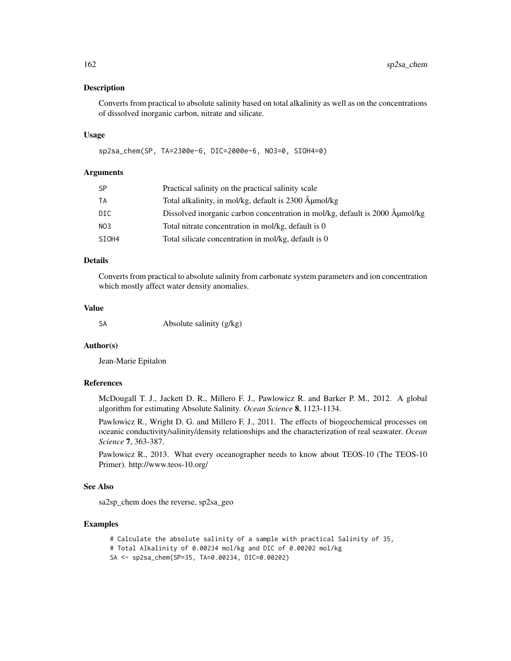#### **Description**

Converts from practical to absolute salinity based on total alkalinity as well as on the concentrations of dissolved inorganic carbon, nitrate and silicate.

#### Usage

sp2sa\_chem(SP, TA=2300e-6, DIC=2000e-6, NO3=0, SIOH4=0)

# Arguments

| SP              | Practical salinity on the practical salinity scale                          |
|-----------------|-----------------------------------------------------------------------------|
| ТA              | Total alkalinity, in mol/kg, default is 2300 Âumol/kg                       |
| DIC.            | Dissolved inorganic carbon concentration in mol/kg, default is 2000 µmol/kg |
| NO <sub>3</sub> | Total nitrate concentration in mol/kg, default is 0                         |
| SIOH4           | Total silicate concentration in mol/kg, default is 0                        |

# Details

Converts from practical to absolute salinity from carbonate system parameters and ion concentration which mostly affect water density anomalies.

#### Value

SA Absolute salinity (g/kg)

#### Author(s)

Jean-Marie Epitalon

#### References

McDougall T. J., Jackett D. R., Millero F. J., Pawlowicz R. and Barker P. M., 2012. A global algorithm for estimating Absolute Salinity. *Ocean Science* 8, 1123-1134.

Pawlowicz R., Wright D. G. and Millero F. J., 2011. The effects of biogeochemical processes on oceanic conductivity/salinity/density relationships and the characterization of real seawater. *Ocean Science* 7, 363-387.

Pawlowicz R., 2013. What every oceanographer needs to know about TEOS-10 (The TEOS-10 Primer). http://www.teos-10.org/

#### See Also

sa2sp\_chem does the reverse, sp2sa\_geo

#### Examples

```
# Calculate the absolute salinity of a sample with practical Salinity of 35,
# Total Alkalinity of 0.00234 mol/kg and DIC of 0.00202 mol/kg
SA <- sp2sa_chem(SP=35, TA=0.00234, DIC=0.00202)
```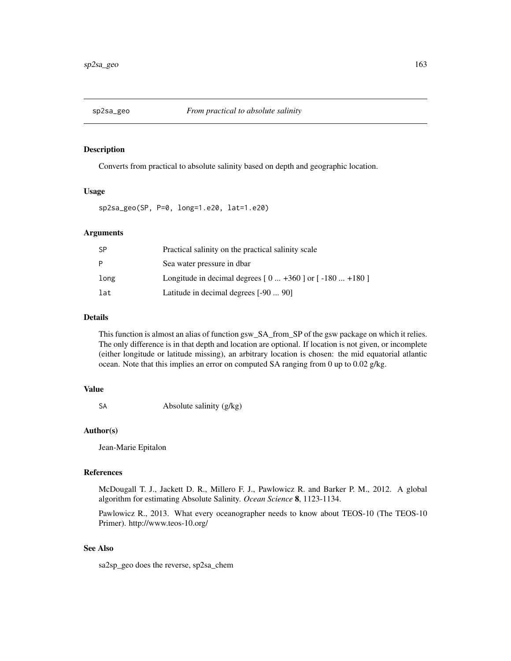<span id="page-162-0"></span>

## Description

Converts from practical to absolute salinity based on depth and geographic location.

## Usage

sp2sa\_geo(SP, P=0, long=1.e20, lat=1.e20)

#### Arguments

| <b>SP</b> | Practical salinity on the practical salinity scale         |
|-----------|------------------------------------------------------------|
| P         | Sea water pressure in dbar                                 |
| long      | Longitude in decimal degrees $[0  +360]$ or $[-180  +180]$ |
| lat       | Latitude in decimal degrees [-90  90]                      |

# Details

This function is almost an alias of function gsw\_SA\_from\_SP of the gsw package on which it relies. The only difference is in that depth and location are optional. If location is not given, or incomplete (either longitude or latitude missing), an arbitrary location is chosen: the mid equatorial atlantic ocean. Note that this implies an error on computed SA ranging from 0 up to 0.02 g/kg.

#### Value

SA Absolute salinity (g/kg)

#### Author(s)

Jean-Marie Epitalon

# References

McDougall T. J., Jackett D. R., Millero F. J., Pawlowicz R. and Barker P. M., 2012. A global algorithm for estimating Absolute Salinity. *Ocean Science* 8, 1123-1134.

Pawlowicz R., 2013. What every oceanographer needs to know about TEOS-10 (The TEOS-10 Primer). http://www.teos-10.org/

# See Also

sa2sp\_geo does the reverse, sp2sa\_chem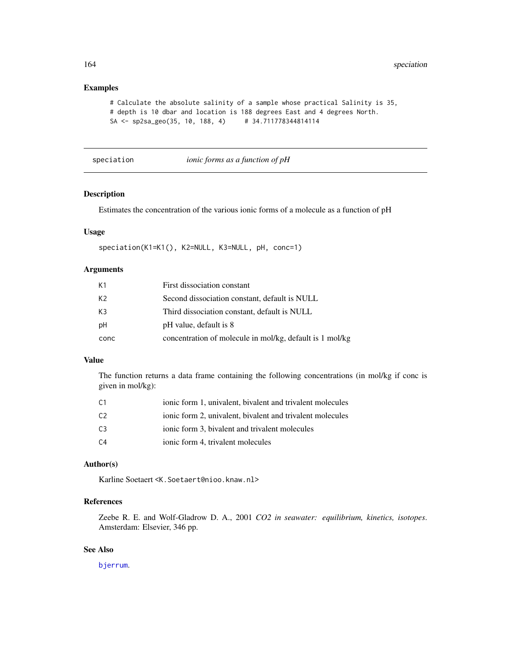# Examples

```
# Calculate the absolute salinity of a sample whose practical Salinity is 35,
# depth is 10 dbar and location is 188 degrees East and 4 degrees North.
SA <- sp2sa_geo(35, 10, 188, 4) # 34.711778344814114
```
speciation *ionic forms as a function of pH*

# Description

Estimates the concentration of the various ionic forms of a molecule as a function of pH

#### Usage

```
speciation(K1=K1(), K2=NULL, K3=NULL, pH, conc=1)
```
# Arguments

| K1   | First dissociation constant                              |
|------|----------------------------------------------------------|
| K2   | Second dissociation constant, default is NULL            |
| K3   | Third dissociation constant, default is NULL             |
| рH   | pH value, default is 8                                   |
| conc | concentration of molecule in mol/kg, default is 1 mol/kg |

# Value

The function returns a data frame containing the following concentrations (in mol/kg if conc is given in mol/kg):

| C1             | ionic form 1, univalent, bivalent and trivalent molecules |
|----------------|-----------------------------------------------------------|
| C2             | ionic form 2, univalent, bivalent and trivalent molecules |
| C3             | ionic form 3, bivalent and trivalent molecules            |
| C <sub>4</sub> | ionic form 4, trivalent molecules                         |

# Author(s)

Karline Soetaert <K.Soetaert@nioo.knaw.nl>

# References

Zeebe R. E. and Wolf-Gladrow D. A., 2001 *CO2 in seawater: equilibrium, kinetics, isotopes*. Amsterdam: Elsevier, 346 pp.

# See Also

[bjerrum](#page-4-0).

<span id="page-163-0"></span>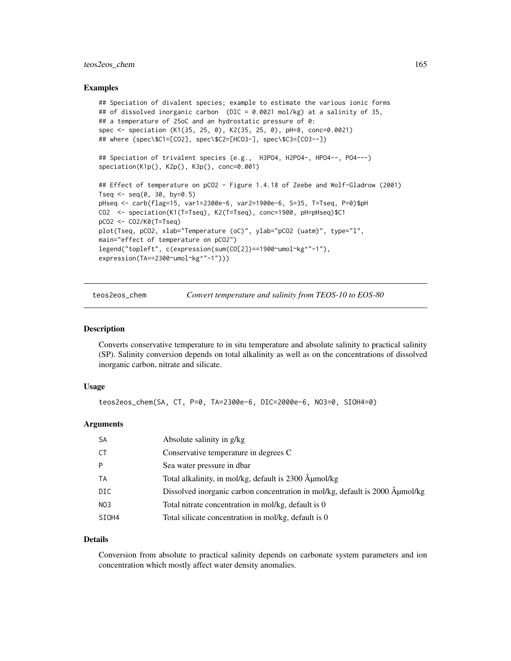# <span id="page-164-0"></span>teos2eos\_chem 165

#### Examples

```
## Speciation of divalent species; example to estimate the various ionic forms
## of dissolved inorganic carbon (DIC = 0.0021 mol/kg) at a salinity of 35,
## a temperature of 25oC and an hydrostatic pressure of 0:
spec <- speciation (K1(35, 25, 0), K2(35, 25, 0), pH=8, conc=0.0021)
## where (spec\$C1=[CO2], spec\$C2=[HCO3-], spec\$C3=[CO3--])
## Speciation of trivalent species (e.g., H3PO4, H2PO4-, HPO4--, PO4---)
speciation(K1p(), K2p(), K3p(), conc=0.001)
## Effect of temperature on pCO2 - Figure 1.4.18 of Zeebe and Wolf-Gladrow (2001)
Tseq \leq seq(0, 30, by=0.5)
pHseq <- carb(flag=15, var1=2300e-6, var2=1900e-6, S=35, T=Tseq, P=0)$pH
CO2 <- speciation(K1(T=Tseq), K2(T=Tseq), conc=1900, pH=pHseq)$C1
pCO2 <- CO2/K0(T=Tseq)
plot(Tseq, pCO2, xlab="Temperature (oC)", ylab="pCO2 (uatm)", type="l",
main="effect of temperature on pCO2")
legend("topleft", c(expression(sum(CO[2])==1900~umol~kg^"-1"),
expression(TA==2300~umol~kg^"-1")))
```
teos2eos\_chem *Convert temperature and salinity from TEOS-10 to EOS-80*

#### Description

Converts conservative temperature to in situ temperature and absolute salinity to practical salinity (SP). Salinity conversion depends on total alkalinity as well as on the concentrations of dissolved inorganic carbon, nitrate and silicate.

#### Usage

teos2eos\_chem(SA, CT, P=0, TA=2300e-6, DIC=2000e-6, NO3=0, SIOH4=0)

#### Arguments

| <b>SA</b>        | Absolute salinity in g/kg                                                    |
|------------------|------------------------------------------------------------------------------|
| СT               | Conservative temperature in degrees C                                        |
| P                | Sea water pressure in dbar                                                   |
| TA               | Total alkalinity, in mol/kg, default is 2300 µmol/kg                         |
| DIC              | Dissolved inorganic carbon concentration in mol/kg, default is 2000 Aumol/kg |
| N <sub>0</sub> 3 | Total nitrate concentration in mol/kg, default is 0                          |
| SIOH4            | Total silicate concentration in mol/kg, default is 0                         |

#### Details

Conversion from absolute to practical salinity depends on carbonate system parameters and ion concentration which mostly affect water density anomalies.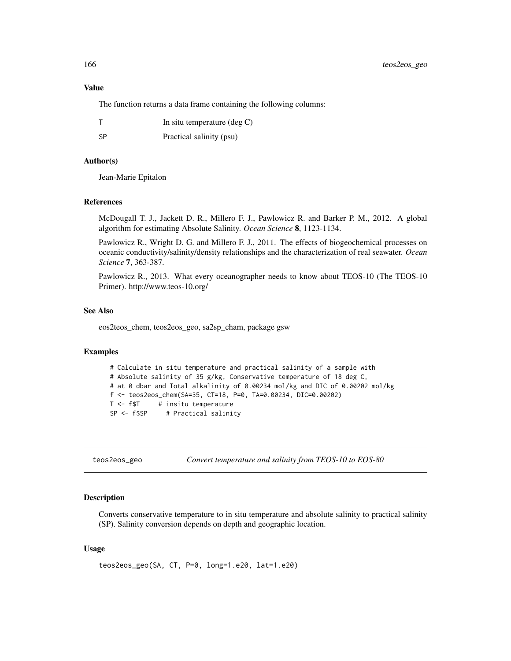# <span id="page-165-0"></span>Value

The function returns a data frame containing the following columns:

|    | In situ temperature $(\text{deg } C)$ |
|----|---------------------------------------|
| SP | Practical salinity (psu)              |

# Author(s)

Jean-Marie Epitalon

## References

McDougall T. J., Jackett D. R., Millero F. J., Pawlowicz R. and Barker P. M., 2012. A global algorithm for estimating Absolute Salinity. *Ocean Science* 8, 1123-1134.

Pawlowicz R., Wright D. G. and Millero F. J., 2011. The effects of biogeochemical processes on oceanic conductivity/salinity/density relationships and the characterization of real seawater. *Ocean Science* 7, 363-387.

Pawlowicz R., 2013. What every oceanographer needs to know about TEOS-10 (The TEOS-10 Primer). http://www.teos-10.org/

#### See Also

eos2teos\_chem, teos2eos\_geo, sa2sp\_cham, package gsw

#### Examples

```
# Calculate in situ temperature and practical salinity of a sample with
# Absolute salinity of 35 g/kg, Conservative temperature of 18 deg C,
# at 0 dbar and Total alkalinity of 0.00234 mol/kg and DIC of 0.00202 mol/kg
f <- teos2eos_chem(SA=35, CT=18, P=0, TA=0.00234, DIC=0.00202)
T <- f$T # insitu temperature<br>SP <- f$SP # Practical salini
                # Practical salinity
```
teos2eos\_geo *Convert temperature and salinity from TEOS-10 to EOS-80*

#### Description

Converts conservative temperature to in situ temperature and absolute salinity to practical salinity (SP). Salinity conversion depends on depth and geographic location.

## Usage

teos2eos\_geo(SA, CT, P=0, long=1.e20, lat=1.e20)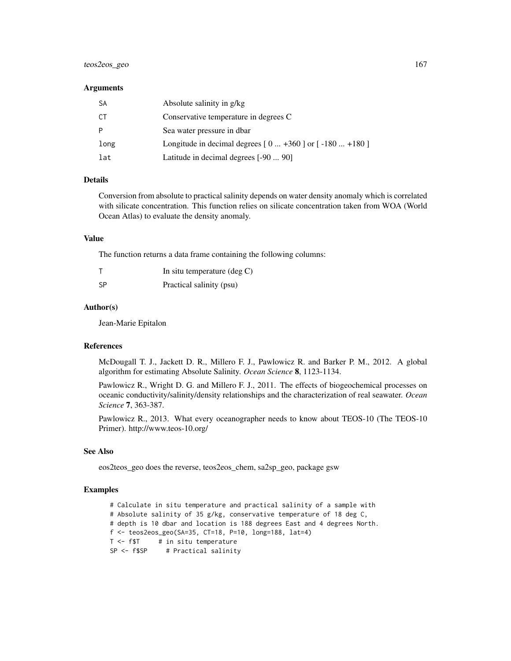# teos2eos\_geo 167

#### **Arguments**

| -SA  | Absolute salinity in g/kg                                  |
|------|------------------------------------------------------------|
| СT   | Conservative temperature in degrees C                      |
| P    | Sea water pressure in dbar                                 |
| long | Longitude in decimal degrees $[0  +360]$ or $[-180  +180]$ |
| lat  | Latitude in decimal degrees [-90  90]                      |

# Details

Conversion from absolute to practical salinity depends on water density anomaly which is correlated with silicate concentration. This function relies on silicate concentration taken from WOA (World Ocean Atlas) to evaluate the density anomaly.

# Value

The function returns a data frame containing the following columns:

|      | In situ temperature $(\deg C)$ |
|------|--------------------------------|
| - SP | Practical salinity (psu)       |

#### Author(s)

Jean-Marie Epitalon

#### References

McDougall T. J., Jackett D. R., Millero F. J., Pawlowicz R. and Barker P. M., 2012. A global algorithm for estimating Absolute Salinity. *Ocean Science* 8, 1123-1134.

Pawlowicz R., Wright D. G. and Millero F. J., 2011. The effects of biogeochemical processes on oceanic conductivity/salinity/density relationships and the characterization of real seawater. *Ocean Science* 7, 363-387.

Pawlowicz R., 2013. What every oceanographer needs to know about TEOS-10 (The TEOS-10 Primer). http://www.teos-10.org/

#### See Also

eos2teos\_geo does the reverse, teos2eos\_chem, sa2sp\_geo, package gsw

#### Examples

# Calculate in situ temperature and practical salinity of a sample with # Absolute salinity of 35 g/kg, conservative temperature of 18 deg C, # depth is 10 dbar and location is 188 degrees East and 4 degrees North. f <- teos2eos\_geo(SA=35, CT=18, P=10, long=188, lat=4)  $T < - f$ \$T # in situ temperature SP <- f\$SP # Practical salinity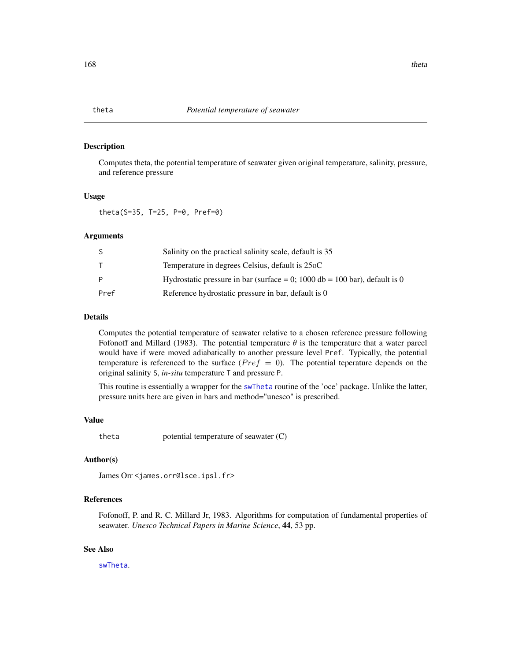<span id="page-167-0"></span>

# Description

Computes theta, the potential temperature of seawater given original temperature, salinity, pressure, and reference pressure

#### Usage

theta(S=35, T=25, P=0, Pref=0)

#### Arguments

|      | Salinity on the practical salinity scale, default is 35                    |
|------|----------------------------------------------------------------------------|
|      | Temperature in degrees Celsius, default is 25oC                            |
| P    | Hydrostatic pressure in bar (surface = 0; 1000 db = 100 bar), default is 0 |
| Pref | Reference hydrostatic pressure in bar, default is 0                        |

# Details

Computes the potential temperature of seawater relative to a chosen reference pressure following Fofonoff and Millard (1983). The potential temperature  $\theta$  is the temperature that a water parcel would have if were moved adiabatically to another pressure level Pref. Typically, the potential temperature is referenced to the surface ( $Pref = 0$ ). The potential teperature depends on the original salinity S, *in-situ* temperature T and pressure P.

This routine is essentially a wrapper for the [swTheta](#page-0-0) routine of the 'oce' package. Unlike the latter, pressure units here are given in bars and method="unesco" is prescribed.

#### Value

theta potential temperature of seawater (C)

# Author(s)

James Orr <james.orr@lsce.ipsl.fr>

#### References

Fofonoff, P. and R. C. Millard Jr, 1983. Algorithms for computation of fundamental properties of seawater. *Unesco Technical Papers in Marine Science*, 44, 53 pp.

## See Also

[swTheta](#page-0-0).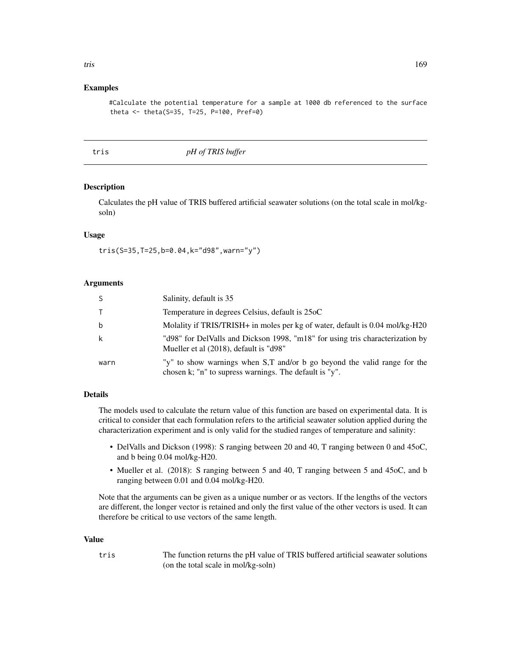# <span id="page-168-0"></span>Examples

#Calculate the potential temperature for a sample at 1000 db referenced to the surface theta <- theta(S=35, T=25, P=100, Pref=0)

tris *pH of TRIS buffer*

## Description

Calculates the pH value of TRIS buffered artificial seawater solutions (on the total scale in mol/kgsoln)

#### Usage

tris(S=35,T=25,b=0.04,k="d98",warn="y")

#### Arguments

| -S   | Salinity, default is 35                                                                                                            |
|------|------------------------------------------------------------------------------------------------------------------------------------|
|      | Temperature in degrees Celsius, default is 25oC                                                                                    |
| b    | Molality if TRIS/TRISH+ in moles per kg of water, default is 0.04 mol/kg-H20                                                       |
| k    | "d98" for DelValls and Dickson 1998, "m18" for using tris characterization by<br>Mueller et al (2018), default is "d98"            |
| warn | "y" to show warnings when S,T and/or b go beyond the valid range for the<br>chosen k; "n" to supress warnings. The default is "y". |

# Details

The models used to calculate the return value of this function are based on experimental data. It is critical to consider that each formulation refers to the artificial seawater solution applied during the characterization experiment and is only valid for the studied ranges of temperature and salinity:

- DelValls and Dickson (1998): S ranging between 20 and 40, T ranging between 0 and 45oC, and b being 0.04 mol/kg-H20.
- Mueller et al. (2018): S ranging between 5 and 40, T ranging between 5 and 45oC, and b ranging between 0.01 and 0.04 mol/kg-H20.

Note that the arguments can be given as a unique number or as vectors. If the lengths of the vectors are different, the longer vector is retained and only the first value of the other vectors is used. It can therefore be critical to use vectors of the same length.

#### Value

tris The function returns the pH value of TRIS buffered artificial seawater solutions (on the total scale in mol/kg-soln)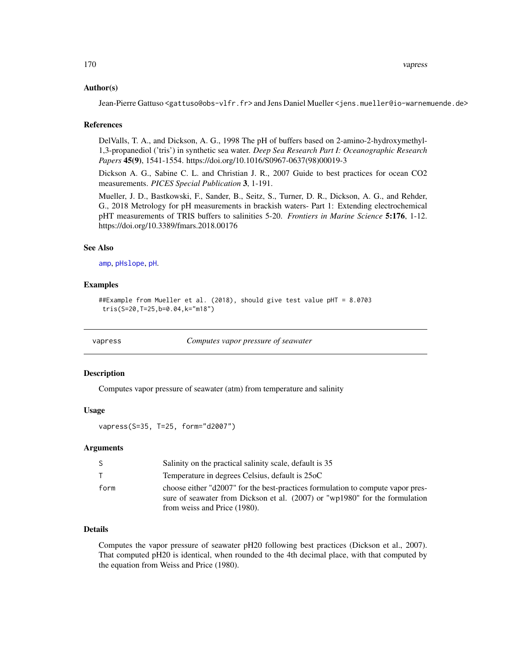<span id="page-169-1"></span>170 vapress

#### Author(s)

Jean-Pierre Gattuso <gattuso@obs-vlfr.fr> and Jens Daniel Mueller <jens.mueller@io-warnemuende.de>

#### References

DelValls, T. A., and Dickson, A. G., 1998 The pH of buffers based on 2-amino-2-hydroxymethyl-1,3-propanediol ('tris') in synthetic sea water. *Deep Sea Research Part I: Oceanographic Research Papers* 45(9), 1541-1554. https://doi.org/10.1016/S0967-0637(98)00019-3

Dickson A. G., Sabine C. L. and Christian J. R., 2007 Guide to best practices for ocean CO2 measurements. *PICES Special Publication* 3, 1-191.

Mueller, J. D., Bastkowski, F., Sander, B., Seitz, S., Turner, D. R., Dickson, A. G., and Rehder, G., 2018 Metrology for pH measurements in brackish waters- Part 1: Extending electrochemical pHT measurements of TRIS buffers to salinities 5-20. *Frontiers in Marine Science* 5:176, 1-12. https://doi.org/10.3389/fmars.2018.00176

#### See Also

[amp](#page-3-0), [pHslope](#page-114-0), [pH](#page-108-0).

# Examples

```
##Example from Mueller et al. (2018), should give test value pHT = 8.0703
tris(S=20,T=25,b=0.04,k="m18")
```
<span id="page-169-0"></span>

vapress *Computes vapor pressure of seawater*

#### Description

Computes vapor pressure of seawater (atm) from temperature and salinity

#### Usage

vapress(S=35, T=25, form="d2007")

#### Arguments

| -S           | Salinity on the practical salinity scale, default is 35                                                                                                                                        |
|--------------|------------------------------------------------------------------------------------------------------------------------------------------------------------------------------------------------|
| $\mathsf{T}$ | Temperature in degrees Celsius, default is 25oC                                                                                                                                                |
| form         | choose either "d2007" for the best-practices formulation to compute vapor pres-<br>sure of seawater from Dickson et al. (2007) or "wp1980" for the formulation<br>from weiss and Price (1980). |

# Details

Computes the vapor pressure of seawater pH20 following best practices (Dickson et al., 2007). That computed pH20 is identical, when rounded to the 4th decimal place, with that computed by the equation from Weiss and Price (1980).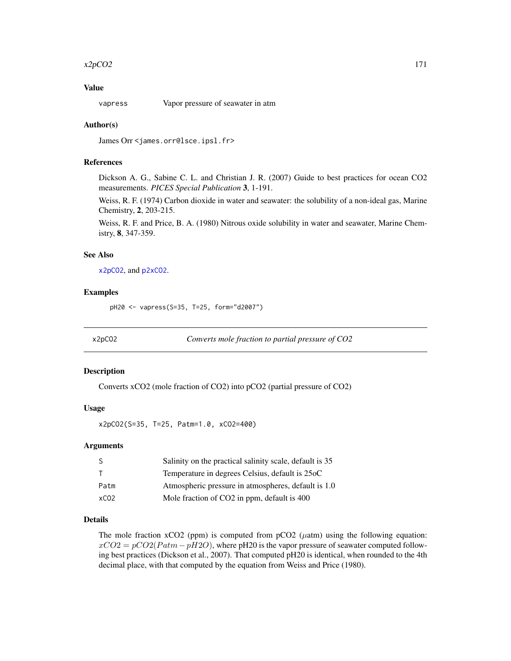#### <span id="page-170-1"></span> $x2pCO2$  171

# Value

vapress Vapor pressure of seawater in atm

#### Author(s)

James Orr <james.orr@lsce.ipsl.fr>

# References

Dickson A. G., Sabine C. L. and Christian J. R. (2007) Guide to best practices for ocean CO2 measurements. *PICES Special Publication* 3, 1-191.

Weiss, R. F. (1974) Carbon dioxide in water and seawater: the solubility of a non-ideal gas, Marine Chemistry, 2, 203-215.

Weiss, R. F. and Price, B. A. (1980) Nitrous oxide solubility in water and seawater, Marine Chemistry, 8, 347-359.

#### See Also

[x2pCO2](#page-170-0), and [p2xCO2](#page-94-0).

#### Examples

pH20 <- vapress(S=35, T=25, form="d2007")

<span id="page-170-0"></span>x2pCO2 *Converts mole fraction to partial pressure of CO2*

#### Description

Converts xCO2 (mole fraction of CO2) into pCO2 (partial pressure of CO2)

# Usage

x2pCO2(S=35, T=25, Patm=1.0, xCO2=400)

# Arguments

|                  | Salinity on the practical salinity scale, default is 35 |
|------------------|---------------------------------------------------------|
|                  | Temperature in degrees Celsius, default is 25oC         |
| Patm             | Atmospheric pressure in atmospheres, default is 1.0     |
| xCO <sub>2</sub> | Mole fraction of CO2 in ppm, default is 400             |

# Details

The mole fraction xCO2 (ppm) is computed from  $pCO2$  ( $\mu$ atm) using the following equation:  $xCO2 = pCO2(Patm - pH2O)$ , where pH20 is the vapor pressure of seawater computed following best practices (Dickson et al., 2007). That computed pH20 is identical, when rounded to the 4th decimal place, with that computed by the equation from Weiss and Price (1980).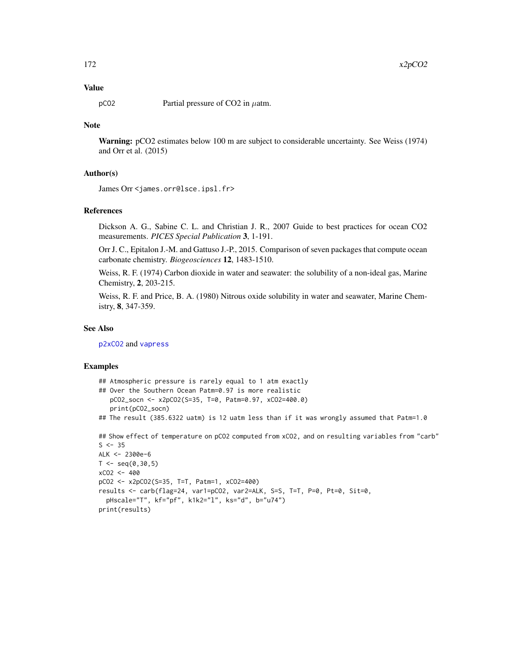# <span id="page-171-0"></span>Value

 $pCO2$  Partial pressure of CO2 in  $\mu$ atm.

# Note

Warning: pCO2 estimates below 100 m are subject to considerable uncertainty. See Weiss (1974) and Orr et al. (2015)

#### Author(s)

James Orr <james.orr@lsce.ipsl.fr>

#### References

Dickson A. G., Sabine C. L. and Christian J. R., 2007 Guide to best practices for ocean CO2 measurements. *PICES Special Publication* 3, 1-191.

Orr J. C., Epitalon J.-M. and Gattuso J.-P., 2015. Comparison of seven packages that compute ocean carbonate chemistry. *Biogeosciences* 12, 1483-1510.

Weiss, R. F. (1974) Carbon dioxide in water and seawater: the solubility of a non-ideal gas, Marine Chemistry, 2, 203-215.

Weiss, R. F. and Price, B. A. (1980) Nitrous oxide solubility in water and seawater, Marine Chemistry, 8, 347-359.

#### See Also

[p2xCO2](#page-94-0) and [vapress](#page-169-0)

#### Examples

- ## Atmospheric pressure is rarely equal to 1 atm exactly
- ## Over the Southern Ocean Patm=0.97 is more realistic

```
pCO2_socn <- x2pCO2(S=35, T=0, Patm=0.97, xCO2=400.0)
print(pCO2_socn)
```
## The result (385.6322 uatm) is 12 uatm less than if it was wrongly assumed that Patm=1.0

```
## Show effect of temperature on pCO2 computed from xCO2, and on resulting variables from "carb"
S < -35ALK <- 2300e-6
```

```
T < -seq(0, 30, 5)xCO2 <- 400
pCO2 <- x2pCO2(S=35, T=T, Patm=1, xCO2=400)
results <- carb(flag=24, var1=pCO2, var2=ALK, S=S, T=T, P=0, Pt=0, Sit=0,
  pHscale="T", kf="pf", k1k2="l", ks="d", b="u74")
print(results)
```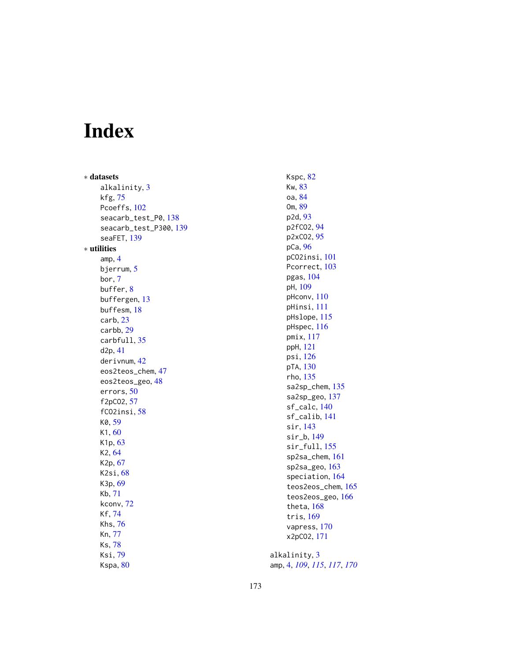# Index

∗ datasets alkalinity, [3](#page-2-0) kfg , [75](#page-74-0) Pcoeffs, [102](#page-101-0) seacarb\_test\_P0 , [138](#page-137-0) seacarb\_test\_P300 , [139](#page-138-0) seaFET, [139](#page-138-0) ∗ utilities amp , [4](#page-3-1) bjerrum , [5](#page-4-1) bor , [7](#page-6-0) buffer , [8](#page-7-0) buffergen , [13](#page-12-0) buffesm , [18](#page-17-0) carb , [23](#page-22-0) carbb , [29](#page-28-0) carbfull , [35](#page-34-0) d2p , [41](#page-40-0) derivnum , [42](#page-41-0) eos2teos\_chem , [47](#page-46-0) eos2teos\_geo, [48](#page-47-0) errors , [50](#page-49-0) f2pCO2 , [57](#page-56-0) fCO2insi , [58](#page-57-0) K0 , [59](#page-58-0) K1 , [60](#page-59-0) K<sub>1</sub>p, [63](#page-62-0) K2 , [64](#page-63-0) K2p , [67](#page-66-0) K2si , [68](#page-67-0) K3p , [69](#page-68-0) Kb , [71](#page-70-0) kconv , [72](#page-71-0) Kf , [74](#page-73-0) Khs , [76](#page-75-0) Kn , [77](#page-76-0) Ks , [78](#page-77-0) Ksi , [79](#page-78-0) Kspa,  $80$ 

Kspc,  $82$ Kw , [83](#page-82-0) oa , [84](#page-83-0) Om , [89](#page-88-0) p2d , [93](#page-92-0) p2fCO2 , [94](#page-93-0) p2xC02, [95](#page-94-1) pCa , [96](#page-95-0) pCO2insi , [101](#page-100-0) Pcorrect, [103](#page-102-0) pgas , [104](#page-103-0) pH , [109](#page-108-1) pHconv , [110](#page-109-0) pHinsi , [111](#page-110-0) pHslope , [115](#page-114-1) pHspec , [116](#page-115-0) pmix , [117](#page-116-0) ppH , [121](#page-120-0) psi , [126](#page-125-0) pTA, [130](#page-129-0) rho , [135](#page-134-0) sa2sp\_chem, [135](#page-134-0) sa2sp\_geo , [137](#page-136-0) sf\_calc , [140](#page-139-0) sf\_calib , [141](#page-140-0) sir , [143](#page-142-0) sir\_b , [149](#page-148-0) sir\_full , [155](#page-154-0) sp2sa\_chem , [161](#page-160-0) sp2sa\_geo , [163](#page-162-0) speciation , [164](#page-163-0) teos2eos\_chem , [165](#page-164-0) teos2eos\_geo , [166](#page-165-0) theta , [168](#page-167-0) tris , [169](#page-168-0) vapress , [170](#page-169-1) x2pCO2 , [171](#page-170-1)

alkalinity, [3](#page-2-0) amp , [4](#page-3-1) , *[109](#page-108-1)* , *[115](#page-114-1)* , *[117](#page-116-0)* , *[170](#page-169-1)*